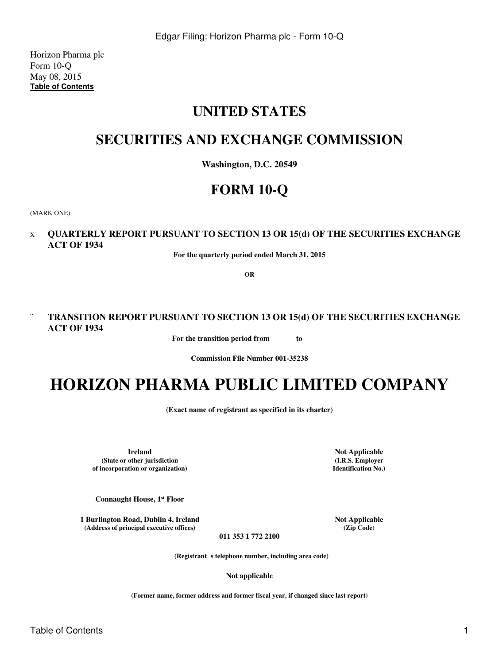Horizon Pharma plc Form 10-Q May 08, 2015 **[Table of Contents](#page-2-0)**

# **UNITED STATES**

## **SECURITIES AND EXCHANGE COMMISSION**

**Washington, D.C. 20549**

# **FORM 10-Q**

(MARK ONE)

## x **QUARTERLY REPORT PURSUANT TO SECTION 13 OR 15(d) OF THE SECURITIES EXCHANGE ACT OF 1934**

**For the quarterly period ended March 31, 2015**

**OR**

## ¨ **TRANSITION REPORT PURSUANT TO SECTION 13 OR 15(d) OF THE SECURITIES EXCHANGE ACT OF 1934**

**For the transition period from to** 

**Commission File Number 001-35238**

# **HORIZON PHARMA PUBLIC LIMITED COMPANY**

**(Exact name of registrant as specified in its charter)**

**Ireland Not Applicable (State or other jurisdiction of incorporation or organization)**

**Connaught House, 1st Floor**

**1 Burlington Road, Dublin 4, Ireland 1 8 Not Applicable** (Address of principal executive offices) (Zip Code)  $(A$ ddress of principal executive offices)

**(I.R.S. Employer Identification No.)**

**011 353 1 772 2100**

(Registrant s telephone number, including area code)

**Not applicable**

**(Former name, former address and former fiscal year, if changed since last report)**

Table of Contents 1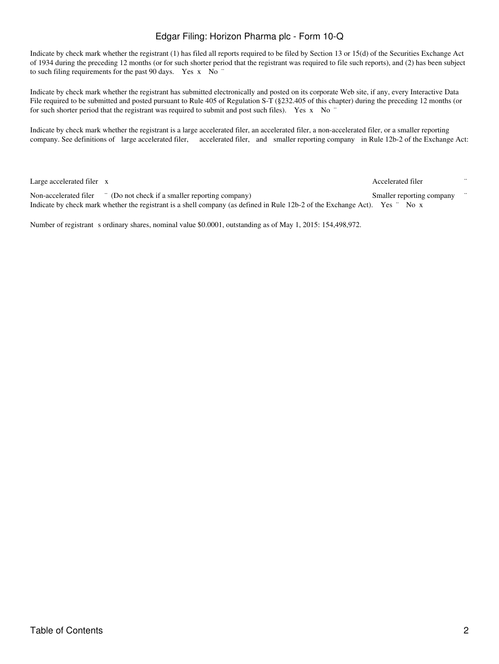Indicate by check mark whether the registrant (1) has filed all reports required to be filed by Section 13 or 15(d) of the Securities Exchange Act of 1934 during the preceding 12 months (or for such shorter period that the registrant was required to file such reports), and (2) has been subject to such filing requirements for the past 90 days. Yes x No "

Indicate by check mark whether the registrant has submitted electronically and posted on its corporate Web site, if any, every Interactive Data File required to be submitted and posted pursuant to Rule 405 of Regulation S-T (§232.405 of this chapter) during the preceding 12 months (or for such shorter period that the registrant was required to submit and post such files). Yes x No  $\degree$ 

Indicate by check mark whether the registrant is a large accelerated filer, an accelerated filer, a non-accelerated filer, or a smaller reporting company. See definitions of large accelerated filer, accelerated filer, and smaller reporting company in Rule 12b-2 of the Exchange Act:

Large accelerated filer v Accelerated filer  $\bar{x}$ 

Non-accelerated filer <sup>"</sup> (Do not check if a smaller reporting company) Smaller reporting company Indicate by check mark whether the registrant is a shell company (as defined in Rule 12b-2 of the Exchange Act). Yes ¨ No x

Number of registrant s ordinary shares, nominal value \$0.0001, outstanding as of May 1, 2015: 154,498,972.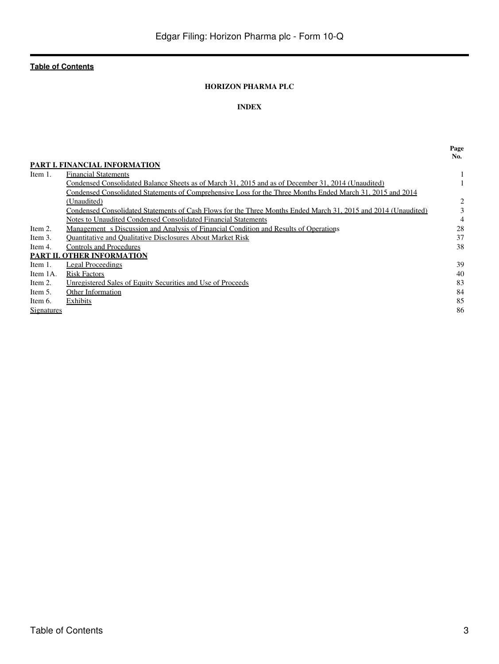#### **HORIZON PHARMA PLC**

#### **INDEX**

<span id="page-2-0"></span>

|            |                                                                                                                | Page<br>No. |
|------------|----------------------------------------------------------------------------------------------------------------|-------------|
|            | <b>PART I. FINANCIAL INFORMATION</b>                                                                           |             |
| Item 1.    | <b>Financial Statements</b>                                                                                    |             |
|            | Condensed Consolidated Balance Sheets as of March 31, 2015 and as of December 31, 2014 (Unaudited)             |             |
|            | Condensed Consolidated Statements of Comprehensive Loss for the Three Months Ended March 31, 2015 and 2014     |             |
|            | (Unaudited)                                                                                                    | 2           |
|            | Condensed Consolidated Statements of Cash Flows for the Three Months Ended March 31, 2015 and 2014 (Unaudited) | 3           |
|            | Notes to Unaudited Condensed Consolidated Financial Statements                                                 | 4           |
| Item 2.    | Management s Discussion and Analysis of Financial Condition and Results of Operations                          | 28          |
| Item 3.    | <b>Ouantitative and Oualitative Disclosures About Market Risk</b>                                              | 37          |
| Item 4.    | Controls and Procedures                                                                                        | 38          |
|            | <b>PART II. OTHER INFORMATION</b>                                                                              |             |
| Item 1.    | Legal Proceedings                                                                                              | 39          |
| Item 1A.   | <b>Risk Factors</b>                                                                                            | 40          |
| Item 2.    | Unregistered Sales of Equity Securities and Use of Proceeds                                                    | 83          |
| Item 5.    | Other Information                                                                                              | 84          |
| Item 6.    | Exhibits                                                                                                       | 85          |
| Signatures |                                                                                                                | 86          |
|            |                                                                                                                |             |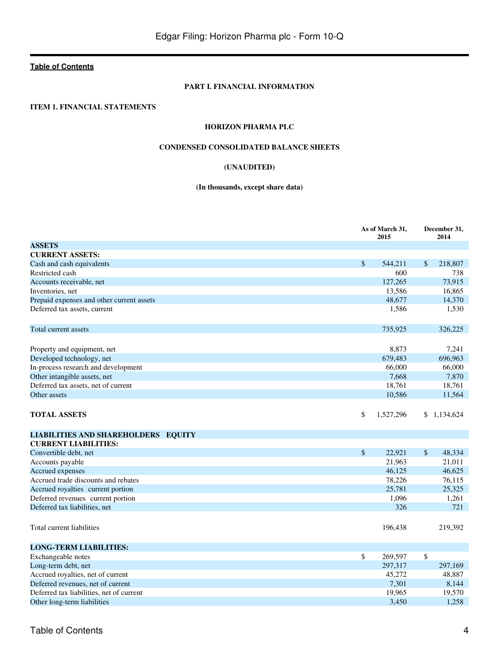#### **PART I. FINANCIAL INFORMATION**

#### <span id="page-3-2"></span><span id="page-3-1"></span><span id="page-3-0"></span>**ITEM 1. FINANCIAL STATEMENTS**

#### **HORIZON PHARMA PLC**

#### **CONDENSED CONSOLIDATED BALANCE SHEETS**

#### **(UNAUDITED)**

#### **(In thousands, except share data)**

|                                            |                    | As of March 31,<br>2015 |              | December 31,<br>2014 |
|--------------------------------------------|--------------------|-------------------------|--------------|----------------------|
| <b>ASSETS</b>                              |                    |                         |              |                      |
| <b>CURRENT ASSETS:</b>                     |                    |                         |              |                      |
| Cash and cash equivalents                  | \$                 | 544,211                 | \$           | 218,807              |
| Restricted cash                            |                    | 600                     |              | 738                  |
| Accounts receivable, net                   |                    | 127,265                 |              | 73,915               |
| Inventories, net                           |                    | 13,586                  |              | 16,865               |
| Prepaid expenses and other current assets  |                    | 48,677                  |              | 14,370               |
| Deferred tax assets, current               |                    | 1,586                   |              | 1,530                |
| Total current assets                       |                    | 735,925                 |              | 326,225              |
| Property and equipment, net                |                    | 8,873                   |              | 7,241                |
| Developed technology, net                  |                    | 679,483                 |              | 696,963              |
| In-process research and development        |                    | 66,000                  |              | 66,000               |
| Other intangible assets, net               |                    | 7,668                   |              | 7,870                |
| Deferred tax assets, net of current        |                    | 18,761                  |              | 18,761               |
| Other assets                               |                    | 10,586                  |              | 11,564               |
| <b>TOTAL ASSETS</b>                        | \$                 | 1,527,296               | \$           | 1,134,624            |
| <b>LIABILITIES AND SHAREHOLDERS EQUITY</b> |                    |                         |              |                      |
| <b>CURRENT LIABILITIES:</b>                |                    |                         |              |                      |
| Convertible debt, net                      | $\mathbf{\hat{S}}$ | 22,921                  | $\mathbb{S}$ | 48,334               |
| Accounts payable                           |                    | 21,963                  |              | 21,011               |
| Accrued expenses                           |                    | 46,125                  |              | 46.625               |
| Accrued trade discounts and rebates        |                    | 78,226                  |              | 76,115               |
| Accrued royalties current portion          |                    | 25,781                  |              | 25,325               |
| Deferred revenues current portion          |                    | 1,096                   |              | 1,261                |
| Deferred tax liabilities, net              |                    | 326                     |              | 721                  |
| Total current liabilities                  |                    | 196,438                 |              | 219,392              |
| <b>LONG-TERM LIABILITIES:</b>              |                    |                         |              |                      |
| Exchangeable notes                         | \$                 | 269,597                 | \$           |                      |
| Long-term debt, net                        |                    | 297,317                 |              | 297,169              |
| Accrued royalties, net of current          |                    | 45,272                  |              | 48,887               |
| Deferred revenues, net of current          |                    | 7,301                   |              | 8,144                |
| Deferred tax liabilities, net of current   |                    | 19,965                  |              | 19,570               |
| Other long-term liabilities                |                    | 3.450                   |              | 1,258                |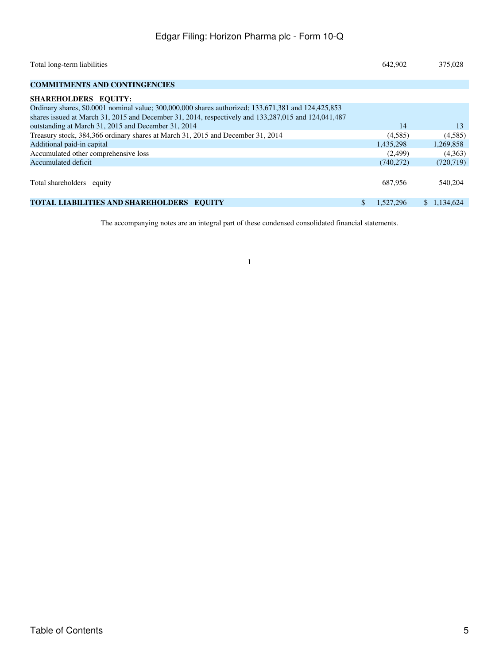| Total long-term liabilities                                                                             | 642,902         | 375,028     |
|---------------------------------------------------------------------------------------------------------|-----------------|-------------|
| <b>COMMITMENTS AND CONTINGENCIES</b>                                                                    |                 |             |
| SHAREHOLDERS EQUITY:                                                                                    |                 |             |
| Ordinary shares, \$0,0001 nominal value; 300,000,000 shares authorized; 133,671,381 and 124,425,853     |                 |             |
| shares issued at March 31, 2015 and December 31, 2014, respectively and $133,287,015$ and $124,041,487$ |                 |             |
| outstanding at March 31, 2015 and December 31, 2014                                                     | 14              | 13          |
| Treasury stock, 384,366 ordinary shares at March 31, 2015 and December 31, 2014                         | (4,585)         | (4,585)     |
| Additional paid-in capital                                                                              | 1,435,298       | 1,269,858   |
| Accumulated other comprehensive loss                                                                    | (2,499)         | (4,363)     |
| Accumulated deficit                                                                                     | (740,272)       | (720, 719)  |
|                                                                                                         |                 |             |
| Total shareholders equity                                                                               | 687.956         | 540,204     |
|                                                                                                         |                 |             |
| TOTAL LIABILITIES AND SHAREHOLDERS EQUITY                                                               | \$<br>1.527.296 | \$1,134,624 |

The accompanying notes are an integral part of these condensed consolidated financial statements.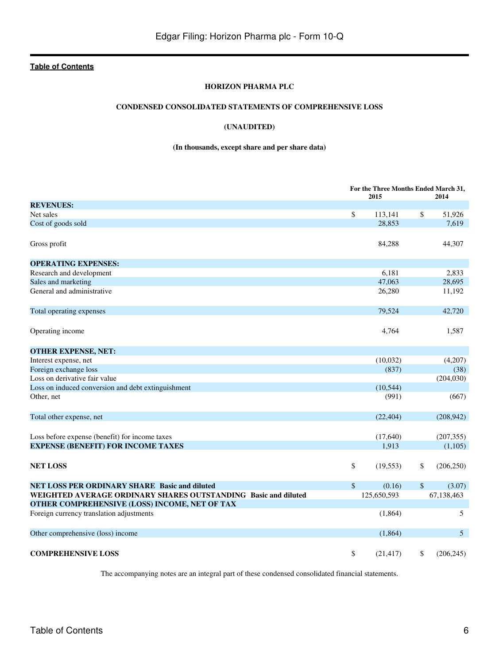#### **HORIZON PHARMA PLC**

#### **CONDENSED CONSOLIDATED STATEMENTS OF COMPREHENSIVE LOSS**

#### **(UNAUDITED)**

#### **(In thousands, except share and per share data)**

<span id="page-5-0"></span>

|                                                                |        | For the Three Months Ended March 31,<br>2015 | 2014             |
|----------------------------------------------------------------|--------|----------------------------------------------|------------------|
| <b>REVENUES:</b>                                               |        |                                              |                  |
| Net sales                                                      | \$     | 113,141                                      | \$<br>51,926     |
| Cost of goods sold                                             |        | 28,853                                       | 7,619            |
| Gross profit                                                   |        | 84,288                                       | 44,307           |
| <b>OPERATING EXPENSES:</b>                                     |        |                                              |                  |
| Research and development                                       |        | 6,181                                        | 2.833            |
| Sales and marketing                                            |        | 47,063                                       | 28,695           |
| General and administrative                                     |        | 26,280                                       | 11,192           |
| Total operating expenses                                       |        | 79,524                                       | 42,720           |
| Operating income                                               |        | 4,764                                        | 1,587            |
| <b>OTHER EXPENSE, NET:</b>                                     |        |                                              |                  |
| Interest expense, net                                          |        | (10,032)                                     | (4,207)          |
| Foreign exchange loss                                          |        | (837)                                        | (38)             |
| Loss on derivative fair value                                  |        |                                              | (204, 030)       |
| Loss on induced conversion and debt extinguishment             |        | (10, 544)                                    |                  |
| Other, net                                                     |        | (991)                                        | (667)            |
| Total other expense, net                                       |        | (22, 404)                                    | (208,942)        |
| Loss before expense (benefit) for income taxes                 |        | (17,640)                                     | (207, 355)       |
| <b>EXPENSE (BENEFIT) FOR INCOME TAXES</b>                      |        | 1,913                                        | (1,105)          |
| <b>NET LOSS</b>                                                | \$     | (19, 553)                                    | \$<br>(206, 250) |
| NET LOSS PER ORDINARY SHARE Basic and diluted                  | $\$\,$ | (0.16)                                       | \$<br>(3.07)     |
| WEIGHTED AVERAGE ORDINARY SHARES OUTSTANDING Basic and diluted |        | 125,650,593                                  | 67,138,463       |
| OTHER COMPREHENSIVE (LOSS) INCOME, NET OF TAX                  |        |                                              |                  |
| Foreign currency translation adjustments                       |        | (1,864)                                      | 5                |
| Other comprehensive (loss) income                              |        | (1,864)                                      | 5                |
| <b>COMPREHENSIVE LOSS</b>                                      | \$     | (21, 417)                                    | \$<br>(206, 245) |

The accompanying notes are an integral part of these condensed consolidated financial statements.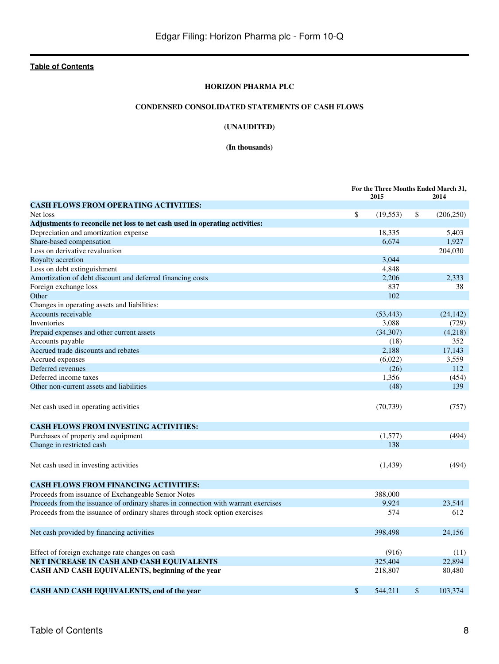#### **HORIZON PHARMA PLC**

#### **CONDENSED CONSOLIDATED STATEMENTS OF CASH FLOWS**

#### **(UNAUDITED)**

#### **(In thousands)**

<span id="page-7-0"></span>

|                                                                                    | For the Three Months Ended March 31, |           |    |            |
|------------------------------------------------------------------------------------|--------------------------------------|-----------|----|------------|
|                                                                                    |                                      | 2015      |    | 2014       |
| <b>CASH FLOWS FROM OPERATING ACTIVITIES:</b>                                       |                                      |           |    |            |
| Net loss                                                                           | \$                                   | (19, 553) | \$ | (206, 250) |
| Adjustments to reconcile net loss to net cash used in operating activities:        |                                      |           |    |            |
| Depreciation and amortization expense                                              |                                      | 18,335    |    | 5,403      |
| Share-based compensation                                                           |                                      | 6,674     |    | 1,927      |
| Loss on derivative revaluation                                                     |                                      |           |    | 204,030    |
| Royalty accretion                                                                  |                                      | 3,044     |    |            |
| Loss on debt extinguishment                                                        |                                      | 4,848     |    |            |
| Amortization of debt discount and deferred financing costs                         |                                      | 2,206     |    | 2,333      |
| Foreign exchange loss                                                              |                                      | 837       |    | 38         |
| Other                                                                              |                                      | 102       |    |            |
| Changes in operating assets and liabilities:                                       |                                      |           |    |            |
| Accounts receivable                                                                |                                      | (53, 443) |    | (24, 142)  |
| Inventories                                                                        |                                      | 3,088     |    | (729)      |
| Prepaid expenses and other current assets                                          |                                      | (34,307)  |    | (4,218)    |
| Accounts payable                                                                   |                                      | (18)      |    | 352        |
| Accrued trade discounts and rebates                                                |                                      | 2,188     |    | 17,143     |
| Accrued expenses                                                                   |                                      | (6,022)   |    | 3,559      |
| Deferred revenues                                                                  |                                      | (26)      |    | 112        |
| Deferred income taxes                                                              |                                      | 1,356     |    | (454)      |
| Other non-current assets and liabilities                                           |                                      | (48)      |    | 139        |
| Net cash used in operating activities                                              |                                      | (70, 739) |    | (757)      |
| <b>CASH FLOWS FROM INVESTING ACTIVITIES:</b>                                       |                                      |           |    |            |
| Purchases of property and equipment                                                |                                      | (1,577)   |    | (494)      |
| Change in restricted cash                                                          |                                      | 138       |    |            |
| Net cash used in investing activities                                              |                                      | (1,439)   |    | (494)      |
| <b>CASH FLOWS FROM FINANCING ACTIVITIES:</b>                                       |                                      |           |    |            |
| Proceeds from issuance of Exchangeable Senior Notes                                |                                      | 388,000   |    |            |
| Proceeds from the issuance of ordinary shares in connection with warrant exercises |                                      | 9.924     |    | 23,544     |
| Proceeds from the issuance of ordinary shares through stock option exercises       |                                      | 574       |    | 612        |
| Net cash provided by financing activities                                          |                                      | 398,498   |    | 24,156     |
| Effect of foreign exchange rate changes on cash                                    |                                      | (916)     |    | (11)       |
| NET INCREASE IN CASH AND CASH EQUIVALENTS                                          |                                      | 325,404   |    | 22.894     |
| CASH AND CASH EQUIVALENTS, beginning of the year                                   |                                      | 218,807   |    | 80,480     |
| CASH AND CASH EQUIVALENTS, end of the year                                         | \$                                   | 544,211   | \$ | 103,374    |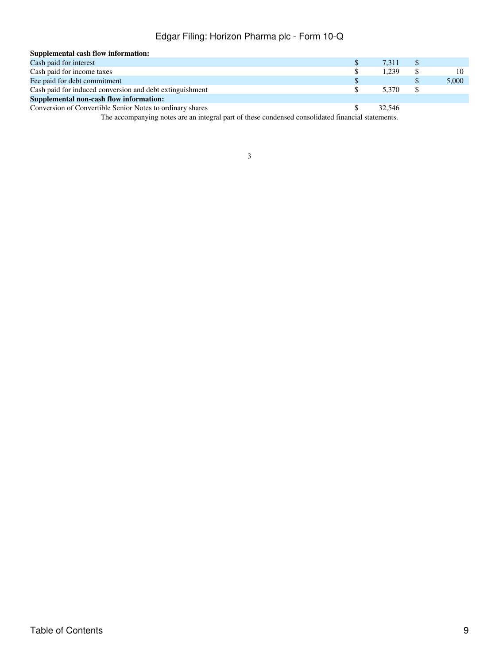| Supplemental cash flow information:                                                          |        |          |       |
|----------------------------------------------------------------------------------------------|--------|----------|-------|
| Cash paid for interest                                                                       | 7.311  | S        |       |
| Cash paid for income taxes                                                                   | 1.239  | S        |       |
| Fee paid for debt commitment                                                                 |        |          | 5,000 |
| Cash paid for induced conversion and debt extinguishment                                     | 5.370  | <b>S</b> |       |
| Supplemental non-cash flow information:                                                      |        |          |       |
| Conversion of Convertible Senior Notes to ordinary shares                                    | 32.546 |          |       |
| The communication and contributional and of these conditional consellated flamental exchange |        |          |       |

The accompanying notes are an integral part of these condensed consolidated financial statements.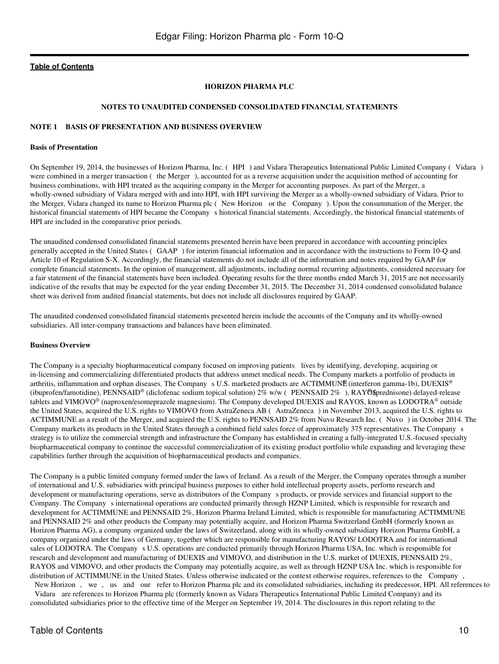#### **HORIZON PHARMA PLC**

#### **NOTES TO UNAUDITED CONDENSED CONSOLIDATED FINANCIAL STATEMENTS**

#### <span id="page-9-0"></span>**NOTE 1 BASIS OF PRESENTATION AND BUSINESS OVERVIEW**

#### **Basis of Presentation**

On September 19, 2014, the businesses of Horizon Pharma, Inc. (HPI) and Vidara Therapeutics International Public Limited Company (Vidara) were combined in a merger transaction (the Merger), accounted for as a reverse acquisition under the acquisition method of accounting for business combinations, with HPI treated as the acquiring company in the Merger for accounting purposes. As part of the Merger, a wholly-owned subsidiary of Vidara merged with and into HPI, with HPI surviving the Merger as a wholly-owned subsidiary of Vidara. Prior to the Merger, Vidara changed its name to Horizon Pharma plc (New Horizon or the Company). Upon the consummation of the Merger, the historical financial statements of HPI became the Company s historical financial statements. Accordingly, the historical financial statements of HPI are included in the comparative prior periods.

The unaudited condensed consolidated financial statements presented herein have been prepared in accordance with accounting principles generally accepted in the United States (GAAP) for interim financial information and in accordance with the instructions to Form 10-Q and Article 10 of Regulation S-X. Accordingly, the financial statements do not include all of the information and notes required by GAAP for complete financial statements. In the opinion of management, all adjustments, including normal recurring adjustments, considered necessary for a fair statement of the financial statements have been included. Operating results for the three months ended March 31, 2015 are not necessarily indicative of the results that may be expected for the year ending December 31, 2015. The December 31, 2014 condensed consolidated balance sheet was derived from audited financial statements, but does not include all disclosures required by GAAP.

The unaudited condensed consolidated financial statements presented herein include the accounts of the Company and its wholly-owned subsidiaries. All inter-company transactions and balances have been eliminated.

#### **Business Overview**

The Company is a specialty biopharmaceutical company focused on improving patients lives by identifying, developing, acquiring or in-licensing and commercializing differentiated products that address unmet medical needs. The Company markets a portfolio of products in arthritis, inflammation and orphan diseases. The Company s U.S. marketed products are ACTIMMUNE (interferon gamma-1b), DUEXIS<sup>®</sup> (ibuprofen/famotidine), PENNSAID® (diclofenac sodium topical solution) 2% w/w (PENNSAID 2%), RAY® \$prednisone) delayed-release tablets and VIMOVO® (naproxen/esomeprazole magnesium). The Company developed DUEXIS and RAYOS, known as LODOTRA® outside the United States, acquired the U.S. rights to VIMOVO from AstraZeneca AB (AstraZeneca) in November 2013, acquired the U.S. rights to ACTIMMUNE as a result of the Merger, and acquired the U.S. rights to PENNSAID 2% from Nuvo Research Inc. (Nuvo) in October 2014. The Company markets its products in the United States through a combined field sales force of approximately 375 representatives. The Companys strategy is to utilize the commercial strength and infrastructure the Company has established in creating a fully-integrated U.S.-focused specialty biopharmaceutical company to continue the successful commercialization of its existing product portfolio while expanding and leveraging these capabilities further through the acquisition of biopharmaceutical products and companies.

The Company is a public limited company formed under the laws of Ireland. As a result of the Merger, the Company operates through a number of international and U.S. subsidiaries with principal business purposes to either hold intellectual property assets, perform research and development or manufacturing operations, serve as distributors of the Company s products, or provide services and financial support to the Company. The Company s international operations are conducted primarily through HZNP Limited, which is responsible for research and development for ACTIMMUNE and PENNSAID 2%, Horizon Pharma Ireland Limited, which is responsible for manufacturing ACTIMMUNE and PENNSAID 2% and other products the Company may potentially acquire, and Horizon Pharma Switzerland GmbH (formerly known as Horizon Pharma AG), a company organized under the laws of Switzerland, along with its wholly-owned subsidiary Horizon Pharma GmbH, a company organized under the laws of Germany, together which are responsible for manufacturing RAYOS/ LODOTRA and for international sales of LODOTRA. The Company s U.S. operations are conducted primarily through Horizon Pharma USA, Inc. which is responsible for research and development and manufacturing of DUEXIS and VIMOVO, and distribution in the U.S. market of DUEXIS, PENNSAID 2%, RAYOS and VIMOVO, and other products the Company may potentially acquire, as well as through HZNP USA Inc. which is responsible for distribution of ACTIMMUNE in the United States. Unless otherwise indicated or the context otherwise requires, references to the Company, New Horizon, we, us and our refer to Horizon Pharma plc and its consolidated subsidiaries, including its predecessor, HPI. All references to

Vidara are references to Horizon Pharma plc (formerly known as Vidara Therapeutics International Public Limited Company) and its consolidated subsidiaries prior to the effective time of the Merger on September 19, 2014. The disclosures in this report relating to the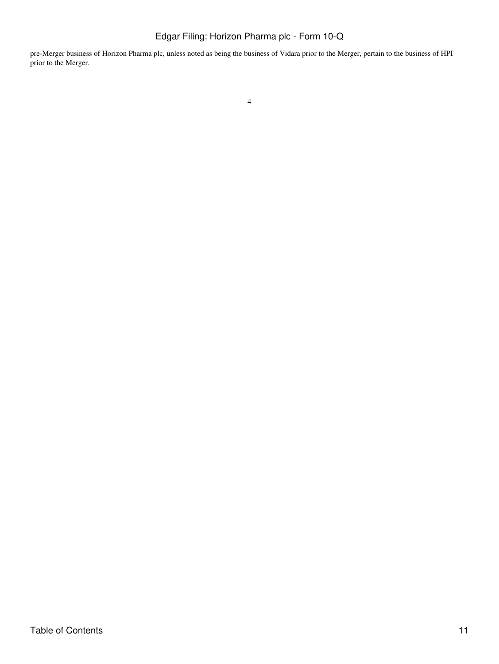pre-Merger business of Horizon Pharma plc, unless noted as being the business of Vidara prior to the Merger, pertain to the business of HPI prior to the Merger.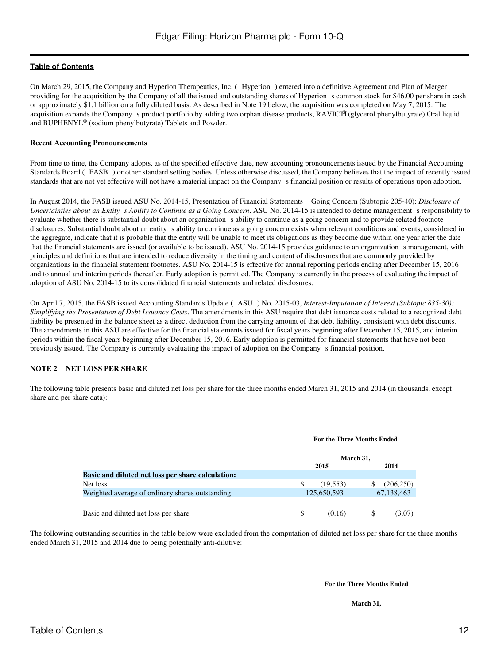On March 29, 2015, the Company and Hyperion Therapeutics, Inc. (Hyperion) entered into a definitive Agreement and Plan of Merger providing for the acquisition by the Company of all the issued and outstanding shares of Hyperion s common stock for \$46.00 per share in cash or approximately \$1.1 billion on a fully diluted basis. As described in Note 19 below, the acquisition was completed on May 7, 2015. The acquisition expands the Company s product portfolio by adding two orphan disease products, RAVICTI (glycerol phenylbutyrate) Oral liquid and BUPHENYL® (sodium phenylbutyrate) Tablets and Powder.

#### **Recent Accounting Pronouncements**

From time to time, the Company adopts, as of the specified effective date, new accounting pronouncements issued by the Financial Accounting Standards Board (FASB) or other standard setting bodies. Unless otherwise discussed, the Company believes that the impact of recently issued standards that are not yet effective will not have a material impact on the Company s financial position or results of operations upon adoption.

In August 2014, the FASB issued ASU No. 2014-15, Presentation of Financial Statements Going Concern (Subtopic 205-40): *Disclosure of Uncertainties about an Entity s Ability to Continue as a Going Concern.* ASU No. 2014-15 is intended to define management s responsibility to evaluate whether there is substantial doubt about an organization s ability to continue as a going concern and to provide related footnote disclosures. Substantial doubt about an entity s ability to continue as a going concern exists when relevant conditions and events, considered in the aggregate, indicate that it is probable that the entity will be unable to meet its obligations as they become due within one year after the date that the financial statements are issued (or available to be issued). ASU No. 2014-15 provides guidance to an organizations management, with principles and definitions that are intended to reduce diversity in the timing and content of disclosures that are commonly provided by organizations in the financial statement footnotes. ASU No. 2014-15 is effective for annual reporting periods ending after December 15, 2016 and to annual and interim periods thereafter. Early adoption is permitted. The Company is currently in the process of evaluating the impact of adoption of ASU No. 2014-15 to its consolidated financial statements and related disclosures.

On April 7, 2015, the FASB issued Accounting Standards Update (ASU) No. 2015-03, *Interest-Imputation of Interest (Subtopic 835-30): Simplifying the Presentation of Debt Issuance Costs*. The amendments in this ASU require that debt issuance costs related to a recognized debt liability be presented in the balance sheet as a direct deduction from the carrying amount of that debt liability, consistent with debt discounts. The amendments in this ASU are effective for the financial statements issued for fiscal years beginning after December 15, 2015, and interim periods within the fiscal years beginning after December 15, 2016. Early adoption is permitted for financial statements that have not been previously issued. The Company is currently evaluating the impact of adoption on the Companys financial position.

#### **NOTE 2 NET LOSS PER SHARE**

The following table presents basic and diluted net loss per share for the three months ended March 31, 2015 and 2014 (in thousands, except share and per share data):

#### **For the Three Months Ended**

|                                                   | March 31,   |            |  |
|---------------------------------------------------|-------------|------------|--|
|                                                   | 2015        | 2014       |  |
| Basic and diluted net loss per share calculation: |             |            |  |
| Net loss                                          | (19, 553)   | (206, 250) |  |
| Weighted average of ordinary shares outstanding   | 125,650,593 | 67,138,463 |  |
| Basic and diluted net loss per share              | (0.16)      | (3.07)     |  |

The following outstanding securities in the table below were excluded from the computation of diluted net loss per share for the three months ended March 31, 2015 and 2014 due to being potentially anti-dilutive:

#### **For the Three Months Ended**

**March 31,**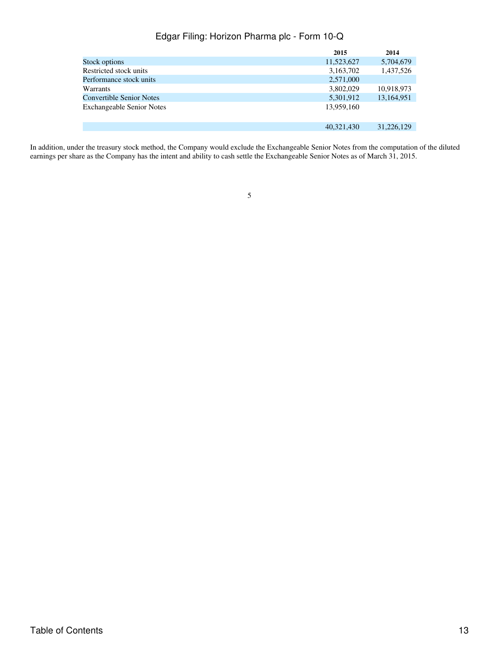|                                  | 2015       | 2014       |
|----------------------------------|------------|------------|
| Stock options                    | 11,523,627 | 5,704,679  |
| Restricted stock units           | 3,163,702  | 1,437,526  |
| Performance stock units          | 2,571,000  |            |
| <b>Warrants</b>                  | 3,802,029  | 10,918,973 |
| <b>Convertible Senior Notes</b>  | 5,301,912  | 13,164,951 |
| <b>Exchangeable Senior Notes</b> | 13,959,160 |            |
|                                  | 40,321,430 | 31,226,129 |

In addition, under the treasury stock method, the Company would exclude the Exchangeable Senior Notes from the computation of the diluted earnings per share as the Company has the intent and ability to cash settle the Exchangeable Senior Notes as of March 31, 2015.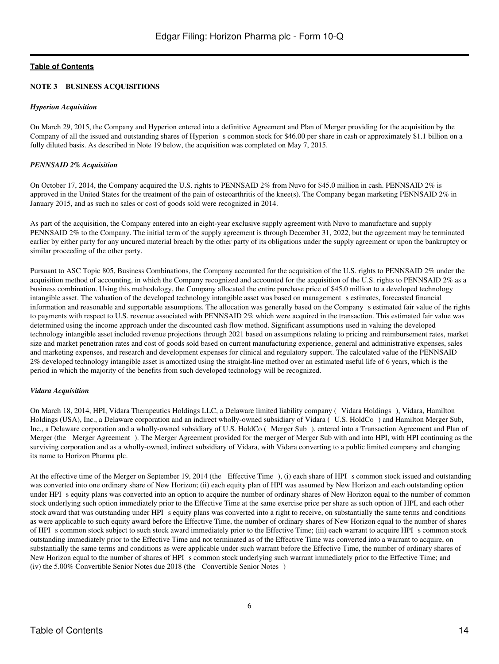#### **NOTE 3 BUSINESS ACQUISITIONS**

#### *Hyperion Acquisition*

On March 29, 2015, the Company and Hyperion entered into a definitive Agreement and Plan of Merger providing for the acquisition by the Company of all the issued and outstanding shares of Hyperion s common stock for \$46.00 per share in cash or approximately \$1.1 billion on a fully diluted basis. As described in Note 19 below, the acquisition was completed on May 7, 2015.

#### *PENNSAID 2% Acquisition*

On October 17, 2014, the Company acquired the U.S. rights to PENNSAID 2% from Nuvo for \$45.0 million in cash. PENNSAID 2% is approved in the United States for the treatment of the pain of osteoarthritis of the knee(s). The Company began marketing PENNSAID 2% in January 2015, and as such no sales or cost of goods sold were recognized in 2014.

As part of the acquisition, the Company entered into an eight-year exclusive supply agreement with Nuvo to manufacture and supply PENNSAID 2% to the Company. The initial term of the supply agreement is through December 31, 2022, but the agreement may be terminated earlier by either party for any uncured material breach by the other party of its obligations under the supply agreement or upon the bankruptcy or similar proceeding of the other party.

Pursuant to ASC Topic 805, Business Combinations, the Company accounted for the acquisition of the U.S. rights to PENNSAID 2% under the acquisition method of accounting, in which the Company recognized and accounted for the acquisition of the U.S. rights to PENNSAID 2% as a business combination. Using this methodology, the Company allocated the entire purchase price of \$45.0 million to a developed technology intangible asset. The valuation of the developed technology intangible asset was based on management s estimates, forecasted financial information and reasonable and supportable assumptions. The allocation was generally based on the Companys estimated fair value of the rights to payments with respect to U.S. revenue associated with PENNSAID 2% which were acquired in the transaction. This estimated fair value was determined using the income approach under the discounted cash flow method. Significant assumptions used in valuing the developed technology intangible asset included revenue projections through 2021 based on assumptions relating to pricing and reimbursement rates, market size and market penetration rates and cost of goods sold based on current manufacturing experience, general and administrative expenses, sales and marketing expenses, and research and development expenses for clinical and regulatory support. The calculated value of the PENNSAID 2% developed technology intangible asset is amortized using the straight-line method over an estimated useful life of 6 years, which is the period in which the majority of the benefits from such developed technology will be recognized.

#### *Vidara Acquisition*

On March 18, 2014, HPI, Vidara Therapeutics Holdings LLC, a Delaware limited liability company (Vidara Holdings), Vidara, Hamilton Holdings (USA), Inc., a Delaware corporation and an indirect wholly-owned subsidiary of Vidara (U.S. HoldCo) and Hamilton Merger Sub, Inc., a Delaware corporation and a wholly-owned subsidiary of U.S. HoldCo (Merger Sub), entered into a Transaction Agreement and Plan of Merger (the Merger Agreement). The Merger Agreement provided for the merger of Merger Sub with and into HPI, with HPI continuing as the surviving corporation and as a wholly-owned, indirect subsidiary of Vidara, with Vidara converting to a public limited company and changing its name to Horizon Pharma plc.

At the effective time of the Merger on September 19, 2014 (the Effective Time), (i) each share of HPI s common stock issued and outstanding was converted into one ordinary share of New Horizon; (ii) each equity plan of HPI was assumed by New Horizon and each outstanding option under HPI s equity plans was converted into an option to acquire the number of ordinary shares of New Horizon equal to the number of common stock underlying such option immediately prior to the Effective Time at the same exercise price per share as such option of HPI, and each other stock award that was outstanding under HPI s equity plans was converted into a right to receive, on substantially the same terms and conditions as were applicable to such equity award before the Effective Time, the number of ordinary shares of New Horizon equal to the number of shares of HPI s common stock subject to such stock award immediately prior to the Effective Time; (iii) each warrant to acquire HPI s common stock outstanding immediately prior to the Effective Time and not terminated as of the Effective Time was converted into a warrant to acquire, on substantially the same terms and conditions as were applicable under such warrant before the Effective Time, the number of ordinary shares of New Horizon equal to the number of shares of HPI s common stock underlying such warrant immediately prior to the Effective Time; and (iv) the 5.00% Convertible Senior Notes due 2018 (the Convertible Senior Notes)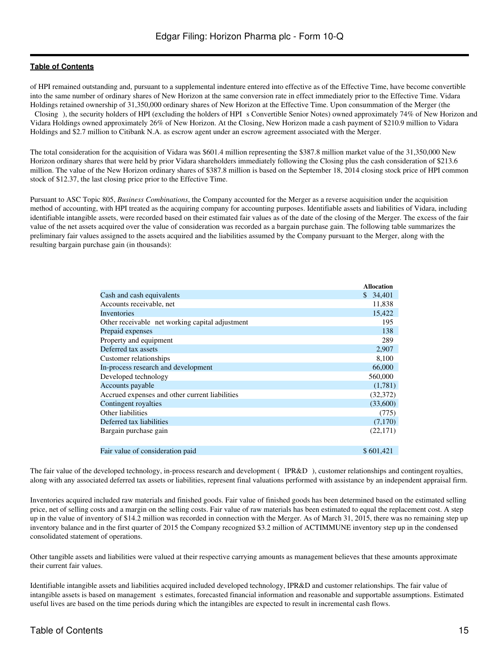of HPI remained outstanding and, pursuant to a supplemental indenture entered into effective as of the Effective Time, have become convertible into the same number of ordinary shares of New Horizon at the same conversion rate in effect immediately prior to the Effective Time. Vidara Holdings retained ownership of 31,350,000 ordinary shares of New Horizon at the Effective Time. Upon consummation of the Merger (the Closing), the security holders of HPI (excluding the holders of HPI s Convertible Senior Notes) owned approximately 74% of New Horizon and Vidara Holdings owned approximately 26% of New Horizon. At the Closing, New Horizon made a cash payment of \$210.9 million to Vidara Holdings and \$2.7 million to Citibank N.A. as escrow agent under an escrow agreement associated with the Merger.

The total consideration for the acquisition of Vidara was \$601.4 million representing the \$387.8 million market value of the 31,350,000 New Horizon ordinary shares that were held by prior Vidara shareholders immediately following the Closing plus the cash consideration of \$213.6 million. The value of the New Horizon ordinary shares of \$387.8 million is based on the September 18, 2014 closing stock price of HPI common stock of \$12.37, the last closing price prior to the Effective Time.

Pursuant to ASC Topic 805, *Business Combinations*, the Company accounted for the Merger as a reverse acquisition under the acquisition method of accounting, with HPI treated as the acquiring company for accounting purposes. Identifiable assets and liabilities of Vidara, including identifiable intangible assets, were recorded based on their estimated fair values as of the date of the closing of the Merger. The excess of the fair value of the net assets acquired over the value of consideration was recorded as a bargain purchase gain. The following table summarizes the preliminary fair values assigned to the assets acquired and the liabilities assumed by the Company pursuant to the Merger, along with the resulting bargain purchase gain (in thousands):

| <b>Allocation</b> |
|-------------------|
| \$34,401          |
| 11,838            |
| 15,422            |
| 195               |
| 138               |
| 289               |
| 2,907             |
| 8,100             |
| 66,000            |
| 560,000           |
| (1,781)           |
| (32,372)          |
| (33,600)          |
| (775)             |
| (7,170)           |
| (22, 171)         |
|                   |
| \$601,421         |
|                   |

The fair value of the developed technology, in-process research and development (IPR&D), customer relationships and contingent royalties, along with any associated deferred tax assets or liabilities, represent final valuations performed with assistance by an independent appraisal firm.

Inventories acquired included raw materials and finished goods. Fair value of finished goods has been determined based on the estimated selling price, net of selling costs and a margin on the selling costs. Fair value of raw materials has been estimated to equal the replacement cost. A step up in the value of inventory of \$14.2 million was recorded in connection with the Merger. As of March 31, 2015, there was no remaining step up inventory balance and in the first quarter of 2015 the Company recognized \$3.2 million of ACTIMMUNE inventory step up in the condensed consolidated statement of operations.

Other tangible assets and liabilities were valued at their respective carrying amounts as management believes that these amounts approximate their current fair values.

Identifiable intangible assets and liabilities acquired included developed technology, IPR&D and customer relationships. The fair value of intangible assets is based on management s estimates, forecasted financial information and reasonable and supportable assumptions. Estimated useful lives are based on the time periods during which the intangibles are expected to result in incremental cash flows.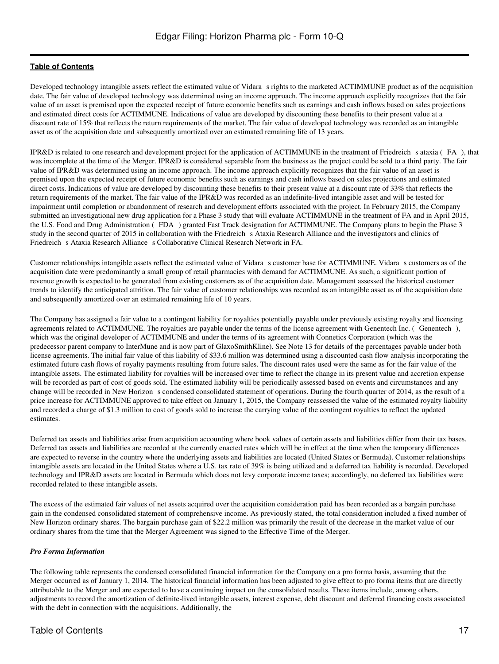Developed technology intangible assets reflect the estimated value of Vidara s rights to the marketed ACTIMMUNE product as of the acquisition date. The fair value of developed technology was determined using an income approach. The income approach explicitly recognizes that the fair value of an asset is premised upon the expected receipt of future economic benefits such as earnings and cash inflows based on sales projections and estimated direct costs for ACTIMMUNE. Indications of value are developed by discounting these benefits to their present value at a discount rate of 15% that reflects the return requirements of the market. The fair value of developed technology was recorded as an intangible asset as of the acquisition date and subsequently amortized over an estimated remaining life of 13 years.

IPR&D is related to one research and development project for the application of ACTIMMUNE in the treatment of Friedreichs ataxia (FA), that was incomplete at the time of the Merger. IPR&D is considered separable from the business as the project could be sold to a third party. The fair value of IPR&D was determined using an income approach. The income approach explicitly recognizes that the fair value of an asset is premised upon the expected receipt of future economic benefits such as earnings and cash inflows based on sales projections and estimated direct costs. Indications of value are developed by discounting these benefits to their present value at a discount rate of 33% that reflects the return requirements of the market. The fair value of the IPR&D was recorded as an indefinite-lived intangible asset and will be tested for impairment until completion or abandonment of research and development efforts associated with the project. In February 2015, the Company submitted an investigational new drug application for a Phase 3 study that will evaluate ACTIMMUNE in the treatment of FA and in April 2015, the U.S. Food and Drug Administration (FDA) granted Fast Track designation for ACTIMMUNE. The Company plans to begin the Phase 3 study in the second quarter of 2015 in collaboration with the Friedreich s Ataxia Research Alliance and the investigators and clinics of Friedreich s Ataxia Research Alliance s Collaborative Clinical Research Network in FA.

Customer relationships intangible assets reflect the estimated value of Vidara s customer base for ACTIMMUNE. Vidara s customers as of the acquisition date were predominantly a small group of retail pharmacies with demand for ACTIMMUNE. As such, a significant portion of revenue growth is expected to be generated from existing customers as of the acquisition date. Management assessed the historical customer trends to identify the anticipated attrition. The fair value of customer relationships was recorded as an intangible asset as of the acquisition date and subsequently amortized over an estimated remaining life of 10 years.

The Company has assigned a fair value to a contingent liability for royalties potentially payable under previously existing royalty and licensing agreements related to ACTIMMUNE. The royalties are payable under the terms of the license agreement with Genentech Inc. (Genentech), which was the original developer of ACTIMMUNE and under the terms of its agreement with Connetics Corporation (which was the predecessor parent company to InterMune and is now part of GlaxoSmithKline). See Note 13 for details of the percentages payable under both license agreements. The initial fair value of this liability of \$33.6 million was determined using a discounted cash flow analysis incorporating the estimated future cash flows of royalty payments resulting from future sales. The discount rates used were the same as for the fair value of the intangible assets. The estimated liability for royalties will be increased over time to reflect the change in its present value and accretion expense will be recorded as part of cost of goods sold. The estimated liability will be periodically assessed based on events and circumstances and any change will be recorded in New Horizon s condensed consolidated statement of operations. During the fourth quarter of 2014, as the result of a price increase for ACTIMMUNE approved to take effect on January 1, 2015, the Company reassessed the value of the estimated royalty liability and recorded a charge of \$1.3 million to cost of goods sold to increase the carrying value of the contingent royalties to reflect the updated estimates.

Deferred tax assets and liabilities arise from acquisition accounting where book values of certain assets and liabilities differ from their tax bases. Deferred tax assets and liabilities are recorded at the currently enacted rates which will be in effect at the time when the temporary differences are expected to reverse in the country where the underlying assets and liabilities are located (United States or Bermuda). Customer relationships intangible assets are located in the United States where a U.S. tax rate of 39% is being utilized and a deferred tax liability is recorded. Developed technology and IPR&D assets are located in Bermuda which does not levy corporate income taxes; accordingly, no deferred tax liabilities were recorded related to these intangible assets.

The excess of the estimated fair values of net assets acquired over the acquisition consideration paid has been recorded as a bargain purchase gain in the condensed consolidated statement of comprehensive income. As previously stated, the total consideration included a fixed number of New Horizon ordinary shares. The bargain purchase gain of \$22.2 million was primarily the result of the decrease in the market value of our ordinary shares from the time that the Merger Agreement was signed to the Effective Time of the Merger.

#### *Pro Forma Information*

The following table represents the condensed consolidated financial information for the Company on a pro forma basis, assuming that the Merger occurred as of January 1, 2014. The historical financial information has been adjusted to give effect to pro forma items that are directly attributable to the Merger and are expected to have a continuing impact on the consolidated results. These items include, among others, adjustments to record the amortization of definite-lived intangible assets, interest expense, debt discount and deferred financing costs associated with the debt in connection with the acquisitions. Additionally, the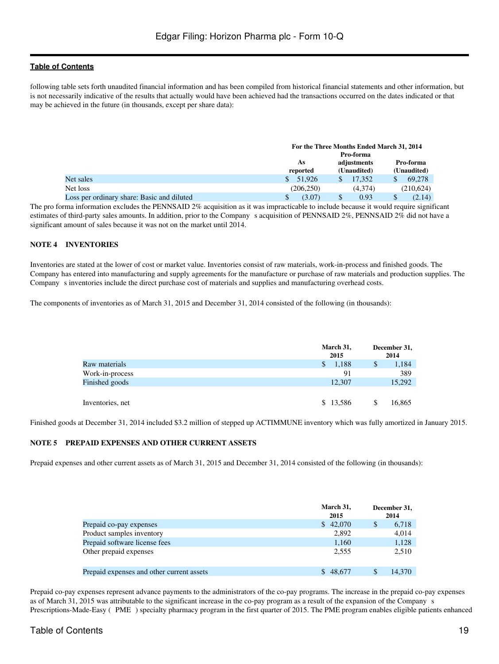following table sets forth unaudited financial information and has been compiled from historical financial statements and other information, but is not necessarily indicative of the results that actually would have been achieved had the transactions occurred on the dates indicated or that may be achieved in the future (in thousands, except per share data):

|                                            |           | For the Three Months Ended March 31, 2014 |             |  |  |
|--------------------------------------------|-----------|-------------------------------------------|-------------|--|--|
|                                            |           | Pro-forma                                 |             |  |  |
|                                            | As        | adjustments                               | Pro-forma   |  |  |
|                                            | reported  | (Unaudited)                               | (Unaudited) |  |  |
| Net sales                                  | 51,926    | 17.352                                    | 69.278      |  |  |
| Net loss                                   | (206.250) | (4.374)                                   | (210,624)   |  |  |
| Loss per ordinary share: Basic and diluted | (3.07)    | 0.93                                      | (2.14)      |  |  |

The pro forma information excludes the PENNSAID 2% acquisition as it was impracticable to include because it would require significant estimates of third-party sales amounts. In addition, prior to the Company s acquisition of PENNSAID 2%, PENNSAID 2% did not have a significant amount of sales because it was not on the market until 2014.

#### **NOTE 4 INVENTORIES**

Inventories are stated at the lower of cost or market value. Inventories consist of raw materials, work-in-process and finished goods. The Company has entered into manufacturing and supply agreements for the manufacture or purchase of raw materials and production supplies. The Company s inventories include the direct purchase cost of materials and supplies and manufacturing overhead costs.

The components of inventories as of March 31, 2015 and December 31, 2014 consisted of the following (in thousands):

|                  | March 31,<br>2015 | December 31,<br>2014 |
|------------------|-------------------|----------------------|
| Raw materials    | 1,188<br>S        | 1,184                |
| Work-in-process  | 91                | 389                  |
| Finished goods   | 12,307            | 15,292               |
|                  |                   |                      |
| Inventories, net | \$13,586          | 16,865               |

Finished goods at December 31, 2014 included \$3.2 million of stepped up ACTIMMUNE inventory which was fully amortized in January 2015.

#### **NOTE 5 PREPAID EXPENSES AND OTHER CURRENT ASSETS**

Prepaid expenses and other current assets as of March 31, 2015 and December 31, 2014 consisted of the following (in thousands):

|                                           | March 31,<br>2015 | December 31,<br>2014 |        |
|-------------------------------------------|-------------------|----------------------|--------|
| Prepaid co-pay expenses                   | \$42,070          |                      | 6,718  |
| Product samples inventory                 | 2,892             |                      | 4,014  |
| Prepaid software license fees             | 1,160             |                      | 1,128  |
| Other prepaid expenses                    | 2.555             |                      | 2,510  |
| Prepaid expenses and other current assets | \$48,677          |                      | 14.370 |

Prepaid co-pay expenses represent advance payments to the administrators of the co-pay programs. The increase in the prepaid co-pay expenses as of March 31, 2015 was attributable to the significant increase in the co-pay program as a result of the expansion of the Companys Prescriptions-Made-Easy (PME) specialty pharmacy program in the first quarter of 2015. The PME program enables eligible patients enhanced

#### Table of Contents 19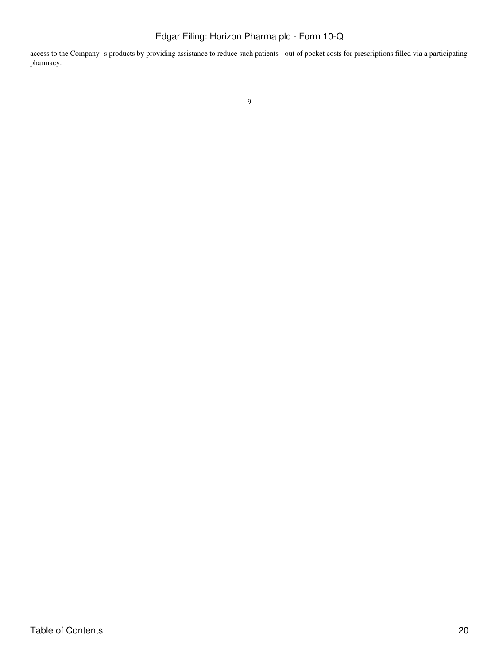access to the Company s products by providing assistance to reduce such patients out of pocket costs for prescriptions filled via a participating pharmacy.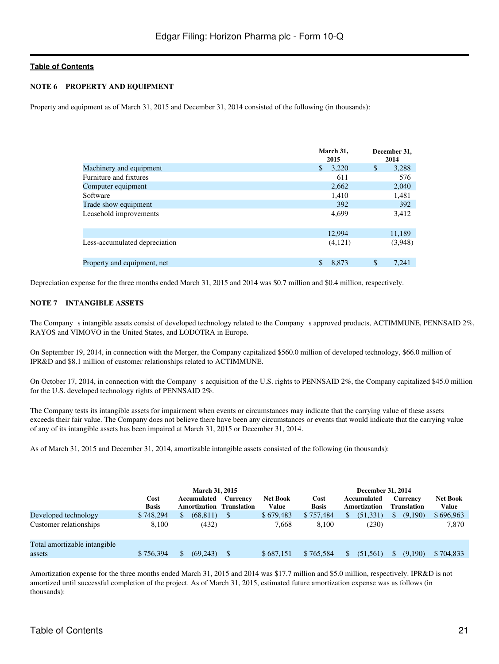#### **NOTE 6 PROPERTY AND EQUIPMENT**

Property and equipment as of March 31, 2015 and December 31, 2014 consisted of the following (in thousands):

|                               | March 31,<br>2015 | December 31,<br>2014   |
|-------------------------------|-------------------|------------------------|
| Machinery and equipment       | \$<br>3,220       | $\mathbb{S}$<br>3,288  |
| Furniture and fixtures        | 611               | 576                    |
| Computer equipment            | 2,662             | 2,040                  |
| Software                      | 1,410             | 1,481                  |
| Trade show equipment          | 392               | 392                    |
| Leasehold improvements        | 4,699             | 3,412                  |
|                               | 12.994            | 11,189                 |
| Less-accumulated depreciation | (4,121)           | (3,948)                |
| Property and equipment, net   | \$<br>8.873       | <sup>\$</sup><br>7.241 |

Depreciation expense for the three months ended March 31, 2015 and 2014 was \$0.7 million and \$0.4 million, respectively.

#### **NOTE 7 INTANGIBLE ASSETS**

The Company s intangible assets consist of developed technology related to the Company s approved products, ACTIMMUNE, PENNSAID 2%, RAYOS and VIMOVO in the United States, and LODOTRA in Europe.

On September 19, 2014, in connection with the Merger, the Company capitalized \$560.0 million of developed technology, \$66.0 million of IPR&D and \$8.1 million of customer relationships related to ACTIMMUNE.

On October 17, 2014, in connection with the Company s acquisition of the U.S. rights to PENNSAID 2%, the Company capitalized \$45.0 million for the U.S. developed technology rights of PENNSAID 2%.

The Company tests its intangible assets for impairment when events or circumstances may indicate that the carrying value of these assets exceeds their fair value. The Company does not believe there have been any circumstances or events that would indicate that the carrying value of any of its intangible assets has been impaired at March 31, 2015 or December 31, 2014.

As of March 31, 2015 and December 31, 2014, amortizable intangible assets consisted of the following (in thousands):

|                                                | Cost<br><b>Basis</b> | March 31, 2015<br>Accumulated<br>Amortization | Currency<br><b>Translation</b> | <b>Net Book</b><br>Value | Cost<br><b>Basis</b> | December 31, 2014<br>Accumulated<br>Amortization | Currency<br><b>Translation</b> | <b>Net Book</b><br>Value |
|------------------------------------------------|----------------------|-----------------------------------------------|--------------------------------|--------------------------|----------------------|--------------------------------------------------|--------------------------------|--------------------------|
| Developed technology<br>Customer relationships | \$748,294<br>8.100   | (68, 811)<br>(432)                            |                                | \$679,483<br>7.668       | \$757.484<br>8.100   | \$<br>(51, 331)<br>(230)                         | (9,190)                        | \$696,963<br>7,870       |
| Total amortizable intangible<br>assets         | \$756,394            | (69.243)                                      |                                | \$687,151                | \$765,584            | (51.561)                                         | (9.190)                        | \$704,833                |

Amortization expense for the three months ended March 31, 2015 and 2014 was \$17.7 million and \$5.0 million, respectively. IPR&D is not amortized until successful completion of the project. As of March 31, 2015, estimated future amortization expense was as follows (in thousands):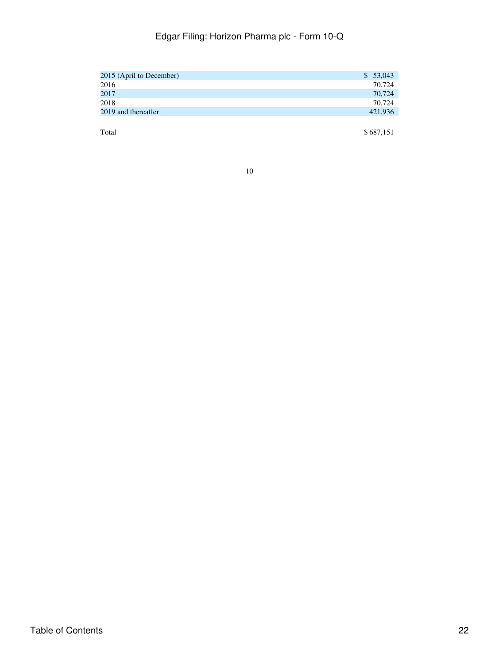| 2015 (April to December) | \$53,043  |
|--------------------------|-----------|
| 2016                     | 70,724    |
| 2017                     | 70,724    |
| 2018                     | 70,724    |
| 2019 and thereafter      | 421,936   |
|                          |           |
| Total                    | \$687,151 |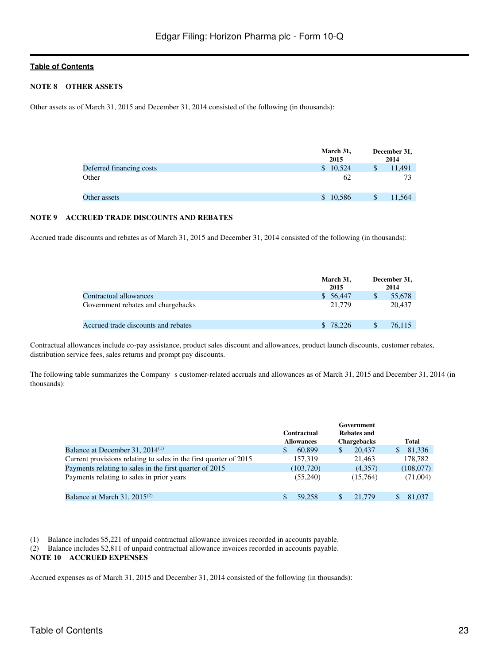#### **NOTE 8 OTHER ASSETS**

Other assets as of March 31, 2015 and December 31, 2014 consisted of the following (in thousands):

|                          | March 31,<br>2015 | December 31,<br>2014 |
|--------------------------|-------------------|----------------------|
| Deferred financing costs | \$10,524          | 11,491               |
| Other                    | 62                | 73                   |
| Other assets             | \$10,586          | 11,564               |

#### **NOTE 9 ACCRUED TRADE DISCOUNTS AND REBATES**

Accrued trade discounts and rebates as of March 31, 2015 and December 31, 2014 consisted of the following (in thousands):

|                                     | March 31,<br>2015 | December 31,<br>2014 |
|-------------------------------------|-------------------|----------------------|
| Contractual allowances              | \$ 56,447         | 55,678               |
| Government rebates and chargebacks  | 21,779            | 20.437               |
| Accrued trade discounts and rebates | \$ 78,226         | 76.115               |

Contractual allowances include co-pay assistance, product sales discount and allowances, product launch discounts, customer rebates, distribution service fees, sales returns and prompt pay discounts.

The following table summarizes the Company s customer-related accruals and allowances as of March 31, 2015 and December 31, 2014 (in thousands):

|                                                                   | <b>Contractual</b><br><b>Allowances</b> | Government<br><b>Rebates and</b><br><b>Chargebacks</b> | Total       |
|-------------------------------------------------------------------|-----------------------------------------|--------------------------------------------------------|-------------|
| Balance at December 31, $2014^{(1)}$                              | 60.899<br>S                             | 20.437<br>\$                                           | 81,336<br>S |
| Current provisions relating to sales in the first quarter of 2015 | 157.319                                 | 21.463                                                 | 178,782     |
| Payments relating to sales in the first quarter of 2015           | (103, 720)                              | (4,357)                                                | (108,077)   |
| Payments relating to sales in prior years                         | (55,240)                                | (15,764)                                               | (71,004)    |
| Balance at March 31, $2015^{(2)}$                                 | 59.258                                  | 21.779<br>\$.                                          | 81,037      |

(1) Balance includes \$5,221 of unpaid contractual allowance invoices recorded in accounts payable.

(2) Balance includes \$2,811 of unpaid contractual allowance invoices recorded in accounts payable.

#### **NOTE 10 ACCRUED EXPENSES**

Accrued expenses as of March 31, 2015 and December 31, 2014 consisted of the following (in thousands):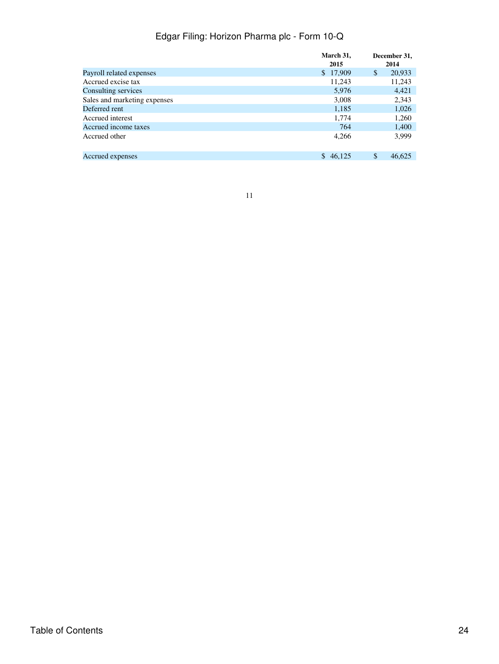|                              | March 31,<br>2015 | December 31,<br>2014 |
|------------------------------|-------------------|----------------------|
| Payroll related expenses     | \$17,909          | \$<br>20,933         |
| Accrued excise tax           | 11,243            | 11,243               |
| Consulting services          | 5,976             | 4,421                |
| Sales and marketing expenses | 3,008             | 2,343                |
| Deferred rent                | 1,185             | 1,026                |
| Accrued interest             | 1,774             | 1,260                |
| Accrued income taxes         | 764               | 1,400                |
| Accrued other                | 4,266             | 3,999                |
| Accrued expenses             | \$46,125          | \$<br>46,625         |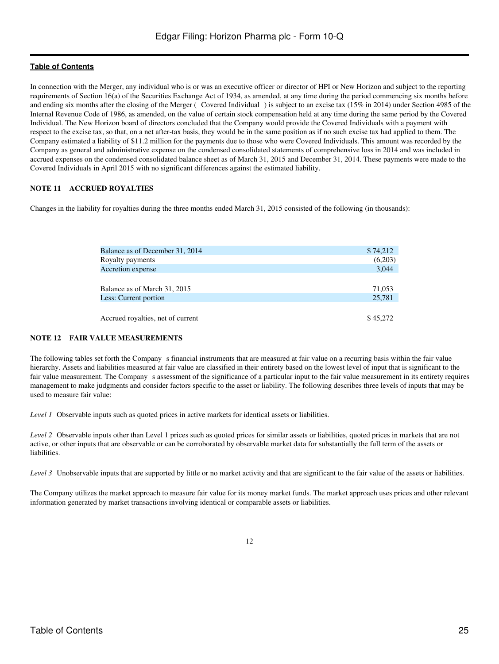In connection with the Merger, any individual who is or was an executive officer or director of HPI or New Horizon and subject to the reporting requirements of Section 16(a) of the Securities Exchange Act of 1934, as amended, at any time during the period commencing six months before and ending six months after the closing of the Merger (Covered Individual) is subject to an excise tax (15% in 2014) under Section 4985 of the Internal Revenue Code of 1986, as amended, on the value of certain stock compensation held at any time during the same period by the Covered Individual. The New Horizon board of directors concluded that the Company would provide the Covered Individuals with a payment with respect to the excise tax, so that, on a net after-tax basis, they would be in the same position as if no such excise tax had applied to them. The Company estimated a liability of \$11.2 million for the payments due to those who were Covered Individuals. This amount was recorded by the Company as general and administrative expense on the condensed consolidated statements of comprehensive loss in 2014 and was included in accrued expenses on the condensed consolidated balance sheet as of March 31, 2015 and December 31, 2014. These payments were made to the Covered Individuals in April 2015 with no significant differences against the estimated liability.

#### **NOTE 11 ACCRUED ROYALTIES**

Changes in the liability for royalties during the three months ended March 31, 2015 consisted of the following (in thousands):

| Balance as of December 31, 2014   | \$74,212 |
|-----------------------------------|----------|
| Royalty payments                  | (6,203)  |
| Accretion expense                 | 3,044    |
|                                   |          |
| Balance as of March 31, 2015      | 71,053   |
| Less: Current portion             | 25,781   |
|                                   |          |
| Accrued royalties, net of current | \$45,272 |

#### **NOTE 12 FAIR VALUE MEASUREMENTS**

The following tables set forth the Company s financial instruments that are measured at fair value on a recurring basis within the fair value hierarchy. Assets and liabilities measured at fair value are classified in their entirety based on the lowest level of input that is significant to the fair value measurement. The Company s assessment of the significance of a particular input to the fair value measurement in its entirety requires management to make judgments and consider factors specific to the asset or liability. The following describes three levels of inputs that may be used to measure fair value:

*Level 1* Observable inputs such as quoted prices in active markets for identical assets or liabilities.

*Level 2* Observable inputs other than Level 1 prices such as quoted prices for similar assets or liabilities, quoted prices in markets that are not active, or other inputs that are observable or can be corroborated by observable market data for substantially the full term of the assets or liabilities.

*Level 3* Unobservable inputs that are supported by little or no market activity and that are significant to the fair value of the assets or liabilities.

The Company utilizes the market approach to measure fair value for its money market funds. The market approach uses prices and other relevant information generated by market transactions involving identical or comparable assets or liabilities.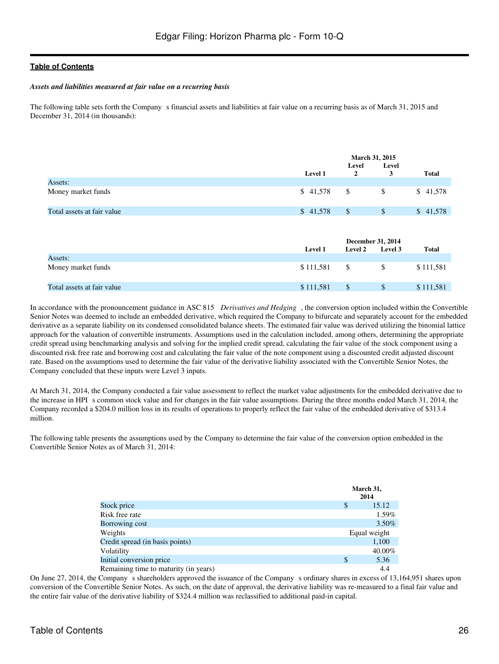#### *Assets and liabilities measured at fair value on a recurring basis*

The following table sets forth the Company s financial assets and liabilities at fair value on a recurring basis as of March 31, 2015 and December 31, 2014 (in thousands):

|                            |           | <b>March 31, 2015</b><br>Level<br>Level |                                     |              |
|----------------------------|-----------|-----------------------------------------|-------------------------------------|--------------|
|                            | Level 1   | $\overline{2}$                          | 3                                   | <b>Total</b> |
| Assets:                    |           |                                         |                                     |              |
| Money market funds         | \$41,578  | \$                                      | \$                                  | \$41,578     |
| Total assets at fair value | \$41,578  | $\mathcal{S}$                           | $\$$                                | \$41,578     |
|                            | Level 1   | Level 2                                 | <b>December 31, 2014</b><br>Level 3 | <b>Total</b> |
| Assets:                    |           |                                         |                                     |              |
| Money market funds         | \$111,581 | \$                                      | \$                                  | \$111,581    |
| Total assets at fair value | \$111,581 | $\mathcal{S}$                           | $\mathbb{S}$                        | \$111,581    |

In accordance with the pronouncement guidance in ASC 815 *Derivatives and Hedging*, the conversion option included within the Convertible Senior Notes was deemed to include an embedded derivative, which required the Company to bifurcate and separately account for the embedded derivative as a separate liability on its condensed consolidated balance sheets. The estimated fair value was derived utilizing the binomial lattice approach for the valuation of convertible instruments. Assumptions used in the calculation included, among others, determining the appropriate credit spread using benchmarking analysis and solving for the implied credit spread, calculating the fair value of the stock component using a discounted risk free rate and borrowing cost and calculating the fair value of the note component using a discounted credit adjusted discount rate. Based on the assumptions used to determine the fair value of the derivative liability associated with the Convertible Senior Notes, the Company concluded that these inputs were Level 3 inputs.

At March 31, 2014, the Company conducted a fair value assessment to reflect the market value adjustments for the embedded derivative due to the increase in HPI s common stock value and for changes in the fair value assumptions. During the three months ended March 31, 2014, the Company recorded a \$204.0 million loss in its results of operations to properly reflect the fair value of the embedded derivative of \$313.4 million.

The following table presents the assumptions used by the Company to determine the fair value of the conversion option embedded in the Convertible Senior Notes as of March 31, 2014:

|                                       | March 31,<br>2014 |
|---------------------------------------|-------------------|
| Stock price                           | S<br>15.12        |
| Risk free rate                        | 1.59%             |
| Borrowing cost                        | $3.50\%$          |
| Weights                               | Equal weight      |
| Credit spread (in basis points)       | 1,100             |
| Volatility                            | 40.00%            |
| Initial conversion price              | \$<br>5.36        |
| Remaining time to maturity (in years) | 4.4               |

On June 27, 2014, the Company s shareholders approved the issuance of the Company s ordinary shares in excess of 13,164,951 shares upon conversion of the Convertible Senior Notes. As such, on the date of approval, the derivative liability was re-measured to a final fair value and the entire fair value of the derivative liability of \$324.4 million was reclassified to additional paid-in capital.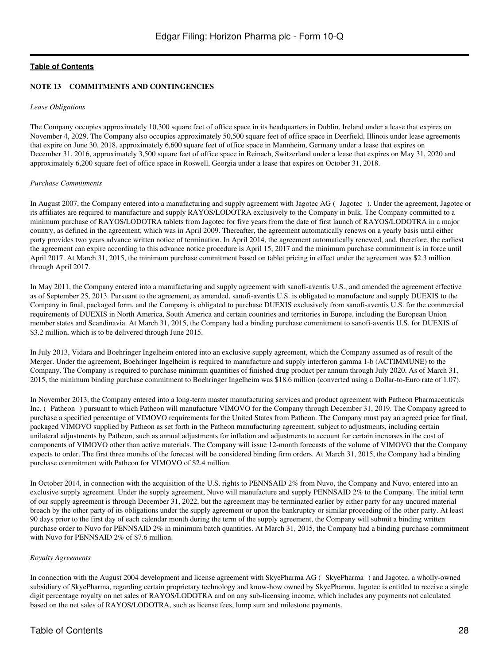#### **NOTE 13 COMMITMENTS AND CONTINGENCIES**

#### *Lease Obligations*

The Company occupies approximately 10,300 square feet of office space in its headquarters in Dublin, Ireland under a lease that expires on November 4, 2029. The Company also occupies approximately 50,500 square feet of office space in Deerfield, Illinois under lease agreements that expire on June 30, 2018, approximately 6,600 square feet of office space in Mannheim, Germany under a lease that expires on December 31, 2016, approximately 3,500 square feet of office space in Reinach, Switzerland under a lease that expires on May 31, 2020 and approximately 6,200 square feet of office space in Roswell, Georgia under a lease that expires on October 31, 2018.

#### *Purchase Commitments*

In August 2007, the Company entered into a manufacturing and supply agreement with Jagotec AG (Jagotec). Under the agreement, Jagotec or its affiliates are required to manufacture and supply RAYOS/LODOTRA exclusively to the Company in bulk. The Company committed to a minimum purchase of RAYOS/LODOTRA tablets from Jagotec for five years from the date of first launch of RAYOS/LODOTRA in a major country, as defined in the agreement, which was in April 2009. Thereafter, the agreement automatically renews on a yearly basis until either party provides two years advance written notice of termination. In April 2014, the agreement automatically renewed, and, therefore, the earliest the agreement can expire according to this advance notice procedure is April 15, 2017 and the minimum purchase commitment is in force until April 2017. At March 31, 2015, the minimum purchase commitment based on tablet pricing in effect under the agreement was \$2.3 million through April 2017.

In May 2011, the Company entered into a manufacturing and supply agreement with sanofi-aventis U.S., and amended the agreement effective as of September 25, 2013. Pursuant to the agreement, as amended, sanofi-aventis U.S. is obligated to manufacture and supply DUEXIS to the Company in final, packaged form, and the Company is obligated to purchase DUEXIS exclusively from sanofi-aventis U.S. for the commercial requirements of DUEXIS in North America, South America and certain countries and territories in Europe, including the European Union member states and Scandinavia. At March 31, 2015, the Company had a binding purchase commitment to sanofi-aventis U.S. for DUEXIS of \$3.2 million, which is to be delivered through June 2015.

In July 2013, Vidara and Boehringer Ingelheim entered into an exclusive supply agreement, which the Company assumed as of result of the Merger. Under the agreement, Boehringer Ingelheim is required to manufacture and supply interferon gamma 1-b (ACTIMMUNE) to the Company. The Company is required to purchase minimum quantities of finished drug product per annum through July 2020. As of March 31, 2015, the minimum binding purchase commitment to Boehringer Ingelheim was \$18.6 million (converted using a Dollar-to-Euro rate of 1.07).

In November 2013, the Company entered into a long-term master manufacturing services and product agreement with Patheon Pharmaceuticals Inc. (Patheon) pursuant to which Patheon will manufacture VIMOVO for the Company through December 31, 2019. The Company agreed to purchase a specified percentage of VIMOVO requirements for the United States from Patheon. The Company must pay an agreed price for final, packaged VIMOVO supplied by Patheon as set forth in the Patheon manufacturing agreement, subject to adjustments, including certain unilateral adjustments by Patheon, such as annual adjustments for inflation and adjustments to account for certain increases in the cost of components of VIMOVO other than active materials. The Company will issue 12-month forecasts of the volume of VIMOVO that the Company expects to order. The first three months of the forecast will be considered binding firm orders. At March 31, 2015, the Company had a binding purchase commitment with Patheon for VIMOVO of \$2.4 million.

In October 2014, in connection with the acquisition of the U.S. rights to PENNSAID 2% from Nuvo, the Company and Nuvo, entered into an exclusive supply agreement. Under the supply agreement, Nuvo will manufacture and supply PENNSAID 2% to the Company. The initial term of our supply agreement is through December 31, 2022, but the agreement may be terminated earlier by either party for any uncured material breach by the other party of its obligations under the supply agreement or upon the bankruptcy or similar proceeding of the other party. At least 90 days prior to the first day of each calendar month during the term of the supply agreement, the Company will submit a binding written purchase order to Nuvo for PENNSAID 2% in minimum batch quantities. At March 31, 2015, the Company had a binding purchase commitment with Nuvo for PENNSAID 2% of \$7.6 million.

#### *Royalty Agreements*

In connection with the August 2004 development and license agreement with SkyePharma AG (SkyePharma) and Jagotec, a wholly-owned subsidiary of SkyePharma, regarding certain proprietary technology and know-how owned by SkyePharma, Jagotec is entitled to receive a single digit percentage royalty on net sales of RAYOS/LODOTRA and on any sub-licensing income, which includes any payments not calculated based on the net sales of RAYOS/LODOTRA, such as license fees, lump sum and milestone payments.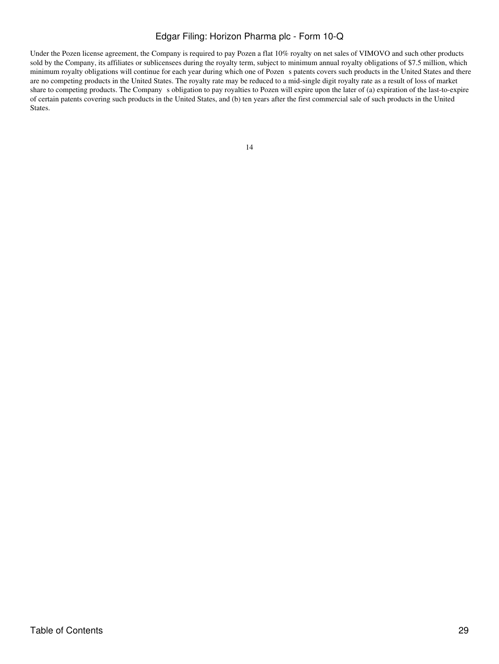Under the Pozen license agreement, the Company is required to pay Pozen a flat 10% royalty on net sales of VIMOVO and such other products sold by the Company, its affiliates or sublicensees during the royalty term, subject to minimum annual royalty obligations of \$7.5 million, which minimum royalty obligations will continue for each year during which one of Pozen s patents covers such products in the United States and there are no competing products in the United States. The royalty rate may be reduced to a mid-single digit royalty rate as a result of loss of market share to competing products. The Company s obligation to pay royalties to Pozen will expire upon the later of (a) expiration of the last-to-expire of certain patents covering such products in the United States, and (b) ten years after the first commercial sale of such products in the United States.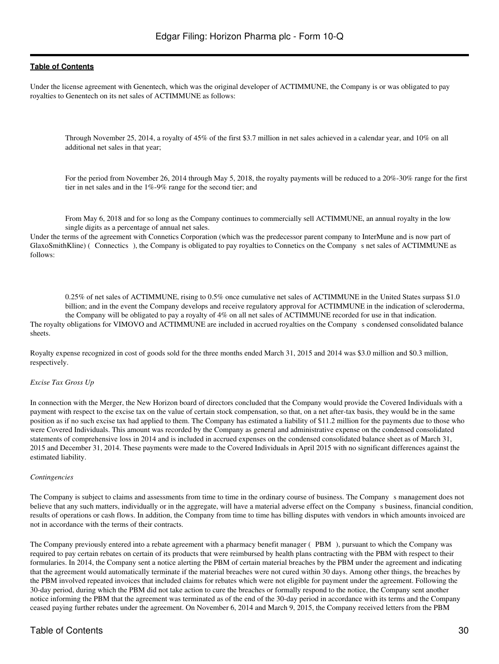Under the license agreement with Genentech, which was the original developer of ACTIMMUNE, the Company is or was obligated to pay royalties to Genentech on its net sales of ACTIMMUNE as follows:

Through November 25, 2014, a royalty of 45% of the first \$3.7 million in net sales achieved in a calendar year, and 10% on all additional net sales in that year;

For the period from November 26, 2014 through May 5, 2018, the royalty payments will be reduced to a 20%-30% range for the first tier in net sales and in the 1%-9% range for the second tier; and

From May 6, 2018 and for so long as the Company continues to commercially sell ACTIMMUNE, an annual royalty in the low single digits as a percentage of annual net sales.

Under the terms of the agreement with Connetics Corporation (which was the predecessor parent company to InterMune and is now part of GlaxoSmithKline) (Connectics), the Company is obligated to pay royalties to Connetics on the Company s net sales of ACTIMMUNE as follows:

0.25% of net sales of ACTIMMUNE, rising to 0.5% once cumulative net sales of ACTIMMUNE in the United States surpass \$1.0 billion; and in the event the Company develops and receive regulatory approval for ACTIMMUNE in the indication of scleroderma, the Company will be obligated to pay a royalty of 4% on all net sales of ACTIMMUNE recorded for use in that indication. The royalty obligations for VIMOVO and ACTIMMUNE are included in accrued royalties on the Companys condensed consolidated balance sheets.

Royalty expense recognized in cost of goods sold for the three months ended March 31, 2015 and 2014 was \$3.0 million and \$0.3 million, respectively.

#### *Excise Tax Gross Up*

In connection with the Merger, the New Horizon board of directors concluded that the Company would provide the Covered Individuals with a payment with respect to the excise tax on the value of certain stock compensation, so that, on a net after-tax basis, they would be in the same position as if no such excise tax had applied to them. The Company has estimated a liability of \$11.2 million for the payments due to those who were Covered Individuals. This amount was recorded by the Company as general and administrative expense on the condensed consolidated statements of comprehensive loss in 2014 and is included in accrued expenses on the condensed consolidated balance sheet as of March 31, 2015 and December 31, 2014. These payments were made to the Covered Individuals in April 2015 with no significant differences against the estimated liability.

#### *Contingencies*

The Company is subject to claims and assessments from time to time in the ordinary course of business. The Company s management does not believe that any such matters, individually or in the aggregate, will have a material adverse effect on the Company s business, financial condition, results of operations or cash flows. In addition, the Company from time to time has billing disputes with vendors in which amounts invoiced are not in accordance with the terms of their contracts.

The Company previously entered into a rebate agreement with a pharmacy benefit manager (PBM), pursuant to which the Company was required to pay certain rebates on certain of its products that were reimbursed by health plans contracting with the PBM with respect to their formularies. In 2014, the Company sent a notice alerting the PBM of certain material breaches by the PBM under the agreement and indicating that the agreement would automatically terminate if the material breaches were not cured within 30 days. Among other things, the breaches by the PBM involved repeated invoices that included claims for rebates which were not eligible for payment under the agreement. Following the 30-day period, during which the PBM did not take action to cure the breaches or formally respond to the notice, the Company sent another notice informing the PBM that the agreement was terminated as of the end of the 30-day period in accordance with its terms and the Company ceased paying further rebates under the agreement. On November 6, 2014 and March 9, 2015, the Company received letters from the PBM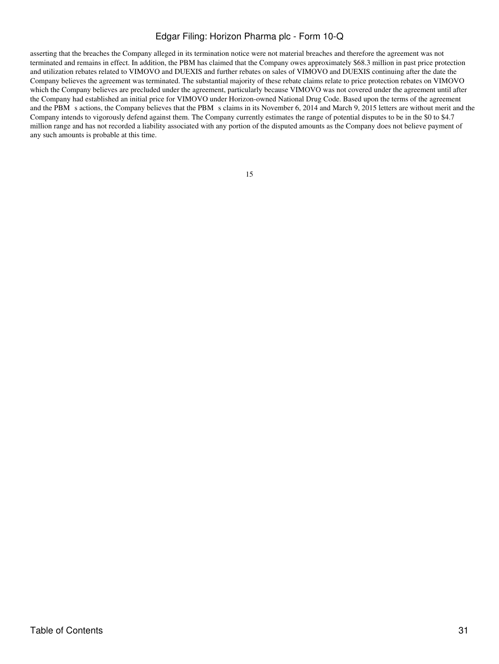asserting that the breaches the Company alleged in its termination notice were not material breaches and therefore the agreement was not terminated and remains in effect. In addition, the PBM has claimed that the Company owes approximately \$68.3 million in past price protection and utilization rebates related to VIMOVO and DUEXIS and further rebates on sales of VIMOVO and DUEXIS continuing after the date the Company believes the agreement was terminated. The substantial majority of these rebate claims relate to price protection rebates on VIMOVO which the Company believes are precluded under the agreement, particularly because VIMOVO was not covered under the agreement until after the Company had established an initial price for VIMOVO under Horizon-owned National Drug Code. Based upon the terms of the agreement and the PBM s actions, the Company believes that the PBM s claims in its November 6, 2014 and March 9, 2015 letters are without merit and the Company intends to vigorously defend against them. The Company currently estimates the range of potential disputes to be in the \$0 to \$4.7 million range and has not recorded a liability associated with any portion of the disputed amounts as the Company does not believe payment of any such amounts is probable at this time.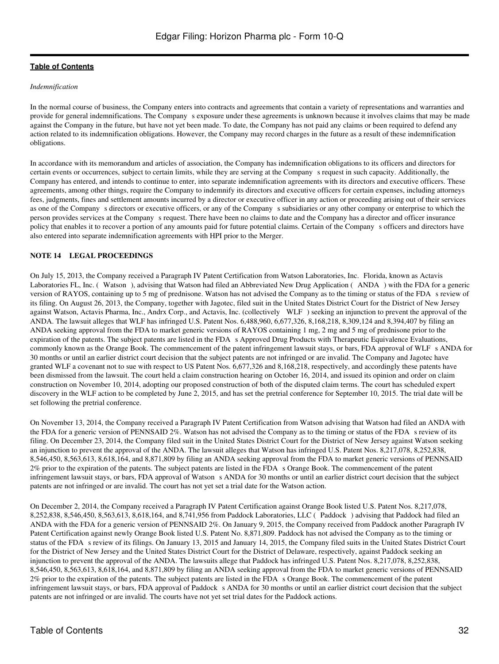#### *Indemnification*

In the normal course of business, the Company enters into contracts and agreements that contain a variety of representations and warranties and provide for general indemnifications. The Company s exposure under these agreements is unknown because it involves claims that may be made against the Company in the future, but have not yet been made. To date, the Company has not paid any claims or been required to defend any action related to its indemnification obligations. However, the Company may record charges in the future as a result of these indemnification obligations.

In accordance with its memorandum and articles of association, the Company has indemnification obligations to its officers and directors for certain events or occurrences, subject to certain limits, while they are serving at the Companys request in such capacity. Additionally, the Company has entered, and intends to continue to enter, into separate indemnification agreements with its directors and executive officers. These agreements, among other things, require the Company to indemnify its directors and executive officers for certain expenses, including attorneys fees, judgments, fines and settlement amounts incurred by a director or executive officer in any action or proceeding arising out of their services as one of the Company s directors or executive officers, or any of the Company s subsidiaries or any other company or enterprise to which the person provides services at the Companys request. There have been no claims to date and the Company has a director and officer insurance policy that enables it to recover a portion of any amounts paid for future potential claims. Certain of the Companys officers and directors have also entered into separate indemnification agreements with HPI prior to the Merger.

#### **NOTE 14 LEGAL PROCEEDINGS**

On July 15, 2013, the Company received a Paragraph IV Patent Certification from Watson Laboratories, Inc. Florida, known as Actavis Laboratories FL, Inc. (Watson), advising that Watson had filed an Abbreviated New Drug Application (ANDA) with the FDA for a generic version of RAYOS, containing up to 5 mg of prednisone. Watson has not advised the Company as to the timing or status of the FDA s review of its filing. On August 26, 2013, the Company, together with Jagotec, filed suit in the United States District Court for the District of New Jersey against Watson, Actavis Pharma, Inc., Andrx Corp., and Actavis, Inc. (collectively WLF) seeking an injunction to prevent the approval of the ANDA. The lawsuit alleges that WLF has infringed U.S. Patent Nos. 6,488,960, 6,677,326, 8,168,218, 8,309,124 and 8,394,407 by filing an ANDA seeking approval from the FDA to market generic versions of RAYOS containing 1 mg, 2 mg and 5 mg of prednisone prior to the expiration of the patents. The subject patents are listed in the FDA s Approved Drug Products with Therapeutic Equivalence Evaluations, commonly known as the Orange Book. The commencement of the patent infringement lawsuit stays, or bars, FDA approval of WLF s ANDA for 30 months or until an earlier district court decision that the subject patents are not infringed or are invalid. The Company and Jagotec have granted WLF a covenant not to sue with respect to US Patent Nos. 6,677,326 and 8,168,218, respectively, and accordingly these patents have been dismissed from the lawsuit. The court held a claim construction hearing on October 16, 2014, and issued its opinion and order on claim construction on November 10, 2014, adopting our proposed construction of both of the disputed claim terms. The court has scheduled expert discovery in the WLF action to be completed by June 2, 2015, and has set the pretrial conference for September 10, 2015. The trial date will be set following the pretrial conference.

On November 13, 2014, the Company received a Paragraph IV Patent Certification from Watson advising that Watson had filed an ANDA with the FDA for a generic version of PENNSAID  $2\%$ . Watson has not advised the Company as to the timing or status of the FDA s review of its filing. On December 23, 2014, the Company filed suit in the United States District Court for the District of New Jersey against Watson seeking an injunction to prevent the approval of the ANDA. The lawsuit alleges that Watson has infringed U.S. Patent Nos. 8,217,078, 8,252,838, 8,546,450, 8,563,613, 8,618,164, and 8,871,809 by filing an ANDA seeking approval from the FDA to market generic versions of PENNSAID 2% prior to the expiration of the patents. The subject patents are listed in the FDA s Orange Book. The commencement of the patent infringement lawsuit stays, or bars, FDA approval of Watson s ANDA for 30 months or until an earlier district court decision that the subject patents are not infringed or are invalid. The court has not yet set a trial date for the Watson action.

On December 2, 2014, the Company received a Paragraph IV Patent Certification against Orange Book listed U.S. Patent Nos. 8,217,078, 8,252,838, 8,546,450, 8,563,613, 8,618,164, and 8,741,956 from Paddock Laboratories, LLC (Paddock) advising that Paddock had filed an ANDA with the FDA for a generic version of PENNSAID 2%. On January 9, 2015, the Company received from Paddock another Paragraph IV Patent Certification against newly Orange Book listed U.S. Patent No. 8,871,809. Paddock has not advised the Company as to the timing or status of the FDA s review of its filings. On January 13, 2015 and January 14, 2015, the Company filed suits in the United States District Court for the District of New Jersey and the United States District Court for the District of Delaware, respectively, against Paddock seeking an injunction to prevent the approval of the ANDA. The lawsuits allege that Paddock has infringed U.S. Patent Nos. 8,217,078, 8,252,838, 8,546,450, 8,563,613, 8,618,164, and 8,871,809 by filing an ANDA seeking approval from the FDA to market generic versions of PENNSAID 2% prior to the expiration of the patents. The subject patents are listed in the FDA s Orange Book. The commencement of the patent infringement lawsuit stays, or bars, FDA approval of Paddock s ANDA for 30 months or until an earlier district court decision that the subject patents are not infringed or are invalid. The courts have not yet set trial dates for the Paddock actions.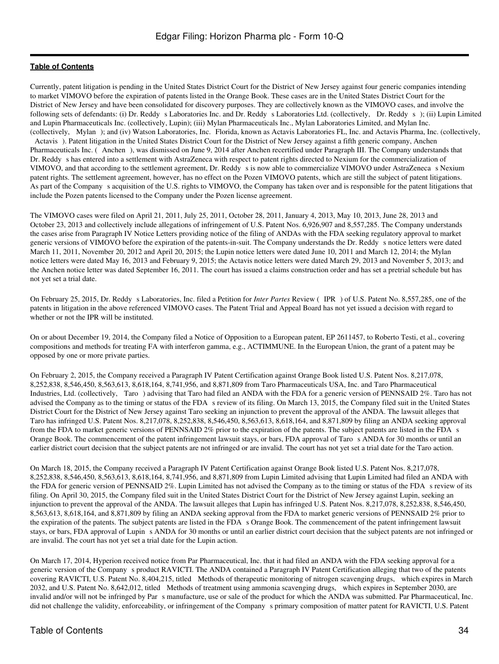Currently, patent litigation is pending in the United States District Court for the District of New Jersey against four generic companies intending to market VIMOVO before the expiration of patents listed in the Orange Book. These cases are in the United States District Court for the District of New Jersey and have been consolidated for discovery purposes. They are collectively known as the VIMOVO cases, and involve the following sets of defendants: (i) Dr. Reddy s Laboratories Inc. and Dr. Reddy s Laboratories Ltd. (collectively, Dr. Reddys); (ii) Lupin Limited and Lupin Pharmaceuticals Inc. (collectively, Lupin); (iii) Mylan Pharmaceuticals Inc., Mylan Laboratories Limited, and Mylan Inc. (collectively, Mylan); and (iv) Watson Laboratories, Inc. Florida, known as Actavis Laboratories FL, Inc. and Actavis Pharma, Inc. (collectively, Actavis). Patent litigation in the United States District Court for the District of New Jersey against a fifth generic company, Anchen Pharmaceuticals Inc. (Anchen), was dismissed on June 9, 2014 after Anchen recertified under Paragraph III. The Company understands that Dr. Reddy s has entered into a settlement with AstraZeneca with respect to patent rights directed to Nexium for the commercialization of VIMOVO, and that according to the settlement agreement, Dr. Reddy s is now able to commercialize VIMOVO under AstraZeneca s Nexium patent rights. The settlement agreement, however, has no effect on the Pozen VIMOVO patents, which are still the subject of patent litigations. As part of the Company s acquisition of the U.S. rights to VIMOVO, the Company has taken over and is responsible for the patent litigations that include the Pozen patents licensed to the Company under the Pozen license agreement.

The VIMOVO cases were filed on April 21, 2011, July 25, 2011, October 28, 2011, January 4, 2013, May 10, 2013, June 28, 2013 and October 23, 2013 and collectively include allegations of infringement of U.S. Patent Nos. 6,926,907 and 8,557,285. The Company understands the cases arise from Paragraph IV Notice Letters providing notice of the filing of ANDAs with the FDA seeking regulatory approval to market generic versions of VIMOVO before the expiration of the patents-in-suit. The Company understands the Dr. Reddy s notice letters were dated March 11, 2011, November 20, 2012 and April 20, 2015; the Lupin notice letters were dated June 10, 2011 and March 12, 2014; the Mylan notice letters were dated May 16, 2013 and February 9, 2015; the Actavis notice letters were dated March 29, 2013 and November 5, 2013; and the Anchen notice letter was dated September 16, 2011. The court has issued a claims construction order and has set a pretrial schedule but has not yet set a trial date.

On February 25, 2015, Dr. Reddy s Laboratories, Inc. filed a Petition for *Inter Partes* Review (IPR) of U.S. Patent No. 8,557,285, one of the patents in litigation in the above referenced VIMOVO cases. The Patent Trial and Appeal Board has not yet issued a decision with regard to whether or not the IPR will be instituted.

On or about December 19, 2014, the Company filed a Notice of Opposition to a European patent, EP 2611457, to Roberto Testi, et al., covering compositions and methods for treating FA with interferon gamma, e.g., ACTIMMUNE. In the European Union, the grant of a patent may be opposed by one or more private parties.

On February 2, 2015, the Company received a Paragraph IV Patent Certification against Orange Book listed U.S. Patent Nos. 8,217,078, 8,252,838, 8,546,450, 8,563,613, 8,618,164, 8,741,956, and 8,871,809 from Taro Pharmaceuticals USA, Inc. and Taro Pharmaceutical Industries, Ltd. (collectively, Taro) advising that Taro had filed an ANDA with the FDA for a generic version of PENNSAID 2%. Taro has not advised the Company as to the timing or status of the FDA s review of its filing. On March 13, 2015, the Company filed suit in the United States District Court for the District of New Jersey against Taro seeking an injunction to prevent the approval of the ANDA. The lawsuit alleges that Taro has infringed U.S. Patent Nos. 8,217,078, 8,252,838, 8,546,450, 8,563,613, 8,618,164, and 8,871,809 by filing an ANDA seeking approval from the FDA to market generic versions of PENNSAID 2% prior to the expiration of the patents. The subject patents are listed in the FDA s Orange Book. The commencement of the patent infringement lawsuit stays, or bars, FDA approval of Taros ANDA for 30 months or until an earlier district court decision that the subject patents are not infringed or are invalid. The court has not yet set a trial date for the Taro action.

On March 18, 2015, the Company received a Paragraph IV Patent Certification against Orange Book listed U.S. Patent Nos. 8,217,078, 8,252,838, 8,546,450, 8,563,613, 8,618,164, 8,741,956, and 8,871,809 from Lupin Limited advising that Lupin Limited had filed an ANDA with the FDA for generic version of PENNSAID 2%. Lupin Limited has not advised the Company as to the timing or status of the FDA s review of its filing. On April 30, 2015, the Company filed suit in the United States District Court for the District of New Jersey against Lupin, seeking an injunction to prevent the approval of the ANDA. The lawsuit alleges that Lupin has infringed U.S. Patent Nos. 8,217,078, 8,252,838, 8,546,450, 8,563,613, 8,618,164, and 8,871,809 by filing an ANDA seeking approval from the FDA to market generic versions of PENNSAID 2% prior to the expiration of the patents. The subject patents are listed in the FDA s Orange Book. The commencement of the patent infringement lawsuit stays, or bars, FDA approval of Lupin s ANDA for 30 months or until an earlier district court decision that the subject patents are not infringed or are invalid. The court has not yet set a trial date for the Lupin action.

On March 17, 2014, Hyperion received notice from Par Pharmaceutical, Inc. that it had filed an ANDA with the FDA seeking approval for a generic version of the Companys product RAVICTI. The ANDA contained a Paragraph IV Patent Certification alleging that two of the patents covering RAVICTI, U.S. Patent No. 8,404,215, titled Methods of therapeutic monitoring of nitrogen scavenging drugs, which expires in March 2032, and U.S. Patent No. 8,642,012, titled Methods of treatment using ammonia scavenging drugs, which expires in September 2030, are invalid and/or will not be infringed by Par s manufacture, use or sale of the product for which the ANDA was submitted. Par Pharmaceutical, Inc. did not challenge the validity, enforceability, or infringement of the Company s primary composition of matter patent for RAVICTI, U.S. Patent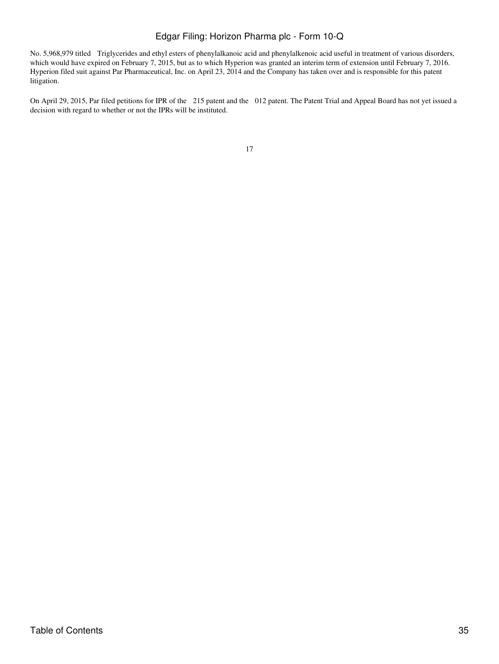No. 5,968,979 titled Triglycerides and ethyl esters of phenylalkanoic acid and phenylalkenoic acid useful in treatment of various disorders, which would have expired on February 7, 2015, but as to which Hyperion was granted an interim term of extension until February 7, 2016. Hyperion filed suit against Par Pharmaceutical, Inc. on April 23, 2014 and the Company has taken over and is responsible for this patent litigation.

On April 29, 2015, Par filed petitions for IPR of the 215 patent and the 012 patent. The Patent Trial and Appeal Board has not yet issued a decision with regard to whether or not the IPRs will be instituted.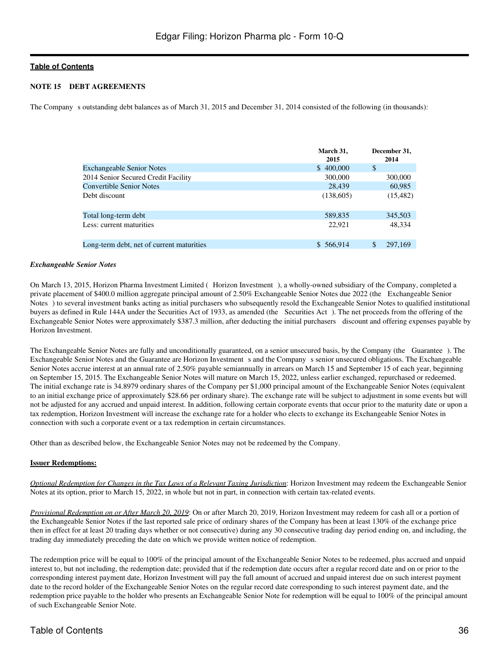#### **NOTE 15 DEBT AGREEMENTS**

The Company s outstanding debt balances as of March 31, 2015 and December 31, 2014 consisted of the following (in thousands):

|                                           | March 31,<br>2015 | December 31,<br>2014 |
|-------------------------------------------|-------------------|----------------------|
| <b>Exchangeable Senior Notes</b>          | \$400,000         | \$                   |
| 2014 Senior Secured Credit Facility       | 300,000           | 300,000              |
| <b>Convertible Senior Notes</b>           | 28.439            | 60,985               |
| Debt discount                             | (138,605)         | (15, 482)            |
| Total long-term debt                      | 589,835           | 345,503              |
| Less: current maturities                  | 22,921            | 48.334               |
| Long-term debt, net of current maturities | \$566,914         | \$<br>297,169        |

#### *Exchangeable Senior Notes*

On March 13, 2015, Horizon Pharma Investment Limited (Horizon Investment), a wholly-owned subsidiary of the Company, completed a private placement of \$400.0 million aggregate principal amount of 2.50% Exchangeable Senior Notes due 2022 (the Exchangeable Senior Notes) to several investment banks acting as initial purchasers who subsequently resold the Exchangeable Senior Notes to qualified institutional buyers as defined in Rule 144A under the Securities Act of 1933, as amended (the Securities Act). The net proceeds from the offering of the Exchangeable Senior Notes were approximately \$387.3 million, after deducting the initial purchasers discount and offering expenses payable by Horizon Investment.

The Exchangeable Senior Notes are fully and unconditionally guaranteed, on a senior unsecured basis, by the Company (the Guarantee). The Exchangeable Senior Notes and the Guarantee are Horizon Investment s and the Company s senior unsecured obligations. The Exchangeable Senior Notes accrue interest at an annual rate of 2.50% payable semiannually in arrears on March 15 and September 15 of each year, beginning on September 15, 2015. The Exchangeable Senior Notes will mature on March 15, 2022, unless earlier exchanged, repurchased or redeemed. The initial exchange rate is 34.8979 ordinary shares of the Company per \$1,000 principal amount of the Exchangeable Senior Notes (equivalent to an initial exchange price of approximately \$28.66 per ordinary share). The exchange rate will be subject to adjustment in some events but will not be adjusted for any accrued and unpaid interest. In addition, following certain corporate events that occur prior to the maturity date or upon a tax redemption, Horizon Investment will increase the exchange rate for a holder who elects to exchange its Exchangeable Senior Notes in connection with such a corporate event or a tax redemption in certain circumstances.

Other than as described below, the Exchangeable Senior Notes may not be redeemed by the Company.

#### **Issuer Redemptions:**

*Optional Redemption for Changes in the Tax Laws of a Relevant Taxing Jurisdiction*: Horizon Investment may redeem the Exchangeable Senior Notes at its option, prior to March 15, 2022, in whole but not in part, in connection with certain tax-related events.

*Provisional Redemption on or After March 20, 2019*: On or after March 20, 2019, Horizon Investment may redeem for cash all or a portion of the Exchangeable Senior Notes if the last reported sale price of ordinary shares of the Company has been at least 130% of the exchange price then in effect for at least 20 trading days whether or not consecutive) during any 30 consecutive trading day period ending on, and including, the trading day immediately preceding the date on which we provide written notice of redemption.

The redemption price will be equal to 100% of the principal amount of the Exchangeable Senior Notes to be redeemed, plus accrued and unpaid interest to, but not including, the redemption date; provided that if the redemption date occurs after a regular record date and on or prior to the corresponding interest payment date, Horizon Investment will pay the full amount of accrued and unpaid interest due on such interest payment date to the record holder of the Exchangeable Senior Notes on the regular record date corresponding to such interest payment date, and the redemption price payable to the holder who presents an Exchangeable Senior Note for redemption will be equal to 100% of the principal amount of such Exchangeable Senior Note.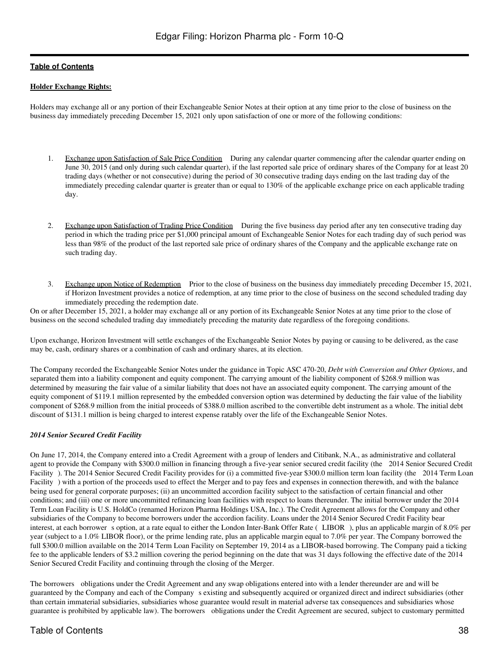#### **Holder Exchange Rights:**

Holders may exchange all or any portion of their Exchangeable Senior Notes at their option at any time prior to the close of business on the business day immediately preceding December 15, 2021 only upon satisfaction of one or more of the following conditions:

- 1. Exchange upon Satisfaction of Sale Price Condition During any calendar quarter commencing after the calendar quarter ending on June 30, 2015 (and only during such calendar quarter), if the last reported sale price of ordinary shares of the Company for at least 20 trading days (whether or not consecutive) during the period of 30 consecutive trading days ending on the last trading day of the immediately preceding calendar quarter is greater than or equal to 130% of the applicable exchange price on each applicable trading day.
- 2. Exchange upon Satisfaction of Trading Price Condition During the five business day period after any ten consecutive trading day period in which the trading price per \$1,000 principal amount of Exchangeable Senior Notes for each trading day of such period was less than 98% of the product of the last reported sale price of ordinary shares of the Company and the applicable exchange rate on such trading day.
- 3. Exchange upon Notice of Redemption Prior to the close of business on the business day immediately preceding December 15, 2021, if Horizon Investment provides a notice of redemption, at any time prior to the close of business on the second scheduled trading day immediately preceding the redemption date.

On or after December 15, 2021, a holder may exchange all or any portion of its Exchangeable Senior Notes at any time prior to the close of business on the second scheduled trading day immediately preceding the maturity date regardless of the foregoing conditions.

Upon exchange, Horizon Investment will settle exchanges of the Exchangeable Senior Notes by paying or causing to be delivered, as the case may be, cash, ordinary shares or a combination of cash and ordinary shares, at its election.

The Company recorded the Exchangeable Senior Notes under the guidance in Topic ASC 470-20, *Debt with Conversion and Other Options*, and separated them into a liability component and equity component. The carrying amount of the liability component of \$268.9 million was determined by measuring the fair value of a similar liability that does not have an associated equity component. The carrying amount of the equity component of \$119.1 million represented by the embedded conversion option was determined by deducting the fair value of the liability component of \$268.9 million from the initial proceeds of \$388.0 million ascribed to the convertible debt instrument as a whole. The initial debt discount of \$131.1 million is being charged to interest expense ratably over the life of the Exchangeable Senior Notes.

#### *2014 Senior Secured Credit Facility*

On June 17, 2014, the Company entered into a Credit Agreement with a group of lenders and Citibank, N.A., as administrative and collateral agent to provide the Company with \$300.0 million in financing through a five-year senior secured credit facility (the 2014 Senior Secured Credit Facility). The 2014 Senior Secured Credit Facility provides for (i) a committed five-year \$300.0 million term loan facility (the 2014 Term Loan Facility) with a portion of the proceeds used to effect the Merger and to pay fees and expenses in connection therewith, and with the balance being used for general corporate purposes; (ii) an uncommitted accordion facility subject to the satisfaction of certain financial and other conditions; and (iii) one or more uncommitted refinancing loan facilities with respect to loans thereunder. The initial borrower under the 2014 Term Loan Facility is U.S. HoldCo (renamed Horizon Pharma Holdings USA, Inc.). The Credit Agreement allows for the Company and other subsidiaries of the Company to become borrowers under the accordion facility. Loans under the 2014 Senior Secured Credit Facility bear interest, at each borrower s option, at a rate equal to either the London Inter-Bank Offer Rate (LIBOR), plus an applicable margin of 8.0% per year (subject to a 1.0% LIBOR floor), or the prime lending rate, plus an applicable margin equal to 7.0% per year. The Company borrowed the full \$300.0 million available on the 2014 Term Loan Facility on September 19, 2014 as a LIBOR-based borrowing. The Company paid a ticking fee to the applicable lenders of \$3.2 million covering the period beginning on the date that was 31 days following the effective date of the 2014 Senior Secured Credit Facility and continuing through the closing of the Merger.

The borrowers obligations under the Credit Agreement and any swap obligations entered into with a lender thereunder are and will be guaranteed by the Company and each of the Companys existing and subsequently acquired or organized direct and indirect subsidiaries (other than certain immaterial subsidiaries, subsidiaries whose guarantee would result in material adverse tax consequences and subsidiaries whose guarantee is prohibited by applicable law). The borrowers obligations under the Credit Agreement are secured, subject to customary permitted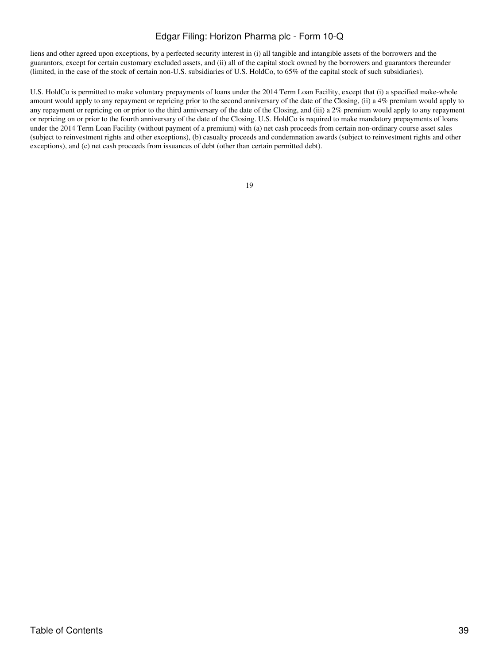liens and other agreed upon exceptions, by a perfected security interest in (i) all tangible and intangible assets of the borrowers and the guarantors, except for certain customary excluded assets, and (ii) all of the capital stock owned by the borrowers and guarantors thereunder (limited, in the case of the stock of certain non-U.S. subsidiaries of U.S. HoldCo, to 65% of the capital stock of such subsidiaries).

U.S. HoldCo is permitted to make voluntary prepayments of loans under the 2014 Term Loan Facility, except that (i) a specified make-whole amount would apply to any repayment or repricing prior to the second anniversary of the date of the Closing, (ii) a 4% premium would apply to any repayment or repricing on or prior to the third anniversary of the date of the Closing, and (iii) a 2% premium would apply to any repayment or repricing on or prior to the fourth anniversary of the date of the Closing. U.S. HoldCo is required to make mandatory prepayments of loans under the 2014 Term Loan Facility (without payment of a premium) with (a) net cash proceeds from certain non-ordinary course asset sales (subject to reinvestment rights and other exceptions), (b) casualty proceeds and condemnation awards (subject to reinvestment rights and other exceptions), and (c) net cash proceeds from issuances of debt (other than certain permitted debt).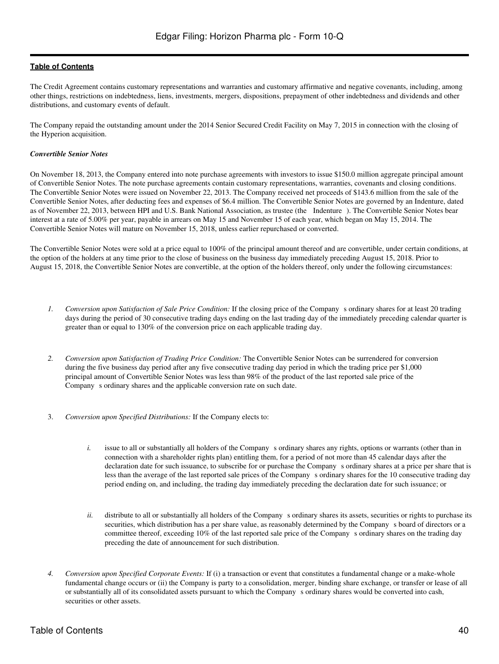The Credit Agreement contains customary representations and warranties and customary affirmative and negative covenants, including, among other things, restrictions on indebtedness, liens, investments, mergers, dispositions, prepayment of other indebtedness and dividends and other distributions, and customary events of default.

The Company repaid the outstanding amount under the 2014 Senior Secured Credit Facility on May 7, 2015 in connection with the closing of the Hyperion acquisition.

#### *Convertible Senior Notes*

On November 18, 2013, the Company entered into note purchase agreements with investors to issue \$150.0 million aggregate principal amount of Convertible Senior Notes. The note purchase agreements contain customary representations, warranties, covenants and closing conditions. The Convertible Senior Notes were issued on November 22, 2013. The Company received net proceeds of \$143.6 million from the sale of the Convertible Senior Notes, after deducting fees and expenses of \$6.4 million. The Convertible Senior Notes are governed by an Indenture, dated as of November 22, 2013, between HPI and U.S. Bank National Association, as trustee (the Indenture). The Convertible Senior Notes bear interest at a rate of 5.00% per year, payable in arrears on May 15 and November 15 of each year, which began on May 15, 2014. The Convertible Senior Notes will mature on November 15, 2018, unless earlier repurchased or converted.

The Convertible Senior Notes were sold at a price equal to 100% of the principal amount thereof and are convertible, under certain conditions, at the option of the holders at any time prior to the close of business on the business day immediately preceding August 15, 2018. Prior to August 15, 2018, the Convertible Senior Notes are convertible, at the option of the holders thereof, only under the following circumstances:

- *1. Conversion upon Satisfaction of Sale Price Condition:* If the closing price of the Company s ordinary shares for at least 20 trading days during the period of 30 consecutive trading days ending on the last trading day of the immediately preceding calendar quarter is greater than or equal to 130% of the conversion price on each applicable trading day.
- *2. Conversion upon Satisfaction of Trading Price Condition:* The Convertible Senior Notes can be surrendered for conversion during the five business day period after any five consecutive trading day period in which the trading price per \$1,000 principal amount of Convertible Senior Notes was less than 98% of the product of the last reported sale price of the Company s ordinary shares and the applicable conversion rate on such date.
- 3. *Conversion upon Specified Distributions:* If the Company elects to:
	- *i.* issue to all or substantially all holders of the Company s ordinary shares any rights, options or warrants (other than in connection with a shareholder rights plan) entitling them, for a period of not more than 45 calendar days after the declaration date for such issuance, to subscribe for or purchase the Companys ordinary shares at a price per share that is less than the average of the last reported sale prices of the Companys ordinary shares for the 10 consecutive trading day period ending on, and including, the trading day immediately preceding the declaration date for such issuance; or
	- *ii.* distribute to all or substantially all holders of the Company s ordinary shares its assets, securities or rights to purchase its securities, which distribution has a per share value, as reasonably determined by the Company s board of directors or a committee thereof, exceeding 10% of the last reported sale price of the Company s ordinary shares on the trading day preceding the date of announcement for such distribution.
- *4. Conversion upon Specified Corporate Events:* If (i) a transaction or event that constitutes a fundamental change or a make-whole fundamental change occurs or (ii) the Company is party to a consolidation, merger, binding share exchange, or transfer or lease of all or substantially all of its consolidated assets pursuant to which the Company s ordinary shares would be converted into cash, securities or other assets.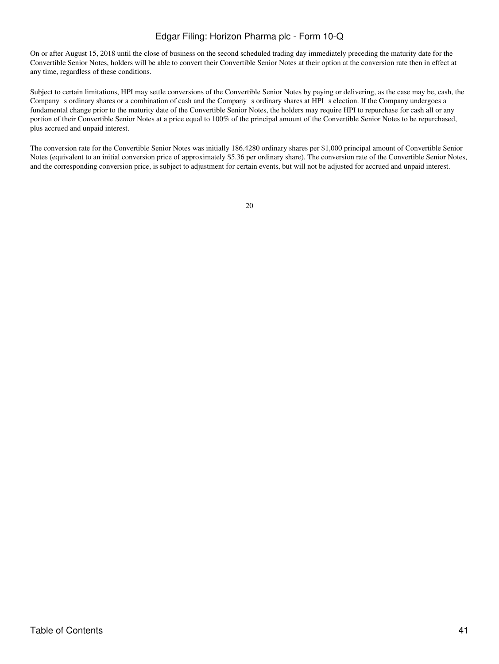On or after August 15, 2018 until the close of business on the second scheduled trading day immediately preceding the maturity date for the Convertible Senior Notes, holders will be able to convert their Convertible Senior Notes at their option at the conversion rate then in effect at any time, regardless of these conditions.

Subject to certain limitations, HPI may settle conversions of the Convertible Senior Notes by paying or delivering, as the case may be, cash, the Company s ordinary shares or a combination of cash and the Company s ordinary shares at HPI s election. If the Company undergoes a fundamental change prior to the maturity date of the Convertible Senior Notes, the holders may require HPI to repurchase for cash all or any portion of their Convertible Senior Notes at a price equal to 100% of the principal amount of the Convertible Senior Notes to be repurchased, plus accrued and unpaid interest.

The conversion rate for the Convertible Senior Notes was initially 186.4280 ordinary shares per \$1,000 principal amount of Convertible Senior Notes (equivalent to an initial conversion price of approximately \$5.36 per ordinary share). The conversion rate of the Convertible Senior Notes, and the corresponding conversion price, is subject to adjustment for certain events, but will not be adjusted for accrued and unpaid interest.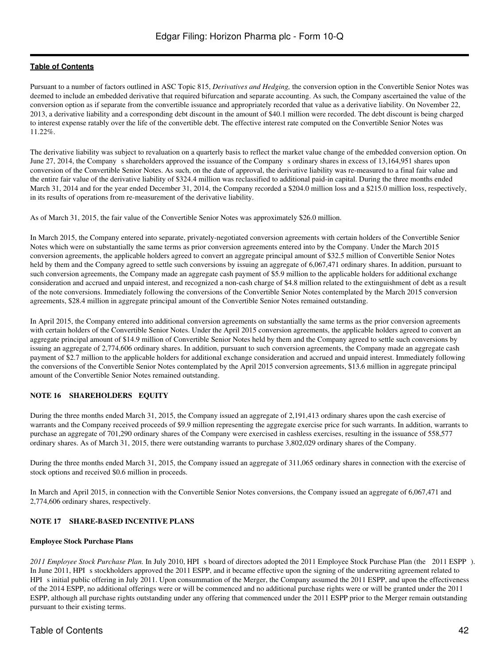Pursuant to a number of factors outlined in ASC Topic 815, *Derivatives and Hedging,* the conversion option in the Convertible Senior Notes was deemed to include an embedded derivative that required bifurcation and separate accounting. As such, the Company ascertained the value of the conversion option as if separate from the convertible issuance and appropriately recorded that value as a derivative liability. On November 22, 2013, a derivative liability and a corresponding debt discount in the amount of \$40.1 million were recorded. The debt discount is being charged to interest expense ratably over the life of the convertible debt. The effective interest rate computed on the Convertible Senior Notes was 11.22%.

The derivative liability was subject to revaluation on a quarterly basis to reflect the market value change of the embedded conversion option. On June 27, 2014, the Company s shareholders approved the issuance of the Company s ordinary shares in excess of 13,164,951 shares upon conversion of the Convertible Senior Notes. As such, on the date of approval, the derivative liability was re-measured to a final fair value and the entire fair value of the derivative liability of \$324.4 million was reclassified to additional paid-in capital. During the three months ended March 31, 2014 and for the year ended December 31, 2014, the Company recorded a \$204.0 million loss and a \$215.0 million loss, respectively, in its results of operations from re-measurement of the derivative liability.

As of March 31, 2015, the fair value of the Convertible Senior Notes was approximately \$26.0 million.

In March 2015, the Company entered into separate, privately-negotiated conversion agreements with certain holders of the Convertible Senior Notes which were on substantially the same terms as prior conversion agreements entered into by the Company. Under the March 2015 conversion agreements, the applicable holders agreed to convert an aggregate principal amount of \$32.5 million of Convertible Senior Notes held by them and the Company agreed to settle such conversions by issuing an aggregate of 6,067,471 ordinary shares. In addition, pursuant to such conversion agreements, the Company made an aggregate cash payment of \$5.9 million to the applicable holders for additional exchange consideration and accrued and unpaid interest, and recognized a non-cash charge of \$4.8 million related to the extinguishment of debt as a result of the note conversions. Immediately following the conversions of the Convertible Senior Notes contemplated by the March 2015 conversion agreements, \$28.4 million in aggregate principal amount of the Convertible Senior Notes remained outstanding.

In April 2015, the Company entered into additional conversion agreements on substantially the same terms as the prior conversion agreements with certain holders of the Convertible Senior Notes. Under the April 2015 conversion agreements, the applicable holders agreed to convert an aggregate principal amount of \$14.9 million of Convertible Senior Notes held by them and the Company agreed to settle such conversions by issuing an aggregate of 2,774,606 ordinary shares. In addition, pursuant to such conversion agreements, the Company made an aggregate cash payment of \$2.7 million to the applicable holders for additional exchange consideration and accrued and unpaid interest. Immediately following the conversions of the Convertible Senior Notes contemplated by the April 2015 conversion agreements, \$13.6 million in aggregate principal amount of the Convertible Senior Notes remained outstanding.

## **NOTE 16 SHAREHOLDERS EQUITY**

During the three months ended March 31, 2015, the Company issued an aggregate of 2,191,413 ordinary shares upon the cash exercise of warrants and the Company received proceeds of \$9.9 million representing the aggregate exercise price for such warrants. In addition, warrants to purchase an aggregate of 701,290 ordinary shares of the Company were exercised in cashless exercises, resulting in the issuance of 558,577 ordinary shares. As of March 31, 2015, there were outstanding warrants to purchase 3,802,029 ordinary shares of the Company.

During the three months ended March 31, 2015, the Company issued an aggregate of 311,065 ordinary shares in connection with the exercise of stock options and received \$0.6 million in proceeds.

In March and April 2015, in connection with the Convertible Senior Notes conversions, the Company issued an aggregate of 6,067,471 and 2,774,606 ordinary shares, respectively.

#### **NOTE 17 SHARE-BASED INCENTIVE PLANS**

#### **Employee Stock Purchase Plans**

*2011 Employee Stock Purchase Plan.* In July 2010, HPI s board of directors adopted the 2011 Employee Stock Purchase Plan (the 2011 ESPP). In June 2011, HPI s stockholders approved the 2011 ESPP, and it became effective upon the signing of the underwriting agreement related to HPI s initial public offering in July 2011. Upon consummation of the Merger, the Company assumed the 2011 ESPP, and upon the effectiveness of the 2014 ESPP, no additional offerings were or will be commenced and no additional purchase rights were or will be granted under the 2011 ESPP, although all purchase rights outstanding under any offering that commenced under the 2011 ESPP prior to the Merger remain outstanding pursuant to their existing terms.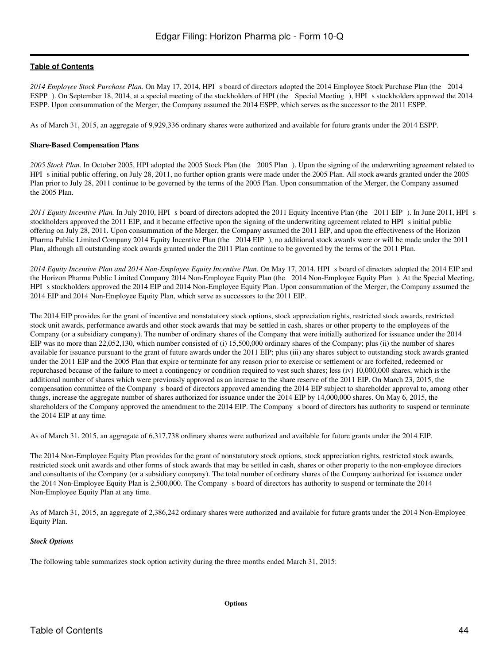2014 Employee Stock Purchase Plan. On May 17, 2014, HPI s board of directors adopted the 2014 Employee Stock Purchase Plan (the 2014 ESPP). On September 18, 2014, at a special meeting of the stockholders of HPI (the Special Meeting), HPI s stockholders approved the 2014 ESPP. Upon consummation of the Merger, the Company assumed the 2014 ESPP, which serves as the successor to the 2011 ESPP.

As of March 31, 2015, an aggregate of 9,929,336 ordinary shares were authorized and available for future grants under the 2014 ESPP.

#### **Share-Based Compensation Plans**

*2005 Stock Plan.* In October 2005, HPI adopted the 2005 Stock Plan (the 2005 Plan). Upon the signing of the underwriting agreement related to HPI s initial public offering, on July 28, 2011, no further option grants were made under the 2005 Plan. All stock awards granted under the 2005 Plan prior to July 28, 2011 continue to be governed by the terms of the 2005 Plan. Upon consummation of the Merger, the Company assumed the 2005 Plan.

2011 Equity Incentive Plan. In July 2010, HPI s board of directors adopted the 2011 Equity Incentive Plan (the 2011 EIP). In June 2011, HPI s stockholders approved the 2011 EIP, and it became effective upon the signing of the underwriting agreement related to HPI s initial public offering on July 28, 2011. Upon consummation of the Merger, the Company assumed the 2011 EIP, and upon the effectiveness of the Horizon Pharma Public Limited Company 2014 Equity Incentive Plan (the 2014 EIP), no additional stock awards were or will be made under the 2011 Plan, although all outstanding stock awards granted under the 2011 Plan continue to be governed by the terms of the 2011 Plan.

*2014 Equity Incentive Plan and 2014 Non-Employee Equity Incentive Plan.* On May 17, 2014, HPIs board of directors adopted the 2014 EIP and the Horizon Pharma Public Limited Company 2014 Non-Employee Equity Plan (the 2014 Non-Employee Equity Plan). At the Special Meeting, HPI s stockholders approved the 2014 EIP and 2014 Non-Employee Equity Plan. Upon consummation of the Merger, the Company assumed the 2014 EIP and 2014 Non-Employee Equity Plan, which serve as successors to the 2011 EIP.

The 2014 EIP provides for the grant of incentive and nonstatutory stock options, stock appreciation rights, restricted stock awards, restricted stock unit awards, performance awards and other stock awards that may be settled in cash, shares or other property to the employees of the Company (or a subsidiary company). The number of ordinary shares of the Company that were initially authorized for issuance under the 2014 EIP was no more than 22,052,130, which number consisted of (i) 15,500,000 ordinary shares of the Company; plus (ii) the number of shares available for issuance pursuant to the grant of future awards under the 2011 EIP; plus (iii) any shares subject to outstanding stock awards granted under the 2011 EIP and the 2005 Plan that expire or terminate for any reason prior to exercise or settlement or are forfeited, redeemed or repurchased because of the failure to meet a contingency or condition required to vest such shares; less (iv) 10,000,000 shares, which is the additional number of shares which were previously approved as an increase to the share reserve of the 2011 EIP. On March 23, 2015, the compensation committee of the Company s board of directors approved amending the 2014 EIP subject to shareholder approval to, among other things, increase the aggregate number of shares authorized for issuance under the 2014 EIP by 14,000,000 shares. On May 6, 2015, the shareholders of the Company approved the amendment to the 2014 EIP. The Companys board of directors has authority to suspend or terminate the 2014 EIP at any time.

As of March 31, 2015, an aggregate of 6,317,738 ordinary shares were authorized and available for future grants under the 2014 EIP.

The 2014 Non-Employee Equity Plan provides for the grant of nonstatutory stock options, stock appreciation rights, restricted stock awards, restricted stock unit awards and other forms of stock awards that may be settled in cash, shares or other property to the non-employee directors and consultants of the Company (or a subsidiary company). The total number of ordinary shares of the Company authorized for issuance under the 2014 Non-Employee Equity Plan is 2,500,000. The Companys board of directors has authority to suspend or terminate the 2014 Non-Employee Equity Plan at any time.

As of March 31, 2015, an aggregate of 2,386,242 ordinary shares were authorized and available for future grants under the 2014 Non-Employee Equity Plan.

#### *Stock Options*

The following table summarizes stock option activity during the three months ended March 31, 2015: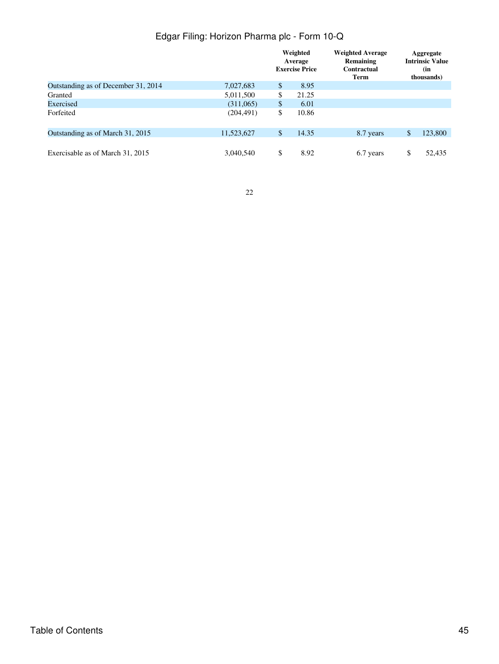|                                     |            | Weighted<br>Average<br><b>Exercise Price</b> | <b>Weighted Average</b><br>Remaining<br>Contractual<br>Term | Aggregate<br><b>Intrinsic Value</b><br>(in<br>thousands) |
|-------------------------------------|------------|----------------------------------------------|-------------------------------------------------------------|----------------------------------------------------------|
| Outstanding as of December 31, 2014 | 7,027,683  | \$<br>8.95                                   |                                                             |                                                          |
| Granted                             | 5,011,500  | \$<br>21.25                                  |                                                             |                                                          |
| Exercised                           | (311,065)  | \$<br>6.01                                   |                                                             |                                                          |
| Forfeited                           | (204, 491) | \$<br>10.86                                  |                                                             |                                                          |
| Outstanding as of March 31, 2015    | 11,523,627 | \$<br>14.35                                  | 8.7 years                                                   | \$<br>123,800                                            |
| Exercisable as of March 31, 2015    | 3,040,540  | \$<br>8.92                                   | 6.7 years                                                   | \$<br>52.435                                             |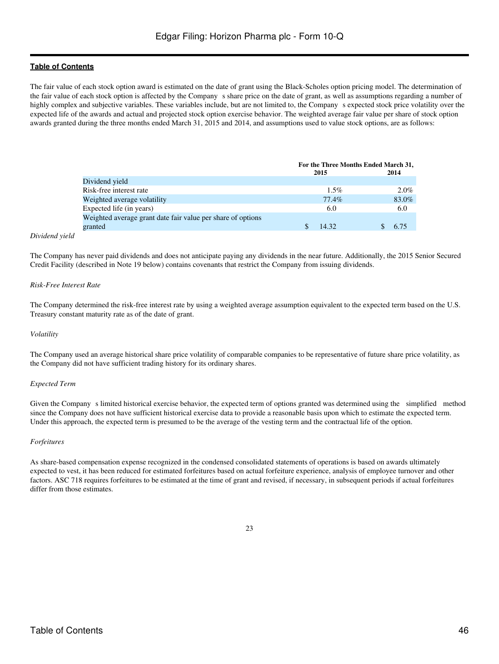The fair value of each stock option award is estimated on the date of grant using the Black-Scholes option pricing model. The determination of the fair value of each stock option is affected by the Company s share price on the date of grant, as well as assumptions regarding a number of highly complex and subjective variables. These variables include, but are not limited to, the Companys expected stock price volatility over the expected life of the awards and actual and projected stock option exercise behavior. The weighted average fair value per share of stock option awards granted during the three months ended March 31, 2015 and 2014, and assumptions used to value stock options, are as follows:

|                                                             | For the Three Months Ended March 31, |         |  |  |
|-------------------------------------------------------------|--------------------------------------|---------|--|--|
|                                                             | 2015                                 | 2014    |  |  |
| Dividend yield                                              |                                      |         |  |  |
| Risk-free interest rate                                     | $1.5\%$                              | $2.0\%$ |  |  |
| Weighted average volatility                                 | 77.4%                                | 83.0%   |  |  |
| Expected life (in years)                                    | 6.0                                  | 6.0     |  |  |
| Weighted average grant date fair value per share of options |                                      |         |  |  |
| granted                                                     | 14.32                                | 6.75    |  |  |
|                                                             |                                      |         |  |  |

#### *Dividend yield*

The Company has never paid dividends and does not anticipate paying any dividends in the near future. Additionally, the 2015 Senior Secured Credit Facility (described in Note 19 below) contains covenants that restrict the Company from issuing dividends.

#### *Risk-Free Interest Rate*

The Company determined the risk-free interest rate by using a weighted average assumption equivalent to the expected term based on the U.S. Treasury constant maturity rate as of the date of grant.

#### *Volatility*

The Company used an average historical share price volatility of comparable companies to be representative of future share price volatility, as the Company did not have sufficient trading history for its ordinary shares.

#### *Expected Term*

Given the Company s limited historical exercise behavior, the expected term of options granted was determined using the simplified method since the Company does not have sufficient historical exercise data to provide a reasonable basis upon which to estimate the expected term. Under this approach, the expected term is presumed to be the average of the vesting term and the contractual life of the option.

#### *Forfeitures*

As share-based compensation expense recognized in the condensed consolidated statements of operations is based on awards ultimately expected to vest, it has been reduced for estimated forfeitures based on actual forfeiture experience, analysis of employee turnover and other factors. ASC 718 requires forfeitures to be estimated at the time of grant and revised, if necessary, in subsequent periods if actual forfeitures differ from those estimates.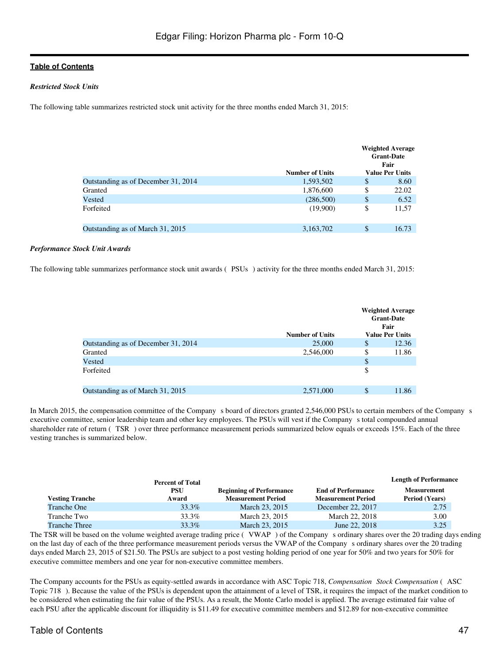#### *Restricted Stock Units*

The following table summarizes restricted stock unit activity for the three months ended March 31, 2015:

|                                     | <b>Number of Units</b> | <b>Weighted Average</b><br><b>Grant-Date</b><br>Fair<br><b>Value Per Units</b> |
|-------------------------------------|------------------------|--------------------------------------------------------------------------------|
| Outstanding as of December 31, 2014 | 1,593,502              | \$<br>8.60                                                                     |
| Granted                             | 1,876,600              | \$<br>22.02                                                                    |
| Vested                              | (286,500)              | \$<br>6.52                                                                     |
| Forfeited                           | (19,900)               | \$<br>11,57                                                                    |
|                                     |                        |                                                                                |
| Outstanding as of March 31, 2015    | 3,163,702              | \$<br>16.73                                                                    |

#### *Performance Stock Unit Awards*

The following table summarizes performance stock unit awards (PSUs) activity for the three months ended March 31, 2015:

|                                     |                        |    | <b>Weighted Average</b><br><b>Grant-Date</b><br>Fair |
|-------------------------------------|------------------------|----|------------------------------------------------------|
|                                     | <b>Number of Units</b> |    | <b>Value Per Units</b>                               |
| Outstanding as of December 31, 2014 | 25,000                 | \$ | 12.36                                                |
| Granted                             | 2,546,000              | \$ | 11.86                                                |
| Vested                              |                        | \$ |                                                      |
| Forfeited                           |                        | \$ |                                                      |
| Outstanding as of March 31, 2015    | 2,571,000              | \$ | 11.86                                                |

In March 2015, the compensation committee of the Company s board of directors granted 2,546,000 PSUs to certain members of the Company s executive committee, senior leadership team and other key employees. The PSUs will vest if the Companys total compounded annual shareholder rate of return (TSR) over three performance measurement periods summarized below equals or exceeds 15%. Each of the three vesting tranches is summarized below.

|                        | <b>Percent of Total</b> |                                                              |                                                        | <b>Length of Performance</b>                |
|------------------------|-------------------------|--------------------------------------------------------------|--------------------------------------------------------|---------------------------------------------|
| <b>Vesting Tranche</b> | <b>PSU</b><br>Award     | <b>Beginning of Performance</b><br><b>Measurement Period</b> | <b>End of Performance</b><br><b>Measurement Period</b> | <b>Measurement</b><br><b>Period (Years)</b> |
| <b>Tranche One</b>     | 33.3%                   | March 23, 2015                                               | December 22, 2017                                      | 2.75                                        |
| Tranche Two            | 33.3%                   | March 23, 2015                                               | March 22, 2018                                         | 3.00                                        |
| <b>Tranche Three</b>   | 33.3%                   | March 23, 2015                                               | June 22, 2018                                          | 3.25                                        |

The TSR will be based on the volume weighted average trading price (VWAP) of the Company s ordinary shares over the 20 trading days ending on the last day of each of the three performance measurement periods versus the VWAP of the Companys ordinary shares over the 20 trading days ended March 23, 2015 of \$21.50. The PSUs are subject to a post vesting holding period of one year for 50% and two years for 50% for executive committee members and one year for non-executive committee members.

The Company accounts for the PSUs as equity-settled awards in accordance with ASC Topic 718, Compensation Stock Compensation (ASC Topic 718). Because the value of the PSUs is dependent upon the attainment of a level of TSR, it requires the impact of the market condition to be considered when estimating the fair value of the PSUs. As a result, the Monte Carlo model is applied. The average estimated fair value of each PSU after the applicable discount for illiquidity is \$11.49 for executive committee members and \$12.89 for non-executive committee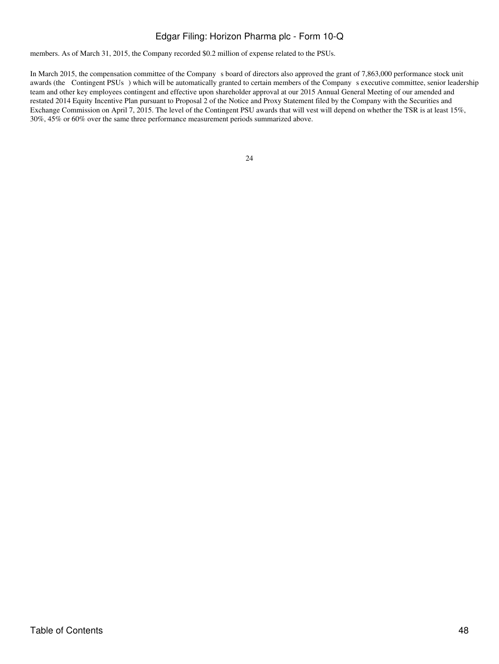members. As of March 31, 2015, the Company recorded \$0.2 million of expense related to the PSUs.

In March 2015, the compensation committee of the Company s board of directors also approved the grant of 7,863,000 performance stock unit awards (the Contingent PSUs) which will be automatically granted to certain members of the Company s executive committee, senior leadership team and other key employees contingent and effective upon shareholder approval at our 2015 Annual General Meeting of our amended and restated 2014 Equity Incentive Plan pursuant to Proposal 2 of the Notice and Proxy Statement filed by the Company with the Securities and Exchange Commission on April 7, 2015. The level of the Contingent PSU awards that will vest will depend on whether the TSR is at least 15%, 30%, 45% or 60% over the same three performance measurement periods summarized above.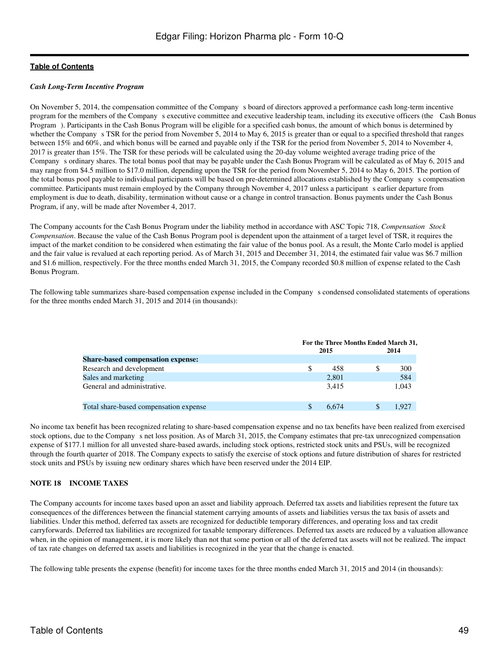#### *Cash Long-Term Incentive Program*

On November 5, 2014, the compensation committee of the Company s board of directors approved a performance cash long-term incentive program for the members of the Company s executive committee and executive leadership team, including its executive officers (the Cash Bonus Program). Participants in the Cash Bonus Program will be eligible for a specified cash bonus, the amount of which bonus is determined by whether the Company s TSR for the period from November 5, 2014 to May 6, 2015 is greater than or equal to a specified threshold that ranges between 15% and 60%, and which bonus will be earned and payable only if the TSR for the period from November 5, 2014 to November 4, 2017 is greater than 15%. The TSR for these periods will be calculated using the 20-day volume weighted average trading price of the Companys ordinary shares. The total bonus pool that may be payable under the Cash Bonus Program will be calculated as of May 6, 2015 and may range from \$4.5 million to \$17.0 million, depending upon the TSR for the period from November 5, 2014 to May 6, 2015. The portion of the total bonus pool payable to individual participants will be based on pre-determined allocations established by the Companys compensation committee. Participants must remain employed by the Company through November 4, 2017 unless a participant s earlier departure from employment is due to death, disability, termination without cause or a change in control transaction. Bonus payments under the Cash Bonus Program, if any, will be made after November 4, 2017.

The Company accounts for the Cash Bonus Program under the liability method in accordance with ASC Topic 718, Compensation Stock *Compensation*. Because the value of the Cash Bonus Program pool is dependent upon the attainment of a target level of TSR, it requires the impact of the market condition to be considered when estimating the fair value of the bonus pool. As a result, the Monte Carlo model is applied and the fair value is revalued at each reporting period. As of March 31, 2015 and December 31, 2014, the estimated fair value was \$6.7 million and \$1.6 million, respectively. For the three months ended March 31, 2015, the Company recorded \$0.8 million of expense related to the Cash Bonus Program.

The following table summarizes share-based compensation expense included in the Companys condensed consolidated statements of operations for the three months ended March 31, 2015 and 2014 (in thousands):

|                                          | For the Three Months Ended March 31, |       |  |       |  |
|------------------------------------------|--------------------------------------|-------|--|-------|--|
|                                          |                                      | 2015  |  | 2014  |  |
| <b>Share-based compensation expense:</b> |                                      |       |  |       |  |
| Research and development                 |                                      | 458   |  | 300   |  |
| Sales and marketing                      |                                      | 2,801 |  | 584   |  |
| General and administrative.              |                                      | 3.415 |  | 1.043 |  |
| Total share-based compensation expense   |                                      | 6.674 |  | 1.927 |  |

No income tax benefit has been recognized relating to share-based compensation expense and no tax benefits have been realized from exercised stock options, due to the Company s net loss position. As of March 31, 2015, the Company estimates that pre-tax unrecognized compensation expense of \$177.1 million for all unvested share-based awards, including stock options, restricted stock units and PSUs, will be recognized through the fourth quarter of 2018. The Company expects to satisfy the exercise of stock options and future distribution of shares for restricted stock units and PSUs by issuing new ordinary shares which have been reserved under the 2014 EIP.

#### **NOTE 18 INCOME TAXES**

The Company accounts for income taxes based upon an asset and liability approach. Deferred tax assets and liabilities represent the future tax consequences of the differences between the financial statement carrying amounts of assets and liabilities versus the tax basis of assets and liabilities. Under this method, deferred tax assets are recognized for deductible temporary differences, and operating loss and tax credit carryforwards. Deferred tax liabilities are recognized for taxable temporary differences. Deferred tax assets are reduced by a valuation allowance when, in the opinion of management, it is more likely than not that some portion or all of the deferred tax assets will not be realized. The impact of tax rate changes on deferred tax assets and liabilities is recognized in the year that the change is enacted.

The following table presents the expense (benefit) for income taxes for the three months ended March 31, 2015 and 2014 (in thousands):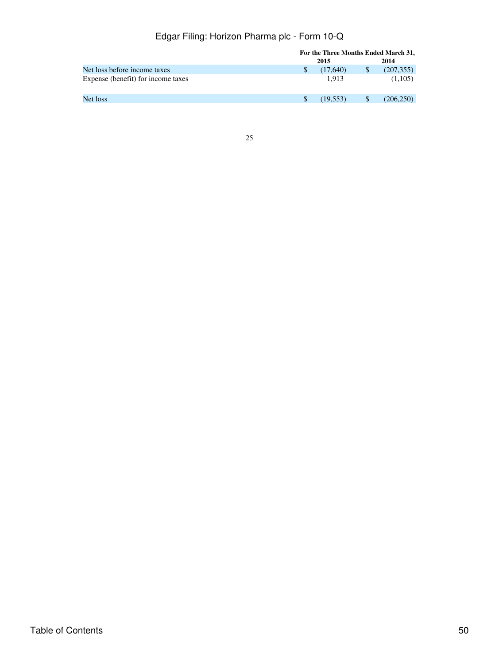| For the Three Months Ended March 31, |               |               |            |
|--------------------------------------|---------------|---------------|------------|
|                                      |               |               | 2014       |
|                                      | (17,640)      | <sup>\$</sup> | (207, 355) |
|                                      | 1.913         |               | (1,105)    |
|                                      | (19.553)      | -S            | (206, 250) |
|                                      | <sup>\$</sup> | 2015          |            |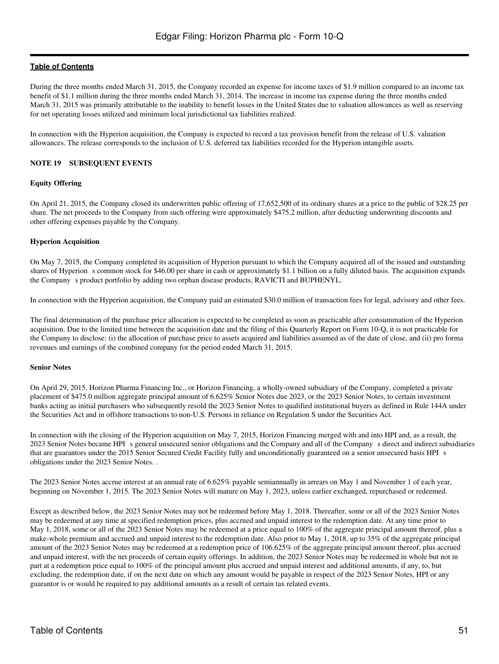During the three months ended March 31, 2015, the Company recorded an expense for income taxes of \$1.9 million compared to an income tax benefit of \$1.1 million during the three months ended March 31, 2014. The increase in income tax expense during the three months ended March 31, 2015 was primarily attributable to the inability to benefit losses in the United States due to valuation allowances as well as reserving for net operating losses utilized and minimum local jurisdictional tax liabilities realized.

In connection with the Hyperion acquisition, the Company is expected to record a tax provision benefit from the release of U.S. valuation allowances. The release corresponds to the inclusion of U.S. deferred tax liabilities recorded for the Hyperion intangible assets.

#### **NOTE 19 SUBSEQUENT EVENTS**

#### **Equity Offering**

On April 21, 2015, the Company closed its underwritten public offering of 17,652,500 of its ordinary shares at a price to the public of \$28.25 per share. The net proceeds to the Company from such offering were approximately \$475.2 million, after deducting underwriting discounts and other offering expenses payable by the Company.

## **Hyperion Acquisition**

On May 7, 2015, the Company completed its acquisition of Hyperion pursuant to which the Company acquired all of the issued and outstanding shares of Hyperion s common stock for \$46.00 per share in cash or approximately \$1.1 billion on a fully diluted basis. The acquisition expands the Company s product portfolio by adding two orphan disease products, RAVICTI and BUPHENYL.

In connection with the Hyperion acquisition, the Company paid an estimated \$30.0 million of transaction fees for legal, advisory and other fees.

The final determination of the purchase price allocation is expected to be completed as soon as practicable after consummation of the Hyperion acquisition. Due to the limited time between the acquisition date and the filing of this Quarterly Report on Form 10-Q, it is not practicable for the Company to disclose: (i) the allocation of purchase price to assets acquired and liabilities assumed as of the date of close, and (ii) pro forma revenues and earnings of the combined company for the period ended March 31, 2015.

#### **Senior Notes**

On April 29, 2015, Horizon Pharma Financing Inc., or Horizon Financing, a wholly-owned subsidiary of the Company, completed a private placement of \$475.0 million aggregate principal amount of 6.625% Senior Notes due 2023, or the 2023 Senior Notes, to certain investment banks acting as initial purchasers who subsequently resold the 2023 Senior Notes to qualified institutional buyers as defined in Rule 144A under the Securities Act and in offshore transactions to non-U.S. Persons in reliance on Regulation S under the Securities Act.

In connection with the closing of the Hyperion acquisition on May 7, 2015, Horizon Financing merged with and into HPI and, as a result, the 2023 Senior Notes became HPIs general unsecured senior obligations and the Company and all of the Companys direct and indirect subsidiaries that are guarantors under the 2015 Senior Secured Credit Facility fully and unconditionally guaranteed on a senior unsecured basis HPI s obligations under the 2023 Senior Notes. .

The 2023 Senior Notes accrue interest at an annual rate of 6.625% payable semiannually in arrears on May 1 and November 1 of each year, beginning on November 1, 2015. The 2023 Senior Notes will mature on May 1, 2023, unless earlier exchanged, repurchased or redeemed.

Except as described below, the 2023 Senior Notes may not be redeemed before May 1, 2018. Thereafter, some or all of the 2023 Senior Notes may be redeemed at any time at specified redemption prices, plus accrued and unpaid interest to the redemption date. At any time prior to May 1, 2018, some or all of the 2023 Senior Notes may be redeemed at a price equal to 100% of the aggregate principal amount thereof, plus a make-whole premium and accrued and unpaid interest to the redemption date. Also prior to May 1, 2018, up to 35% of the aggregate principal amount of the 2023 Senior Notes may be redeemed at a redemption price of 106.625% of the aggregate principal amount thereof, plus accrued and unpaid interest, with the net proceeds of certain equity offerings. In addition, the 2023 Senior Notes may be redeemed in whole but not in part at a redemption price equal to 100% of the principal amount plus accrued and unpaid interest and additional amounts, if any, to, but excluding, the redemption date, if on the next date on which any amount would be payable in respect of the 2023 Senior Notes, HPI or any guarantor is or would be required to pay additional amounts as a result of certain tax related events.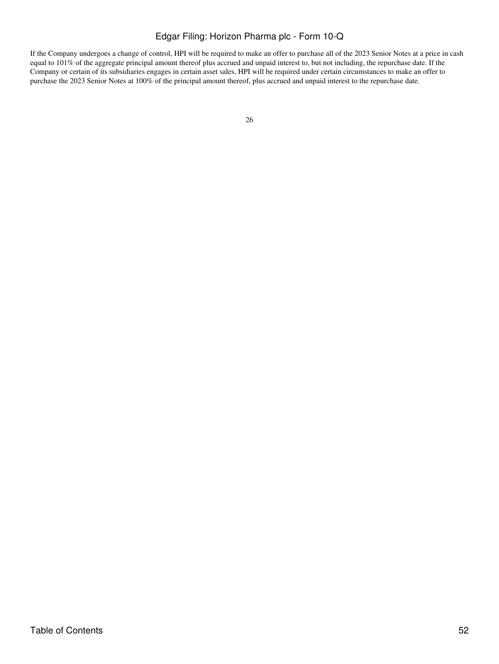If the Company undergoes a change of control, HPI will be required to make an offer to purchase all of the 2023 Senior Notes at a price in cash equal to 101% of the aggregate principal amount thereof plus accrued and unpaid interest to, but not including, the repurchase date. If the Company or certain of its subsidiaries engages in certain asset sales, HPI will be required under certain circumstances to make an offer to purchase the 2023 Senior Notes at 100% of the principal amount thereof, plus accrued and unpaid interest to the repurchase date.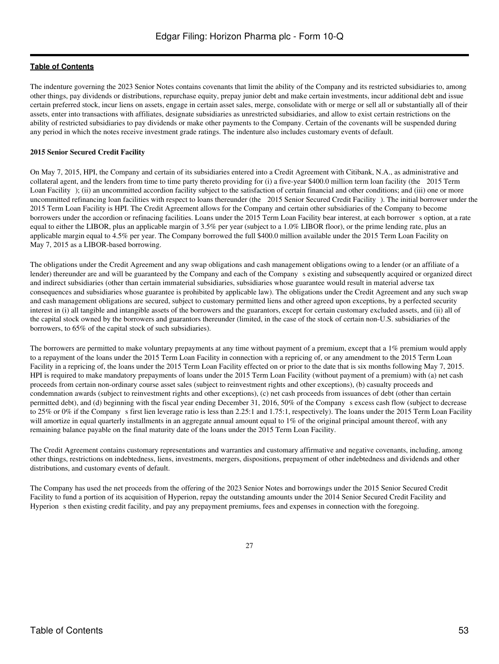The indenture governing the 2023 Senior Notes contains covenants that limit the ability of the Company and its restricted subsidiaries to, among other things, pay dividends or distributions, repurchase equity, prepay junior debt and make certain investments, incur additional debt and issue certain preferred stock, incur liens on assets, engage in certain asset sales, merge, consolidate with or merge or sell all or substantially all of their assets, enter into transactions with affiliates, designate subsidiaries as unrestricted subsidiaries, and allow to exist certain restrictions on the ability of restricted subsidiaries to pay dividends or make other payments to the Company. Certain of the covenants will be suspended during any period in which the notes receive investment grade ratings. The indenture also includes customary events of default.

#### **2015 Senior Secured Credit Facility**

On May 7, 2015, HPI, the Company and certain of its subsidiaries entered into a Credit Agreement with Citibank, N.A., as administrative and collateral agent, and the lenders from time to time party thereto providing for (i) a five-year \$400.0 million term loan facility (the 2015 Term Loan Facility); (ii) an uncommitted accordion facility subject to the satisfaction of certain financial and other conditions; and (iii) one or more uncommitted refinancing loan facilities with respect to loans thereunder (the 2015 Senior Secured Credit Facility). The initial borrower under the 2015 Term Loan Facility is HPI. The Credit Agreement allows for the Company and certain other subsidiaries of the Company to become borrowers under the accordion or refinacing facilities. Loans under the 2015 Term Loan Facility bear interest, at each borrowers option, at a rate equal to either the LIBOR, plus an applicable margin of 3.5% per year (subject to a 1.0% LIBOR floor), or the prime lending rate, plus an applicable margin equal to 4.5% per year. The Company borrowed the full \$400.0 million available under the 2015 Term Loan Facility on May 7, 2015 as a LIBOR-based borrowing.

The obligations under the Credit Agreement and any swap obligations and cash management obligations owing to a lender (or an affiliate of a lender) thereunder are and will be guaranteed by the Company and each of the Company s existing and subsequently acquired or organized direct and indirect subsidiaries (other than certain immaterial subsidiaries, subsidiaries whose guarantee would result in material adverse tax consequences and subsidiaries whose guarantee is prohibited by applicable law). The obligations under the Credit Agreement and any such swap and cash management obligations are secured, subject to customary permitted liens and other agreed upon exceptions, by a perfected security interest in (i) all tangible and intangible assets of the borrowers and the guarantors, except for certain customary excluded assets, and (ii) all of the capital stock owned by the borrowers and guarantors thereunder (limited, in the case of the stock of certain non-U.S. subsidiaries of the borrowers, to 65% of the capital stock of such subsidiaries).

The borrowers are permitted to make voluntary prepayments at any time without payment of a premium, except that a 1% premium would apply to a repayment of the loans under the 2015 Term Loan Facility in connection with a repricing of, or any amendment to the 2015 Term Loan Facility in a repricing of, the loans under the 2015 Term Loan Facility effected on or prior to the date that is six months following May 7, 2015. HPI is required to make mandatory prepayments of loans under the 2015 Term Loan Facility (without payment of a premium) with (a) net cash proceeds from certain non-ordinary course asset sales (subject to reinvestment rights and other exceptions), (b) casualty proceeds and condemnation awards (subject to reinvestment rights and other exceptions), (c) net cash proceeds from issuances of debt (other than certain permitted debt), and (d) beginning with the fiscal year ending December 31, 2016, 50% of the Companys excess cash flow (subject to decrease to 25% or 0% if the Companys first lien leverage ratio is less than 2.25:1 and 1.75:1, respectively). The loans under the 2015 Term Loan Facility will amortize in equal quarterly installments in an aggregate annual amount equal to 1% of the original principal amount thereof, with any remaining balance payable on the final maturity date of the loans under the 2015 Term Loan Facility.

The Credit Agreement contains customary representations and warranties and customary affirmative and negative covenants, including, among other things, restrictions on indebtedness, liens, investments, mergers, dispositions, prepayment of other indebtedness and dividends and other distributions, and customary events of default.

The Company has used the net proceeds from the offering of the 2023 Senior Notes and borrowings under the 2015 Senior Secured Credit Facility to fund a portion of its acquisition of Hyperion, repay the outstanding amounts under the 2014 Senior Secured Credit Facility and Hyperion s then existing credit facility, and pay any prepayment premiums, fees and expenses in connection with the foregoing.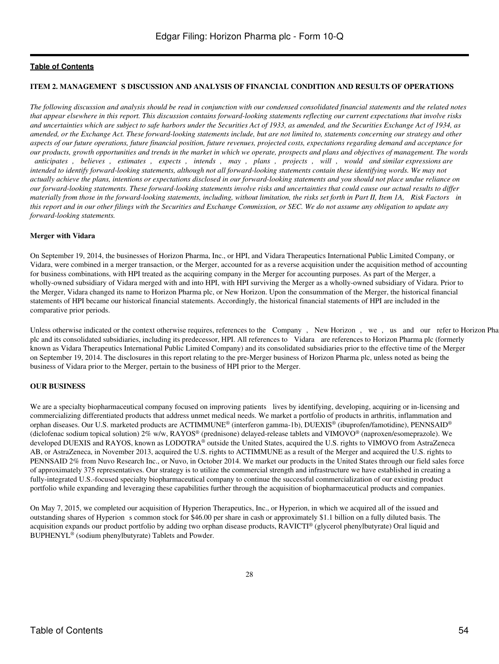#### **ITEM 2. MANAGEMENT S DISCUSSION AND ANALYSIS OF FINANCIAL CONDITION AND RESULTS OF OPERATIONS**

*The following discussion and analysis should be read in conjunction with our condensed consolidated financial statements and the related notes that appear elsewhere in this report. This discussion contains forward-looking statements reflecting our current expectations that involve risks and uncertainties which are subject to safe harbors under the Securities Act of 1933, as amended, and the Securities Exchange Act of 1934, as amended, or the Exchange Act. These forward-looking statements include, but are not limited to, statements concerning our strategy and other aspects of our future operations, future financial position, future revenues, projected costs, expectations regarding demand and acceptance for our products, growth opportunities and trends in the market in which we operate, prospects and plans and objectives of management. The words anticipates, believes, estimates, expects, intends, may, plans, projects, will, would and similar expressions are intended to identify forward-looking statements, although not all forward-looking statements contain these identifying words. We may not actually achieve the plans, intentions or expectations disclosed in our forward-looking statements and you should not place undue reliance on our forward-looking statements. These forward-looking statements involve risks and uncertainties that could cause our actual results to differ materially from those in the forward-looking statements, including, without limitation, the risks set forth in Part II, Item 1A, Risk Factors in this report and in our other filings with the Securities and Exchange Commission, or SEC. We do not assume any obligation to update any forward-looking statements.*

#### **Merger with Vidara**

On September 19, 2014, the businesses of Horizon Pharma, Inc., or HPI, and Vidara Therapeutics International Public Limited Company, or Vidara, were combined in a merger transaction, or the Merger, accounted for as a reverse acquisition under the acquisition method of accounting for business combinations, with HPI treated as the acquiring company in the Merger for accounting purposes. As part of the Merger, a wholly-owned subsidiary of Vidara merged with and into HPI, with HPI surviving the Merger as a wholly-owned subsidiary of Vidara. Prior to the Merger, Vidara changed its name to Horizon Pharma plc, or New Horizon. Upon the consummation of the Merger, the historical financial statements of HPI became our historical financial statements. Accordingly, the historical financial statements of HPI are included in the comparative prior periods.

Unless otherwise indicated or the context otherwise requires, references to the Company, New Horizon, we, us and our refer to Horizon Pha plc and its consolidated subsidiaries, including its predecessor, HPI. All references to Vidara are references to Horizon Pharma plc (formerly known as Vidara Therapeutics International Public Limited Company) and its consolidated subsidiaries prior to the effective time of the Merger on September 19, 2014. The disclosures in this report relating to the pre-Merger business of Horizon Pharma plc, unless noted as being the business of Vidara prior to the Merger, pertain to the business of HPI prior to the Merger.

#### **OUR BUSINESS**

We are a specialty biopharmaceutical company focused on improving patients lives by identifying, developing, acquiring or in-licensing and commercializing differentiated products that address unmet medical needs. We market a portfolio of products in arthritis, inflammation and orphan diseases. Our U.S. marketed products are ACTIMMUNE® (interferon gamma-1b), DUEXIS® (ibuprofen/famotidine), PENNSAID® (diclofenac sodium topical solution) 2% w/w, RAYOS® (prednisone) delayed-release tablets and VIMOVO® (naproxen/esomeprazole). We developed DUEXIS and RAYOS, known as LODOTRA® outside the United States, acquired the U.S. rights to VIMOVO from AstraZeneca AB, or AstraZeneca, in November 2013, acquired the U.S. rights to ACTIMMUNE as a result of the Merger and acquired the U.S. rights to PENNSAID 2% from Nuvo Research Inc., or Nuvo, in October 2014. We market our products in the United States through our field sales force of approximately 375 representatives. Our strategy is to utilize the commercial strength and infrastructure we have established in creating a fully-integrated U.S.-focused specialty biopharmaceutical company to continue the successful commercialization of our existing product portfolio while expanding and leveraging these capabilities further through the acquisition of biopharmaceutical products and companies.

On May 7, 2015, we completed our acquisition of Hyperion Therapeutics, Inc., or Hyperion, in which we acquired all of the issued and outstanding shares of Hyperion s common stock for \$46.00 per share in cash or approximately \$1.1 billion on a fully diluted basis. The acquisition expands our product portfolio by adding two orphan disease products, RAVICTI® (glycerol phenylbutyrate) Oral liquid and BUPHENYL® (sodium phenylbutyrate) Tablets and Powder.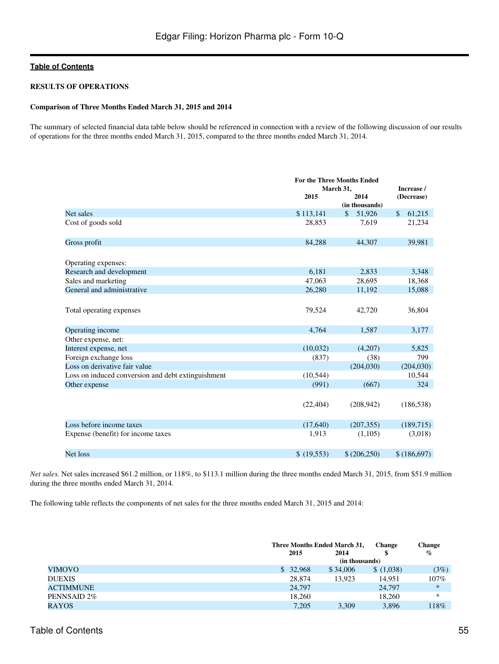#### **RESULTS OF OPERATIONS**

#### **Comparison of Three Months Ended March 31, 2015 and 2014**

The summary of selected financial data table below should be referenced in connection with a review of the following discussion of our results of operations for the three months ended March 31, 2015, compared to the three months ended March 31, 2014.

|                                                    |            | <b>For the Three Months Ended</b> |              |  |
|----------------------------------------------------|------------|-----------------------------------|--------------|--|
|                                                    |            | March 31,                         | Increase /   |  |
|                                                    | 2015       | 2014                              | (Decrease)   |  |
|                                                    |            | (in thousands)                    |              |  |
| Net sales                                          | \$113,141  | $\mathcal{S}$<br>51,926           | \$<br>61,215 |  |
| Cost of goods sold                                 | 28,853     | 7,619                             | 21,234       |  |
| Gross profit                                       | 84,288     | 44,307                            | 39,981       |  |
| Operating expenses:                                |            |                                   |              |  |
| Research and development                           | 6,181      | 2,833                             | 3,348        |  |
| Sales and marketing                                | 47,063     | 28,695                            | 18,368       |  |
| General and administrative                         | 26,280     | 11,192                            | 15,088       |  |
|                                                    |            |                                   |              |  |
| Total operating expenses                           | 79,524     | 42,720                            | 36,804       |  |
| Operating income                                   | 4.764      | 1,587                             | 3,177        |  |
| Other expense, net:                                |            |                                   |              |  |
| Interest expense, net                              | (10,032)   | (4,207)                           | 5,825        |  |
| Foreign exchange loss                              | (837)      | (38)                              | 799          |  |
| Loss on derivative fair value                      |            | (204, 030)                        | (204, 030)   |  |
| Loss on induced conversion and debt extinguishment | (10, 544)  |                                   | 10,544       |  |
| Other expense                                      | (991)      | (667)                             | 324          |  |
|                                                    |            |                                   |              |  |
|                                                    | (22, 404)  | (208, 942)                        | (186, 538)   |  |
| Loss before income taxes                           | (17,640)   | (207, 355)                        | (189, 715)   |  |
| Expense (benefit) for income taxes                 | 1,913      | (1,105)                           | (3,018)      |  |
| Net loss                                           | \$(19,553) | \$(206,250)                       | \$(186,697)  |  |

*Net sales.* Net sales increased \$61.2 million, or 118%, to \$113.1 million during the three months ended March 31, 2015, from \$51.9 million during the three months ended March 31, 2014.

The following table reflects the components of net sales for the three months ended March 31, 2015 and 2014:

|                  |          | Three Months Ended March 31, |           | <b>Change</b> |  |
|------------------|----------|------------------------------|-----------|---------------|--|
|                  | 2015     | 2014                         |           | $\%$          |  |
|                  |          | (in thousands)               |           |               |  |
| <b>VIMOVO</b>    | \$32,968 | \$34,006                     | \$(1,038) | (3%)          |  |
| <b>DUEXIS</b>    |          | 28,874<br>13.923             | 14.951    | 107%          |  |
| <b>ACTIMMUNE</b> |          | 24,797                       | 24,797    | $\ast$        |  |
| PENNSAID 2%      |          | 18.260                       | 18,260    | *             |  |
| <b>RAYOS</b>     |          | 7.205<br>3.309               | 3,896     | 118%          |  |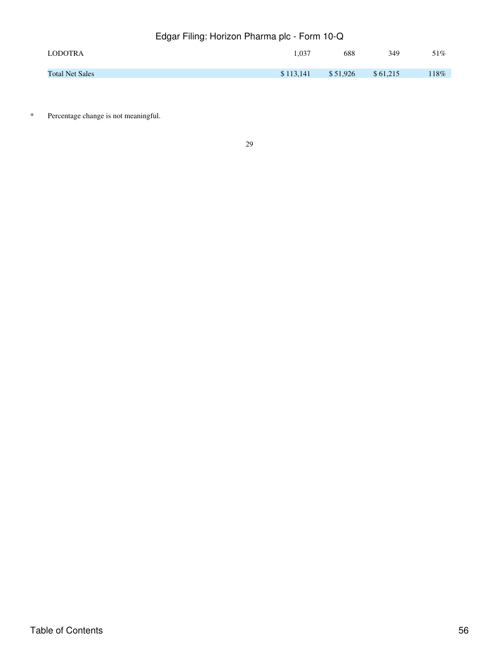| LODOTRA                | 1.037     | 688      | 349      | 51%  |
|------------------------|-----------|----------|----------|------|
| <b>Total Net Sales</b> | \$113,141 | \$51,926 | \$61,215 | 118% |

\* Percentage change is not meaningful.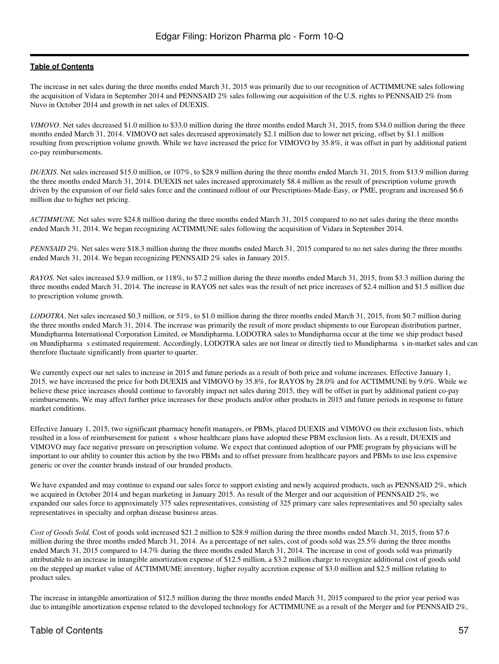The increase in net sales during the three months ended March 31, 2015 was primarily due to our recognition of ACTIMMUNE sales following the acquisition of Vidara in September 2014 and PENNSAID 2% sales following our acquisition of the U.S. rights to PENNSAID 2% from Nuvo in October 2014 and growth in net sales of DUEXIS.

*VIMOVO*. Net sales decreased \$1.0 million to \$33.0 million during the three months ended March 31, 2015, from \$34.0 million during the three months ended March 31, 2014. VIMOVO net sales decreased approximately \$2.1 million due to lower net pricing, offset by \$1.1 million resulting from prescription volume growth. While we have increased the price for VIMOVO by 35.8%, it was offset in part by additional patient co-pay reimbursements.

*DUEXIS*. Net sales increased \$15.0 million, or 107%, to \$28.9 million during the three months ended March 31, 2015, from \$13.9 million during the three months ended March 31, 2014. DUEXIS net sales increased approximately \$8.4 million as the result of prescription volume growth driven by the expansion of our field sales force and the continued rollout of our Prescriptions-Made-Easy, or PME, program and increased \$6.6 million due to higher net pricing.

*ACTIMMUNE.* Net sales were \$24.8 million during the three months ended March 31, 2015 compared to no net sales during the three months ended March 31, 2014. We began recognizing ACTIMMUNE sales following the acquisition of Vidara in September 2014.

*PENNSAID 2%.* Net sales were \$18.3 million during the three months ended March 31, 2015 compared to no net sales during the three months ended March 31, 2014. We began recognizing PENNSAID 2% sales in January 2015.

*RAYOS.* Net sales increased \$3.9 million, or 118%, to \$7.2 million during the three months ended March 31, 2015, from \$3.3 million during the three months ended March 31, 2014. The increase in RAYOS net sales was the result of net price increases of \$2.4 million and \$1.5 million due to prescription volume growth.

*LODOTRA*. Net sales increased \$0.3 million, or 51%, to \$1.0 million during the three months ended March 31, 2015, from \$0.7 million during the three months ended March 31, 2014. The increase was primarily the result of more product shipments to our European distribution partner, Mundipharma International Corporation Limited, or Mundipharma. LODOTRA sales to Mundipharma occur at the time we ship product based on Mundipharmas estimated requirement. Accordingly, LODOTRA sales are not linear or directly tied to Mundipharmas in-market sales and can therefore fluctuate significantly from quarter to quarter.

We currently expect our net sales to increase in 2015 and future periods as a result of both price and volume increases. Effective January 1, 2015, we have increased the price for both DUEXIS and VIMOVO by 35.8%, for RAYOS by 28.0% and for ACTIMMUNE by 9.0%. While we believe these price increases should continue to favorably impact net sales during 2015, they will be offset in part by additional patient co-pay reimbursements. We may affect further price increases for these products and/or other products in 2015 and future periods in response to future market conditions.

Effective January 1, 2015, two significant pharmacy benefit managers, or PBMs, placed DUEXIS and VIMOVO on their exclusion lists, which resulted in a loss of reimbursement for patient s whose healthcare plans have adopted these PBM exclusion lists. As a result, DUEXIS and VIMOVO may face negative pressure on prescription volume. We expect that continued adoption of our PME program by physicians will be important to our ability to counter this action by the two PBMs and to offset pressure from healthcare payors and PBMs to use less expensive generic or over the counter brands instead of our branded products.

We have expanded and may continue to expand our sales force to support existing and newly acquired products, such as PENNSAID 2%, which we acquired in October 2014 and began marketing in January 2015. As result of the Merger and our acquisition of PENNSAID 2%, we expanded our sales force to approximately 375 sales representatives, consisting of 325 primary care sales representatives and 50 specialty sales representatives in specialty and orphan disease business areas.

*Cost of Goods Sold.* Cost of goods sold increased \$21.2 million to \$28.9 million during the three months ended March 31, 2015, from \$7.6 million during the three months ended March 31, 2014. As a percentage of net sales, cost of goods sold was 25.5% during the three months ended March 31, 2015 compared to 14.7% during the three months ended March 31, 2014. The increase in cost of goods sold was primarily attributable to an increase in intangible amortization expense of \$12.5 million, a \$3.2 million charge to recognize additional cost of goods sold on the stepped up market value of ACTIMMUME inventory, higher royalty accretion expense of \$3.0 million and \$2.5 million relating to product sales.

The increase in intangible amortization of \$12.5 million during the three months ended March 31, 2015 compared to the prior year period was due to intangible amortization expense related to the developed technology for ACTIMMUNE as a result of the Merger and for PENNSAID 2%,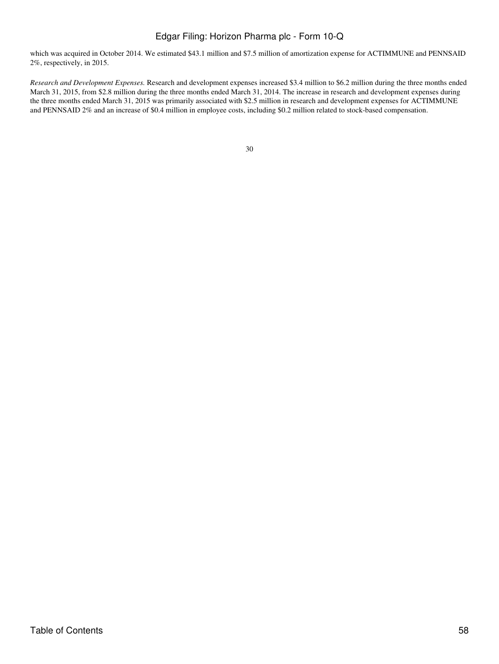which was acquired in October 2014. We estimated \$43.1 million and \$7.5 million of amortization expense for ACTIMMUNE and PENNSAID 2%, respectively, in 2015.

*Research and Development Expenses.* Research and development expenses increased \$3.4 million to \$6.2 million during the three months ended March 31, 2015, from \$2.8 million during the three months ended March 31, 2014. The increase in research and development expenses during the three months ended March 31, 2015 was primarily associated with \$2.5 million in research and development expenses for ACTIMMUNE and PENNSAID 2% and an increase of \$0.4 million in employee costs, including \$0.2 million related to stock-based compensation.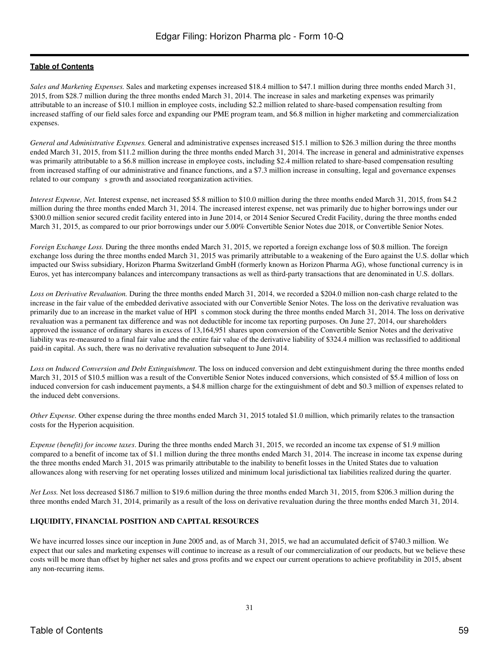*Sales and Marketing Expenses.* Sales and marketing expenses increased \$18.4 million to \$47.1 million during three months ended March 31, 2015, from \$28.7 million during the three months ended March 31, 2014. The increase in sales and marketing expenses was primarily attributable to an increase of \$10.1 million in employee costs, including \$2.2 million related to share-based compensation resulting from increased staffing of our field sales force and expanding our PME program team, and \$6.8 million in higher marketing and commercialization expenses.

*General and Administrative Expenses.* General and administrative expenses increased \$15.1 million to \$26.3 million during the three months ended March 31, 2015, from \$11.2 million during the three months ended March 31, 2014. The increase in general and administrative expenses was primarily attributable to a \$6.8 million increase in employee costs, including \$2.4 million related to share-based compensation resulting from increased staffing of our administrative and finance functions, and a \$7.3 million increase in consulting, legal and governance expenses related to our company s growth and associated reorganization activities.

*Interest Expense, Net.* Interest expense, net increased \$5.8 million to \$10.0 million during the three months ended March 31, 2015, from \$4.2 million during the three months ended March 31, 2014. The increased interest expense, net was primarily due to higher borrowings under our \$300.0 million senior secured credit facility entered into in June 2014, or 2014 Senior Secured Credit Facility, during the three months ended March 31, 2015, as compared to our prior borrowings under our 5.00% Convertible Senior Notes due 2018, or Convertible Senior Notes.

*Foreign Exchange Loss.* During the three months ended March 31, 2015, we reported a foreign exchange loss of \$0.8 million. The foreign exchange loss during the three months ended March 31, 2015 was primarily attributable to a weakening of the Euro against the U.S. dollar which impacted our Swiss subsidiary, Horizon Pharma Switzerland GmbH (formerly known as Horizon Pharma AG), whose functional currency is in Euros, yet has intercompany balances and intercompany transactions as well as third-party transactions that are denominated in U.S. dollars.

*Loss on Derivative Revaluation.* During the three months ended March 31, 2014, we recorded a \$204.0 million non-cash charge related to the increase in the fair value of the embedded derivative associated with our Convertible Senior Notes. The loss on the derivative revaluation was primarily due to an increase in the market value of HPI s common stock during the three months ended March 31, 2014. The loss on derivative revaluation was a permanent tax difference and was not deductible for income tax reporting purposes. On June 27, 2014, our shareholders approved the issuance of ordinary shares in excess of 13,164,951 shares upon conversion of the Convertible Senior Notes and the derivative liability was re-measured to a final fair value and the entire fair value of the derivative liability of \$324.4 million was reclassified to additional paid-in capital. As such, there was no derivative revaluation subsequent to June 2014.

*Loss on Induced Conversion and Debt Extinguishment*. The loss on induced conversion and debt extinguishment during the three months ended March 31, 2015 of \$10.5 million was a result of the Convertible Senior Notes induced conversions, which consisted of \$5.4 million of loss on induced conversion for cash inducement payments, a \$4.8 million charge for the extinguishment of debt and \$0.3 million of expenses related to the induced debt conversions.

*Other Expense.* Other expense during the three months ended March 31, 2015 totaled \$1.0 million, which primarily relates to the transaction costs for the Hyperion acquisition.

*Expense (benefit) for income taxes*. During the three months ended March 31, 2015, we recorded an income tax expense of \$1.9 million compared to a benefit of income tax of \$1.1 million during the three months ended March 31, 2014. The increase in income tax expense during the three months ended March 31, 2015 was primarily attributable to the inability to benefit losses in the United States due to valuation allowances along with reserving for net operating losses utilized and minimum local jurisdictional tax liabilities realized during the quarter.

*Net Loss.* Net loss decreased \$186.7 million to \$19.6 million during the three months ended March 31, 2015, from \$206.3 million during the three months ended March 31, 2014, primarily as a result of the loss on derivative revaluation during the three months ended March 31, 2014.

## **LIQUIDITY, FINANCIAL POSITION AND CAPITAL RESOURCES**

We have incurred losses since our inception in June 2005 and, as of March 31, 2015, we had an accumulated deficit of \$740.3 million. We expect that our sales and marketing expenses will continue to increase as a result of our commercialization of our products, but we believe these costs will be more than offset by higher net sales and gross profits and we expect our current operations to achieve profitability in 2015, absent any non-recurring items.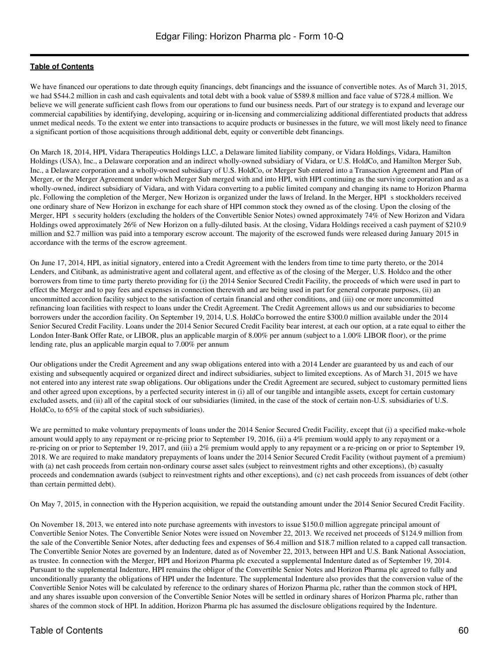We have financed our operations to date through equity financings, debt financings and the issuance of convertible notes. As of March 31, 2015, we had \$544.2 million in cash and cash equivalents and total debt with a book value of \$589.8 million and face value of \$728.4 million. We believe we will generate sufficient cash flows from our operations to fund our business needs. Part of our strategy is to expand and leverage our commercial capabilities by identifying, developing, acquiring or in-licensing and commercializing additional differentiated products that address unmet medical needs. To the extent we enter into transactions to acquire products or businesses in the future, we will most likely need to finance a significant portion of those acquisitions through additional debt, equity or convertible debt financings.

On March 18, 2014, HPI, Vidara Therapeutics Holdings LLC, a Delaware limited liability company, or Vidara Holdings, Vidara, Hamilton Holdings (USA), Inc., a Delaware corporation and an indirect wholly-owned subsidiary of Vidara, or U.S. HoldCo, and Hamilton Merger Sub, Inc., a Delaware corporation and a wholly-owned subsidiary of U.S. HoldCo, or Merger Sub entered into a Transaction Agreement and Plan of Merger, or the Merger Agreement under which Merger Sub merged with and into HPI, with HPI continuing as the surviving corporation and as a wholly-owned, indirect subsidiary of Vidara, and with Vidara converting to a public limited company and changing its name to Horizon Pharma plc. Following the completion of the Merger, New Horizon is organized under the laws of Ireland. In the Merger, HPI s stockholders received one ordinary share of New Horizon in exchange for each share of HPI common stock they owned as of the closing. Upon the closing of the Merger, HPI s security holders (excluding the holders of the Convertible Senior Notes) owned approximately 74% of New Horizon and Vidara Holdings owed approximately 26% of New Horizon on a fully-diluted basis. At the closing, Vidara Holdings received a cash payment of \$210.9 million and \$2.7 million was paid into a temporary escrow account. The majority of the escrowed funds were released during January 2015 in accordance with the terms of the escrow agreement.

On June 17, 2014, HPI, as initial signatory, entered into a Credit Agreement with the lenders from time to time party thereto, or the 2014 Lenders, and Citibank, as administrative agent and collateral agent, and effective as of the closing of the Merger, U.S. Holdco and the other borrowers from time to time party thereto providing for (i) the 2014 Senior Secured Credit Facility, the proceeds of which were used in part to effect the Merger and to pay fees and expenses in connection therewith and are being used in part for general corporate purposes, (ii) an uncommitted accordion facility subject to the satisfaction of certain financial and other conditions, and (iii) one or more uncommitted refinancing loan facilities with respect to loans under the Credit Agreement. The Credit Agreement allows us and our subsidiaries to become borrowers under the accordion facility. On September 19, 2014, U.S. HoldCo borrowed the entire \$300.0 million available under the 2014 Senior Secured Credit Facility. Loans under the 2014 Senior Secured Credit Facility bear interest, at each our option, at a rate equal to either the London Inter-Bank Offer Rate, or LIBOR, plus an applicable margin of 8.00% per annum (subject to a 1.00% LIBOR floor), or the prime lending rate, plus an applicable margin equal to 7.00% per annum

Our obligations under the Credit Agreement and any swap obligations entered into with a 2014 Lender are guaranteed by us and each of our existing and subsequently acquired or organized direct and indirect subsidiaries, subject to limited exceptions. As of March 31, 2015 we have not entered into any interest rate swap obligations. Our obligations under the Credit Agreement are secured, subject to customary permitted liens and other agreed upon exceptions, by a perfected security interest in (i) all of our tangible and intangible assets, except for certain customary excluded assets, and (ii) all of the capital stock of our subsidiaries (limited, in the case of the stock of certain non-U.S. subsidiaries of U.S. HoldCo, to 65% of the capital stock of such subsidiaries).

We are permitted to make voluntary prepayments of loans under the 2014 Senior Secured Credit Facility, except that (i) a specified make-whole amount would apply to any repayment or re-pricing prior to September 19, 2016, (ii) a 4% premium would apply to any repayment or a re-pricing on or prior to September 19, 2017, and (iii) a 2% premium would apply to any repayment or a re-pricing on or prior to September 19, 2018. We are required to make mandatory prepayments of loans under the 2014 Senior Secured Credit Facility (without payment of a premium) with (a) net cash proceeds from certain non-ordinary course asset sales (subject to reinvestment rights and other exceptions), (b) casualty proceeds and condemnation awards (subject to reinvestment rights and other exceptions), and (c) net cash proceeds from issuances of debt (other than certain permitted debt).

On May 7, 2015, in connection with the Hyperion acquisition, we repaid the outstanding amount under the 2014 Senior Secured Credit Facility.

On November 18, 2013, we entered into note purchase agreements with investors to issue \$150.0 million aggregate principal amount of Convertible Senior Notes. The Convertible Senior Notes were issued on November 22, 2013. We received net proceeds of \$124.9 million from the sale of the Convertible Senior Notes, after deducting fees and expenses of \$6.4 million and \$18.7 million related to a capped call transaction. The Convertible Senior Notes are governed by an Indenture, dated as of November 22, 2013, between HPI and U.S. Bank National Association, as trustee. In connection with the Merger, HPI and Horizon Pharma plc executed a supplemental Indenture dated as of September 19, 2014. Pursuant to the supplemental Indenture, HPI remains the obligor of the Convertible Senior Notes and Horizon Pharma plc agreed to fully and unconditionally guaranty the obligations of HPI under the Indenture. The supplemental Indenture also provides that the conversion value of the Convertible Senior Notes will be calculated by reference to the ordinary shares of Horizon Pharma plc, rather than the common stock of HPI, and any shares issuable upon conversion of the Convertible Senior Notes will be settled in ordinary shares of Horizon Pharma plc, rather than shares of the common stock of HPI. In addition, Horizon Pharma plc has assumed the disclosure obligations required by the Indenture.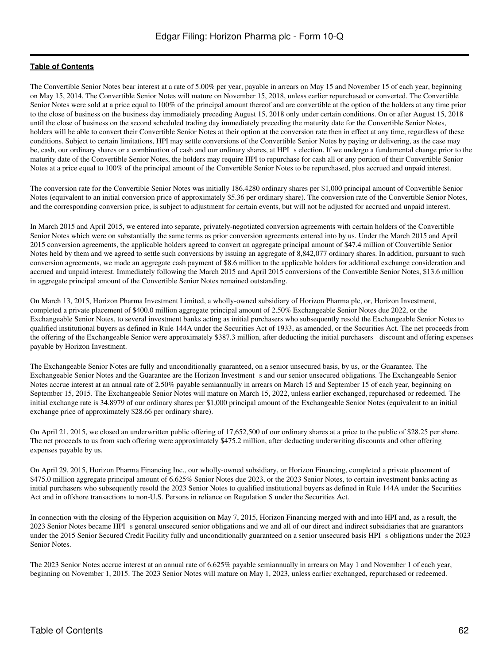The Convertible Senior Notes bear interest at a rate of 5.00% per year, payable in arrears on May 15 and November 15 of each year, beginning on May 15, 2014. The Convertible Senior Notes will mature on November 15, 2018, unless earlier repurchased or converted. The Convertible Senior Notes were sold at a price equal to 100% of the principal amount thereof and are convertible at the option of the holders at any time prior to the close of business on the business day immediately preceding August 15, 2018 only under certain conditions. On or after August 15, 2018 until the close of business on the second scheduled trading day immediately preceding the maturity date for the Convertible Senior Notes, holders will be able to convert their Convertible Senior Notes at their option at the conversion rate then in effect at any time, regardless of these conditions. Subject to certain limitations, HPI may settle conversions of the Convertible Senior Notes by paying or delivering, as the case may be, cash, our ordinary shares or a combination of cash and our ordinary shares, at HPI s election. If we undergo a fundamental change prior to the maturity date of the Convertible Senior Notes, the holders may require HPI to repurchase for cash all or any portion of their Convertible Senior Notes at a price equal to 100% of the principal amount of the Convertible Senior Notes to be repurchased, plus accrued and unpaid interest.

The conversion rate for the Convertible Senior Notes was initially 186.4280 ordinary shares per \$1,000 principal amount of Convertible Senior Notes (equivalent to an initial conversion price of approximately \$5.36 per ordinary share). The conversion rate of the Convertible Senior Notes, and the corresponding conversion price, is subject to adjustment for certain events, but will not be adjusted for accrued and unpaid interest.

In March 2015 and April 2015, we entered into separate, privately-negotiated conversion agreements with certain holders of the Convertible Senior Notes which were on substantially the same terms as prior conversion agreements entered into by us. Under the March 2015 and April 2015 conversion agreements, the applicable holders agreed to convert an aggregate principal amount of \$47.4 million of Convertible Senior Notes held by them and we agreed to settle such conversions by issuing an aggregate of 8,842,077 ordinary shares. In addition, pursuant to such conversion agreements, we made an aggregate cash payment of \$8.6 million to the applicable holders for additional exchange consideration and accrued and unpaid interest. Immediately following the March 2015 and April 2015 conversions of the Convertible Senior Notes, \$13.6 million in aggregate principal amount of the Convertible Senior Notes remained outstanding.

On March 13, 2015, Horizon Pharma Investment Limited, a wholly-owned subsidiary of Horizon Pharma plc, or, Horizon Investment, completed a private placement of \$400.0 million aggregate principal amount of 2.50% Exchangeable Senior Notes due 2022, or the Exchangeable Senior Notes, to several investment banks acting as initial purchasers who subsequently resold the Exchangeable Senior Notes to qualified institutional buyers as defined in Rule 144A under the Securities Act of 1933, as amended, or the Securities Act. The net proceeds from the offering of the Exchangeable Senior were approximately \$387.3 million, after deducting the initial purchasers discount and offering expenses payable by Horizon Investment.

The Exchangeable Senior Notes are fully and unconditionally guaranteed, on a senior unsecured basis, by us, or the Guarantee. The Exchangeable Senior Notes and the Guarantee are the Horizon Investment s and our senior unsecured obligations. The Exchangeable Senior Notes accrue interest at an annual rate of 2.50% payable semiannually in arrears on March 15 and September 15 of each year, beginning on September 15, 2015. The Exchangeable Senior Notes will mature on March 15, 2022, unless earlier exchanged, repurchased or redeemed. The initial exchange rate is 34.8979 of our ordinary shares per \$1,000 principal amount of the Exchangeable Senior Notes (equivalent to an initial exchange price of approximately \$28.66 per ordinary share).

On April 21, 2015, we closed an underwritten public offering of 17,652,500 of our ordinary shares at a price to the public of \$28.25 per share. The net proceeds to us from such offering were approximately \$475.2 million, after deducting underwriting discounts and other offering expenses payable by us.

On April 29, 2015, Horizon Pharma Financing Inc., our wholly-owned subsidiary, or Horizon Financing, completed a private placement of \$475.0 million aggregate principal amount of 6.625% Senior Notes due 2023, or the 2023 Senior Notes, to certain investment banks acting as initial purchasers who subsequently resold the 2023 Senior Notes to qualified institutional buyers as defined in Rule 144A under the Securities Act and in offshore transactions to non-U.S. Persons in reliance on Regulation S under the Securities Act.

In connection with the closing of the Hyperion acquisition on May 7, 2015, Horizon Financing merged with and into HPI and, as a result, the 2023 Senior Notes became HPIs general unsecured senior obligations and we and all of our direct and indirect subsidiaries that are guarantors under the 2015 Senior Secured Credit Facility fully and unconditionally guaranteed on a senior unsecured basis HPI s obligations under the 2023 Senior Notes.

The 2023 Senior Notes accrue interest at an annual rate of 6.625% payable semiannually in arrears on May 1 and November 1 of each year, beginning on November 1, 2015. The 2023 Senior Notes will mature on May 1, 2023, unless earlier exchanged, repurchased or redeemed.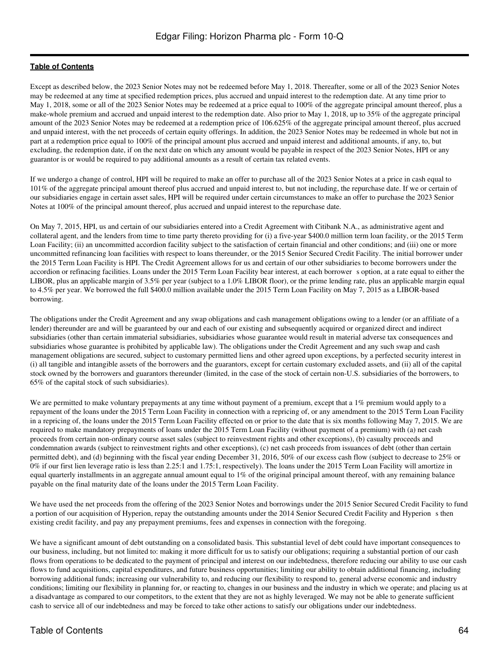Except as described below, the 2023 Senior Notes may not be redeemed before May 1, 2018. Thereafter, some or all of the 2023 Senior Notes may be redeemed at any time at specified redemption prices, plus accrued and unpaid interest to the redemption date. At any time prior to May 1, 2018, some or all of the 2023 Senior Notes may be redeemed at a price equal to 100% of the aggregate principal amount thereof, plus a make-whole premium and accrued and unpaid interest to the redemption date. Also prior to May 1, 2018, up to 35% of the aggregate principal amount of the 2023 Senior Notes may be redeemed at a redemption price of 106.625% of the aggregate principal amount thereof, plus accrued and unpaid interest, with the net proceeds of certain equity offerings. In addition, the 2023 Senior Notes may be redeemed in whole but not in part at a redemption price equal to 100% of the principal amount plus accrued and unpaid interest and additional amounts, if any, to, but excluding, the redemption date, if on the next date on which any amount would be payable in respect of the 2023 Senior Notes, HPI or any guarantor is or would be required to pay additional amounts as a result of certain tax related events.

If we undergo a change of control, HPI will be required to make an offer to purchase all of the 2023 Senior Notes at a price in cash equal to 101% of the aggregate principal amount thereof plus accrued and unpaid interest to, but not including, the repurchase date. If we or certain of our subsidiaries engage in certain asset sales, HPI will be required under certain circumstances to make an offer to purchase the 2023 Senior Notes at 100% of the principal amount thereof, plus accrued and unpaid interest to the repurchase date.

On May 7, 2015, HPI, us and certain of our subsidiaries entered into a Credit Agreement with Citibank N.A., as administrative agent and collateral agent, and the lenders from time to time party thereto providing for (i) a five-year \$400.0 million term loan facility, or the 2015 Term Loan Facility; (ii) an uncommitted accordion facility subject to the satisfaction of certain financial and other conditions; and (iii) one or more uncommitted refinancing loan facilities with respect to loans thereunder, or the 2015 Senior Secured Credit Facility. The initial borrower under the 2015 Term Loan Facility is HPI. The Credit Agreement allows for us and certain of our other subsidiaries to become borrowers under the accordion or refinacing facilities. Loans under the 2015 Term Loan Facility bear interest, at each borrower s option, at a rate equal to either the LIBOR, plus an applicable margin of 3.5% per year (subject to a 1.0% LIBOR floor), or the prime lending rate, plus an applicable margin equal to 4.5% per year. We borrowed the full \$400.0 million available under the 2015 Term Loan Facility on May 7, 2015 as a LIBOR-based borrowing.

The obligations under the Credit Agreement and any swap obligations and cash management obligations owing to a lender (or an affiliate of a lender) thereunder are and will be guaranteed by our and each of our existing and subsequently acquired or organized direct and indirect subsidiaries (other than certain immaterial subsidiaries, subsidiaries whose guarantee would result in material adverse tax consequences and subsidiaries whose guarantee is prohibited by applicable law). The obligations under the Credit Agreement and any such swap and cash management obligations are secured, subject to customary permitted liens and other agreed upon exceptions, by a perfected security interest in (i) all tangible and intangible assets of the borrowers and the guarantors, except for certain customary excluded assets, and (ii) all of the capital stock owned by the borrowers and guarantors thereunder (limited, in the case of the stock of certain non-U.S. subsidiaries of the borrowers, to 65% of the capital stock of such subsidiaries).

We are permitted to make voluntary prepayments at any time without payment of a premium, except that a 1% premium would apply to a repayment of the loans under the 2015 Term Loan Facility in connection with a repricing of, or any amendment to the 2015 Term Loan Facility in a repricing of, the loans under the 2015 Term Loan Facility effected on or prior to the date that is six months following May 7, 2015. We are required to make mandatory prepayments of loans under the 2015 Term Loan Facility (without payment of a premium) with (a) net cash proceeds from certain non-ordinary course asset sales (subject to reinvestment rights and other exceptions), (b) casualty proceeds and condemnation awards (subject to reinvestment rights and other exceptions), (c) net cash proceeds from issuances of debt (other than certain permitted debt), and (d) beginning with the fiscal year ending December 31, 2016, 50% of our excess cash flow (subject to decrease to 25% or 0% if our first lien leverage ratio is less than 2.25:1 and 1.75:1, respectively). The loans under the 2015 Term Loan Facility will amortize in equal quarterly installments in an aggregate annual amount equal to 1% of the original principal amount thereof, with any remaining balance payable on the final maturity date of the loans under the 2015 Term Loan Facility.

We have used the net proceeds from the offering of the 2023 Senior Notes and borrowings under the 2015 Senior Secured Credit Facility to fund a portion of our acquisition of Hyperion, repay the outstanding amounts under the 2014 Senior Secured Credit Facility and Hyperion s then existing credit facility, and pay any prepayment premiums, fees and expenses in connection with the foregoing.

We have a significant amount of debt outstanding on a consolidated basis. This substantial level of debt could have important consequences to our business, including, but not limited to: making it more difficult for us to satisfy our obligations; requiring a substantial portion of our cash flows from operations to be dedicated to the payment of principal and interest on our indebtedness, therefore reducing our ability to use our cash flows to fund acquisitions, capital expenditures, and future business opportunities; limiting our ability to obtain additional financing, including borrowing additional funds; increasing our vulnerability to, and reducing our flexibility to respond to, general adverse economic and industry conditions; limiting our flexibility in planning for, or reacting to, changes in our business and the industry in which we operate; and placing us at a disadvantage as compared to our competitors, to the extent that they are not as highly leveraged. We may not be able to generate sufficient cash to service all of our indebtedness and may be forced to take other actions to satisfy our obligations under our indebtedness.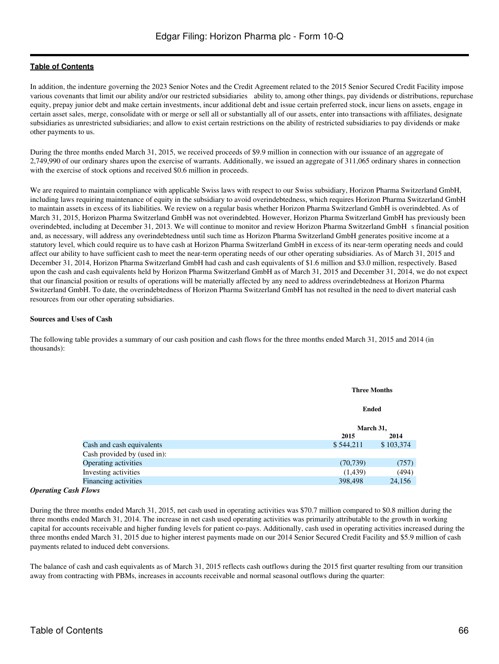In addition, the indenture governing the 2023 Senior Notes and the Credit Agreement related to the 2015 Senior Secured Credit Facility impose various covenants that limit our ability and/or our restricted subsidiaries ability to, among other things, pay dividends or distributions, repurchase equity, prepay junior debt and make certain investments, incur additional debt and issue certain preferred stock, incur liens on assets, engage in certain asset sales, merge, consolidate with or merge or sell all or substantially all of our assets, enter into transactions with affiliates, designate subsidiaries as unrestricted subsidiaries; and allow to exist certain restrictions on the ability of restricted subsidiaries to pay dividends or make other payments to us.

During the three months ended March 31, 2015, we received proceeds of \$9.9 million in connection with our issuance of an aggregate of 2,749,990 of our ordinary shares upon the exercise of warrants. Additionally, we issued an aggregate of 311,065 ordinary shares in connection with the exercise of stock options and received \$0.6 million in proceeds.

We are required to maintain compliance with applicable Swiss laws with respect to our Swiss subsidiary, Horizon Pharma Switzerland GmbH, including laws requiring maintenance of equity in the subsidiary to avoid overindebtedness, which requires Horizon Pharma Switzerland GmbH to maintain assets in excess of its liabilities. We review on a regular basis whether Horizon Pharma Switzerland GmbH is overindebted. As of March 31, 2015, Horizon Pharma Switzerland GmbH was not overindebted. However, Horizon Pharma Switzerland GmbH has previously been overindebted, including at December 31, 2013. We will continue to monitor and review Horizon Pharma Switzerland GmbH s financial position and, as necessary, will address any overindebtedness until such time as Horizon Pharma Switzerland GmbH generates positive income at a statutory level, which could require us to have cash at Horizon Pharma Switzerland GmbH in excess of its near-term operating needs and could affect our ability to have sufficient cash to meet the near-term operating needs of our other operating subsidiaries. As of March 31, 2015 and December 31, 2014, Horizon Pharma Switzerland GmbH had cash and cash equivalents of \$1.6 million and \$3.0 million, respectively. Based upon the cash and cash equivalents held by Horizon Pharma Switzerland GmbH as of March 31, 2015 and December 31, 2014, we do not expect that our financial position or results of operations will be materially affected by any need to address overindebtedness at Horizon Pharma Switzerland GmbH. To date, the overindebtedness of Horizon Pharma Switzerland GmbH has not resulted in the need to divert material cash resources from our other operating subsidiaries.

#### **Sources and Uses of Cash**

The following table provides a summary of our cash position and cash flows for the three months ended March 31, 2015 and 2014 (in thousands):

|                             |           | <b>Three Months</b> |  |  |
|-----------------------------|-----------|---------------------|--|--|
|                             |           | Ended               |  |  |
|                             |           | March 31,           |  |  |
|                             | 2015      | 2014                |  |  |
| Cash and cash equivalents   | \$544,211 | \$103,374           |  |  |
| Cash provided by (used in): |           |                     |  |  |
| Operating activities        | (70, 739) | (757)               |  |  |
| Investing activities        | (1,439)   | (494)               |  |  |
| Financing activities        | 398,498   | 24,156              |  |  |

#### *Operating Cash Flows*

During the three months ended March 31, 2015, net cash used in operating activities was \$70.7 million compared to \$0.8 million during the three months ended March 31, 2014. The increase in net cash used operating activities was primarily attributable to the growth in working capital for accounts receivable and higher funding levels for patient co-pays. Additionally, cash used in operating activities increased during the three months ended March 31, 2015 due to higher interest payments made on our 2014 Senior Secured Credit Facility and \$5.9 million of cash payments related to induced debt conversions.

The balance of cash and cash equivalents as of March 31, 2015 reflects cash outflows during the 2015 first quarter resulting from our transition away from contracting with PBMs, increases in accounts receivable and normal seasonal outflows during the quarter: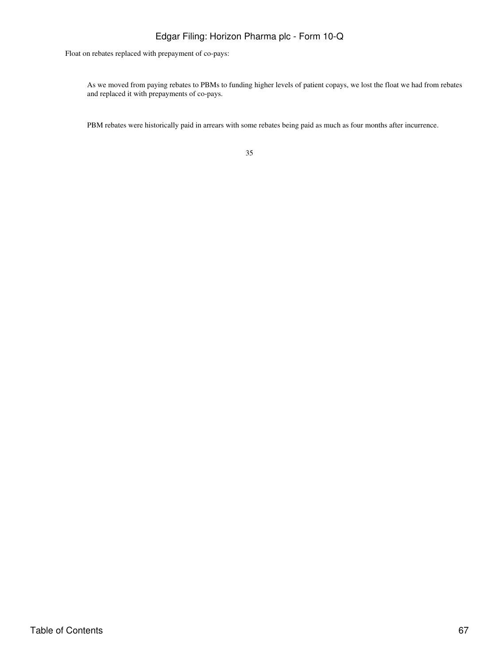Float on rebates replaced with prepayment of co-pays:

As we moved from paying rebates to PBMs to funding higher levels of patient copays, we lost the float we had from rebates and replaced it with prepayments of co-pays.

PBM rebates were historically paid in arrears with some rebates being paid as much as four months after incurrence.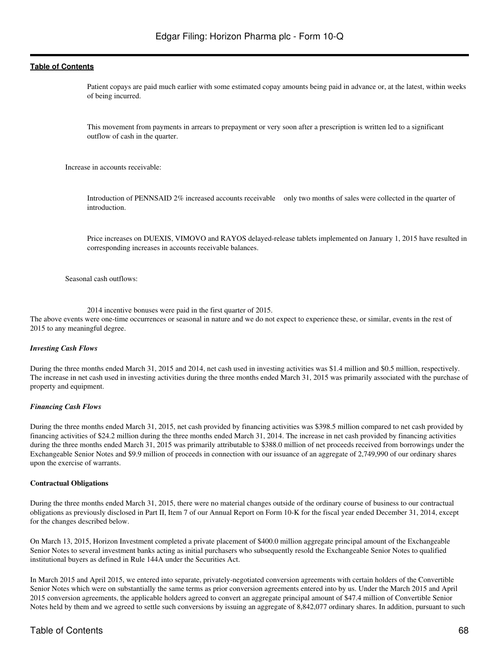Patient copays are paid much earlier with some estimated copay amounts being paid in advance or, at the latest, within weeks of being incurred.

This movement from payments in arrears to prepayment or very soon after a prescription is written led to a significant outflow of cash in the quarter.

Increase in accounts receivable:

Introduction of PENNSAID 2% increased accounts receivable only two months of sales were collected in the quarter of introduction.

Price increases on DUEXIS, VIMOVO and RAYOS delayed-release tablets implemented on January 1, 2015 have resulted in corresponding increases in accounts receivable balances.

Seasonal cash outflows:

2014 incentive bonuses were paid in the first quarter of 2015.

The above events were one-time occurrences or seasonal in nature and we do not expect to experience these, or similar, events in the rest of 2015 to any meaningful degree.

#### *Investing Cash Flows*

During the three months ended March 31, 2015 and 2014, net cash used in investing activities was \$1.4 million and \$0.5 million, respectively. The increase in net cash used in investing activities during the three months ended March 31, 2015 was primarily associated with the purchase of property and equipment.

#### *Financing Cash Flows*

During the three months ended March 31, 2015, net cash provided by financing activities was \$398.5 million compared to net cash provided by financing activities of \$24.2 million during the three months ended March 31, 2014. The increase in net cash provided by financing activities during the three months ended March 31, 2015 was primarily attributable to \$388.0 million of net proceeds received from borrowings under the Exchangeable Senior Notes and \$9.9 million of proceeds in connection with our issuance of an aggregate of 2,749,990 of our ordinary shares upon the exercise of warrants.

#### **Contractual Obligations**

During the three months ended March 31, 2015, there were no material changes outside of the ordinary course of business to our contractual obligations as previously disclosed in Part II, Item 7 of our Annual Report on Form 10-K for the fiscal year ended December 31, 2014, except for the changes described below.

On March 13, 2015, Horizon Investment completed a private placement of \$400.0 million aggregate principal amount of the Exchangeable Senior Notes to several investment banks acting as initial purchasers who subsequently resold the Exchangeable Senior Notes to qualified institutional buyers as defined in Rule 144A under the Securities Act.

In March 2015 and April 2015, we entered into separate, privately-negotiated conversion agreements with certain holders of the Convertible Senior Notes which were on substantially the same terms as prior conversion agreements entered into by us. Under the March 2015 and April 2015 conversion agreements, the applicable holders agreed to convert an aggregate principal amount of \$47.4 million of Convertible Senior Notes held by them and we agreed to settle such conversions by issuing an aggregate of 8,842,077 ordinary shares. In addition, pursuant to such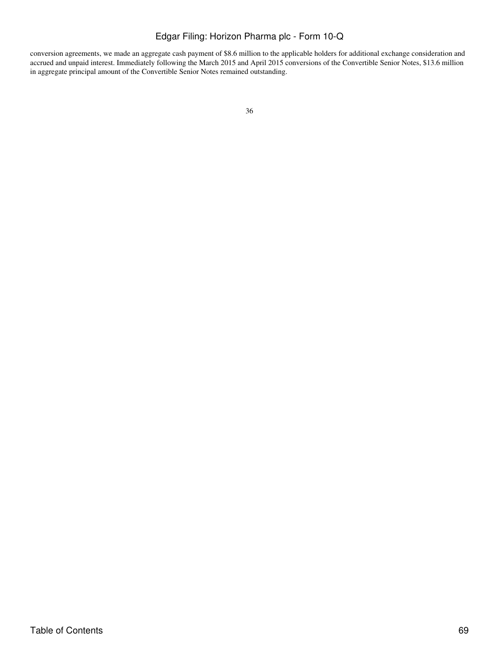conversion agreements, we made an aggregate cash payment of \$8.6 million to the applicable holders for additional exchange consideration and accrued and unpaid interest. Immediately following the March 2015 and April 2015 conversions of the Convertible Senior Notes, \$13.6 million in aggregate principal amount of the Convertible Senior Notes remained outstanding.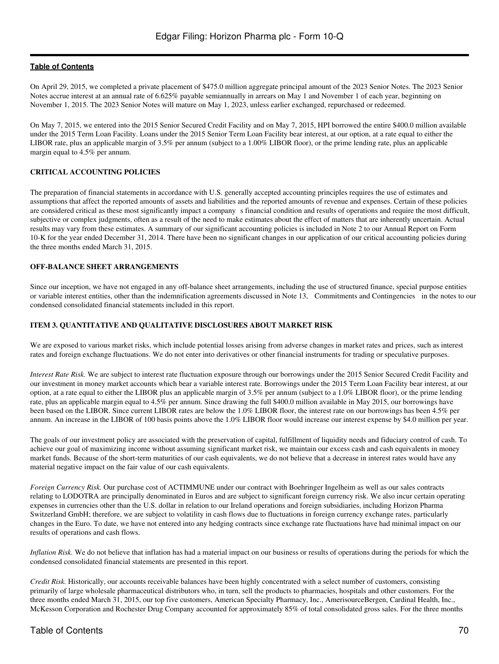On April 29, 2015, we completed a private placement of \$475.0 million aggregate principal amount of the 2023 Senior Notes. The 2023 Senior Notes accrue interest at an annual rate of 6.625% payable semiannually in arrears on May 1 and November 1 of each year, beginning on November 1, 2015. The 2023 Senior Notes will mature on May 1, 2023, unless earlier exchanged, repurchased or redeemed.

On May 7, 2015, we entered into the 2015 Senior Secured Credit Facility and on May 7, 2015, HPI borrowed the entire \$400.0 million available under the 2015 Term Loan Facility. Loans under the 2015 Senior Term Loan Facility bear interest, at our option, at a rate equal to either the LIBOR rate, plus an applicable margin of 3.5% per annum (subject to a 1.00% LIBOR floor), or the prime lending rate, plus an applicable margin equal to 4.5% per annum.

## **CRITICAL ACCOUNTING POLICIES**

The preparation of financial statements in accordance with U.S. generally accepted accounting principles requires the use of estimates and assumptions that affect the reported amounts of assets and liabilities and the reported amounts of revenue and expenses. Certain of these policies are considered critical as these most significantly impact a companys financial condition and results of operations and require the most difficult, subjective or complex judgments, often as a result of the need to make estimates about the effect of matters that are inherently uncertain. Actual results may vary from these estimates. A summary of our significant accounting policies is included in Note 2 to our Annual Report on Form 10-K for the year ended December 31, 2014. There have been no significant changes in our application of our critical accounting policies during the three months ended March 31, 2015.

#### **OFF-BALANCE SHEET ARRANGEMENTS**

Since our inception, we have not engaged in any off-balance sheet arrangements, including the use of structured finance, special purpose entities or variable interest entities, other than the indemnification agreements discussed in Note 13, Commitments and Contingencies in the notes to our condensed consolidated financial statements included in this report.

#### **ITEM 3. QUANTITATIVE AND QUALITATIVE DISCLOSURES ABOUT MARKET RISK**

We are exposed to various market risks, which include potential losses arising from adverse changes in market rates and prices, such as interest rates and foreign exchange fluctuations. We do not enter into derivatives or other financial instruments for trading or speculative purposes.

*Interest Rate Risk.* We are subject to interest rate fluctuation exposure through our borrowings under the 2015 Senior Secured Credit Facility and our investment in money market accounts which bear a variable interest rate. Borrowings under the 2015 Term Loan Facility bear interest, at our option, at a rate equal to either the LIBOR plus an applicable margin of 3.5% per annum (subject to a 1.0% LIBOR floor), or the prime lending rate, plus an applicable margin equal to 4.5% per annum. Since drawing the full \$400.0 million available in May 2015, our borrowings have been based on the LIBOR. Since current LIBOR rates are below the 1.0% LIBOR floor, the interest rate on our borrowings has been 4.5% per annum. An increase in the LIBOR of 100 basis points above the 1.0% LIBOR floor would increase our interest expense by \$4.0 million per year.

The goals of our investment policy are associated with the preservation of capital, fulfillment of liquidity needs and fiduciary control of cash. To achieve our goal of maximizing income without assuming significant market risk, we maintain our excess cash and cash equivalents in money market funds. Because of the short-term maturities of our cash equivalents, we do not believe that a decrease in interest rates would have any material negative impact on the fair value of our cash equivalents.

*Foreign Currency Risk.* Our purchase cost of ACTIMMUNE under our contract with Boehringer Ingelheim as well as our sales contracts relating to LODOTRA are principally denominated in Euros and are subject to significant foreign currency risk. We also incur certain operating expenses in currencies other than the U.S. dollar in relation to our Ireland operations and foreign subsidiaries, including Horizon Pharma Switzerland GmbH; therefore, we are subject to volatility in cash flows due to fluctuations in foreign currency exchange rates, particularly changes in the Euro. To date, we have not entered into any hedging contracts since exchange rate fluctuations have had minimal impact on our results of operations and cash flows.

*Inflation Risk.* We do not believe that inflation has had a material impact on our business or results of operations during the periods for which the condensed consolidated financial statements are presented in this report.

*Credit Risk.* Historically, our accounts receivable balances have been highly concentrated with a select number of customers, consisting primarily of large wholesale pharmaceutical distributors who, in turn, sell the products to pharmacies, hospitals and other customers. For the three months ended March 31, 2015, our top five customers, American Specialty Pharmacy, Inc., AmerisourceBergen, Cardinal Health, Inc., McKesson Corporation and Rochester Drug Company accounted for approximately 85% of total consolidated gross sales. For the three months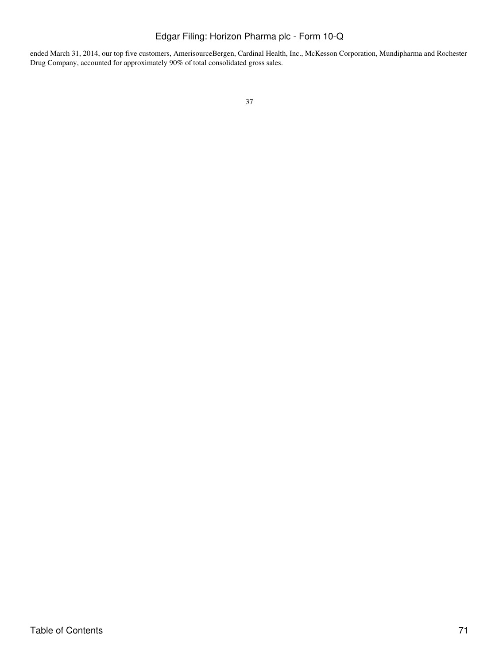ended March 31, 2014, our top five customers, AmerisourceBergen, Cardinal Health, Inc., McKesson Corporation, Mundipharma and Rochester Drug Company, accounted for approximately 90% of total consolidated gross sales.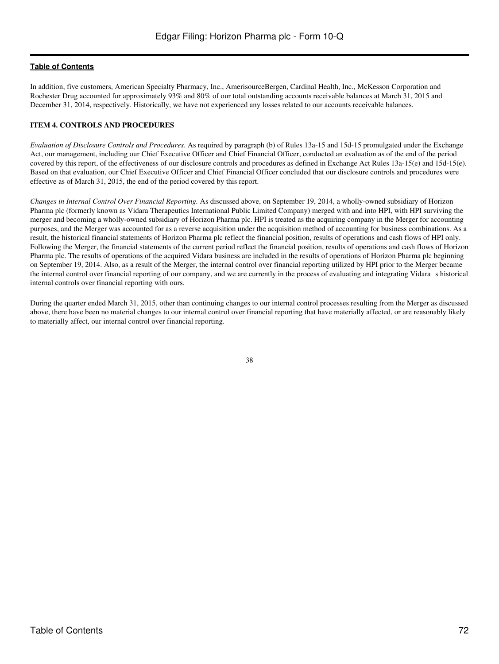In addition, five customers, American Specialty Pharmacy, Inc., AmerisourceBergen, Cardinal Health, Inc., McKesson Corporation and Rochester Drug accounted for approximately 93% and 80% of our total outstanding accounts receivable balances at March 31, 2015 and December 31, 2014, respectively. Historically, we have not experienced any losses related to our accounts receivable balances.

## **ITEM 4. CONTROLS AND PROCEDURES**

*Evaluation of Disclosure Controls and Procedures*. As required by paragraph (b) of Rules 13a-15 and 15d-15 promulgated under the Exchange Act, our management, including our Chief Executive Officer and Chief Financial Officer, conducted an evaluation as of the end of the period covered by this report, of the effectiveness of our disclosure controls and procedures as defined in Exchange Act Rules 13a-15(e) and 15d-15(e). Based on that evaluation, our Chief Executive Officer and Chief Financial Officer concluded that our disclosure controls and procedures were effective as of March 31, 2015, the end of the period covered by this report.

*Changes in Internal Control Over Financial Reporting.* As discussed above, on September 19, 2014, a wholly-owned subsidiary of Horizon Pharma plc (formerly known as Vidara Therapeutics International Public Limited Company) merged with and into HPI, with HPI surviving the merger and becoming a wholly-owned subsidiary of Horizon Pharma plc. HPI is treated as the acquiring company in the Merger for accounting purposes, and the Merger was accounted for as a reverse acquisition under the acquisition method of accounting for business combinations. As a result, the historical financial statements of Horizon Pharma plc reflect the financial position, results of operations and cash flows of HPI only. Following the Merger, the financial statements of the current period reflect the financial position, results of operations and cash flows of Horizon Pharma plc. The results of operations of the acquired Vidara business are included in the results of operations of Horizon Pharma plc beginning on September 19, 2014. Also, as a result of the Merger, the internal control over financial reporting utilized by HPI prior to the Merger became the internal control over financial reporting of our company, and we are currently in the process of evaluating and integrating Vidaras historical internal controls over financial reporting with ours.

During the quarter ended March 31, 2015, other than continuing changes to our internal control processes resulting from the Merger as discussed above, there have been no material changes to our internal control over financial reporting that have materially affected, or are reasonably likely to materially affect, our internal control over financial reporting.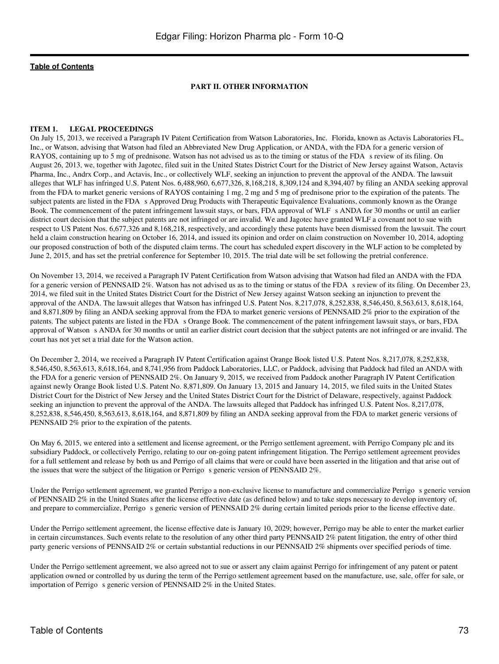#### **PART II. OTHER INFORMATION**

#### **ITEM 1. LEGAL PROCEEDINGS**

On July 15, 2013, we received a Paragraph IV Patent Certification from Watson Laboratories, Inc. Florida, known as Actavis Laboratories FL, Inc., or Watson, advising that Watson had filed an Abbreviated New Drug Application, or ANDA, with the FDA for a generic version of RAYOS, containing up to 5 mg of prednisone. Watson has not advised us as to the timing or status of the FDA s review of its filing. On August 26, 2013, we, together with Jagotec, filed suit in the United States District Court for the District of New Jersey against Watson, Actavis Pharma, Inc., Andrx Corp., and Actavis, Inc., or collectively WLF, seeking an injunction to prevent the approval of the ANDA. The lawsuit alleges that WLF has infringed U.S. Patent Nos. 6,488,960, 6,677,326, 8,168,218, 8,309,124 and 8,394,407 by filing an ANDA seeking approval from the FDA to market generic versions of RAYOS containing 1 mg, 2 mg and 5 mg of prednisone prior to the expiration of the patents. The subject patents are listed in the FDA s Approved Drug Products with Therapeutic Equivalence Evaluations, commonly known as the Orange Book. The commencement of the patent infringement lawsuit stays, or bars, FDA approval of WLF s ANDA for 30 months or until an earlier district court decision that the subject patents are not infringed or are invalid. We and Jagotec have granted WLF a covenant not to sue with respect to US Patent Nos. 6,677,326 and 8,168,218, respectively, and accordingly these patents have been dismissed from the lawsuit. The court held a claim construction hearing on October 16, 2014, and issued its opinion and order on claim construction on November 10, 2014, adopting our proposed construction of both of the disputed claim terms. The court has scheduled expert discovery in the WLF action to be completed by June 2, 2015, and has set the pretrial conference for September 10, 2015. The trial date will be set following the pretrial conference.

On November 13, 2014, we received a Paragraph IV Patent Certification from Watson advising that Watson had filed an ANDA with the FDA for a generic version of PENNSAID 2%. Watson has not advised us as to the timing or status of the FDA s review of its filing. On December 23, 2014, we filed suit in the United States District Court for the District of New Jersey against Watson seeking an injunction to prevent the approval of the ANDA. The lawsuit alleges that Watson has infringed U.S. Patent Nos. 8,217,078, 8,252,838, 8,546,450, 8,563,613, 8,618,164, and 8,871,809 by filing an ANDA seeking approval from the FDA to market generic versions of PENNSAID 2% prior to the expiration of the patents. The subject patents are listed in the FDA s Orange Book. The commencement of the patent infringement lawsuit stays, or bars, FDA approval of Watson s ANDA for 30 months or until an earlier district court decision that the subject patents are not infringed or are invalid. The court has not yet set a trial date for the Watson action.

On December 2, 2014, we received a Paragraph IV Patent Certification against Orange Book listed U.S. Patent Nos. 8,217,078, 8,252,838, 8,546,450, 8,563,613, 8,618,164, and 8,741,956 from Paddock Laboratories, LLC, or Paddock, advising that Paddock had filed an ANDA with the FDA for a generic version of PENNSAID 2%. On January 9, 2015, we received from Paddock another Paragraph IV Patent Certification against newly Orange Book listed U.S. Patent No. 8,871,809. On January 13, 2015 and January 14, 2015, we filed suits in the United States District Court for the District of New Jersey and the United States District Court for the District of Delaware, respectively, against Paddock seeking an injunction to prevent the approval of the ANDA. The lawsuits alleged that Paddock has infringed U.S. Patent Nos. 8,217,078, 8,252,838, 8,546,450, 8,563,613, 8,618,164, and 8,871,809 by filing an ANDA seeking approval from the FDA to market generic versions of PENNSAID 2% prior to the expiration of the patents.

On May 6, 2015, we entered into a settlement and license agreement, or the Perrigo settlement agreement, with Perrigo Company plc and its subsidiary Paddock, or collectively Perrigo, relating to our on-going patent infringement litigation. The Perrigo settlement agreement provides for a full settlement and release by both us and Perrigo of all claims that were or could have been asserted in the litigation and that arise out of the issues that were the subject of the litigation or Perrigo s generic version of PENNSAID 2%.

Under the Perrigo settlement agreement, we granted Perrigo a non-exclusive license to manufacture and commercialize Perrigo s generic version of PENNSAID 2% in the United States after the license effective date (as defined below) and to take steps necessary to develop inventory of, and prepare to commercialize, Perrigo s generic version of PENNSAID 2% during certain limited periods prior to the license effective date.

Under the Perrigo settlement agreement, the license effective date is January 10, 2029; however, Perrigo may be able to enter the market earlier in certain circumstances. Such events relate to the resolution of any other third party PENNSAID 2% patent litigation, the entry of other third party generic versions of PENNSAID 2% or certain substantial reductions in our PENNSAID 2% shipments over specified periods of time.

Under the Perrigo settlement agreement, we also agreed not to sue or assert any claim against Perrigo for infringement of any patent or patent application owned or controlled by us during the term of the Perrigo settlement agreement based on the manufacture, use, sale, offer for sale, or importation of Perrigo s generic version of PENNSAID 2% in the United States.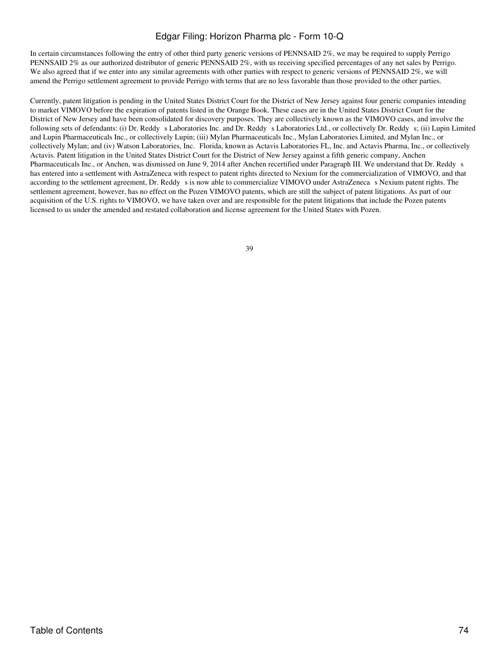In certain circumstances following the entry of other third party generic versions of PENNSAID 2%, we may be required to supply Perrigo PENNSAID 2% as our authorized distributor of generic PENNSAID 2%, with us receiving specified percentages of any net sales by Perrigo. We also agreed that if we enter into any similar agreements with other parties with respect to generic versions of PENNSAID 2%, we will amend the Perrigo settlement agreement to provide Perrigo with terms that are no less favorable than those provided to the other parties.

Currently, patent litigation is pending in the United States District Court for the District of New Jersey against four generic companies intending to market VIMOVO before the expiration of patents listed in the Orange Book. These cases are in the United States District Court for the District of New Jersey and have been consolidated for discovery purposes. They are collectively known as the VIMOVO cases, and involve the following sets of defendants: (i) Dr. Reddy s Laboratories Inc. and Dr. Reddy s Laboratories Ltd., or collectively Dr. Reddy s; (ii) Lupin Limited and Lupin Pharmaceuticals Inc., or collectively Lupin; (iii) Mylan Pharmaceuticals Inc., Mylan Laboratories Limited, and Mylan Inc., or collectively Mylan; and (iv) Watson Laboratories, Inc. Florida, known as Actavis Laboratories FL, Inc. and Actavis Pharma, Inc., or collectively Actavis. Patent litigation in the United States District Court for the District of New Jersey against a fifth generic company, Anchen Pharmaceuticals Inc., or Anchen, was dismissed on June 9, 2014 after Anchen recertified under Paragraph III. We understand that Dr. Reddy s has entered into a settlement with AstraZeneca with respect to patent rights directed to Nexium for the commercialization of VIMOVO, and that according to the settlement agreement, Dr. Reddy s is now able to commercialize VIMOVO under AstraZeneca s Nexium patent rights. The settlement agreement, however, has no effect on the Pozen VIMOVO patents, which are still the subject of patent litigations. As part of our acquisition of the U.S. rights to VIMOVO, we have taken over and are responsible for the patent litigations that include the Pozen patents licensed to us under the amended and restated collaboration and license agreement for the United States with Pozen.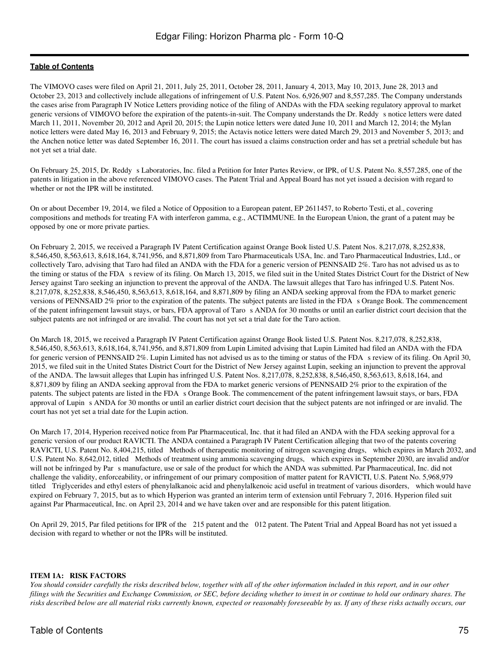The VIMOVO cases were filed on April 21, 2011, July 25, 2011, October 28, 2011, January 4, 2013, May 10, 2013, June 28, 2013 and October 23, 2013 and collectively include allegations of infringement of U.S. Patent Nos. 6,926,907 and 8,557,285. The Company understands the cases arise from Paragraph IV Notice Letters providing notice of the filing of ANDAs with the FDA seeking regulatory approval to market generic versions of VIMOVO before the expiration of the patents-in-suit. The Company understands the Dr. Reddy s notice letters were dated March 11, 2011, November 20, 2012 and April 20, 2015; the Lupin notice letters were dated June 10, 2011 and March 12, 2014; the Mylan notice letters were dated May 16, 2013 and February 9, 2015; the Actavis notice letters were dated March 29, 2013 and November 5, 2013; and the Anchen notice letter was dated September 16, 2011. The court has issued a claims construction order and has set a pretrial schedule but has not yet set a trial date.

On February 25, 2015, Dr. Reddy s Laboratories, Inc. filed a Petition for Inter Partes Review, or IPR, of U.S. Patent No. 8,557,285, one of the patents in litigation in the above referenced VIMOVO cases. The Patent Trial and Appeal Board has not yet issued a decision with regard to whether or not the IPR will be instituted.

On or about December 19, 2014, we filed a Notice of Opposition to a European patent, EP 2611457, to Roberto Testi, et al., covering compositions and methods for treating FA with interferon gamma, e.g., ACTIMMUNE. In the European Union, the grant of a patent may be opposed by one or more private parties.

On February 2, 2015, we received a Paragraph IV Patent Certification against Orange Book listed U.S. Patent Nos. 8,217,078, 8,252,838, 8,546,450, 8,563,613, 8,618,164, 8,741,956, and 8,871,809 from Taro Pharmaceuticals USA, Inc. and Taro Pharmaceutical Industries, Ltd., or collectively Taro, advising that Taro had filed an ANDA with the FDA for a generic version of PENNSAID 2%. Taro has not advised us as to the timing or status of the FDA s review of its filing. On March 13, 2015, we filed suit in the United States District Court for the District of New Jersey against Taro seeking an injunction to prevent the approval of the ANDA. The lawsuit alleges that Taro has infringed U.S. Patent Nos. 8,217,078, 8,252,838, 8,546,450, 8,563,613, 8,618,164, and 8,871,809 by filing an ANDA seeking approval from the FDA to market generic versions of PENNSAID 2% prior to the expiration of the patents. The subject patents are listed in the FDA s Orange Book. The commencement of the patent infringement lawsuit stays, or bars, FDA approval of Taros ANDA for 30 months or until an earlier district court decision that the subject patents are not infringed or are invalid. The court has not yet set a trial date for the Taro action.

On March 18, 2015, we received a Paragraph IV Patent Certification against Orange Book listed U.S. Patent Nos. 8,217,078, 8,252,838, 8,546,450, 8,563,613, 8,618,164, 8,741,956, and 8,871,809 from Lupin Limited advising that Lupin Limited had filed an ANDA with the FDA for generic version of PENNSAID 2%. Lupin Limited has not advised us as to the timing or status of the FDA s review of its filing. On April 30, 2015, we filed suit in the United States District Court for the District of New Jersey against Lupin, seeking an injunction to prevent the approval of the ANDA. The lawsuit alleges that Lupin has infringed U.S. Patent Nos. 8,217,078, 8,252,838, 8,546,450, 8,563,613, 8,618,164, and 8,871,809 by filing an ANDA seeking approval from the FDA to market generic versions of PENNSAID 2% prior to the expiration of the patents. The subject patents are listed in the FDA s Orange Book. The commencement of the patent infringement lawsuit stays, or bars, FDA approval of Lupin s ANDA for 30 months or until an earlier district court decision that the subject patents are not infringed or are invalid. The court has not yet set a trial date for the Lupin action.

On March 17, 2014, Hyperion received notice from Par Pharmaceutical, Inc. that it had filed an ANDA with the FDA seeking approval for a generic version of our product RAVICTI. The ANDA contained a Paragraph IV Patent Certification alleging that two of the patents covering RAVICTI, U.S. Patent No. 8,404,215, titled Methods of therapeutic monitoring of nitrogen scavenging drugs, which expires in March 2032, and U.S. Patent No. 8,642,012, titled Methods of treatment using ammonia scavenging drugs, which expires in September 2030, are invalid and/or will not be infringed by Par s manufacture, use or sale of the product for which the ANDA was submitted. Par Pharmaceutical, Inc. did not challenge the validity, enforceability, or infringement of our primary composition of matter patent for RAVICTI, U.S. Patent No. 5,968,979 titled Triglycerides and ethyl esters of phenylalkanoic acid and phenylalkenoic acid useful in treatment of various disorders, which would have expired on February 7, 2015, but as to which Hyperion was granted an interim term of extension until February 7, 2016. Hyperion filed suit against Par Pharmaceutical, Inc. on April 23, 2014 and we have taken over and are responsible for this patent litigation.

On April 29, 2015, Par filed petitions for IPR of the 215 patent and the 012 patent. The Patent Trial and Appeal Board has not yet issued a decision with regard to whether or not the IPRs will be instituted.

#### **ITEM 1A: RISK FACTORS**

*You should consider carefully the risks described below, together with all of the other information included in this report, and in our other filings with the Securities and Exchange Commission, or SEC, before deciding whether to invest in or continue to hold our ordinary shares. The risks described below are all material risks currently known, expected or reasonably foreseeable by us. If any of these risks actually occurs, our*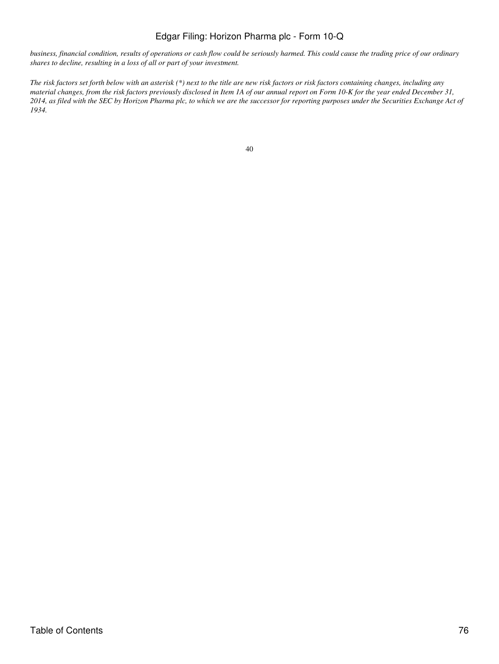*business, financial condition, results of operations or cash flow could be seriously harmed. This could cause the trading price of our ordinary shares to decline, resulting in a loss of all or part of your investment.*

*The risk factors set forth below with an asterisk (\*) next to the title are new risk factors or risk factors containing changes, including any material changes, from the risk factors previously disclosed in Item 1A of our annual report on Form 10-K for the year ended December 31, 2014, as filed with the SEC by Horizon Pharma plc, to which we are the successor for reporting purposes under the Securities Exchange Act of 1934.*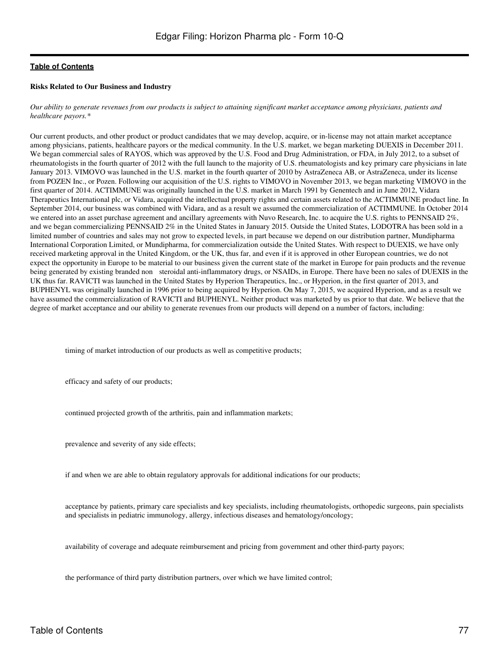#### **Risks Related to Our Business and Industry**

*Our ability to generate revenues from our products is subject to attaining significant market acceptance among physicians, patients and healthcare payors.\**

Our current products, and other product or product candidates that we may develop, acquire, or in-license may not attain market acceptance among physicians, patients, healthcare payors or the medical community. In the U.S. market, we began marketing DUEXIS in December 2011. We began commercial sales of RAYOS, which was approved by the U.S. Food and Drug Administration, or FDA, in July 2012, to a subset of rheumatologists in the fourth quarter of 2012 with the full launch to the majority of U.S. rheumatologists and key primary care physicians in late January 2013. VIMOVO was launched in the U.S. market in the fourth quarter of 2010 by AstraZeneca AB, or AstraZeneca, under its license from POZEN Inc., or Pozen. Following our acquisition of the U.S. rights to VIMOVO in November 2013, we began marketing VIMOVO in the first quarter of 2014. ACTIMMUNE was originally launched in the U.S. market in March 1991 by Genentech and in June 2012, Vidara Therapeutics International plc, or Vidara, acquired the intellectual property rights and certain assets related to the ACTIMMUNE product line. In September 2014, our business was combined with Vidara, and as a result we assumed the commercialization of ACTIMMUNE. In October 2014 we entered into an asset purchase agreement and ancillary agreements with Nuvo Research, Inc. to acquire the U.S. rights to PENNSAID 2%, and we began commercializing PENNSAID 2% in the United States in January 2015. Outside the United States, LODOTRA has been sold in a limited number of countries and sales may not grow to expected levels, in part because we depend on our distribution partner, Mundipharma International Corporation Limited, or Mundipharma, for commercialization outside the United States. With respect to DUEXIS, we have only received marketing approval in the United Kingdom, or the UK, thus far, and even if it is approved in other European countries, we do not expect the opportunity in Europe to be material to our business given the current state of the market in Europe for pain products and the revenue being generated by existing branded non steroidal anti-inflammatory drugs, or NSAIDs, in Europe. There have been no sales of DUEXIS in the UK thus far. RAVICTI was launched in the United States by Hyperion Therapeutics, Inc., or Hyperion, in the first quarter of 2013, and BUPHENYL was originally launched in 1996 prior to being acquired by Hyperion. On May 7, 2015, we acquired Hyperion, and as a result we have assumed the commercialization of RAVICTI and BUPHENYL. Neither product was marketed by us prior to that date. We believe that the degree of market acceptance and our ability to generate revenues from our products will depend on a number of factors, including:

timing of market introduction of our products as well as competitive products;

efficacy and safety of our products;

continued projected growth of the arthritis, pain and inflammation markets;

prevalence and severity of any side effects;

if and when we are able to obtain regulatory approvals for additional indications for our products;

acceptance by patients, primary care specialists and key specialists, including rheumatologists, orthopedic surgeons, pain specialists and specialists in pediatric immunology, allergy, infectious diseases and hematology/oncology;

availability of coverage and adequate reimbursement and pricing from government and other third-party payors;

the performance of third party distribution partners, over which we have limited control;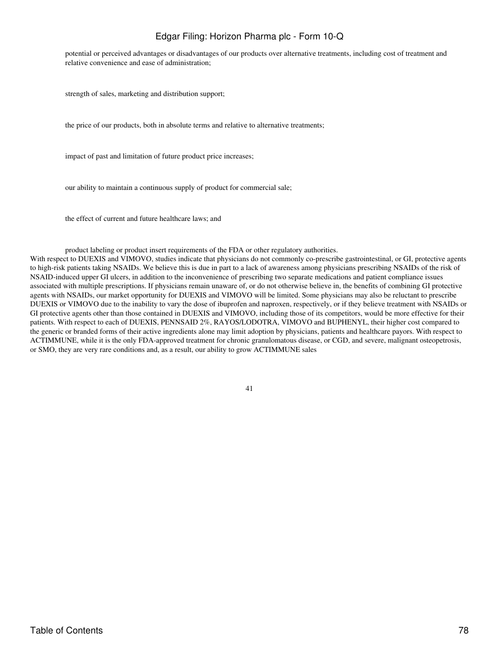potential or perceived advantages or disadvantages of our products over alternative treatments, including cost of treatment and relative convenience and ease of administration;

strength of sales, marketing and distribution support;

the price of our products, both in absolute terms and relative to alternative treatments;

impact of past and limitation of future product price increases;

our ability to maintain a continuous supply of product for commercial sale;

the effect of current and future healthcare laws; and

product labeling or product insert requirements of the FDA or other regulatory authorities.

With respect to DUEXIS and VIMOVO, studies indicate that physicians do not commonly co-prescribe gastrointestinal, or GI, protective agents to high-risk patients taking NSAIDs. We believe this is due in part to a lack of awareness among physicians prescribing NSAIDs of the risk of NSAID-induced upper GI ulcers, in addition to the inconvenience of prescribing two separate medications and patient compliance issues associated with multiple prescriptions. If physicians remain unaware of, or do not otherwise believe in, the benefits of combining GI protective agents with NSAIDs, our market opportunity for DUEXIS and VIMOVO will be limited. Some physicians may also be reluctant to prescribe DUEXIS or VIMOVO due to the inability to vary the dose of ibuprofen and naproxen, respectively, or if they believe treatment with NSAIDs or GI protective agents other than those contained in DUEXIS and VIMOVO, including those of its competitors, would be more effective for their patients. With respect to each of DUEXIS, PENNSAID 2%, RAYOS/LODOTRA, VIMOVO and BUPHENYL, their higher cost compared to the generic or branded forms of their active ingredients alone may limit adoption by physicians, patients and healthcare payors. With respect to ACTIMMUNE, while it is the only FDA-approved treatment for chronic granulomatous disease, or CGD, and severe, malignant osteopetrosis, or SMO, they are very rare conditions and, as a result, our ability to grow ACTIMMUNE sales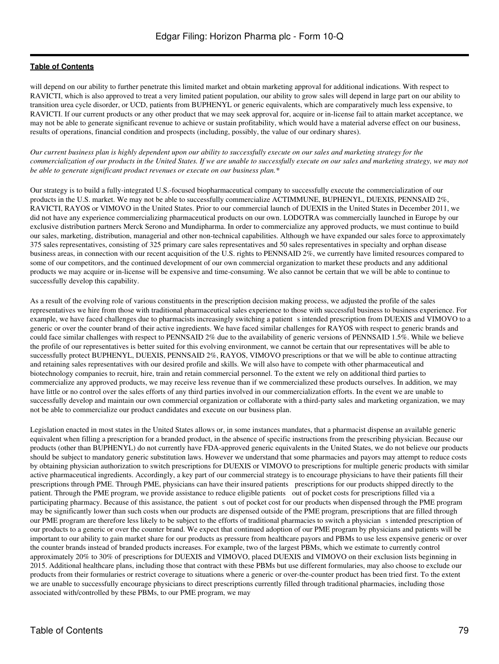will depend on our ability to further penetrate this limited market and obtain marketing approval for additional indications. With respect to RAVICTI, which is also approved to treat a very limited patient population, our ability to grow sales will depend in large part on our ability to transition urea cycle disorder, or UCD, patients from BUPHENYL or generic equivalents, which are comparatively much less expensive, to RAVICTI. If our current products or any other product that we may seek approval for, acquire or in-license fail to attain market acceptance, we may not be able to generate significant revenue to achieve or sustain profitability, which would have a material adverse effect on our business, results of operations, financial condition and prospects (including, possibly, the value of our ordinary shares).

*Our current business plan is highly dependent upon our ability to successfully execute on our sales and marketing strategy for the commercialization of our products in the United States. If we are unable to successfully execute on our sales and marketing strategy, we may not be able to generate significant product revenues or execute on our business plan.\**

Our strategy is to build a fully-integrated U.S.-focused biopharmaceutical company to successfully execute the commercialization of our products in the U.S. market. We may not be able to successfully commercialize ACTIMMUNE, BUPHENYL, DUEXIS, PENNSAID 2%, RAVICTI, RAYOS or VIMOVO in the United States. Prior to our commercial launch of DUEXIS in the United States in December 2011, we did not have any experience commercializing pharmaceutical products on our own. LODOTRA was commercially launched in Europe by our exclusive distribution partners Merck Serono and Mundipharma. In order to commercialize any approved products, we must continue to build our sales, marketing, distribution, managerial and other non-technical capabilities. Although we have expanded our sales force to approximately 375 sales representatives, consisting of 325 primary care sales representatives and 50 sales representatives in specialty and orphan disease business areas, in connection with our recent acquisition of the U.S. rights to PENNSAID 2%, we currently have limited resources compared to some of our competitors, and the continued development of our own commercial organization to market these products and any additional products we may acquire or in-license will be expensive and time-consuming. We also cannot be certain that we will be able to continue to successfully develop this capability.

As a result of the evolving role of various constituents in the prescription decision making process, we adjusted the profile of the sales representatives we hire from those with traditional pharmaceutical sales experience to those with successful business to business experience. For example, we have faced challenges due to pharmacists increasingly switching a patient s intended prescription from DUEXIS and VIMOVO to a generic or over the counter brand of their active ingredients. We have faced similar challenges for RAYOS with respect to generic brands and could face similar challenges with respect to PENNSAID 2% due to the availability of generic versions of PENNSAID 1.5%. While we believe the profile of our representatives is better suited for this evolving environment, we cannot be certain that our representatives will be able to successfully protect BUPHENYL, DUEXIS, PENNSAID 2%, RAYOS, VIMOVO prescriptions or that we will be able to continue attracting and retaining sales representatives with our desired profile and skills. We will also have to compete with other pharmaceutical and biotechnology companies to recruit, hire, train and retain commercial personnel. To the extent we rely on additional third parties to commercialize any approved products, we may receive less revenue than if we commercialized these products ourselves. In addition, we may have little or no control over the sales efforts of any third parties involved in our commercialization efforts. In the event we are unable to successfully develop and maintain our own commercial organization or collaborate with a third-party sales and marketing organization, we may not be able to commercialize our product candidates and execute on our business plan.

Legislation enacted in most states in the United States allows or, in some instances mandates, that a pharmacist dispense an available generic equivalent when filling a prescription for a branded product, in the absence of specific instructions from the prescribing physician. Because our products (other than BUPHENYL) do not currently have FDA-approved generic equivalents in the United States, we do not believe our products should be subject to mandatory generic substitution laws. However we understand that some pharmacies and payors may attempt to reduce costs by obtaining physician authorization to switch prescriptions for DUEXIS or VIMOVO to prescriptions for multiple generic products with similar active pharmaceutical ingredients. Accordingly, a key part of our commercial strategy is to encourage physicians to have their patients fill their prescriptions through PME. Through PME, physicians can have their insured patients prescriptions for our products shipped directly to the patient. Through the PME program, we provide assistance to reduce eligible patients out of pocket costs for prescriptions filled via a participating pharmacy. Because of this assistance, the patient s out of pocket cost for our products when dispensed through the PME program may be significantly lower than such costs when our products are dispensed outside of the PME program, prescriptions that are filled through our PME program are therefore less likely to be subject to the efforts of traditional pharmacies to switch a physicians intended prescription of our products to a generic or over the counter brand. We expect that continued adoption of our PME program by physicians and patients will be important to our ability to gain market share for our products as pressure from healthcare payors and PBMs to use less expensive generic or over the counter brands instead of branded products increases. For example, two of the largest PBMs, which we estimate to currently control approximately 20% to 30% of prescriptions for DUEXIS and VIMOVO, placed DUEXIS and VIMOVO on their exclusion lists beginning in 2015. Additional healthcare plans, including those that contract with these PBMs but use different formularies, may also choose to exclude our products from their formularies or restrict coverage to situations where a generic or over-the-counter product has been tried first. To the extent we are unable to successfully encourage physicians to direct prescriptions currently filled through traditional pharmacies, including those associated with/controlled by these PBMs, to our PME program, we may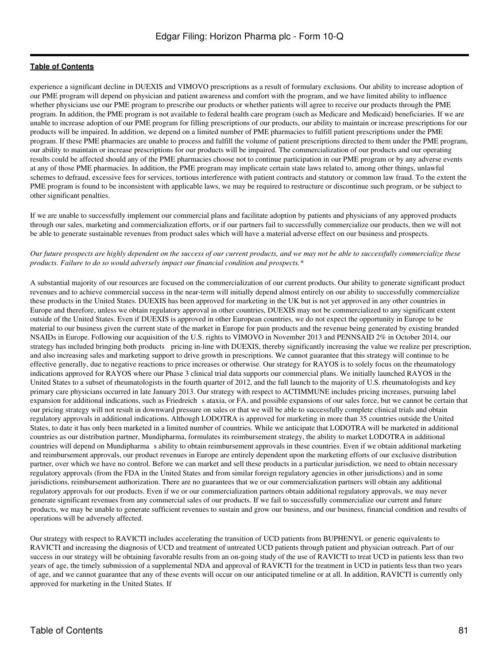experience a significant decline in DUEXIS and VIMOVO prescriptions as a result of formulary exclusions. Our ability to increase adoption of our PME program will depend on physician and patient awareness and comfort with the program, and we have limited ability to influence whether physicians use our PME program to prescribe our products or whether patients will agree to receive our products through the PME program. In addition, the PME program is not available to federal health care program (such as Medicare and Medicaid) beneficiaries. If we are unable to increase adoption of our PME program for filling prescriptions of our products, our ability to maintain or increase prescriptions for our products will be impaired. In addition, we depend on a limited number of PME pharmacies to fulfill patient prescriptions under the PME program. If these PME pharmacies are unable to process and fulfill the volume of patient prescriptions directed to them under the PME program, our ability to maintain or increase prescriptions for our products will be impaired. The commercialization of our products and our operating results could be affected should any of the PME pharmacies choose not to continue participation in our PME program or by any adverse events at any of those PME pharmacies. In addition, the PME program may implicate certain state laws related to, among other things, unlawful schemes to defraud, excessive fees for services, tortious interference with patient contracts and statutory or common law fraud. To the extent the PME program is found to be inconsistent with applicable laws, we may be required to restructure or discontinue such program, or be subject to other significant penalties.

If we are unable to successfully implement our commercial plans and facilitate adoption by patients and physicians of any approved products through our sales, marketing and commercialization efforts, or if our partners fail to successfully commercialize our products, then we will not be able to generate sustainable revenues from product sales which will have a material adverse effect on our business and prospects.

*Our future prospects are highly dependent on the success of our current products, and we may not be able to successfully commercialize these products. Failure to do so would adversely impact our financial condition and prospects.\**

A substantial majority of our resources are focused on the commercialization of our current products. Our ability to generate significant product revenues and to achieve commercial success in the near-term will initially depend almost entirely on our ability to successfully commercialize these products in the United States. DUEXIS has been approved for marketing in the UK but is not yet approved in any other countries in Europe and therefore, unless we obtain regulatory approval in other countries, DUEXIS may not be commercialized to any significant extent outside of the United States. Even if DUEXIS is approved in other European countries, we do not expect the opportunity in Europe to be material to our business given the current state of the market in Europe for pain products and the revenue being generated by existing branded NSAIDs in Europe. Following our acquisition of the U.S. rights to VIMOVO in November 2013 and PENNSAID 2% in October 2014, our strategy has included bringing both products pricing in-line with DUEXIS, thereby significantly increasing the value we realize per prescription, and also increasing sales and marketing support to drive growth in prescriptions. We cannot guarantee that this strategy will continue to be effective generally, due to negative reactions to price increases or otherwise. Our strategy for RAYOS is to solely focus on the rheumatology indications approved for RAYOS where our Phase 3 clinical trial data supports our commercial plans. We initially launched RAYOS in the United States to a subset of rheumatologists in the fourth quarter of 2012, and the full launch to the majority of U.S. rheumatologists and key primary care physicians occurred in late January 2013. Our strategy with respect to ACTIMMUNE includes pricing increases, pursuing label expansion for additional indications, such as Friedreich s ataxia, or FA, and possible expansions of our sales force, but we cannot be certain that our pricing strategy will not result in downward pressure on sales or that we will be able to successfully complete clinical trials and obtain regulatory approvals in additional indications. Although LODOTRA is approved for marketing in more than 35 countries outside the United States, to date it has only been marketed in a limited number of countries. While we anticipate that LODOTRA will be marketed in additional countries as our distribution partner, Mundipharma, formulates its reimbursement strategy, the ability to market LODOTRA in additional countries will depend on Mundipharma s ability to obtain reimbursement approvals in these countries. Even if we obtain additional marketing and reimbursement approvals, our product revenues in Europe are entirely dependent upon the marketing efforts of our exclusive distribution partner, over which we have no control. Before we can market and sell these products in a particular jurisdiction, we need to obtain necessary regulatory approvals (from the FDA in the United States and from similar foreign regulatory agencies in other jurisdictions) and in some jurisdictions, reimbursement authorization. There are no guarantees that we or our commercialization partners will obtain any additional regulatory approvals for our products. Even if we or our commercialization partners obtain additional regulatory approvals, we may never generate significant revenues from any commercial sales of our products. If we fail to successfully commercialize our current and future products, we may be unable to generate sufficient revenues to sustain and grow our business, and our business, financial condition and results of operations will be adversely affected.

Our strategy with respect to RAVICTI includes accelerating the transition of UCD patients from BUPHENYL or generic equivalents to RAVICTI and increasing the diagnosis of UCD and treatment of untreated UCD patients through patient and physician outreach. Part of our success in our strategy will be obtaining favorable results from an on-going study of the use of RAVICTI to treat UCD in patients less than two years of age, the timely submission of a supplemental NDA and approval of RAVICTI for the treatment in UCD in patients less than two years of age, and we cannot guarantee that any of these events will occur on our anticipated timeline or at all. In addition, RAVICTI is currently only approved for marketing in the United States. If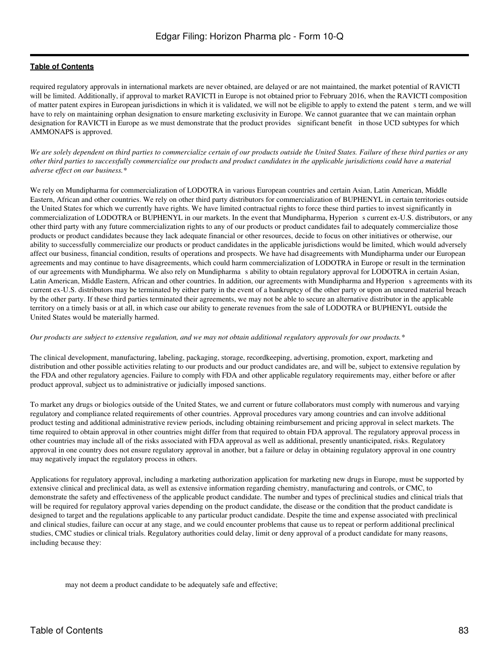required regulatory approvals in international markets are never obtained, are delayed or are not maintained, the market potential of RAVICTI will be limited. Additionally, if approval to market RAVICTI in Europe is not obtained prior to February 2016, when the RAVICTI composition of matter patent expires in European jurisdictions in which it is validated, we will not be eligible to apply to extend the patents term, and we will have to rely on maintaining orphan designation to ensure marketing exclusivity in Europe. We cannot guarantee that we can maintain orphan designation for RAVICTI in Europe as we must demonstrate that the product provides significant benefit in those UCD subtypes for which AMMONAPS is approved.

*We are solely dependent on third parties to commercialize certain of our products outside the United States. Failure of these third parties or any other third parties to successfully commercialize our products and product candidates in the applicable jurisdictions could have a material adverse effect on our business.\**

We rely on Mundipharma for commercialization of LODOTRA in various European countries and certain Asian, Latin American, Middle Eastern, African and other countries. We rely on other third party distributors for commercialization of BUPHENYL in certain territories outside the United States for which we currently have rights. We have limited contractual rights to force these third parties to invest significantly in commercialization of LODOTRA or BUPHENYL in our markets. In the event that Mundipharma, Hyperions current ex-U.S. distributors, or any other third party with any future commercialization rights to any of our products or product candidates fail to adequately commercialize those products or product candidates because they lack adequate financial or other resources, decide to focus on other initiatives or otherwise, our ability to successfully commercialize our products or product candidates in the applicable jurisdictions would be limited, which would adversely affect our business, financial condition, results of operations and prospects. We have had disagreements with Mundipharma under our European agreements and may continue to have disagreements, which could harm commercialization of LODOTRA in Europe or result in the termination of our agreements with Mundipharma. We also rely on Mundipharmas ability to obtain regulatory approval for LODOTRA in certain Asian, Latin American, Middle Eastern, African and other countries. In addition, our agreements with Mundipharma and Hyperion s agreements with its current ex-U.S. distributors may be terminated by either party in the event of a bankruptcy of the other party or upon an uncured material breach by the other party. If these third parties terminated their agreements, we may not be able to secure an alternative distributor in the applicable territory on a timely basis or at all, in which case our ability to generate revenues from the sale of LODOTRA or BUPHENYL outside the United States would be materially harmed.

#### *Our products are subject to extensive regulation, and we may not obtain additional regulatory approvals for our products.\**

The clinical development, manufacturing, labeling, packaging, storage, recordkeeping, advertising, promotion, export, marketing and distribution and other possible activities relating to our products and our product candidates are, and will be, subject to extensive regulation by the FDA and other regulatory agencies. Failure to comply with FDA and other applicable regulatory requirements may, either before or after product approval, subject us to administrative or judicially imposed sanctions.

To market any drugs or biologics outside of the United States, we and current or future collaborators must comply with numerous and varying regulatory and compliance related requirements of other countries. Approval procedures vary among countries and can involve additional product testing and additional administrative review periods, including obtaining reimbursement and pricing approval in select markets. The time required to obtain approval in other countries might differ from that required to obtain FDA approval. The regulatory approval process in other countries may include all of the risks associated with FDA approval as well as additional, presently unanticipated, risks. Regulatory approval in one country does not ensure regulatory approval in another, but a failure or delay in obtaining regulatory approval in one country may negatively impact the regulatory process in others.

Applications for regulatory approval, including a marketing authorization application for marketing new drugs in Europe, must be supported by extensive clinical and preclinical data, as well as extensive information regarding chemistry, manufacturing and controls, or CMC, to demonstrate the safety and effectiveness of the applicable product candidate. The number and types of preclinical studies and clinical trials that will be required for regulatory approval varies depending on the product candidate, the disease or the condition that the product candidate is designed to target and the regulations applicable to any particular product candidate. Despite the time and expense associated with preclinical and clinical studies, failure can occur at any stage, and we could encounter problems that cause us to repeat or perform additional preclinical studies, CMC studies or clinical trials. Regulatory authorities could delay, limit or deny approval of a product candidate for many reasons, including because they:

may not deem a product candidate to be adequately safe and effective;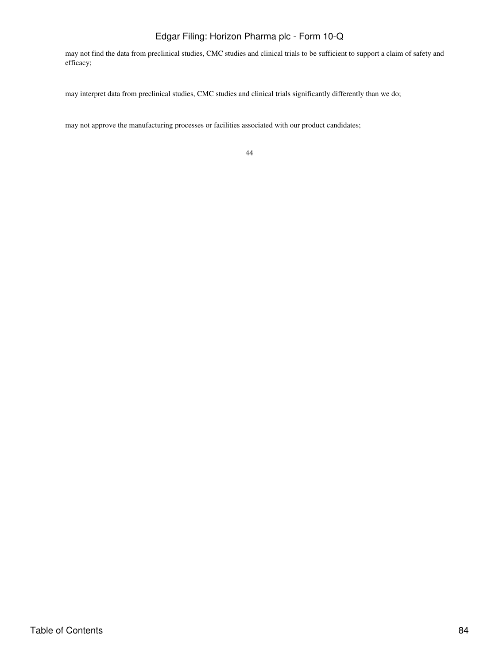may not find the data from preclinical studies, CMC studies and clinical trials to be sufficient to support a claim of safety and efficacy;

may interpret data from preclinical studies, CMC studies and clinical trials significantly differently than we do;

may not approve the manufacturing processes or facilities associated with our product candidates;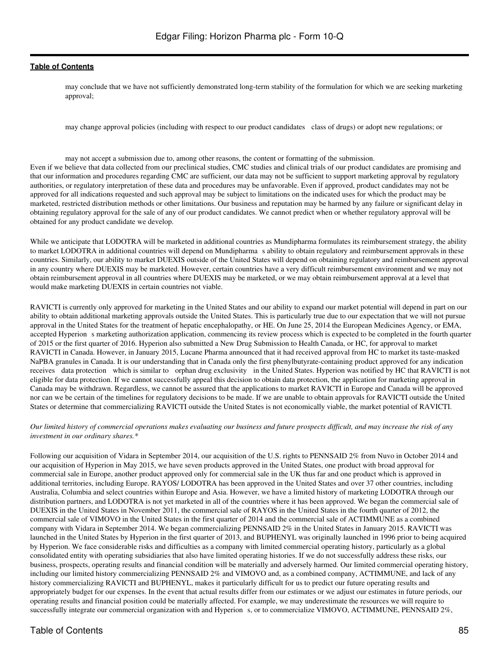may conclude that we have not sufficiently demonstrated long-term stability of the formulation for which we are seeking marketing approval;

may change approval policies (including with respect to our product candidates class of drugs) or adopt new regulations; or

may not accept a submission due to, among other reasons, the content or formatting of the submission. Even if we believe that data collected from our preclinical studies, CMC studies and clinical trials of our product candidates are promising and that our information and procedures regarding CMC are sufficient, our data may not be sufficient to support marketing approval by regulatory authorities, or regulatory interpretation of these data and procedures may be unfavorable. Even if approved, product candidates may not be approved for all indications requested and such approval may be subject to limitations on the indicated uses for which the product may be marketed, restricted distribution methods or other limitations. Our business and reputation may be harmed by any failure or significant delay in obtaining regulatory approval for the sale of any of our product candidates. We cannot predict when or whether regulatory approval will be obtained for any product candidate we develop.

While we anticipate that LODOTRA will be marketed in additional countries as Mundipharma formulates its reimbursement strategy, the ability to market LODOTRA in additional countries will depend on Mundipharma s ability to obtain regulatory and reimbursement approvals in these countries. Similarly, our ability to market DUEXIS outside of the United States will depend on obtaining regulatory and reimbursement approval in any country where DUEXIS may be marketed. However, certain countries have a very difficult reimbursement environment and we may not obtain reimbursement approval in all countries where DUEXIS may be marketed, or we may obtain reimbursement approval at a level that would make marketing DUEXIS in certain countries not viable.

RAVICTI is currently only approved for marketing in the United States and our ability to expand our market potential will depend in part on our ability to obtain additional marketing approvals outside the United States. This is particularly true due to our expectation that we will not pursue approval in the United States for the treatment of hepatic encephalopathy, or HE. On June 25, 2014 the European Medicines Agency, or EMA, accepted Hyperion s marketing authorization application, commencing its review process which is expected to be completed in the fourth quarter of 2015 or the first quarter of 2016. Hyperion also submitted a New Drug Submission to Health Canada, or HC, for approval to market RAVICTI in Canada. However, in January 2015, Lucane Pharma announced that it had received approval from HC to market its taste-masked NaPBA granules in Canada. It is our understanding that in Canada only the first phenylbutyrate-containing product approved for any indication receives data protection which is similar to orphan drug exclusivity in the United States. Hyperion was notified by HC that RAVICTI is not eligible for data protection. If we cannot successfully appeal this decision to obtain data protection, the application for marketing approval in Canada may be withdrawn. Regardless, we cannot be assured that the applications to market RAVICTI in Europe and Canada will be approved nor can we be certain of the timelines for regulatory decisions to be made. If we are unable to obtain approvals for RAVICTI outside the United States or determine that commercializing RAVICTI outside the United States is not economically viable, the market potential of RAVICTI.

#### *Our limited history of commercial operations makes evaluating our business and future prospects difficult, and may increase the risk of any investment in our ordinary shares.\**

Following our acquisition of Vidara in September 2014, our acquisition of the U.S. rights to PENNSAID 2% from Nuvo in October 2014 and our acquisition of Hyperion in May 2015, we have seven products approved in the United States, one product with broad approval for commercial sale in Europe, another product approved only for commercial sale in the UK thus far and one product which is approved in additional territories, including Europe. RAYOS/ LODOTRA has been approved in the United States and over 37 other countries, including Australia, Columbia and select countries within Europe and Asia. However, we have a limited history of marketing LODOTRA through our distribution partners, and LODOTRA is not yet marketed in all of the countries where it has been approved. We began the commercial sale of DUEXIS in the United States in November 2011, the commercial sale of RAYOS in the United States in the fourth quarter of 2012, the commercial sale of VIMOVO in the United States in the first quarter of 2014 and the commercial sale of ACTIMMUNE as a combined company with Vidara in September 2014. We began commercializing PENNSAID 2% in the United States in January 2015. RAVICTI was launched in the United States by Hyperion in the first quarter of 2013, and BUPHENYL was originally launched in 1996 prior to being acquired by Hyperion. We face considerable risks and difficulties as a company with limited commercial operating history, particularly as a global consolidated entity with operating subsidiaries that also have limited operating histories. If we do not successfully address these risks, our business, prospects, operating results and financial condition will be materially and adversely harmed. Our limited commercial operating history, including our limited history commercializing PENNSAID 2% and VIMOVO and, as a combined company, ACTIMMUNE, and lack of any history commercializing RAVICTI and BUPHENYL, makes it particularly difficult for us to predict our future operating results and appropriately budget for our expenses. In the event that actual results differ from our estimates or we adjust our estimates in future periods, our operating results and financial position could be materially affected. For example, we may underestimate the resources we will require to successfully integrate our commercial organization with and Hyperion s, or to commercialize VIMOVO, ACTIMMUNE, PENNSAID 2%,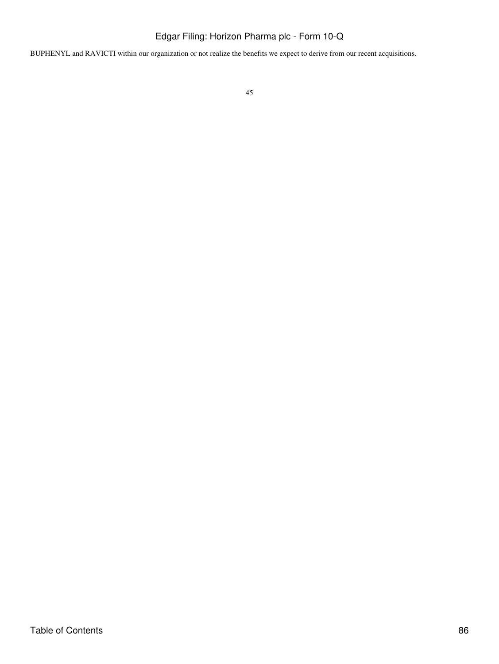BUPHENYL and RAVICTI within our organization or not realize the benefits we expect to derive from our recent acquisitions.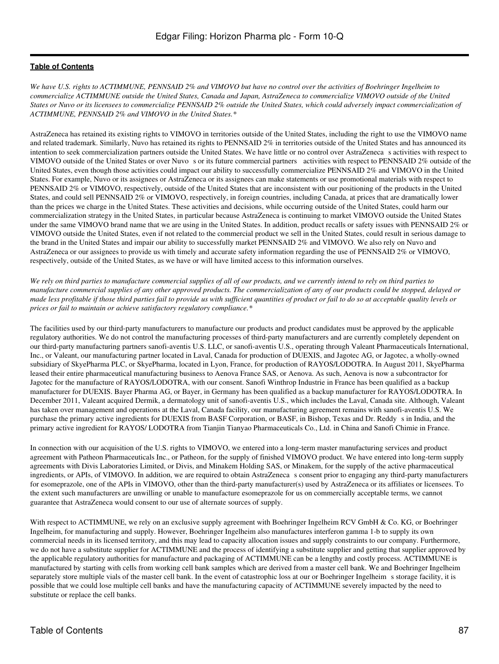*We have U.S. rights to ACTIMMUNE, PENNSAID 2% and VIMOVO but have no control over the activities of Boehringer Ingelheim to commercialize ACTIMMUNE outside the United States, Canada and Japan, AstraZeneca to commercialize VIMOVO outside of the United States or Nuvo or its licensees to commercialize PENNSAID 2% outside the United States, which could adversely impact commercialization of ACTIMMUNE, PENNSAID 2% and VIMOVO in the United States.\**

AstraZeneca has retained its existing rights to VIMOVO in territories outside of the United States, including the right to use the VIMOVO name and related trademark. Similarly, Nuvo has retained its rights to PENNSAID 2% in territories outside of the United States and has announced its intention to seek commercialization partners outside the United States. We have little or no control over AstraZenecas activities with respect to VIMOVO outside of the United States or over Nuvo s or its future commercial partners activities with respect to PENNSAID 2% outside of the United States, even though those activities could impact our ability to successfully commercialize PENNSAID 2% and VIMOVO in the United States. For example, Nuvo or its assignees or AstraZeneca or its assignees can make statements or use promotional materials with respect to PENNSAID 2% or VIMOVO, respectively, outside of the United States that are inconsistent with our positioning of the products in the United States, and could sell PENNSAID 2% or VIMOVO, respectively, in foreign countries, including Canada, at prices that are dramatically lower than the prices we charge in the United States. These activities and decisions, while occurring outside of the United States, could harm our commercialization strategy in the United States, in particular because AstraZeneca is continuing to market VIMOVO outside the United States under the same VIMOVO brand name that we are using in the United States. In addition, product recalls or safety issues with PENNSAID 2% or VIMOVO outside the United States, even if not related to the commercial product we sell in the United States, could result in serious damage to the brand in the United States and impair our ability to successfully market PENNSAID 2% and VIMOVO. We also rely on Nuvo and AstraZeneca or our assignees to provide us with timely and accurate safety information regarding the use of PENNSAID 2% or VIMOVO, respectively, outside of the United States, as we have or will have limited access to this information ourselves.

*We rely on third parties to manufacture commercial supplies of all of our products, and we currently intend to rely on third parties to manufacture commercial supplies of any other approved products. The commercialization of any of our products could be stopped, delayed or made less profitable if those third parties fail to provide us with sufficient quantities of product or fail to do so at acceptable quality levels or prices or fail to maintain or achieve satisfactory regulatory compliance.\**

The facilities used by our third-party manufacturers to manufacture our products and product candidates must be approved by the applicable regulatory authorities. We do not control the manufacturing processes of third-party manufacturers and are currently completely dependent on our third-party manufacturing partners sanofi-aventis U.S. LLC, or sanofi-aventis U.S., operating through Valeant Pharmaceuticals International, Inc., or Valeant, our manufacturing partner located in Laval, Canada for production of DUEXIS, and Jagotec AG, or Jagotec, a wholly-owned subsidiary of SkyePharma PLC, or SkyePharma, located in Lyon, France, for production of RAYOS/LODOTRA. In August 2011, SkyePharma leased their entire pharmaceutical manufacturing business to Aenova France SAS, or Aenova. As such, Aenova is now a subcontractor for Jagotec for the manufacture of RAYOS/LODOTRA, with our consent. Sanofi Winthrop Industrie in France has been qualified as a backup manufacturer for DUEXIS. Bayer Pharma AG, or Bayer, in Germany has been qualified as a backup manufacturer for RAYOS/LODOTRA. In December 2011, Valeant acquired Dermik, a dermatology unit of sanofi-aventis U.S., which includes the Laval, Canada site. Although, Valeant has taken over management and operations at the Laval, Canada facility, our manufacturing agreement remains with sanofi-aventis U.S. We purchase the primary active ingredients for DUEXIS from BASF Corporation, or BASF, in Bishop, Texas and Dr. Reddy s in India, and the primary active ingredient for RAYOS/ LODOTRA from Tianjin Tianyao Pharmaceuticals Co., Ltd. in China and Sanofi Chimie in France.

In connection with our acquisition of the U.S. rights to VIMOVO, we entered into a long-term master manufacturing services and product agreement with Patheon Pharmaceuticals Inc., or Patheon, for the supply of finished VIMOVO product. We have entered into long-term supply agreements with Divis Laboratories Limited, or Divis, and Minakem Holding SAS, or Minakem, for the supply of the active pharmaceutical ingredients, or APIs, of VIMOVO. In addition, we are required to obtain AstraZenecas consent prior to engaging any third-party manufacturers for esomeprazole, one of the APIs in VIMOVO, other than the third-party manufacturer(s) used by AstraZeneca or its affiliates or licensees. To the extent such manufacturers are unwilling or unable to manufacture esomeprazole for us on commercially acceptable terms, we cannot guarantee that AstraZeneca would consent to our use of alternate sources of supply.

With respect to ACTIMMUNE, we rely on an exclusive supply agreement with Boehringer Ingelheim RCV GmbH & Co. KG, or Boehringer Ingelheim, for manufacturing and supply. However, Boehringer Ingelheim also manufactures interferon gamma 1-b to supply its own commercial needs in its licensed territory, and this may lead to capacity allocation issues and supply constraints to our company. Furthermore, we do not have a substitute supplier for ACTIMMUNE and the process of identifying a substitute supplier and getting that supplier approved by the applicable regulatory authorities for manufacture and packaging of ACTIMMUNE can be a lengthy and costly process. ACTIMMUNE is manufactured by starting with cells from working cell bank samples which are derived from a master cell bank. We and Boehringer Ingelheim separately store multiple vials of the master cell bank. In the event of catastrophic loss at our or Boehringer Ingelheim s storage facility, it is possible that we could lose multiple cell banks and have the manufacturing capacity of ACTIMMUNE severely impacted by the need to substitute or replace the cell banks.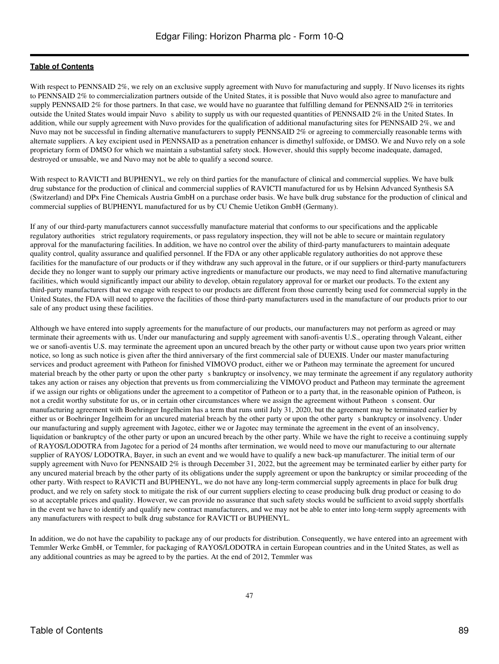With respect to PENNSAID 2%, we rely on an exclusive supply agreement with Nuvo for manufacturing and supply. If Nuvo licenses its rights to PENNSAID 2% to commercialization partners outside of the United States, it is possible that Nuvo would also agree to manufacture and supply PENNSAID 2% for those partners. In that case, we would have no guarantee that fulfilling demand for PENNSAID 2% in territories outside the United States would impair Nuvo s ability to supply us with our requested quantities of PENNSAID 2% in the United States. In addition, while our supply agreement with Nuvo provides for the qualification of additional manufacturing sites for PENNSAID 2%, we and Nuvo may not be successful in finding alternative manufacturers to supply PENNSAID 2% or agreeing to commercially reasonable terms with alternate suppliers. A key excipient used in PENNSAID as a penetration enhancer is dimethyl sulfoxide, or DMSO. We and Nuvo rely on a sole proprietary form of DMSO for which we maintain a substantial safety stock. However, should this supply become inadequate, damaged, destroyed or unusable, we and Nuvo may not be able to qualify a second source.

With respect to RAVICTI and BUPHENYL, we rely on third parties for the manufacture of clinical and commercial supplies. We have bulk drug substance for the production of clinical and commercial supplies of RAVICTI manufactured for us by Helsinn Advanced Synthesis SA (Switzerland) and DPx Fine Chemicals Austria GmbH on a purchase order basis. We have bulk drug substance for the production of clinical and commercial supplies of BUPHENYL manufactured for us by CU Chemie Uetikon GmbH (Germany).

If any of our third-party manufacturers cannot successfully manufacture material that conforms to our specifications and the applicable regulatory authorities strict regulatory requirements, or pass regulatory inspection, they will not be able to secure or maintain regulatory approval for the manufacturing facilities. In addition, we have no control over the ability of third-party manufacturers to maintain adequate quality control, quality assurance and qualified personnel. If the FDA or any other applicable regulatory authorities do not approve these facilities for the manufacture of our products or if they withdraw any such approval in the future, or if our suppliers or third-party manufacturers decide they no longer want to supply our primary active ingredients or manufacture our products, we may need to find alternative manufacturing facilities, which would significantly impact our ability to develop, obtain regulatory approval for or market our products. To the extent any third-party manufacturers that we engage with respect to our products are different from those currently being used for commercial supply in the United States, the FDA will need to approve the facilities of those third-party manufacturers used in the manufacture of our products prior to our sale of any product using these facilities.

Although we have entered into supply agreements for the manufacture of our products, our manufacturers may not perform as agreed or may terminate their agreements with us. Under our manufacturing and supply agreement with sanofi-aventis U.S., operating through Valeant, either we or sanofi-aventis U.S. may terminate the agreement upon an uncured breach by the other party or without cause upon two years prior written notice, so long as such notice is given after the third anniversary of the first commercial sale of DUEXIS. Under our master manufacturing services and product agreement with Patheon for finished VIMOVO product, either we or Patheon may terminate the agreement for uncured material breach by the other party or upon the other party s bankruptcy or insolvency, we may terminate the agreement if any regulatory authority takes any action or raises any objection that prevents us from commercializing the VIMOVO product and Patheon may terminate the agreement if we assign our rights or obligations under the agreement to a competitor of Patheon or to a party that, in the reasonable opinion of Patheon, is not a credit worthy substitute for us, or in certain other circumstances where we assign the agreement without Patheon s consent. Our manufacturing agreement with Boehringer Ingelheim has a term that runs until July 31, 2020, but the agreement may be terminated earlier by either us or Boehringer Ingelheim for an uncured material breach by the other party or upon the other party s bankruptcy or insolvency. Under our manufacturing and supply agreement with Jagotec, either we or Jagotec may terminate the agreement in the event of an insolvency, liquidation or bankruptcy of the other party or upon an uncured breach by the other party. While we have the right to receive a continuing supply of RAYOS/LODOTRA from Jagotec for a period of 24 months after termination, we would need to move our manufacturing to our alternate supplier of RAYOS/ LODOTRA, Bayer, in such an event and we would have to qualify a new back-up manufacturer. The initial term of our supply agreement with Nuvo for PENNSAID 2% is through December 31, 2022, but the agreement may be terminated earlier by either party for any uncured material breach by the other party of its obligations under the supply agreement or upon the bankruptcy or similar proceeding of the other party. With respect to RAVICTI and BUPHENYL, we do not have any long-term commercial supply agreements in place for bulk drug product, and we rely on safety stock to mitigate the risk of our current suppliers electing to cease producing bulk drug product or ceasing to do so at acceptable prices and quality. However, we can provide no assurance that such safety stocks would be sufficient to avoid supply shortfalls in the event we have to identify and qualify new contract manufacturers, and we may not be able to enter into long-term supply agreements with any manufacturers with respect to bulk drug substance for RAVICTI or BUPHENYL.

In addition, we do not have the capability to package any of our products for distribution. Consequently, we have entered into an agreement with Temmler Werke GmbH, or Temmler, for packaging of RAYOS/LODOTRA in certain European countries and in the United States, as well as any additional countries as may be agreed to by the parties. At the end of 2012, Temmler was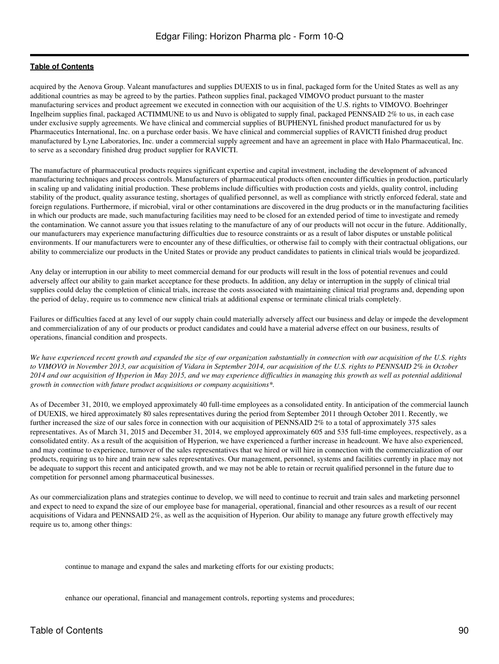acquired by the Aenova Group. Valeant manufactures and supplies DUEXIS to us in final, packaged form for the United States as well as any additional countries as may be agreed to by the parties. Patheon supplies final, packaged VIMOVO product pursuant to the master manufacturing services and product agreement we executed in connection with our acquisition of the U.S. rights to VIMOVO. Boehringer Ingelheim supplies final, packaged ACTIMMUNE to us and Nuvo is obligated to supply final, packaged PENNSAID 2% to us, in each case under exclusive supply agreements. We have clinical and commercial supplies of BUPHENYL finished product manufactured for us by Pharmaceutics International, Inc. on a purchase order basis. We have clinical and commercial supplies of RAVICTI finished drug product manufactured by Lyne Laboratories, Inc. under a commercial supply agreement and have an agreement in place with Halo Pharmaceutical, Inc. to serve as a secondary finished drug product supplier for RAVICTI.

The manufacture of pharmaceutical products requires significant expertise and capital investment, including the development of advanced manufacturing techniques and process controls. Manufacturers of pharmaceutical products often encounter difficulties in production, particularly in scaling up and validating initial production. These problems include difficulties with production costs and yields, quality control, including stability of the product, quality assurance testing, shortages of qualified personnel, as well as compliance with strictly enforced federal, state and foreign regulations. Furthermore, if microbial, viral or other contaminations are discovered in the drug products or in the manufacturing facilities in which our products are made, such manufacturing facilities may need to be closed for an extended period of time to investigate and remedy the contamination. We cannot assure you that issues relating to the manufacture of any of our products will not occur in the future. Additionally, our manufacturers may experience manufacturing difficulties due to resource constraints or as a result of labor disputes or unstable political environments. If our manufacturers were to encounter any of these difficulties, or otherwise fail to comply with their contractual obligations, our ability to commercialize our products in the United States or provide any product candidates to patients in clinical trials would be jeopardized.

Any delay or interruption in our ability to meet commercial demand for our products will result in the loss of potential revenues and could adversely affect our ability to gain market acceptance for these products. In addition, any delay or interruption in the supply of clinical trial supplies could delay the completion of clinical trials, increase the costs associated with maintaining clinical trial programs and, depending upon the period of delay, require us to commence new clinical trials at additional expense or terminate clinical trials completely.

Failures or difficulties faced at any level of our supply chain could materially adversely affect our business and delay or impede the development and commercialization of any of our products or product candidates and could have a material adverse effect on our business, results of operations, financial condition and prospects.

*We have experienced recent growth and expanded the size of our organization substantially in connection with our acquisition of the U.S. rights to VIMOVO in November 2013, our acquisition of Vidara in September 2014, our acquisition of the U.S. rights to PENNSAID 2% in October 2014 and our acquisition of Hyperion in May 2015, and we may experience difficulties in managing this growth as well as potential additional growth in connection with future product acquisitions or company acquisitions\*.*

As of December 31, 2010, we employed approximately 40 full-time employees as a consolidated entity. In anticipation of the commercial launch of DUEXIS, we hired approximately 80 sales representatives during the period from September 2011 through October 2011. Recently, we further increased the size of our sales force in connection with our acquisition of PENNSAID 2% to a total of approximately 375 sales representatives. As of March 31, 2015 and December 31, 2014, we employed approximately 605 and 535 full-time employees, respectively, as a consolidated entity. As a result of the acquisition of Hyperion, we have experienced a further increase in headcount. We have also experienced, and may continue to experience, turnover of the sales representatives that we hired or will hire in connection with the commercialization of our products, requiring us to hire and train new sales representatives. Our management, personnel, systems and facilities currently in place may not be adequate to support this recent and anticipated growth, and we may not be able to retain or recruit qualified personnel in the future due to competition for personnel among pharmaceutical businesses.

As our commercialization plans and strategies continue to develop, we will need to continue to recruit and train sales and marketing personnel and expect to need to expand the size of our employee base for managerial, operational, financial and other resources as a result of our recent acquisitions of Vidara and PENNSAID 2%, as well as the acquisition of Hyperion. Our ability to manage any future growth effectively may require us to, among other things:

continue to manage and expand the sales and marketing efforts for our existing products;

enhance our operational, financial and management controls, reporting systems and procedures;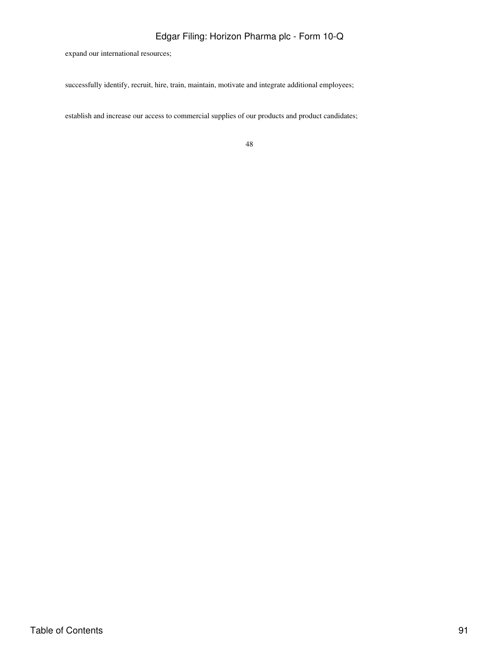expand our international resources;

successfully identify, recruit, hire, train, maintain, motivate and integrate additional employees;

establish and increase our access to commercial supplies of our products and product candidates;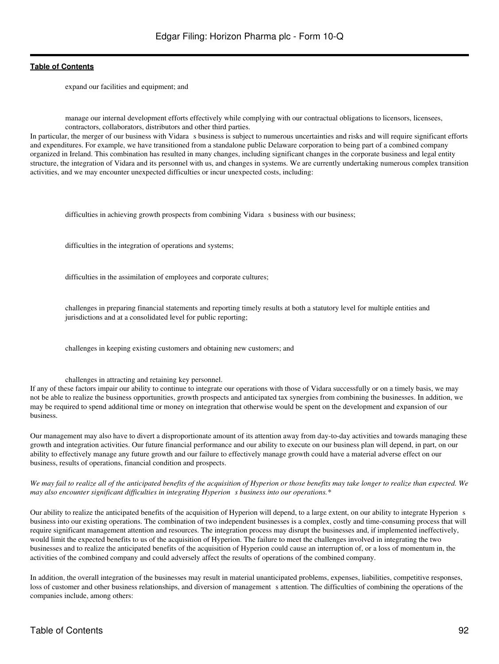expand our facilities and equipment; and

manage our internal development efforts effectively while complying with our contractual obligations to licensors, licensees, contractors, collaborators, distributors and other third parties.

In particular, the merger of our business with Vidara s business is subject to numerous uncertainties and risks and will require significant efforts and expenditures. For example, we have transitioned from a standalone public Delaware corporation to being part of a combined company organized in Ireland. This combination has resulted in many changes, including significant changes in the corporate business and legal entity structure, the integration of Vidara and its personnel with us, and changes in systems. We are currently undertaking numerous complex transition activities, and we may encounter unexpected difficulties or incur unexpected costs, including:

difficulties in achieving growth prospects from combining Vidara s business with our business;

difficulties in the integration of operations and systems;

difficulties in the assimilation of employees and corporate cultures;

challenges in preparing financial statements and reporting timely results at both a statutory level for multiple entities and jurisdictions and at a consolidated level for public reporting;

challenges in keeping existing customers and obtaining new customers; and

#### challenges in attracting and retaining key personnel.

If any of these factors impair our ability to continue to integrate our operations with those of Vidara successfully or on a timely basis, we may not be able to realize the business opportunities, growth prospects and anticipated tax synergies from combining the businesses. In addition, we may be required to spend additional time or money on integration that otherwise would be spent on the development and expansion of our business.

Our management may also have to divert a disproportionate amount of its attention away from day-to-day activities and towards managing these growth and integration activities. Our future financial performance and our ability to execute on our business plan will depend, in part, on our ability to effectively manage any future growth and our failure to effectively manage growth could have a material adverse effect on our business, results of operations, financial condition and prospects.

*We may fail to realize all of the anticipated benefits of the acquisition of Hyperion or those benefits may take longer to realize than expected. We may also encounter significant difficulties in integrating Hyperions business into our operations.\**

Our ability to realize the anticipated benefits of the acquisition of Hyperion will depend, to a large extent, on our ability to integrate Hyperion s business into our existing operations. The combination of two independent businesses is a complex, costly and time-consuming process that will require significant management attention and resources. The integration process may disrupt the businesses and, if implemented ineffectively, would limit the expected benefits to us of the acquisition of Hyperion. The failure to meet the challenges involved in integrating the two businesses and to realize the anticipated benefits of the acquisition of Hyperion could cause an interruption of, or a loss of momentum in, the activities of the combined company and could adversely affect the results of operations of the combined company.

In addition, the overall integration of the businesses may result in material unanticipated problems, expenses, liabilities, competitive responses, loss of customer and other business relationships, and diversion of management s attention. The difficulties of combining the operations of the companies include, among others: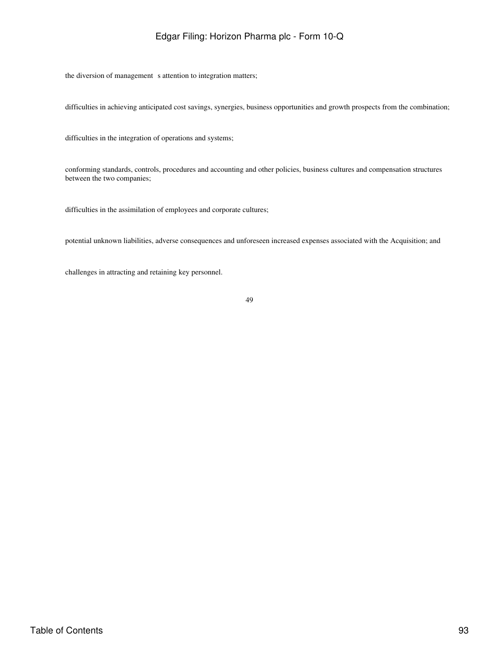the diversion of management s attention to integration matters;

difficulties in achieving anticipated cost savings, synergies, business opportunities and growth prospects from the combination;

difficulties in the integration of operations and systems;

conforming standards, controls, procedures and accounting and other policies, business cultures and compensation structures between the two companies;

difficulties in the assimilation of employees and corporate cultures;

potential unknown liabilities, adverse consequences and unforeseen increased expenses associated with the Acquisition; and

challenges in attracting and retaining key personnel.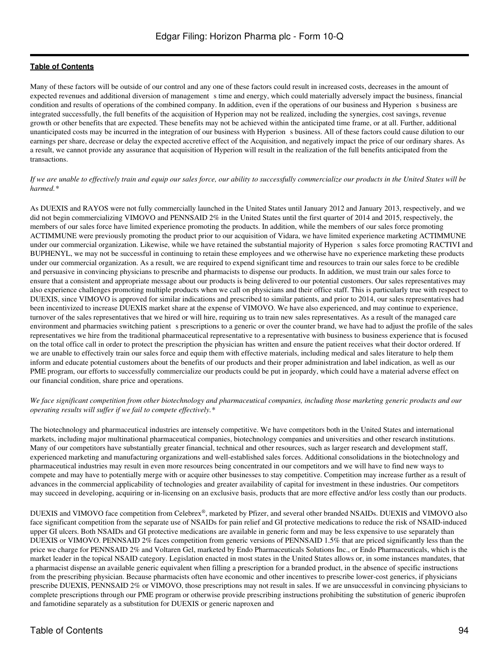Many of these factors will be outside of our control and any one of these factors could result in increased costs, decreases in the amount of expected revenues and additional diversion of management s time and energy, which could materially adversely impact the business, financial condition and results of operations of the combined company. In addition, even if the operations of our business and Hyperion s business are integrated successfully, the full benefits of the acquisition of Hyperion may not be realized, including the synergies, cost savings, revenue growth or other benefits that are expected. These benefits may not be achieved within the anticipated time frame, or at all. Further, additional unanticipated costs may be incurred in the integration of our business with Hyperions business. All of these factors could cause dilution to our earnings per share, decrease or delay the expected accretive effect of the Acquisition, and negatively impact the price of our ordinary shares. As a result, we cannot provide any assurance that acquisition of Hyperion will result in the realization of the full benefits anticipated from the transactions.

#### *If we are unable to effectively train and equip our sales force, our ability to successfully commercialize our products in the United States will be harmed.\**

As DUEXIS and RAYOS were not fully commercially launched in the United States until January 2012 and January 2013, respectively, and we did not begin commercializing VIMOVO and PENNSAID 2% in the United States until the first quarter of 2014 and 2015, respectively, the members of our sales force have limited experience promoting the products. In addition, while the members of our sales force promoting ACTIMMUNE were previously promoting the product prior to our acquisition of Vidara, we have limited experience marketing ACTIMMUNE under our commercial organization. Likewise, while we have retained the substantial majority of Hyperions sales force promoting RACTIVI and BUPHENYL, we may not be successful in continuing to retain these employees and we otherwise have no experience marketing these products under our commercial organization. As a result, we are required to expend significant time and resources to train our sales force to be credible and persuasive in convincing physicians to prescribe and pharmacists to dispense our products. In addition, we must train our sales force to ensure that a consistent and appropriate message about our products is being delivered to our potential customers. Our sales representatives may also experience challenges promoting multiple products when we call on physicians and their office staff. This is particularly true with respect to DUEXIS, since VIMOVO is approved for similar indications and prescribed to similar patients, and prior to 2014, our sales representatives had been incentivized to increase DUEXIS market share at the expense of VIMOVO. We have also experienced, and may continue to experience, turnover of the sales representatives that we hired or will hire, requiring us to train new sales representatives. As a result of the managed care environment and pharmacies switching patient s prescriptions to a generic or over the counter brand, we have had to adjust the profile of the sales representatives we hire from the traditional pharmaceutical representative to a representative with business to business experience that is focused on the total office call in order to protect the prescription the physician has written and ensure the patient receives what their doctor ordered. If we are unable to effectively train our sales force and equip them with effective materials, including medical and sales literature to help them inform and educate potential customers about the benefits of our products and their proper administration and label indication, as well as our PME program, our efforts to successfully commercialize our products could be put in jeopardy, which could have a material adverse effect on our financial condition, share price and operations.

#### *We face significant competition from other biotechnology and pharmaceutical companies, including those marketing generic products and our operating results will suffer if we fail to compete effectively.\**

The biotechnology and pharmaceutical industries are intensely competitive. We have competitors both in the United States and international markets, including major multinational pharmaceutical companies, biotechnology companies and universities and other research institutions. Many of our competitors have substantially greater financial, technical and other resources, such as larger research and development staff, experienced marketing and manufacturing organizations and well-established sales forces. Additional consolidations in the biotechnology and pharmaceutical industries may result in even more resources being concentrated in our competitors and we will have to find new ways to compete and may have to potentially merge with or acquire other businesses to stay competitive. Competition may increase further as a result of advances in the commercial applicability of technologies and greater availability of capital for investment in these industries. Our competitors may succeed in developing, acquiring or in-licensing on an exclusive basis, products that are more effective and/or less costly than our products.

DUEXIS and VIMOVO face competition from Celebrex®, marketed by Pfizer, and several other branded NSAIDs. DUEXIS and VIMOVO also face significant competition from the separate use of NSAIDs for pain relief and GI protective medications to reduce the risk of NSAID-induced upper GI ulcers. Both NSAIDs and GI protective medications are available in generic form and may be less expensive to use separately than DUEXIS or VIMOVO. PENNSAID 2% faces competition from generic versions of PENNSAID 1.5% that are priced significantly less than the price we charge for PENNSAID 2% and Voltaren Gel, marketed by Endo Pharmaceuticals Solutions Inc., or Endo Pharmaceuticals, which is the market leader in the topical NSAID category. Legislation enacted in most states in the United States allows or, in some instances mandates, that a pharmacist dispense an available generic equivalent when filling a prescription for a branded product, in the absence of specific instructions from the prescribing physician. Because pharmacists often have economic and other incentives to prescribe lower-cost generics, if physicians prescribe DUEXIS, PENNSAID 2% or VIMOVO, those prescriptions may not result in sales. If we are unsuccessful in convincing physicians to complete prescriptions through our PME program or otherwise provide prescribing instructions prohibiting the substitution of generic ibuprofen and famotidine separately as a substitution for DUEXIS or generic naproxen and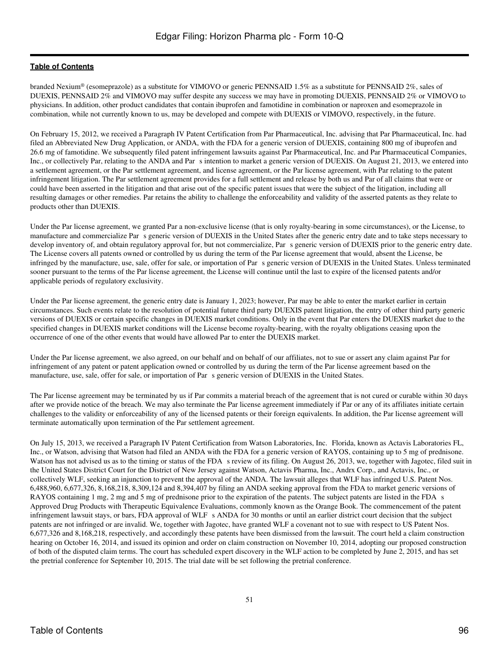branded Nexium® (esomeprazole) as a substitute for VIMOVO or generic PENNSAID 1.5% as a substitute for PENNSAID 2%, sales of DUEXIS, PENNSAID 2% and VIMOVO may suffer despite any success we may have in promoting DUEXIS, PENNSAID 2% or VIMOVO to physicians. In addition, other product candidates that contain ibuprofen and famotidine in combination or naproxen and esomeprazole in combination, while not currently known to us, may be developed and compete with DUEXIS or VIMOVO, respectively, in the future.

On February 15, 2012, we received a Paragraph IV Patent Certification from Par Pharmaceutical, Inc. advising that Par Pharmaceutical, Inc. had filed an Abbreviated New Drug Application, or ANDA, with the FDA for a generic version of DUEXIS, containing 800 mg of ibuprofen and 26.6 mg of famotidine. We subsequently filed patent infringement lawsuits against Par Pharmaceutical, Inc. and Par Pharmaceutical Companies, Inc., or collectively Par, relating to the ANDA and Par s intention to market a generic version of DUEXIS. On August 21, 2013, we entered into a settlement agreement, or the Par settlement agreement, and license agreement, or the Par license agreement, with Par relating to the patent infringement litigation. The Par settlement agreement provides for a full settlement and release by both us and Par of all claims that were or could have been asserted in the litigation and that arise out of the specific patent issues that were the subject of the litigation, including all resulting damages or other remedies. Par retains the ability to challenge the enforceability and validity of the asserted patents as they relate to products other than DUEXIS.

Under the Par license agreement, we granted Par a non-exclusive license (that is only royalty-bearing in some circumstances), or the License, to manufacture and commercialize Pars generic version of DUEXIS in the United States after the generic entry date and to take steps necessary to develop inventory of, and obtain regulatory approval for, but not commercialize, Par s generic version of DUEXIS prior to the generic entry date. The License covers all patents owned or controlled by us during the term of the Par license agreement that would, absent the License, be infringed by the manufacture, use, sale, offer for sale, or importation of Pars generic version of DUEXIS in the United States. Unless terminated sooner pursuant to the terms of the Par license agreement, the License will continue until the last to expire of the licensed patents and/or applicable periods of regulatory exclusivity.

Under the Par license agreement, the generic entry date is January 1, 2023; however, Par may be able to enter the market earlier in certain circumstances. Such events relate to the resolution of potential future third party DUEXIS patent litigation, the entry of other third party generic versions of DUEXIS or certain specific changes in DUEXIS market conditions. Only in the event that Par enters the DUEXIS market due to the specified changes in DUEXIS market conditions will the License become royalty-bearing, with the royalty obligations ceasing upon the occurrence of one of the other events that would have allowed Par to enter the DUEXIS market.

Under the Par license agreement, we also agreed, on our behalf and on behalf of our affiliates, not to sue or assert any claim against Par for infringement of any patent or patent application owned or controlled by us during the term of the Par license agreement based on the manufacture, use, sale, offer for sale, or importation of Par s generic version of DUEXIS in the United States.

The Par license agreement may be terminated by us if Par commits a material breach of the agreement that is not cured or curable within 30 days after we provide notice of the breach. We may also terminate the Par license agreement immediately if Par or any of its affiliates initiate certain challenges to the validity or enforceability of any of the licensed patents or their foreign equivalents. In addition, the Par license agreement will terminate automatically upon termination of the Par settlement agreement.

On July 15, 2013, we received a Paragraph IV Patent Certification from Watson Laboratories, Inc. Florida, known as Actavis Laboratories FL, Inc., or Watson, advising that Watson had filed an ANDA with the FDA for a generic version of RAYOS, containing up to 5 mg of prednisone. Watson has not advised us as to the timing or status of the FDA s review of its filing. On August 26, 2013, we, together with Jagotec, filed suit in the United States District Court for the District of New Jersey against Watson, Actavis Pharma, Inc., Andrx Corp., and Actavis, Inc., or collectively WLF, seeking an injunction to prevent the approval of the ANDA. The lawsuit alleges that WLF has infringed U.S. Patent Nos. 6,488,960, 6,677,326, 8,168,218, 8,309,124 and 8,394,407 by filing an ANDA seeking approval from the FDA to market generic versions of RAYOS containing 1 mg, 2 mg and 5 mg of prednisone prior to the expiration of the patents. The subject patents are listed in the FDA s Approved Drug Products with Therapeutic Equivalence Evaluations, commonly known as the Orange Book. The commencement of the patent infringement lawsuit stays, or bars, FDA approval of WLF s ANDA for 30 months or until an earlier district court decision that the subject patents are not infringed or are invalid. We, together with Jagotec, have granted WLF a covenant not to sue with respect to US Patent Nos. 6,677,326 and 8,168,218, respectively, and accordingly these patents have been dismissed from the lawsuit. The court held a claim construction hearing on October 16, 2014, and issued its opinion and order on claim construction on November 10, 2014, adopting our proposed construction of both of the disputed claim terms. The court has scheduled expert discovery in the WLF action to be completed by June 2, 2015, and has set the pretrial conference for September 10, 2015. The trial date will be set following the pretrial conference.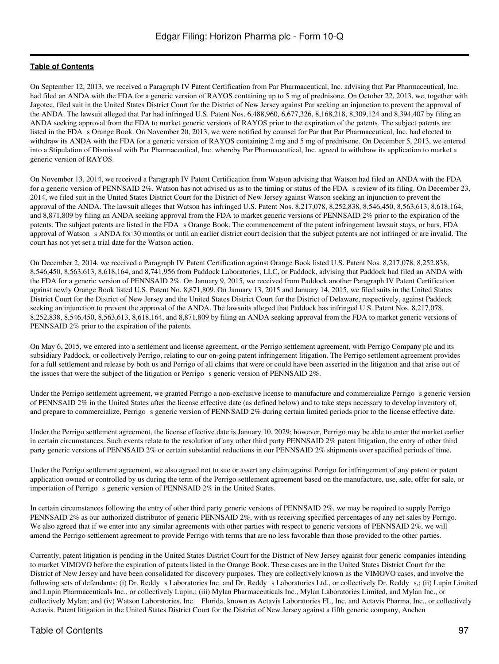On September 12, 2013, we received a Paragraph IV Patent Certification from Par Pharmaceutical, Inc. advising that Par Pharmaceutical, Inc. had filed an ANDA with the FDA for a generic version of RAYOS containing up to 5 mg of prednisone. On October 22, 2013, we, together with Jagotec, filed suit in the United States District Court for the District of New Jersey against Par seeking an injunction to prevent the approval of the ANDA. The lawsuit alleged that Par had infringed U.S. Patent Nos. 6,488,960, 6,677,326, 8,168,218, 8,309,124 and 8,394,407 by filing an ANDA seeking approval from the FDA to market generic versions of RAYOS prior to the expiration of the patents. The subject patents are listed in the FDA s Orange Book. On November 20, 2013, we were notified by counsel for Par that Par Pharmaceutical, Inc. had elected to withdraw its ANDA with the FDA for a generic version of RAYOS containing 2 mg and 5 mg of prednisone. On December 5, 2013, we entered into a Stipulation of Dismissal with Par Pharmaceutical, Inc. whereby Par Pharmaceutical, Inc. agreed to withdraw its application to market a generic version of RAYOS.

On November 13, 2014, we received a Paragraph IV Patent Certification from Watson advising that Watson had filed an ANDA with the FDA for a generic version of PENNSAID 2%. Watson has not advised us as to the timing or status of the FDA s review of its filing. On December 23, 2014, we filed suit in the United States District Court for the District of New Jersey against Watson seeking an injunction to prevent the approval of the ANDA. The lawsuit alleges that Watson has infringed U.S. Patent Nos. 8,217,078, 8,252,838, 8,546,450, 8,563,613, 8,618,164, and 8,871,809 by filing an ANDA seeking approval from the FDA to market generic versions of PENNSAID 2% prior to the expiration of the patents. The subject patents are listed in the FDA s Orange Book. The commencement of the patent infringement lawsuit stays, or bars, FDA approval of Watson s ANDA for 30 months or until an earlier district court decision that the subject patents are not infringed or are invalid. The court has not yet set a trial date for the Watson action.

On December 2, 2014, we received a Paragraph IV Patent Certification against Orange Book listed U.S. Patent Nos. 8,217,078, 8,252,838, 8,546,450, 8,563,613, 8,618,164, and 8,741,956 from Paddock Laboratories, LLC, or Paddock, advising that Paddock had filed an ANDA with the FDA for a generic version of PENNSAID 2%. On January 9, 2015, we received from Paddock another Paragraph IV Patent Certification against newly Orange Book listed U.S. Patent No. 8,871,809. On January 13, 2015 and January 14, 2015, we filed suits in the United States District Court for the District of New Jersey and the United States District Court for the District of Delaware, respectively, against Paddock seeking an injunction to prevent the approval of the ANDA. The lawsuits alleged that Paddock has infringed U.S. Patent Nos. 8,217,078, 8,252,838, 8,546,450, 8,563,613, 8,618,164, and 8,871,809 by filing an ANDA seeking approval from the FDA to market generic versions of PENNSAID 2% prior to the expiration of the patents.

On May 6, 2015, we entered into a settlement and license agreement, or the Perrigo settlement agreement, with Perrigo Company plc and its subsidiary Paddock, or collectively Perrigo, relating to our on-going patent infringement litigation. The Perrigo settlement agreement provides for a full settlement and release by both us and Perrigo of all claims that were or could have been asserted in the litigation and that arise out of the issues that were the subject of the litigation or Perrigo s generic version of PENNSAID 2%.

Under the Perrigo settlement agreement, we granted Perrigo a non-exclusive license to manufacture and commercialize Perrigo s generic version of PENNSAID 2% in the United States after the license effective date (as defined below) and to take steps necessary to develop inventory of, and prepare to commercialize, Perrigo s generic version of PENNSAID 2% during certain limited periods prior to the license effective date.

Under the Perrigo settlement agreement, the license effective date is January 10, 2029; however, Perrigo may be able to enter the market earlier in certain circumstances. Such events relate to the resolution of any other third party PENNSAID 2% patent litigation, the entry of other third party generic versions of PENNSAID 2% or certain substantial reductions in our PENNSAID 2% shipments over specified periods of time.

Under the Perrigo settlement agreement, we also agreed not to sue or assert any claim against Perrigo for infringement of any patent or patent application owned or controlled by us during the term of the Perrigo settlement agreement based on the manufacture, use, sale, offer for sale, or importation of Perrigo s generic version of PENNSAID 2% in the United States.

In certain circumstances following the entry of other third party generic versions of PENNSAID 2%, we may be required to supply Perrigo PENNSAID 2% as our authorized distributor of generic PENNSAID 2%, with us receiving specified percentages of any net sales by Perrigo. We also agreed that if we enter into any similar agreements with other parties with respect to generic versions of PENNSAID 2%, we will amend the Perrigo settlement agreement to provide Perrigo with terms that are no less favorable than those provided to the other parties.

Currently, patent litigation is pending in the United States District Court for the District of New Jersey against four generic companies intending to market VIMOVO before the expiration of patents listed in the Orange Book. These cases are in the United States District Court for the District of New Jersey and have been consolidated for discovery purposes. They are collectively known as the VIMOVO cases, and involve the following sets of defendants: (i) Dr. Reddy s Laboratories Inc. and Dr. Reddy s Laboratories Ltd., or collectively Dr. Reddy s,; (ii) Lupin Limited and Lupin Pharmaceuticals Inc., or collectively Lupin,; (iii) Mylan Pharmaceuticals Inc., Mylan Laboratories Limited, and Mylan Inc., or collectively Mylan; and (iv) Watson Laboratories, Inc. Florida, known as Actavis Laboratories FL, Inc. and Actavis Pharma, Inc., or collectively Actavis. Patent litigation in the United States District Court for the District of New Jersey against a fifth generic company, Anchen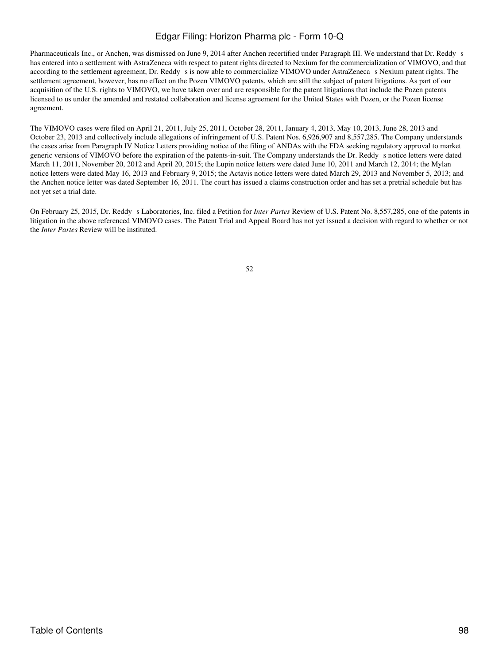Pharmaceuticals Inc., or Anchen, was dismissed on June 9, 2014 after Anchen recertified under Paragraph III. We understand that Dr. Reddy s has entered into a settlement with AstraZeneca with respect to patent rights directed to Nexium for the commercialization of VIMOVO, and that according to the settlement agreement, Dr. Reddy s is now able to commercialize VIMOVO under AstraZeneca s Nexium patent rights. The settlement agreement, however, has no effect on the Pozen VIMOVO patents, which are still the subject of patent litigations. As part of our acquisition of the U.S. rights to VIMOVO, we have taken over and are responsible for the patent litigations that include the Pozen patents licensed to us under the amended and restated collaboration and license agreement for the United States with Pozen, or the Pozen license agreement.

The VIMOVO cases were filed on April 21, 2011, July 25, 2011, October 28, 2011, January 4, 2013, May 10, 2013, June 28, 2013 and October 23, 2013 and collectively include allegations of infringement of U.S. Patent Nos. 6,926,907 and 8,557,285. The Company understands the cases arise from Paragraph IV Notice Letters providing notice of the filing of ANDAs with the FDA seeking regulatory approval to market generic versions of VIMOVO before the expiration of the patents-in-suit. The Company understands the Dr. Reddy s notice letters were dated March 11, 2011, November 20, 2012 and April 20, 2015; the Lupin notice letters were dated June 10, 2011 and March 12, 2014; the Mylan notice letters were dated May 16, 2013 and February 9, 2015; the Actavis notice letters were dated March 29, 2013 and November 5, 2013; and the Anchen notice letter was dated September 16, 2011. The court has issued a claims construction order and has set a pretrial schedule but has not yet set a trial date.

On February 25, 2015, Dr. Reddy s Laboratories, Inc. filed a Petition for *Inter Partes* Review of U.S. Patent No. 8,557,285, one of the patents in litigation in the above referenced VIMOVO cases. The Patent Trial and Appeal Board has not yet issued a decision with regard to whether or not the *Inter Partes* Review will be instituted.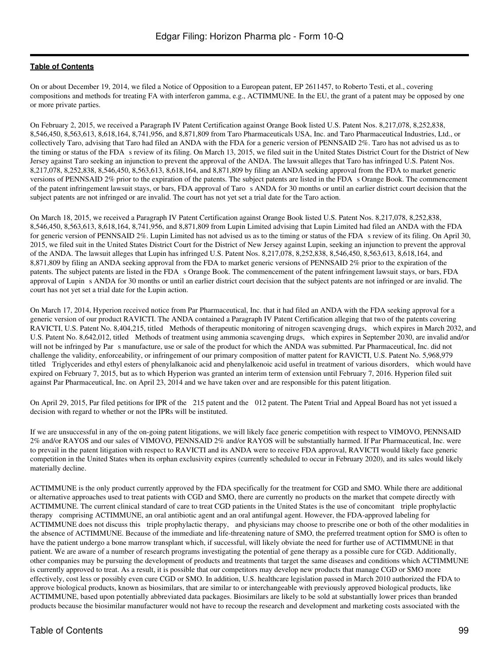On or about December 19, 2014, we filed a Notice of Opposition to a European patent, EP 2611457, to Roberto Testi, et al., covering compositions and methods for treating FA with interferon gamma, e.g., ACTIMMUNE. In the EU, the grant of a patent may be opposed by one or more private parties.

On February 2, 2015, we received a Paragraph IV Patent Certification against Orange Book listed U.S. Patent Nos. 8,217,078, 8,252,838, 8,546,450, 8,563,613, 8,618,164, 8,741,956, and 8,871,809 from Taro Pharmaceuticals USA, Inc. and Taro Pharmaceutical Industries, Ltd., or collectively Taro, advising that Taro had filed an ANDA with the FDA for a generic version of PENNSAID 2%. Taro has not advised us as to the timing or status of the FDA s review of its filing. On March 13, 2015, we filed suit in the United States District Court for the District of New Jersey against Taro seeking an injunction to prevent the approval of the ANDA. The lawsuit alleges that Taro has infringed U.S. Patent Nos. 8,217,078, 8,252,838, 8,546,450, 8,563,613, 8,618,164, and 8,871,809 by filing an ANDA seeking approval from the FDA to market generic versions of PENNSAID 2% prior to the expiration of the patents. The subject patents are listed in the FDAs Orange Book. The commencement of the patent infringement lawsuit stays, or bars, FDA approval of Taros ANDA for 30 months or until an earlier district court decision that the subject patents are not infringed or are invalid. The court has not yet set a trial date for the Taro action.

On March 18, 2015, we received a Paragraph IV Patent Certification against Orange Book listed U.S. Patent Nos. 8,217,078, 8,252,838, 8,546,450, 8,563,613, 8,618,164, 8,741,956, and 8,871,809 from Lupin Limited advising that Lupin Limited had filed an ANDA with the FDA for generic version of PENNSAID 2%. Lupin Limited has not advised us as to the timing or status of the FDA s review of its filing. On April 30, 2015, we filed suit in the United States District Court for the District of New Jersey against Lupin, seeking an injunction to prevent the approval of the ANDA. The lawsuit alleges that Lupin has infringed U.S. Patent Nos. 8,217,078, 8,252,838, 8,546,450, 8,563,613, 8,618,164, and 8,871,809 by filing an ANDA seeking approval from the FDA to market generic versions of PENNSAID 2% prior to the expiration of the patents. The subject patents are listed in the FDA s Orange Book. The commencement of the patent infringement lawsuit stays, or bars, FDA approval of Lupin s ANDA for 30 months or until an earlier district court decision that the subject patents are not infringed or are invalid. The court has not yet set a trial date for the Lupin action.

On March 17, 2014, Hyperion received notice from Par Pharmaceutical, Inc. that it had filed an ANDA with the FDA seeking approval for a generic version of our product RAVICTI. The ANDA contained a Paragraph IV Patent Certification alleging that two of the patents covering RAVICTI, U.S. Patent No. 8,404,215, titled Methods of therapeutic monitoring of nitrogen scavenging drugs, which expires in March 2032, and U.S. Patent No. 8,642,012, titled Methods of treatment using ammonia scavenging drugs, which expires in September 2030, are invalid and/or will not be infringed by Par s manufacture, use or sale of the product for which the ANDA was submitted. Par Pharmaceutical, Inc. did not challenge the validity, enforceability, or infringement of our primary composition of matter patent for RAVICTI, U.S. Patent No. 5,968,979 titled Triglycerides and ethyl esters of phenylalkanoic acid and phenylalkenoic acid useful in treatment of various disorders, which would have expired on February 7, 2015, but as to which Hyperion was granted an interim term of extension until February 7, 2016. Hyperion filed suit against Par Pharmaceutical, Inc. on April 23, 2014 and we have taken over and are responsible for this patent litigation.

On April 29, 2015, Par filed petitions for IPR of the 215 patent and the 012 patent. The Patent Trial and Appeal Board has not yet issued a decision with regard to whether or not the IPRs will be instituted.

If we are unsuccessful in any of the on-going patent litigations, we will likely face generic competition with respect to VIMOVO, PENNSAID 2% and/or RAYOS and our sales of VIMOVO, PENNSAID 2% and/or RAYOS will be substantially harmed. If Par Pharmaceutical, Inc. were to prevail in the patent litigation with respect to RAVICTI and its ANDA were to receive FDA approval, RAVICTI would likely face generic competition in the United States when its orphan exclusivity expires (currently scheduled to occur in February 2020), and its sales would likely materially decline.

ACTIMMUNE is the only product currently approved by the FDA specifically for the treatment for CGD and SMO. While there are additional or alternative approaches used to treat patients with CGD and SMO, there are currently no products on the market that compete directly with ACTIMMUNE. The current clinical standard of care to treat CGD patients in the United States is the use of concomitant triple prophylactic therapy comprising ACTIMMUNE, an oral antibiotic agent and an oral antifungal agent. However, the FDA-approved labeling for ACTIMMUNE does not discuss this triple prophylactic therapy, and physicians may choose to prescribe one or both of the other modalities in the absence of ACTIMMUNE. Because of the immediate and life-threatening nature of SMO, the preferred treatment option for SMO is often to have the patient undergo a bone marrow transplant which, if successful, will likely obviate the need for further use of ACTIMMUNE in that patient. We are aware of a number of research programs investigating the potential of gene therapy as a possible cure for CGD. Additionally, other companies may be pursuing the development of products and treatments that target the same diseases and conditions which ACTIMMUNE is currently approved to treat. As a result, it is possible that our competitors may develop new products that manage CGD or SMO more effectively, cost less or possibly even cure CGD or SMO. In addition, U.S. healthcare legislation passed in March 2010 authorized the FDA to approve biological products, known as biosimilars, that are similar to or interchangeable with previously approved biological products, like ACTIMMUNE, based upon potentially abbreviated data packages. Biosimilars are likely to be sold at substantially lower prices than branded products because the biosimilar manufacturer would not have to recoup the research and development and marketing costs associated with the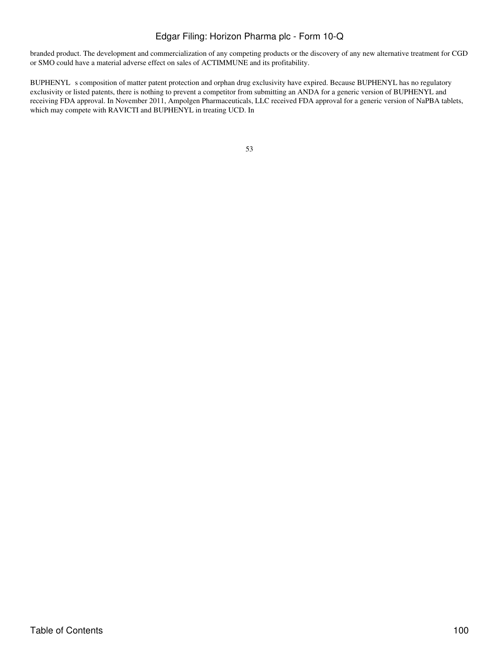branded product. The development and commercialization of any competing products or the discovery of any new alternative treatment for CGD or SMO could have a material adverse effect on sales of ACTIMMUNE and its profitability.

BUPHENYL s composition of matter patent protection and orphan drug exclusivity have expired. Because BUPHENYL has no regulatory exclusivity or listed patents, there is nothing to prevent a competitor from submitting an ANDA for a generic version of BUPHENYL and receiving FDA approval. In November 2011, Ampolgen Pharmaceuticals, LLC received FDA approval for a generic version of NaPBA tablets, which may compete with RAVICTI and BUPHENYL in treating UCD. In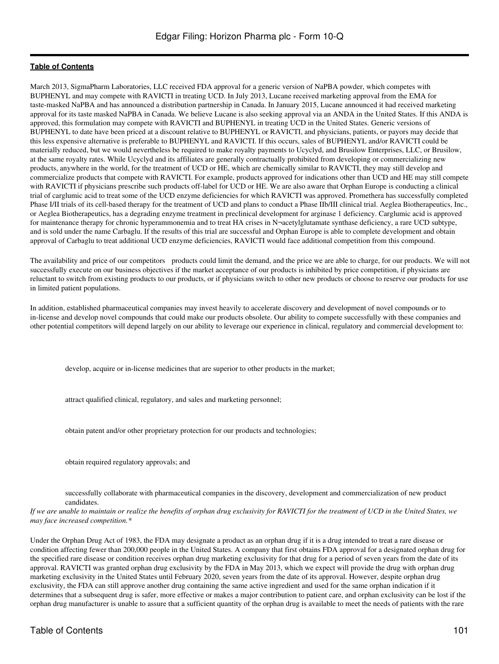March 2013, SigmaPharm Laboratories, LLC received FDA approval for a generic version of NaPBA powder, which competes with BUPHENYL and may compete with RAVICTI in treating UCD. In July 2013, Lucane received marketing approval from the EMA for taste-masked NaPBA and has announced a distribution partnership in Canada. In January 2015, Lucane announced it had received marketing approval for its taste masked NaPBA in Canada. We believe Lucane is also seeking approval via an ANDA in the United States. If this ANDA is approved, this formulation may compete with RAVICTI and BUPHENYL in treating UCD in the United States. Generic versions of BUPHENYL to date have been priced at a discount relative to BUPHENYL or RAVICTI, and physicians, patients, or payors may decide that this less expensive alternative is preferable to BUPHENYL and RAVICTI. If this occurs, sales of BUPHENYL and/or RAVICTI could be materially reduced, but we would nevertheless be required to make royalty payments to Ucyclyd, and Brusilow Enterprises, LLC, or Brusilow, at the same royalty rates. While Ucyclyd and its affiliates are generally contractually prohibited from developing or commercializing new products, anywhere in the world, for the treatment of UCD or HE, which are chemically similar to RAVICTI, they may still develop and commercialize products that compete with RAVICTI. For example, products approved for indications other than UCD and HE may still compete with RAVICTI if physicians prescribe such products off-label for UCD or HE. We are also aware that Orphan Europe is conducting a clinical trial of carglumic acid to treat some of the UCD enzyme deficiencies for which RAVICTI was approved. Promethera has successfully completed Phase I/II trials of its cell-based therapy for the treatment of UCD and plans to conduct a Phase IIb/III clinical trial. Aeglea Biotherapeutics, Inc., or Aeglea Biotherapeutics, has a degrading enzyme treatment in preclinical development for arginase 1 deficiency. Carglumic acid is approved for maintenance therapy for chronic hyperammonemia and to treat HA crises in N¬acetylglutamate synthase deficiency, a rare UCD subtype, and is sold under the name Carbaglu. If the results of this trial are successful and Orphan Europe is able to complete development and obtain approval of Carbaglu to treat additional UCD enzyme deficiencies, RAVICTI would face additional competition from this compound.

The availability and price of our competitors products could limit the demand, and the price we are able to charge, for our products. We will not successfully execute on our business objectives if the market acceptance of our products is inhibited by price competition, if physicians are reluctant to switch from existing products to our products, or if physicians switch to other new products or choose to reserve our products for use in limited patient populations.

In addition, established pharmaceutical companies may invest heavily to accelerate discovery and development of novel compounds or to in-license and develop novel compounds that could make our products obsolete. Our ability to compete successfully with these companies and other potential competitors will depend largely on our ability to leverage our experience in clinical, regulatory and commercial development to:

develop, acquire or in-license medicines that are superior to other products in the market;

attract qualified clinical, regulatory, and sales and marketing personnel;

obtain patent and/or other proprietary protection for our products and technologies;

obtain required regulatory approvals; and

successfully collaborate with pharmaceutical companies in the discovery, development and commercialization of new product candidates.

*If we are unable to maintain or realize the benefits of orphan drug exclusivity for RAVICTI for the treatment of UCD in the United States, we may face increased competition.\**

Under the Orphan Drug Act of 1983, the FDA may designate a product as an orphan drug if it is a drug intended to treat a rare disease or condition affecting fewer than 200,000 people in the United States. A company that first obtains FDA approval for a designated orphan drug for the specified rare disease or condition receives orphan drug marketing exclusivity for that drug for a period of seven years from the date of its approval. RAVICTI was granted orphan drug exclusivity by the FDA in May 2013, which we expect will provide the drug with orphan drug marketing exclusivity in the United States until February 2020, seven years from the date of its approval. However, despite orphan drug exclusivity, the FDA can still approve another drug containing the same active ingredient and used for the same orphan indication if it determines that a subsequent drug is safer, more effective or makes a major contribution to patient care, and orphan exclusivity can be lost if the orphan drug manufacturer is unable to assure that a sufficient quantity of the orphan drug is available to meet the needs of patients with the rare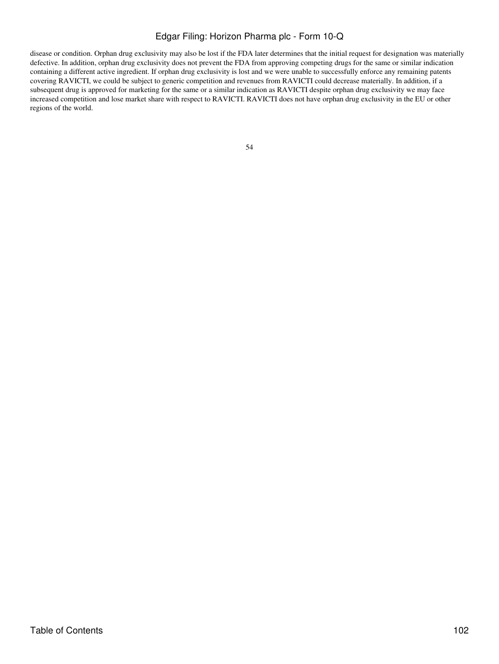disease or condition. Orphan drug exclusivity may also be lost if the FDA later determines that the initial request for designation was materially defective. In addition, orphan drug exclusivity does not prevent the FDA from approving competing drugs for the same or similar indication containing a different active ingredient. If orphan drug exclusivity is lost and we were unable to successfully enforce any remaining patents covering RAVICTI, we could be subject to generic competition and revenues from RAVICTI could decrease materially. In addition, if a subsequent drug is approved for marketing for the same or a similar indication as RAVICTI despite orphan drug exclusivity we may face increased competition and lose market share with respect to RAVICTI. RAVICTI does not have orphan drug exclusivity in the EU or other regions of the world.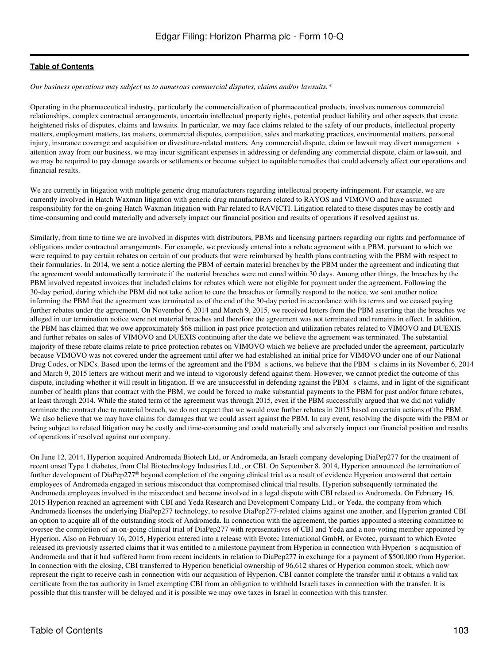*Our business operations may subject us to numerous commercial disputes, claims and/or lawsuits.\**

Operating in the pharmaceutical industry, particularly the commercialization of pharmaceutical products, involves numerous commercial relationships, complex contractual arrangements, uncertain intellectual property rights, potential product liability and other aspects that create heightened risks of disputes, claims and lawsuits. In particular, we may face claims related to the safety of our products, intellectual property matters, employment matters, tax matters, commercial disputes, competition, sales and marketing practices, environmental matters, personal injury, insurance coverage and acquisition or divestiture-related matters. Any commercial dispute, claim or lawsuit may divert management s attention away from our business, we may incur significant expenses in addressing or defending any commercial dispute, claim or lawsuit, and we may be required to pay damage awards or settlements or become subject to equitable remedies that could adversely affect our operations and financial results.

We are currently in litigation with multiple generic drug manufacturers regarding intellectual property infringement. For example, we are currently involved in Hatch Waxman litigation with generic drug manufacturers related to RAYOS and VIMOVO and have assumed responsibility for the on-going Hatch Waxman litigation with Par related to RAVICTI. Litigation related to these disputes may be costly and time-consuming and could materially and adversely impact our financial position and results of operations if resolved against us.

Similarly, from time to time we are involved in disputes with distributors, PBMs and licensing partners regarding our rights and performance of obligations under contractual arrangements. For example, we previously entered into a rebate agreement with a PBM, pursuant to which we were required to pay certain rebates on certain of our products that were reimbursed by health plans contracting with the PBM with respect to their formularies. In 2014, we sent a notice alerting the PBM of certain material breaches by the PBM under the agreement and indicating that the agreement would automatically terminate if the material breaches were not cured within 30 days. Among other things, the breaches by the PBM involved repeated invoices that included claims for rebates which were not eligible for payment under the agreement. Following the 30-day period, during which the PBM did not take action to cure the breaches or formally respond to the notice, we sent another notice informing the PBM that the agreement was terminated as of the end of the 30-day period in accordance with its terms and we ceased paying further rebates under the agreement. On November 6, 2014 and March 9, 2015, we received letters from the PBM asserting that the breaches we alleged in our termination notice were not material breaches and therefore the agreement was not terminated and remains in effect. In addition, the PBM has claimed that we owe approximately \$68 million in past price protection and utilization rebates related to VIMOVO and DUEXIS and further rebates on sales of VIMOVO and DUEXIS continuing after the date we believe the agreement was terminated. The substantial majority of these rebate claims relate to price protection rebates on VIMOVO which we believe are precluded under the agreement, particularly because VIMOVO was not covered under the agreement until after we had established an initial price for VIMOVO under one of our National Drug Codes, or NDCs. Based upon the terms of the agreement and the PBM s actions, we believe that the PBM s claims in its November 6, 2014 and March 9, 2015 letters are without merit and we intend to vigorously defend against them. However, we cannot predict the outcome of this dispute, including whether it will result in litigation. If we are unsuccessful in defending against the PBM s claims, and in light of the significant number of health plans that contract with the PBM, we could be forced to make substantial payments to the PBM for past and/or future rebates, at least through 2014. While the stated term of the agreement was through 2015, even if the PBM successfully argued that we did not validly terminate the contract due to material breach, we do not expect that we would owe further rebates in 2015 based on certain actions of the PBM. We also believe that we may have claims for damages that we could assert against the PBM. In any event, resolving the dispute with the PBM or being subject to related litigation may be costly and time-consuming and could materially and adversely impact our financial position and results of operations if resolved against our company.

On June 12, 2014, Hyperion acquired Andromeda Biotech Ltd, or Andromeda, an Israeli company developing DiaPep277 for the treatment of recent onset Type 1 diabetes, from Clal Biotechnology Industries Ltd., or CBI. On September 8, 2014, Hyperion announced the termination of further development of DiaPep277® beyond completion of the ongoing clinical trial as a result of evidence Hyperion uncovered that certain employees of Andromeda engaged in serious misconduct that compromised clinical trial results. Hyperion subsequently terminated the Andromeda employees involved in the misconduct and became involved in a legal dispute with CBI related to Andromeda. On February 16, 2015 Hyperion reached an agreement with CBI and Yeda Research and Development Company Ltd., or Yeda, the company from which Andromeda licenses the underlying DiaPep277 technology, to resolve DiaPep277-related claims against one another, and Hyperion granted CBI an option to acquire all of the outstanding stock of Andromeda. In connection with the agreement, the parties appointed a steering committee to oversee the completion of an on-going clinical trial of DiaPep277 with representatives of CBI and Yeda and a non-voting member appointed by Hyperion. Also on February 16, 2015, Hyperion entered into a release with Evotec International GmbH, or Evotec, pursuant to which Evotec released its previously asserted claims that it was entitled to a milestone payment from Hyperion in connection with Hyperion s acquisition of Andromeda and that it had suffered harm from recent incidents in relation to DiaPep277 in exchange for a payment of \$500,000 from Hyperion. In connection with the closing, CBI transferred to Hyperion beneficial ownership of 96,612 shares of Hyperion common stock, which now represent the right to receive cash in connection with our acquisition of Hyperion. CBI cannot complete the transfer until it obtains a valid tax certificate from the tax authority in Israel exempting CBI from an obligation to withhold Israeli taxes in connection with the transfer. It is possible that this transfer will be delayed and it is possible we may owe taxes in Israel in connection with this transfer.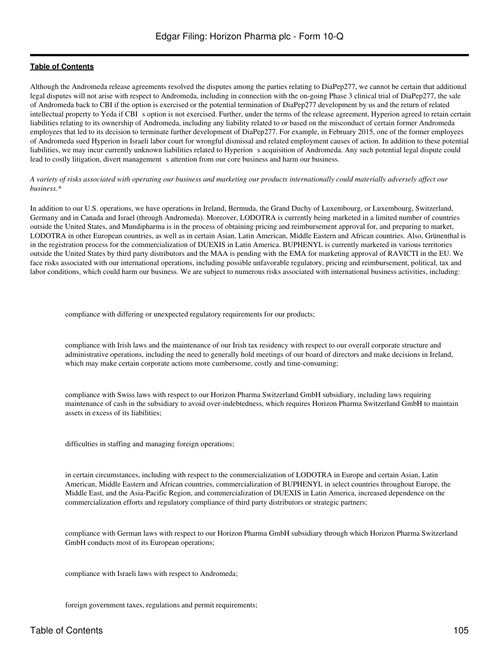Although the Andromeda release agreements resolved the disputes among the parties relating to DiaPep277, we cannot be certain that additional legal disputes will not arise with respect to Andromeda, including in connection with the on-going Phase 3 clinical trial of DiaPep277, the sale of Andromeda back to CBI if the option is exercised or the potential termination of DiaPep277 development by us and the return of related intellectual property to Yeda if CBI s option is not exercised. Further, under the terms of the release agreement, Hyperion agreed to retain certain liabilities relating to its ownership of Andromeda, including any liability related to or based on the misconduct of certain former Andromeda employees that led to its decision to terminate further development of DiaPep277. For example, in February 2015, one of the former employees of Andromeda sued Hyperion in Israeli labor court for wrongful dismissal and related employment causes of action. In addition to these potential liabilities, we may incur currently unknown liabilities related to Hyperion s acquisition of Andromeda. Any such potential legal dispute could lead to costly litigation, divert management s attention from our core business and harm our business.

#### *A variety of risks associated with operating our business and marketing our products internationally could materially adversely affect our business.\**

In addition to our U.S. operations, we have operations in Ireland, Bermuda, the Grand Duchy of Luxembourg, or Luxembourg, Switzerland, Germany and in Canada and Israel (through Andromeda). Moreover, LODOTRA is currently being marketed in a limited number of countries outside the United States, and Mundipharma is in the process of obtaining pricing and reimbursement approval for, and preparing to market, LODOTRA in other European countries, as well as in certain Asian, Latin American, Middle Eastern and African countries. Also, Grünenthal is in the registration process for the commercialization of DUEXIS in Latin America. BUPHENYL is currently marketed in various territories outside the United States by third party distributors and the MAA is pending with the EMA for marketing approval of RAVICTI in the EU. We face risks associated with our international operations, including possible unfavorable regulatory, pricing and reimbursement, political, tax and labor conditions, which could harm our business. We are subject to numerous risks associated with international business activities, including:

compliance with differing or unexpected regulatory requirements for our products;

compliance with Irish laws and the maintenance of our Irish tax residency with respect to our overall corporate structure and administrative operations, including the need to generally hold meetings of our board of directors and make decisions in Ireland, which may make certain corporate actions more cumbersome, costly and time-consuming;

compliance with Swiss laws with respect to our Horizon Pharma Switzerland GmbH subsidiary, including laws requiring maintenance of cash in the subsidiary to avoid over-indebtedness, which requires Horizon Pharma Switzerland GmbH to maintain assets in excess of its liabilities;

difficulties in staffing and managing foreign operations;

in certain circumstances, including with respect to the commercialization of LODOTRA in Europe and certain Asian, Latin American, Middle Eastern and African countries, commercialization of BUPHENYL in select countries throughout Europe, the Middle East, and the Asia-Pacific Region, and commercialization of DUEXIS in Latin America, increased dependence on the commercialization efforts and regulatory compliance of third party distributors or strategic partners;

compliance with German laws with respect to our Horizon Pharma GmbH subsidiary through which Horizon Pharma Switzerland GmbH conducts most of its European operations;

compliance with Israeli laws with respect to Andromeda;

foreign government taxes, regulations and permit requirements;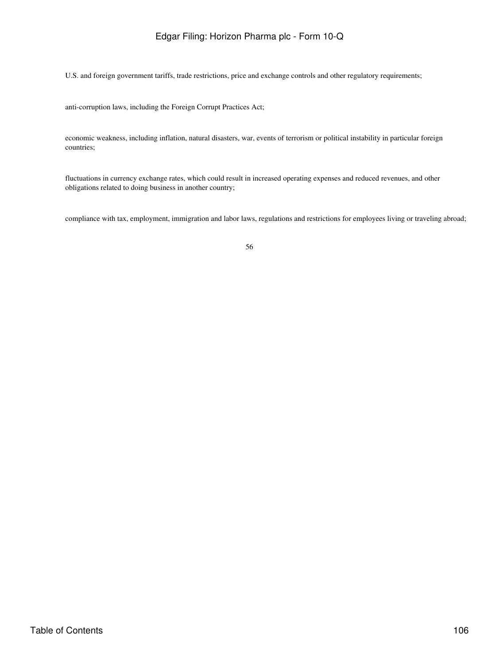U.S. and foreign government tariffs, trade restrictions, price and exchange controls and other regulatory requirements;

anti-corruption laws, including the Foreign Corrupt Practices Act;

economic weakness, including inflation, natural disasters, war, events of terrorism or political instability in particular foreign countries;

fluctuations in currency exchange rates, which could result in increased operating expenses and reduced revenues, and other obligations related to doing business in another country;

compliance with tax, employment, immigration and labor laws, regulations and restrictions for employees living or traveling abroad;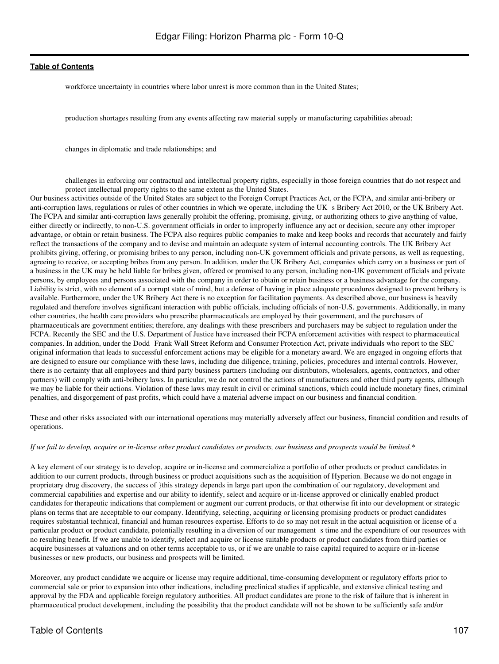workforce uncertainty in countries where labor unrest is more common than in the United States;

production shortages resulting from any events affecting raw material supply or manufacturing capabilities abroad;

changes in diplomatic and trade relationships; and

challenges in enforcing our contractual and intellectual property rights, especially in those foreign countries that do not respect and protect intellectual property rights to the same extent as the United States.

Our business activities outside of the United States are subject to the Foreign Corrupt Practices Act, or the FCPA, and similar anti-bribery or anti-corruption laws, regulations or rules of other countries in which we operate, including the UK s Bribery Act 2010, or the UK Bribery Act. The FCPA and similar anti-corruption laws generally prohibit the offering, promising, giving, or authorizing others to give anything of value, either directly or indirectly, to non-U.S. government officials in order to improperly influence any act or decision, secure any other improper advantage, or obtain or retain business. The FCPA also requires public companies to make and keep books and records that accurately and fairly reflect the transactions of the company and to devise and maintain an adequate system of internal accounting controls. The UK Bribery Act prohibits giving, offering, or promising bribes to any person, including non-UK government officials and private persons, as well as requesting, agreeing to receive, or accepting bribes from any person. In addition, under the UK Bribery Act, companies which carry on a business or part of a business in the UK may be held liable for bribes given, offered or promised to any person, including non-UK government officials and private persons, by employees and persons associated with the company in order to obtain or retain business or a business advantage for the company. Liability is strict, with no element of a corrupt state of mind, but a defense of having in place adequate procedures designed to prevent bribery is available. Furthermore, under the UK Bribery Act there is no exception for facilitation payments. As described above, our business is heavily regulated and therefore involves significant interaction with public officials, including officials of non-U.S. governments. Additionally, in many other countries, the health care providers who prescribe pharmaceuticals are employed by their government, and the purchasers of pharmaceuticals are government entities; therefore, any dealings with these prescribers and purchasers may be subject to regulation under the FCPA. Recently the SEC and the U.S. Department of Justice have increased their FCPA enforcement activities with respect to pharmaceutical companies. In addition, under the Dodd Frank Wall Street Reform and Consumer Protection Act, private individuals who report to the SEC original information that leads to successful enforcement actions may be eligible for a monetary award. We are engaged in ongoing efforts that are designed to ensure our compliance with these laws, including due diligence, training, policies, procedures and internal controls. However, there is no certainty that all employees and third party business partners (including our distributors, wholesalers, agents, contractors, and other partners) will comply with anti-bribery laws. In particular, we do not control the actions of manufacturers and other third party agents, although we may be liable for their actions. Violation of these laws may result in civil or criminal sanctions, which could include monetary fines, criminal penalties, and disgorgement of past profits, which could have a material adverse impact on our business and financial condition.

These and other risks associated with our international operations may materially adversely affect our business, financial condition and results of operations.

#### *If we fail to develop, acquire or in-license other product candidates or products, our business and prospects would be limited.\**

A key element of our strategy is to develop, acquire or in-license and commercialize a portfolio of other products or product candidates in addition to our current products, through business or product acquisitions such as the acquisition of Hyperion. Because we do not engage in proprietary drug discovery, the success of }this strategy depends in large part upon the combination of our regulatory, development and commercial capabilities and expertise and our ability to identify, select and acquire or in-license approved or clinically enabled product candidates for therapeutic indications that complement or augment our current products, or that otherwise fit into our development or strategic plans on terms that are acceptable to our company. Identifying, selecting, acquiring or licensing promising products or product candidates requires substantial technical, financial and human resources expertise. Efforts to do so may not result in the actual acquisition or license of a particular product or product candidate, potentially resulting in a diversion of our management s time and the expenditure of our resources with no resulting benefit. If we are unable to identify, select and acquire or license suitable products or product candidates from third parties or acquire businesses at valuations and on other terms acceptable to us, or if we are unable to raise capital required to acquire or in-license businesses or new products, our business and prospects will be limited.

Moreover, any product candidate we acquire or license may require additional, time-consuming development or regulatory efforts prior to commercial sale or prior to expansion into other indications, including preclinical studies if applicable, and extensive clinical testing and approval by the FDA and applicable foreign regulatory authorities. All product candidates are prone to the risk of failure that is inherent in pharmaceutical product development, including the possibility that the product candidate will not be shown to be sufficiently safe and/or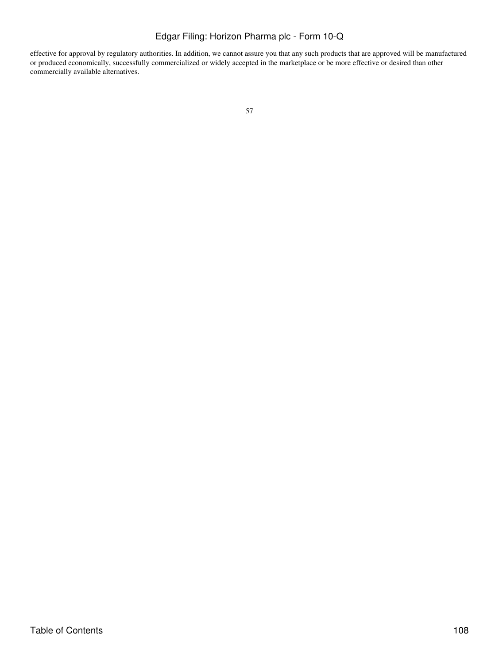effective for approval by regulatory authorities. In addition, we cannot assure you that any such products that are approved will be manufactured or produced economically, successfully commercialized or widely accepted in the marketplace or be more effective or desired than other commercially available alternatives.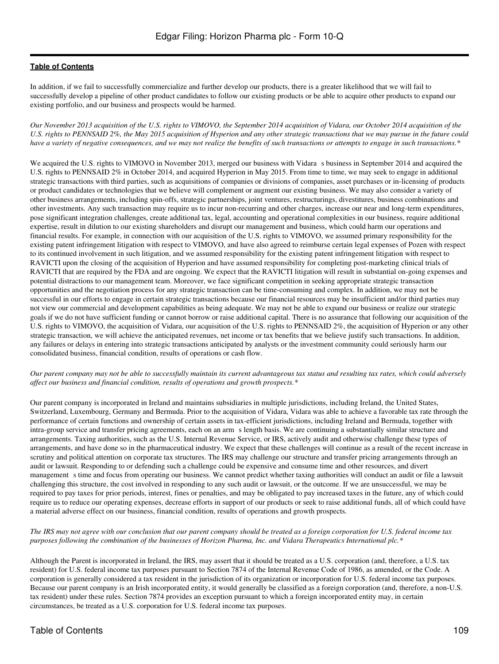In addition, if we fail to successfully commercialize and further develop our products, there is a greater likelihood that we will fail to successfully develop a pipeline of other product candidates to follow our existing products or be able to acquire other products to expand our existing portfolio, and our business and prospects would be harmed.

*Our November 2013 acquisition of the U.S. rights to VIMOVO, the September 2014 acquisition of Vidara, our October 2014 acquisition of the U.S. rights to PENNSAID 2%, the May 2015 acquisition of Hyperion and any other strategic transactions that we may pursue in the future could have a variety of negative consequences, and we may not realize the benefits of such transactions or attempts to engage in such transactions.\**

We acquired the U.S. rights to VIMOVO in November 2013, merged our business with Vidara s business in September 2014 and acquired the U.S. rights to PENNSAID 2% in October 2014, and acquired Hyperion in May 2015. From time to time, we may seek to engage in additional strategic transactions with third parties, such as acquisitions of companies or divisions of companies, asset purchases or in-licensing of products or product candidates or technologies that we believe will complement or augment our existing business. We may also consider a variety of other business arrangements, including spin-offs, strategic partnerships, joint ventures, restructurings, divestitures, business combinations and other investments. Any such transaction may require us to incur non-recurring and other charges, increase our near and long-term expenditures, pose significant integration challenges, create additional tax, legal, accounting and operational complexities in our business, require additional expertise, result in dilution to our existing shareholders and disrupt our management and business, which could harm our operations and financial results. For example, in connection with our acquisition of the U.S. rights to VIMOVO, we assumed primary responsibility for the existing patent infringement litigation with respect to VIMOVO, and have also agreed to reimburse certain legal expenses of Pozen with respect to its continued involvement in such litigation, and we assumed responsibility for the existing patent infringement litigation with respect to RAVICTI upon the closing of the acquisition of Hyperion and have assumed responsibility for completing post-marketing clinical trials of RAVICTI that are required by the FDA and are ongoing. We expect that the RAVICTI litigation will result in substantial on-going expenses and potential distractions to our management team. Moreover, we face significant competition in seeking appropriate strategic transaction opportunities and the negotiation process for any strategic transaction can be time-consuming and complex. In addition, we may not be successful in our efforts to engage in certain strategic transactions because our financial resources may be insufficient and/or third parties may not view our commercial and development capabilities as being adequate. We may not be able to expand our business or realize our strategic goals if we do not have sufficient funding or cannot borrow or raise additional capital. There is no assurance that following our acquisition of the U.S. rights to VIMOVO, the acquisition of Vidara, our acquisition of the U.S. rights to PENNSAID 2%, the acquisition of Hyperion or any other strategic transaction, we will achieve the anticipated revenues, net income or tax benefits that we believe justify such transactions. In addition, any failures or delays in entering into strategic transactions anticipated by analysts or the investment community could seriously harm our consolidated business, financial condition, results of operations or cash flow.

#### *Our parent company may not be able to successfully maintain its current advantageous tax status and resulting tax rates, which could adversely affect our business and financial condition, results of operations and growth prospects.\**

Our parent company is incorporated in Ireland and maintains subsidiaries in multiple jurisdictions, including Ireland, the United States, Switzerland, Luxembourg, Germany and Bermuda. Prior to the acquisition of Vidara, Vidara was able to achieve a favorable tax rate through the performance of certain functions and ownership of certain assets in tax-efficient jurisdictions, including Ireland and Bermuda, together with intra-group service and transfer pricing agreements, each on an arms length basis. We are continuing a substantially similar structure and arrangements. Taxing authorities, such as the U.S. Internal Revenue Service, or IRS, actively audit and otherwise challenge these types of arrangements, and have done so in the pharmaceutical industry. We expect that these challenges will continue as a result of the recent increase in scrutiny and political attention on corporate tax structures. The IRS may challenge our structure and transfer pricing arrangements through an audit or lawsuit. Responding to or defending such a challenge could be expensive and consume time and other resources, and divert management s time and focus from operating our business. We cannot predict whether taxing authorities will conduct an audit or file a lawsuit challenging this structure, the cost involved in responding to any such audit or lawsuit, or the outcome. If we are unsuccessful, we may be required to pay taxes for prior periods, interest, fines or penalties, and may be obligated to pay increased taxes in the future, any of which could require us to reduce our operating expenses, decrease efforts in support of our products or seek to raise additional funds, all of which could have a material adverse effect on our business, financial condition, results of operations and growth prospects.

### *The IRS may not agree with our conclusion that our parent company should be treated as a foreign corporation for U.S. federal income tax purposes following the combination of the businesses of Horizon Pharma, Inc. and Vidara Therapeutics International plc.\**

Although the Parent is incorporated in Ireland, the IRS, may assert that it should be treated as a U.S. corporation (and, therefore, a U.S. tax resident) for U.S. federal income tax purposes pursuant to Section 7874 of the Internal Revenue Code of 1986, as amended, or the Code. A corporation is generally considered a tax resident in the jurisdiction of its organization or incorporation for U.S. federal income tax purposes. Because our parent company is an Irish incorporated entity, it would generally be classified as a foreign corporation (and, therefore, a non-U.S. tax resident) under these rules. Section 7874 provides an exception pursuant to which a foreign incorporated entity may, in certain circumstances, be treated as a U.S. corporation for U.S. federal income tax purposes.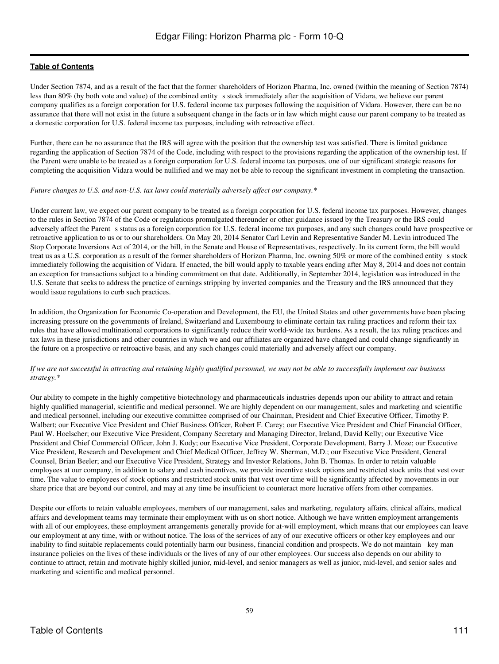Under Section 7874, and as a result of the fact that the former shareholders of Horizon Pharma, Inc. owned (within the meaning of Section 7874) less than 80% (by both vote and value) of the combined entity s stock immediately after the acquisition of Vidara, we believe our parent company qualifies as a foreign corporation for U.S. federal income tax purposes following the acquisition of Vidara. However, there can be no assurance that there will not exist in the future a subsequent change in the facts or in law which might cause our parent company to be treated as a domestic corporation for U.S. federal income tax purposes, including with retroactive effect.

Further, there can be no assurance that the IRS will agree with the position that the ownership test was satisfied. There is limited guidance regarding the application of Section 7874 of the Code, including with respect to the provisions regarding the application of the ownership test. If the Parent were unable to be treated as a foreign corporation for U.S. federal income tax purposes, one of our significant strategic reasons for completing the acquisition Vidara would be nullified and we may not be able to recoup the significant investment in completing the transaction.

#### *Future changes to U.S. and non-U.S. tax laws could materially adversely affect our company.\**

Under current law, we expect our parent company to be treated as a foreign corporation for U.S. federal income tax purposes. However, changes to the rules in Section 7874 of the Code or regulations promulgated thereunder or other guidance issued by the Treasury or the IRS could adversely affect the Parent s status as a foreign corporation for U.S. federal income tax purposes, and any such changes could have prospective or retroactive application to us or to our shareholders. On May 20, 2014 Senator Carl Levin and Representative Sander M. Levin introduced The Stop Corporate Inversions Act of 2014, or the bill, in the Senate and House of Representatives, respectively. In its current form, the bill would treat us as a U.S. corporation as a result of the former shareholders of Horizon Pharma, Inc. owning 50% or more of the combined entity s stock immediately following the acquisition of Vidara. If enacted, the bill would apply to taxable years ending after May 8, 2014 and does not contain an exception for transactions subject to a binding commitment on that date. Additionally, in September 2014, legislation was introduced in the U.S. Senate that seeks to address the practice of earnings stripping by inverted companies and the Treasury and the IRS announced that they would issue regulations to curb such practices.

In addition, the Organization for Economic Co-operation and Development, the EU, the United States and other governments have been placing increasing pressure on the governments of Ireland, Switzerland and Luxembourg to eliminate certain tax ruling practices and reform their tax rules that have allowed multinational corporations to significantly reduce their world-wide tax burdens. As a result, the tax ruling practices and tax laws in these jurisdictions and other countries in which we and our affiliates are organized have changed and could change significantly in the future on a prospective or retroactive basis, and any such changes could materially and adversely affect our company.

#### *If we are not successful in attracting and retaining highly qualified personnel, we may not be able to successfully implement our business strategy.\**

Our ability to compete in the highly competitive biotechnology and pharmaceuticals industries depends upon our ability to attract and retain highly qualified managerial, scientific and medical personnel. We are highly dependent on our management, sales and marketing and scientific and medical personnel, including our executive committee comprised of our Chairman, President and Chief Executive Officer, Timothy P. Walbert; our Executive Vice President and Chief Business Officer, Robert F. Carey; our Executive Vice President and Chief Financial Officer, Paul W. Hoelscher; our Executive Vice President, Company Secretary and Managing Director, Ireland, David Kelly; our Executive Vice President and Chief Commercial Officer, John J. Kody; our Executive Vice President, Corporate Development, Barry J. Moze; our Executive Vice President, Research and Development and Chief Medical Officer, Jeffrey W. Sherman, M.D.; our Executive Vice President, General Counsel, Brian Beeler; and our Executive Vice President, Strategy and Investor Relations, John B. Thomas. In order to retain valuable employees at our company, in addition to salary and cash incentives, we provide incentive stock options and restricted stock units that vest over time. The value to employees of stock options and restricted stock units that vest over time will be significantly affected by movements in our share price that are beyond our control, and may at any time be insufficient to counteract more lucrative offers from other companies.

Despite our efforts to retain valuable employees, members of our management, sales and marketing, regulatory affairs, clinical affairs, medical affairs and development teams may terminate their employment with us on short notice. Although we have written employment arrangements with all of our employees, these employment arrangements generally provide for at-will employment, which means that our employees can leave our employment at any time, with or without notice. The loss of the services of any of our executive officers or other key employees and our inability to find suitable replacements could potentially harm our business, financial condition and prospects. We do not maintain key man insurance policies on the lives of these individuals or the lives of any of our other employees. Our success also depends on our ability to continue to attract, retain and motivate highly skilled junior, mid-level, and senior managers as well as junior, mid-level, and senior sales and marketing and scientific and medical personnel.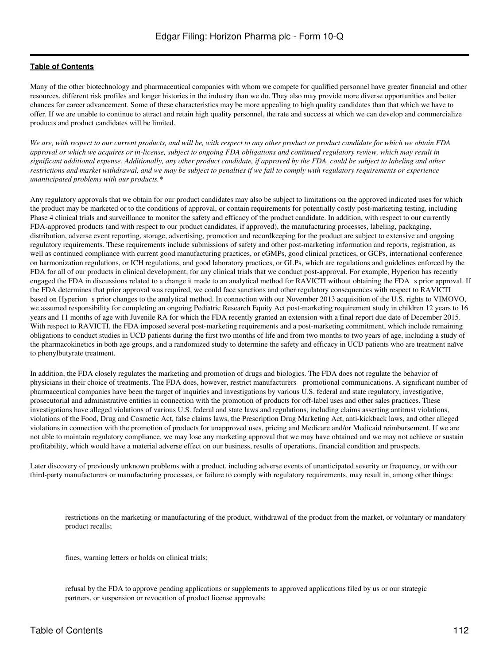Many of the other biotechnology and pharmaceutical companies with whom we compete for qualified personnel have greater financial and other resources, different risk profiles and longer histories in the industry than we do. They also may provide more diverse opportunities and better chances for career advancement. Some of these characteristics may be more appealing to high quality candidates than that which we have to offer. If we are unable to continue to attract and retain high quality personnel, the rate and success at which we can develop and commercialize products and product candidates will be limited.

*We are, with respect to our current products, and will be, with respect to any other product or product candidate for which we obtain FDA approval or which we acquires or in-license, subject to ongoing FDA obligations and continued regulatory review, which may result in significant additional expense. Additionally, any other product candidate, if approved by the FDA, could be subject to labeling and other restrictions and market withdrawal, and we may be subject to penalties if we fail to comply with regulatory requirements or experience unanticipated problems with our products.\**

Any regulatory approvals that we obtain for our product candidates may also be subject to limitations on the approved indicated uses for which the product may be marketed or to the conditions of approval, or contain requirements for potentially costly post-marketing testing, including Phase 4 clinical trials and surveillance to monitor the safety and efficacy of the product candidate. In addition, with respect to our currently FDA-approved products (and with respect to our product candidates, if approved), the manufacturing processes, labeling, packaging, distribution, adverse event reporting, storage, advertising, promotion and recordkeeping for the product are subject to extensive and ongoing regulatory requirements. These requirements include submissions of safety and other post-marketing information and reports, registration, as well as continued compliance with current good manufacturing practices, or cGMPs, good clinical practices, or GCPs, international conference on harmonization regulations, or ICH regulations, and good laboratory practices, or GLPs, which are regulations and guidelines enforced by the FDA for all of our products in clinical development, for any clinical trials that we conduct post-approval. For example, Hyperion has recently engaged the FDA in discussions related to a change it made to an analytical method for RAVICTI without obtaining the FDAs prior approval. If the FDA determines that prior approval was required, we could face sanctions and other regulatory consequences with respect to RAVICTI based on Hyperion s prior changes to the analytical method. In connection with our November 2013 acquisition of the U.S. rights to VIMOVO, we assumed responsibility for completing an ongoing Pediatric Research Equity Act post-marketing requirement study in children 12 years to 16 years and 11 months of age with Juvenile RA for which the FDA recently granted an extension with a final report due date of December 2015. With respect to RAVICTI, the FDA imposed several post-marketing requirements and a post-marketing commitment, which include remaining obligations to conduct studies in UCD patients during the first two months of life and from two months to two years of age, including a study of the pharmacokinetics in both age groups, and a randomized study to determine the safety and efficacy in UCD patients who are treatment naïve to phenylbutyrate treatment.

In addition, the FDA closely regulates the marketing and promotion of drugs and biologics. The FDA does not regulate the behavior of physicians in their choice of treatments. The FDA does, however, restrict manufacturers promotional communications. A significant number of pharmaceutical companies have been the target of inquiries and investigations by various U.S. federal and state regulatory, investigative, prosecutorial and administrative entities in connection with the promotion of products for off-label uses and other sales practices. These investigations have alleged violations of various U.S. federal and state laws and regulations, including claims asserting antitrust violations, violations of the Food, Drug and Cosmetic Act, false claims laws, the Prescription Drug Marketing Act, anti-kickback laws, and other alleged violations in connection with the promotion of products for unapproved uses, pricing and Medicare and/or Medicaid reimbursement. If we are not able to maintain regulatory compliance, we may lose any marketing approval that we may have obtained and we may not achieve or sustain profitability, which would have a material adverse effect on our business, results of operations, financial condition and prospects.

Later discovery of previously unknown problems with a product, including adverse events of unanticipated severity or frequency, or with our third-party manufacturers or manufacturing processes, or failure to comply with regulatory requirements, may result in, among other things:

restrictions on the marketing or manufacturing of the product, withdrawal of the product from the market, or voluntary or mandatory product recalls;

fines, warning letters or holds on clinical trials;

refusal by the FDA to approve pending applications or supplements to approved applications filed by us or our strategic partners, or suspension or revocation of product license approvals;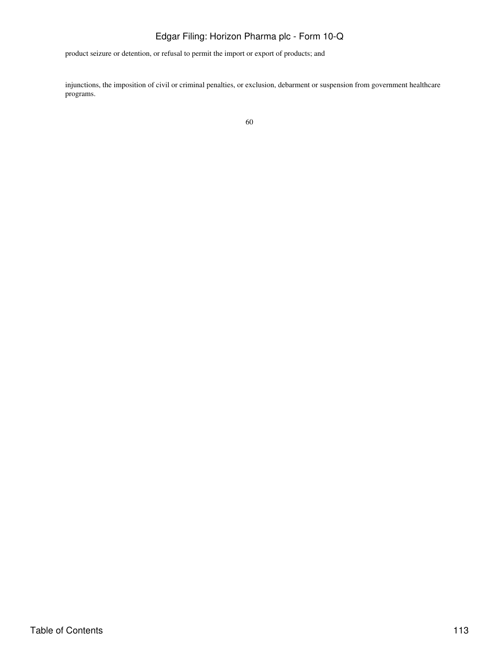product seizure or detention, or refusal to permit the import or export of products; and

injunctions, the imposition of civil or criminal penalties, or exclusion, debarment or suspension from government healthcare programs.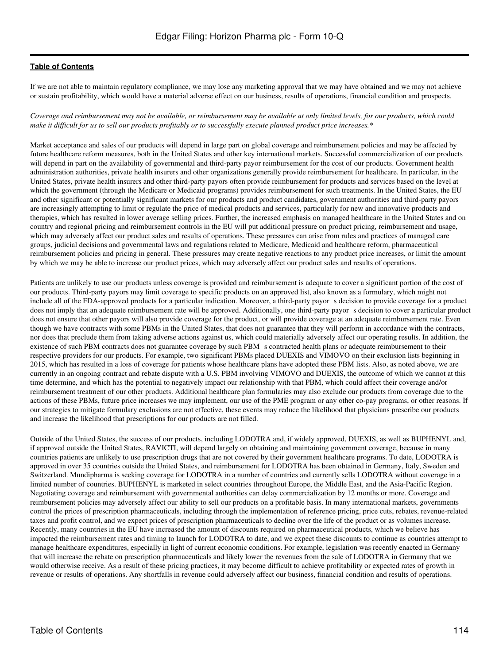If we are not able to maintain regulatory compliance, we may lose any marketing approval that we may have obtained and we may not achieve or sustain profitability, which would have a material adverse effect on our business, results of operations, financial condition and prospects.

*Coverage and reimbursement may not be available, or reimbursement may be available at only limited levels, for our products, which could make it difficult for us to sell our products profitably or to successfully execute planned product price increases.\**

Market acceptance and sales of our products will depend in large part on global coverage and reimbursement policies and may be affected by future healthcare reform measures, both in the United States and other key international markets. Successful commercialization of our products will depend in part on the availability of governmental and third-party payor reimbursement for the cost of our products. Government health administration authorities, private health insurers and other organizations generally provide reimbursement for healthcare. In particular, in the United States, private health insurers and other third-party payors often provide reimbursement for products and services based on the level at which the government (through the Medicare or Medicaid programs) provides reimbursement for such treatments. In the United States, the EU and other significant or potentially significant markets for our products and product candidates, government authorities and third-party payors are increasingly attempting to limit or regulate the price of medical products and services, particularly for new and innovative products and therapies, which has resulted in lower average selling prices. Further, the increased emphasis on managed healthcare in the United States and on country and regional pricing and reimbursement controls in the EU will put additional pressure on product pricing, reimbursement and usage, which may adversely affect our product sales and results of operations. These pressures can arise from rules and practices of managed care groups, judicial decisions and governmental laws and regulations related to Medicare, Medicaid and healthcare reform, pharmaceutical reimbursement policies and pricing in general. These pressures may create negative reactions to any product price increases, or limit the amount by which we may be able to increase our product prices, which may adversely affect our product sales and results of operations.

Patients are unlikely to use our products unless coverage is provided and reimbursement is adequate to cover a significant portion of the cost of our products. Third-party payors may limit coverage to specific products on an approved list, also known as a formulary, which might not include all of the FDA-approved products for a particular indication. Moreover, a third-party payor s decision to provide coverage for a product does not imply that an adequate reimbursement rate will be approved. Additionally, one third-party payor s decision to cover a particular product does not ensure that other payors will also provide coverage for the product, or will provide coverage at an adequate reimbursement rate. Even though we have contracts with some PBMs in the United States, that does not guarantee that they will perform in accordance with the contracts, nor does that preclude them from taking adverse actions against us, which could materially adversely affect our operating results. In addition, the existence of such PBM contracts does not guarantee coverage by such PBM s contracted health plans or adequate reimbursement to their respective providers for our products. For example, two significant PBMs placed DUEXIS and VIMOVO on their exclusion lists beginning in 2015, which has resulted in a loss of coverage for patients whose healthcare plans have adopted these PBM lists. Also, as noted above, we are currently in an ongoing contract and rebate dispute with a U.S. PBM involving VIMOVO and DUEXIS, the outcome of which we cannot at this time determine, and which has the potential to negatively impact our relationship with that PBM, which could affect their coverage and/or reimbursement treatment of our other products. Additional healthcare plan formularies may also exclude our products from coverage due to the actions of these PBMs, future price increases we may implement, our use of the PME program or any other co-pay programs, or other reasons. If our strategies to mitigate formulary exclusions are not effective, these events may reduce the likelihood that physicians prescribe our products and increase the likelihood that prescriptions for our products are not filled.

Outside of the United States, the success of our products, including LODOTRA and, if widely approved, DUEXIS, as well as BUPHENYL and, if approved outside the United States, RAVICTI, will depend largely on obtaining and maintaining government coverage, because in many countries patients are unlikely to use prescription drugs that are not covered by their government healthcare programs. To date, LODOTRA is approved in over 35 countries outside the United States, and reimbursement for LODOTRA has been obtained in Germany, Italy, Sweden and Switzerland. Mundipharma is seeking coverage for LODOTRA in a number of countries and currently sells LODOTRA without coverage in a limited number of countries. BUPHENYL is marketed in select countries throughout Europe, the Middle East, and the Asia-Pacific Region. Negotiating coverage and reimbursement with governmental authorities can delay commercialization by 12 months or more. Coverage and reimbursement policies may adversely affect our ability to sell our products on a profitable basis. In many international markets, governments control the prices of prescription pharmaceuticals, including through the implementation of reference pricing, price cuts, rebates, revenue-related taxes and profit control, and we expect prices of prescription pharmaceuticals to decline over the life of the product or as volumes increase. Recently, many countries in the EU have increased the amount of discounts required on pharmaceutical products, which we believe has impacted the reimbursement rates and timing to launch for LODOTRA to date, and we expect these discounts to continue as countries attempt to manage healthcare expenditures, especially in light of current economic conditions. For example, legislation was recently enacted in Germany that will increase the rebate on prescription pharmaceuticals and likely lower the revenues from the sale of LODOTRA in Germany that we would otherwise receive. As a result of these pricing practices, it may become difficult to achieve profitability or expected rates of growth in revenue or results of operations. Any shortfalls in revenue could adversely affect our business, financial condition and results of operations.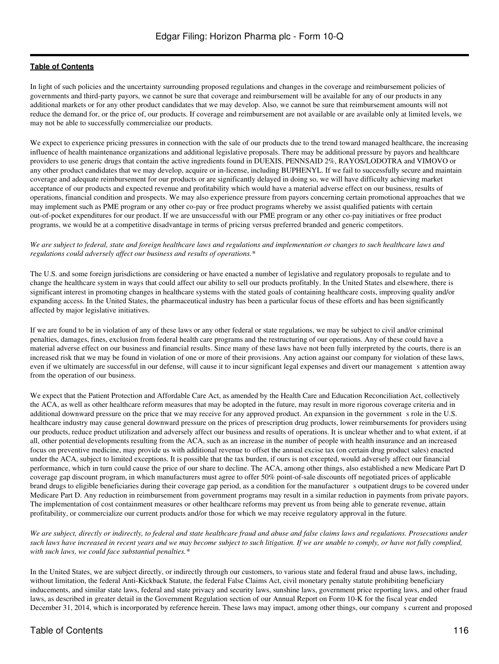In light of such policies and the uncertainty surrounding proposed regulations and changes in the coverage and reimbursement policies of governments and third-party payors, we cannot be sure that coverage and reimbursement will be available for any of our products in any additional markets or for any other product candidates that we may develop. Also, we cannot be sure that reimbursement amounts will not reduce the demand for, or the price of, our products. If coverage and reimbursement are not available or are available only at limited levels, we may not be able to successfully commercialize our products.

We expect to experience pricing pressures in connection with the sale of our products due to the trend toward managed healthcare, the increasing influence of health maintenance organizations and additional legislative proposals. There may be additional pressure by payors and healthcare providers to use generic drugs that contain the active ingredients found in DUEXIS, PENNSAID 2%, RAYOS/LODOTRA and VIMOVO or any other product candidates that we may develop, acquire or in-license, including BUPHENYL. If we fail to successfully secure and maintain coverage and adequate reimbursement for our products or are significantly delayed in doing so, we will have difficulty achieving market acceptance of our products and expected revenue and profitability which would have a material adverse effect on our business, results of operations, financial condition and prospects. We may also experience pressure from payors concerning certain promotional approaches that we may implement such as PME program or any other co-pay or free product programs whereby we assist qualified patients with certain out-of-pocket expenditures for our product. If we are unsuccessful with our PME program or any other co-pay initiatives or free product programs, we would be at a competitive disadvantage in terms of pricing versus preferred branded and generic competitors.

#### *We are subject to federal, state and foreign healthcare laws and regulations and implementation or changes to such healthcare laws and regulations could adversely affect our business and results of operations.\**

The U.S. and some foreign jurisdictions are considering or have enacted a number of legislative and regulatory proposals to regulate and to change the healthcare system in ways that could affect our ability to sell our products profitably. In the United States and elsewhere, there is significant interest in promoting changes in healthcare systems with the stated goals of containing healthcare costs, improving quality and/or expanding access. In the United States, the pharmaceutical industry has been a particular focus of these efforts and has been significantly affected by major legislative initiatives.

If we are found to be in violation of any of these laws or any other federal or state regulations, we may be subject to civil and/or criminal penalties, damages, fines, exclusion from federal health care programs and the restructuring of our operations. Any of these could have a material adverse effect on our business and financial results. Since many of these laws have not been fully interpreted by the courts, there is an increased risk that we may be found in violation of one or more of their provisions. Any action against our company for violation of these laws, even if we ultimately are successful in our defense, will cause it to incur significant legal expenses and divert our management s attention away from the operation of our business.

We expect that the Patient Protection and Affordable Care Act, as amended by the Health Care and Education Reconciliation Act, collectively the ACA, as well as other healthcare reform measures that may be adopted in the future, may result in more rigorous coverage criteria and in additional downward pressure on the price that we may receive for any approved product. An expansion in the government s role in the U.S. healthcare industry may cause general downward pressure on the prices of prescription drug products, lower reimbursements for providers using our products, reduce product utilization and adversely affect our business and results of operations. It is unclear whether and to what extent, if at all, other potential developments resulting from the ACA, such as an increase in the number of people with health insurance and an increased focus on preventive medicine, may provide us with additional revenue to offset the annual excise tax (on certain drug product sales) enacted under the ACA, subject to limited exceptions. It is possible that the tax burden, if ours is not excepted, would adversely affect our financial performance, which in turn could cause the price of our share to decline. The ACA, among other things, also established a new Medicare Part D coverage gap discount program, in which manufacturers must agree to offer 50% point-of-sale discounts off negotiated prices of applicable brand drugs to eligible beneficiaries during their coverage gap period, as a condition for the manufacturer soutpatient drugs to be covered under Medicare Part D. Any reduction in reimbursement from government programs may result in a similar reduction in payments from private payors. The implementation of cost containment measures or other healthcare reforms may prevent us from being able to generate revenue, attain profitability, or commercialize our current products and/or those for which we may receive regulatory approval in the future.

*We are subject, directly or indirectly, to federal and state healthcare fraud and abuse and false claims laws and regulations. Prosecutions under such laws have increased in recent years and we may become subject to such litigation. If we are unable to comply, or have not fully complied, with such laws, we could face substantial penalties.\**

In the United States, we are subject directly, or indirectly through our customers, to various state and federal fraud and abuse laws, including, without limitation, the federal Anti-Kickback Statute, the federal False Claims Act, civil monetary penalty statute prohibiting beneficiary inducements, and similar state laws, federal and state privacy and security laws, sunshine laws, government price reporting laws, and other fraud laws, as described in greater detail in the Government Regulation section of our Annual Report on Form 10-K for the fiscal year ended December 31, 2014, which is incorporated by reference herein. These laws may impact, among other things, our companys current and proposed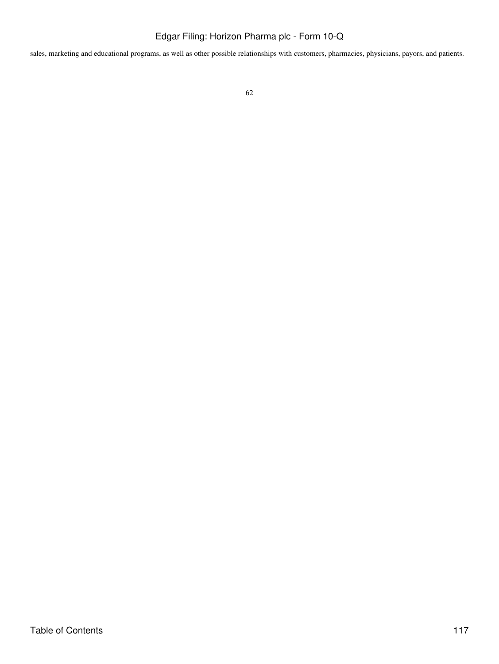sales, marketing and educational programs, as well as other possible relationships with customers, pharmacies, physicians, payors, and patients.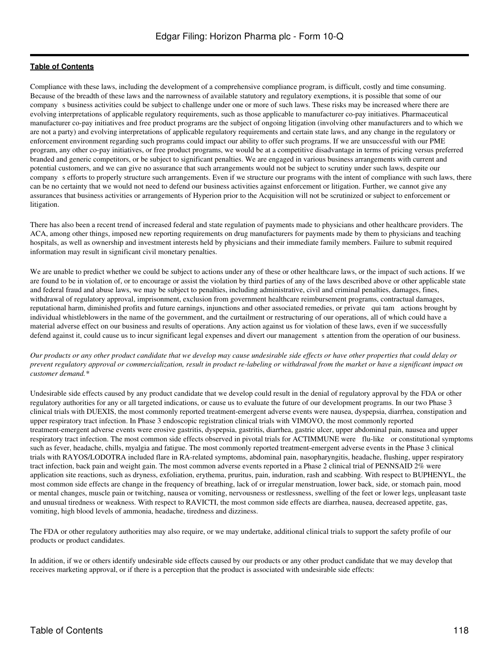Compliance with these laws, including the development of a comprehensive compliance program, is difficult, costly and time consuming. Because of the breadth of these laws and the narrowness of available statutory and regulatory exemptions, it is possible that some of our companys business activities could be subject to challenge under one or more of such laws. These risks may be increased where there are evolving interpretations of applicable regulatory requirements, such as those applicable to manufacturer co-pay initiatives. Pharmaceutical manufacturer co-pay initiatives and free product programs are the subject of ongoing litigation (involving other manufacturers and to which we are not a party) and evolving interpretations of applicable regulatory requirements and certain state laws, and any change in the regulatory or enforcement environment regarding such programs could impact our ability to offer such programs. If we are unsuccessful with our PME program, any other co-pay initiatives, or free product programs, we would be at a competitive disadvantage in terms of pricing versus preferred branded and generic competitors, or be subject to significant penalties. We are engaged in various business arrangements with current and potential customers, and we can give no assurance that such arrangements would not be subject to scrutiny under such laws, despite our companys efforts to properly structure such arrangements. Even if we structure our programs with the intent of compliance with such laws, there can be no certainty that we would not need to defend our business activities against enforcement or litigation. Further, we cannot give any assurances that business activities or arrangements of Hyperion prior to the Acquisition will not be scrutinized or subject to enforcement or litigation.

There has also been a recent trend of increased federal and state regulation of payments made to physicians and other healthcare providers. The ACA, among other things, imposed new reporting requirements on drug manufacturers for payments made by them to physicians and teaching hospitals, as well as ownership and investment interests held by physicians and their immediate family members. Failure to submit required information may result in significant civil monetary penalties.

We are unable to predict whether we could be subject to actions under any of these or other healthcare laws, or the impact of such actions. If we are found to be in violation of, or to encourage or assist the violation by third parties of any of the laws described above or other applicable state and federal fraud and abuse laws, we may be subject to penalties, including administrative, civil and criminal penalties, damages, fines, withdrawal of regulatory approval, imprisonment, exclusion from government healthcare reimbursement programs, contractual damages, reputational harm, diminished profits and future earnings, injunctions and other associated remedies, or private qui tam actions brought by individual whistleblowers in the name of the government, and the curtailment or restructuring of our operations, all of which could have a material adverse effect on our business and results of operations. Any action against us for violation of these laws, even if we successfully defend against it, could cause us to incur significant legal expenses and divert our management s attention from the operation of our business.

#### *Our products or any other product candidate that we develop may cause undesirable side effects or have other properties that could delay or prevent regulatory approval or commercialization, result in product re-labeling or withdrawal from the market or have a significant impact on customer demand.\**

Undesirable side effects caused by any product candidate that we develop could result in the denial of regulatory approval by the FDA or other regulatory authorities for any or all targeted indications, or cause us to evaluate the future of our development programs. In our two Phase 3 clinical trials with DUEXIS, the most commonly reported treatment-emergent adverse events were nausea, dyspepsia, diarrhea, constipation and upper respiratory tract infection. In Phase 3 endoscopic registration clinical trials with VIMOVO, the most commonly reported treatment-emergent adverse events were erosive gastritis, dyspepsia, gastritis, diarrhea, gastric ulcer, upper abdominal pain, nausea and upper respiratory tract infection. The most common side effects observed in pivotal trials for ACTIMMUNE were flu-like or constitutional symptoms such as fever, headache, chills, myalgia and fatigue. The most commonly reported treatment-emergent adverse events in the Phase 3 clinical trials with RAYOS/LODOTRA included flare in RA-related symptoms, abdominal pain, nasopharyngitis, headache, flushing, upper respiratory tract infection, back pain and weight gain. The most common adverse events reported in a Phase 2 clinical trial of PENNSAID 2% were application site reactions, such as dryness, exfoliation, erythema, pruritus, pain, induration, rash and scabbing. With respect to BUPHENYL, the most common side effects are change in the frequency of breathing, lack of or irregular menstruation, lower back, side, or stomach pain, mood or mental changes, muscle pain or twitching, nausea or vomiting, nervousness or restlessness, swelling of the feet or lower legs, unpleasant taste and unusual tiredness or weakness. With respect to RAVICTI, the most common side effects are diarrhea, nausea, decreased appetite, gas, vomiting, high blood levels of ammonia, headache, tiredness and dizziness.

The FDA or other regulatory authorities may also require, or we may undertake, additional clinical trials to support the safety profile of our products or product candidates.

In addition, if we or others identify undesirable side effects caused by our products or any other product candidate that we may develop that receives marketing approval, or if there is a perception that the product is associated with undesirable side effects: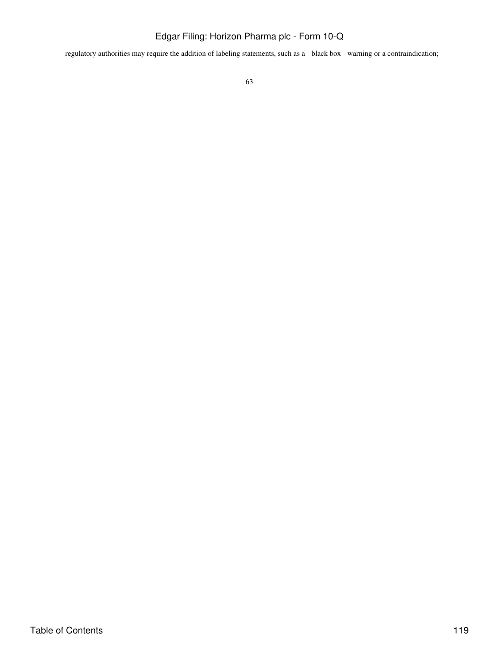regulatory authorities may require the addition of labeling statements, such as a black box warning or a contraindication;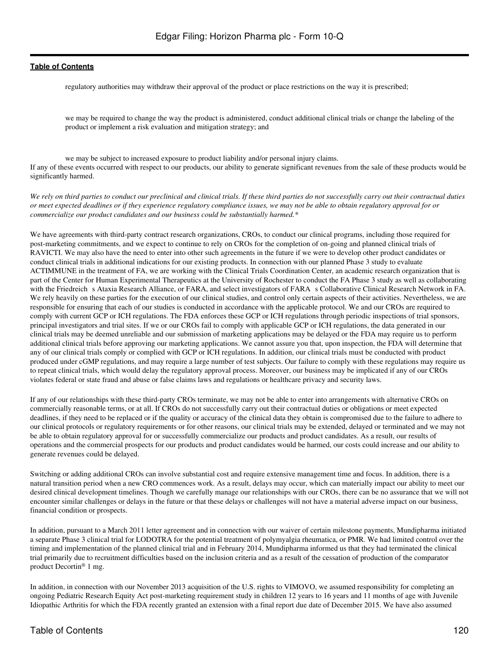regulatory authorities may withdraw their approval of the product or place restrictions on the way it is prescribed;

we may be required to change the way the product is administered, conduct additional clinical trials or change the labeling of the product or implement a risk evaluation and mitigation strategy; and

we may be subject to increased exposure to product liability and/or personal injury claims. If any of these events occurred with respect to our products, our ability to generate significant revenues from the sale of these products would be significantly harmed.

*We rely on third parties to conduct our preclinical and clinical trials. If these third parties do not successfully carry out their contractual duties or meet expected deadlines or if they experience regulatory compliance issues, we may not be able to obtain regulatory approval for or commercialize our product candidates and our business could be substantially harmed.\**

We have agreements with third-party contract research organizations, CROs, to conduct our clinical programs, including those required for post-marketing commitments, and we expect to continue to rely on CROs for the completion of on-going and planned clinical trials of RAVICTI. We may also have the need to enter into other such agreements in the future if we were to develop other product candidates or conduct clinical trials in additional indications for our existing products. In connection with our planned Phase 3 study to evaluate ACTIMMUNE in the treatment of FA, we are working with the Clinical Trials Coordination Center, an academic research organization that is part of the Center for Human Experimental Therapeutics at the University of Rochester to conduct the FA Phase 3 study as well as collaborating with the Friedreich s Ataxia Research Alliance, or FARA, and select investigators of FARA s Collaborative Clinical Research Network in FA. We rely heavily on these parties for the execution of our clinical studies, and control only certain aspects of their activities. Nevertheless, we are responsible for ensuring that each of our studies is conducted in accordance with the applicable protocol. We and our CROs are required to comply with current GCP or ICH regulations. The FDA enforces these GCP or ICH regulations through periodic inspections of trial sponsors, principal investigators and trial sites. If we or our CROs fail to comply with applicable GCP or ICH regulations, the data generated in our clinical trials may be deemed unreliable and our submission of marketing applications may be delayed or the FDA may require us to perform additional clinical trials before approving our marketing applications. We cannot assure you that, upon inspection, the FDA will determine that any of our clinical trials comply or complied with GCP or ICH regulations. In addition, our clinical trials must be conducted with product produced under cGMP regulations, and may require a large number of test subjects. Our failure to comply with these regulations may require us to repeat clinical trials, which would delay the regulatory approval process. Moreover, our business may be implicated if any of our CROs violates federal or state fraud and abuse or false claims laws and regulations or healthcare privacy and security laws.

If any of our relationships with these third-party CROs terminate, we may not be able to enter into arrangements with alternative CROs on commercially reasonable terms, or at all. If CROs do not successfully carry out their contractual duties or obligations or meet expected deadlines, if they need to be replaced or if the quality or accuracy of the clinical data they obtain is compromised due to the failure to adhere to our clinical protocols or regulatory requirements or for other reasons, our clinical trials may be extended, delayed or terminated and we may not be able to obtain regulatory approval for or successfully commercialize our products and product candidates. As a result, our results of operations and the commercial prospects for our products and product candidates would be harmed, our costs could increase and our ability to generate revenues could be delayed.

Switching or adding additional CROs can involve substantial cost and require extensive management time and focus. In addition, there is a natural transition period when a new CRO commences work. As a result, delays may occur, which can materially impact our ability to meet our desired clinical development timelines. Though we carefully manage our relationships with our CROs, there can be no assurance that we will not encounter similar challenges or delays in the future or that these delays or challenges will not have a material adverse impact on our business, financial condition or prospects.

In addition, pursuant to a March 2011 letter agreement and in connection with our waiver of certain milestone payments, Mundipharma initiated a separate Phase 3 clinical trial for LODOTRA for the potential treatment of polymyalgia rheumatica, or PMR. We had limited control over the timing and implementation of the planned clinical trial and in February 2014, Mundipharma informed us that they had terminated the clinical trial primarily due to recruitment difficulties based on the inclusion criteria and as a result of the cessation of production of the comparator product Decortin® 1 mg.

In addition, in connection with our November 2013 acquisition of the U.S. rights to VIMOVO, we assumed responsibility for completing an ongoing Pediatric Research Equity Act post-marketing requirement study in children 12 years to 16 years and 11 months of age with Juvenile Idiopathic Arthritis for which the FDA recently granted an extension with a final report due date of December 2015. We have also assumed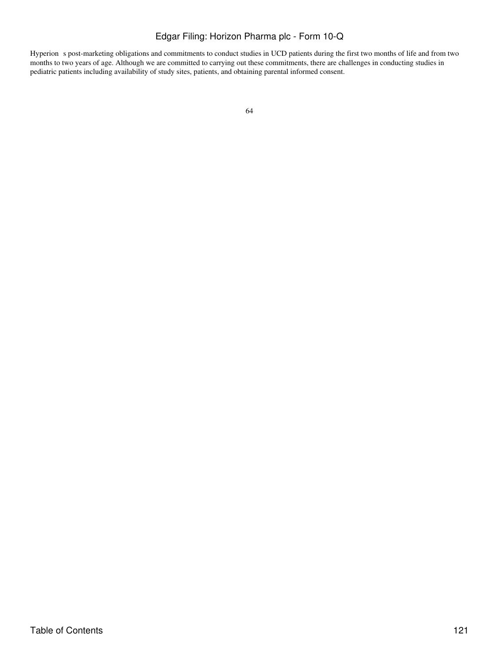Hyperion s post-marketing obligations and commitments to conduct studies in UCD patients during the first two months of life and from two months to two years of age. Although we are committed to carrying out these commitments, there are challenges in conducting studies in pediatric patients including availability of study sites, patients, and obtaining parental informed consent.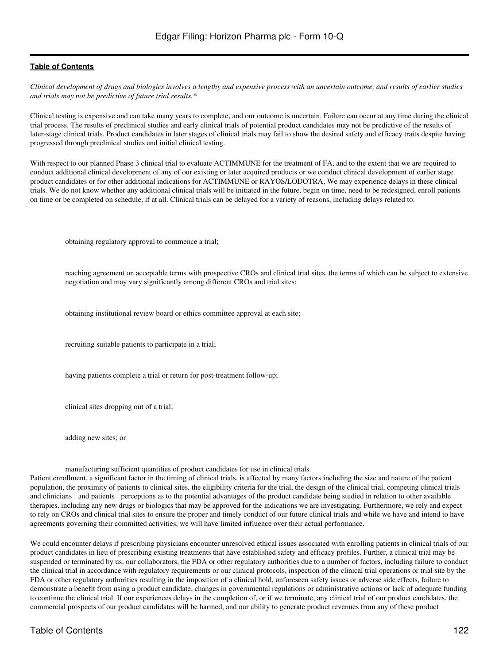*Clinical development of drugs and biologics involves a lengthy and expensive process with an uncertain outcome, and results of earlier studies and trials may not be predictive of future trial results.\**

Clinical testing is expensive and can take many years to complete, and our outcome is uncertain. Failure can occur at any time during the clinical trial process. The results of preclinical studies and early clinical trials of potential product candidates may not be predictive of the results of later-stage clinical trials. Product candidates in later stages of clinical trials may fail to show the desired safety and efficacy traits despite having progressed through preclinical studies and initial clinical testing.

With respect to our planned Phase 3 clinical trial to evaluate ACTIMMUNE for the treatment of FA, and to the extent that we are required to conduct additional clinical development of any of our existing or later acquired products or we conduct clinical development of earlier stage product candidates or for other additional indications for ACTIMMUNE or RAYOS/LODOTRA, We may experience delays in these clinical trials. We do not know whether any additional clinical trials will be initiated in the future, begin on time, need to be redesigned, enroll patients on time or be completed on schedule, if at all. Clinical trials can be delayed for a variety of reasons, including delays related to:

obtaining regulatory approval to commence a trial;

reaching agreement on acceptable terms with prospective CROs and clinical trial sites, the terms of which can be subject to extensive negotiation and may vary significantly among different CROs and trial sites;

obtaining institutional review board or ethics committee approval at each site;

recruiting suitable patients to participate in a trial;

having patients complete a trial or return for post-treatment follow-up;

clinical sites dropping out of a trial;

adding new sites; or

manufacturing sufficient quantities of product candidates for use in clinical trials.

Patient enrollment, a significant factor in the timing of clinical trials, is affected by many factors including the size and nature of the patient population, the proximity of patients to clinical sites, the eligibility criteria for the trial, the design of the clinical trial, competing clinical trials and clinicians and patients perceptions as to the potential advantages of the product candidate being studied in relation to other available therapies, including any new drugs or biologics that may be approved for the indications we are investigating. Furthermore, we rely and expect to rely on CROs and clinical trial sites to ensure the proper and timely conduct of our future clinical trials and while we have and intend to have agreements governing their committed activities, we will have limited influence over their actual performance.

We could encounter delays if prescribing physicians encounter unresolved ethical issues associated with enrolling patients in clinical trials of our product candidates in lieu of prescribing existing treatments that have established safety and efficacy profiles. Further, a clinical trial may be suspended or terminated by us, our collaborators, the FDA or other regulatory authorities due to a number of factors, including failure to conduct the clinical trial in accordance with regulatory requirements or our clinical protocols, inspection of the clinical trial operations or trial site by the FDA or other regulatory authorities resulting in the imposition of a clinical hold, unforeseen safety issues or adverse side effects, failure to demonstrate a benefit from using a product candidate, changes in governmental regulations or administrative actions or lack of adequate funding to continue the clinical trial. If our experiences delays in the completion of, or if we terminate, any clinical trial of our product candidates, the commercial prospects of our product candidates will be harmed, and our ability to generate product revenues from any of these product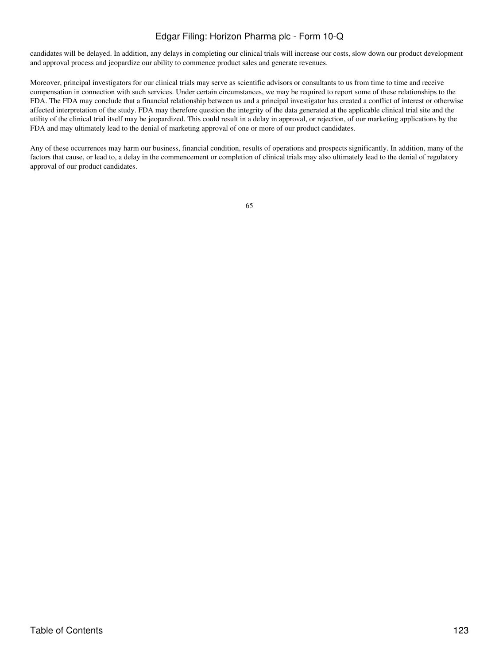candidates will be delayed. In addition, any delays in completing our clinical trials will increase our costs, slow down our product development and approval process and jeopardize our ability to commence product sales and generate revenues.

Moreover, principal investigators for our clinical trials may serve as scientific advisors or consultants to us from time to time and receive compensation in connection with such services. Under certain circumstances, we may be required to report some of these relationships to the FDA. The FDA may conclude that a financial relationship between us and a principal investigator has created a conflict of interest or otherwise affected interpretation of the study. FDA may therefore question the integrity of the data generated at the applicable clinical trial site and the utility of the clinical trial itself may be jeopardized. This could result in a delay in approval, or rejection, of our marketing applications by the FDA and may ultimately lead to the denial of marketing approval of one or more of our product candidates.

Any of these occurrences may harm our business, financial condition, results of operations and prospects significantly. In addition, many of the factors that cause, or lead to, a delay in the commencement or completion of clinical trials may also ultimately lead to the denial of regulatory approval of our product candidates.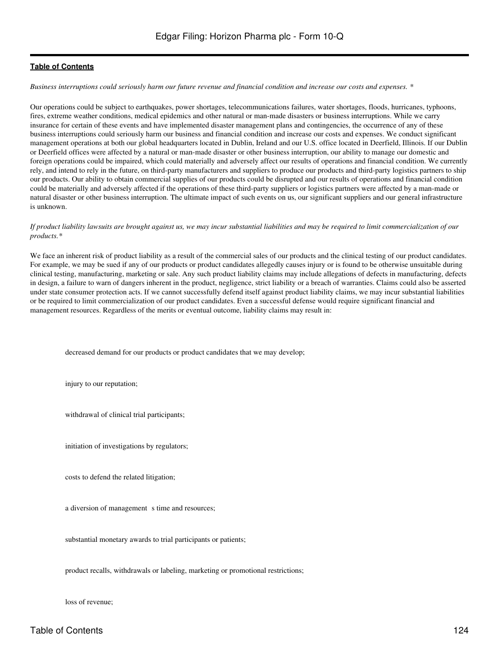*Business interruptions could seriously harm our future revenue and financial condition and increase our costs and expenses. \**

Our operations could be subject to earthquakes, power shortages, telecommunications failures, water shortages, floods, hurricanes, typhoons, fires, extreme weather conditions, medical epidemics and other natural or man-made disasters or business interruptions. While we carry insurance for certain of these events and have implemented disaster management plans and contingencies, the occurrence of any of these business interruptions could seriously harm our business and financial condition and increase our costs and expenses. We conduct significant management operations at both our global headquarters located in Dublin, Ireland and our U.S. office located in Deerfield, Illinois. If our Dublin or Deerfield offices were affected by a natural or man-made disaster or other business interruption, our ability to manage our domestic and foreign operations could be impaired, which could materially and adversely affect our results of operations and financial condition. We currently rely, and intend to rely in the future, on third-party manufacturers and suppliers to produce our products and third-party logistics partners to ship our products. Our ability to obtain commercial supplies of our products could be disrupted and our results of operations and financial condition could be materially and adversely affected if the operations of these third-party suppliers or logistics partners were affected by a man-made or natural disaster or other business interruption. The ultimate impact of such events on us, our significant suppliers and our general infrastructure is unknown.

#### *If product liability lawsuits are brought against us, we may incur substantial liabilities and may be required to limit commercialization of our products.\**

We face an inherent risk of product liability as a result of the commercial sales of our products and the clinical testing of our product candidates. For example, we may be sued if any of our products or product candidates allegedly causes injury or is found to be otherwise unsuitable during clinical testing, manufacturing, marketing or sale. Any such product liability claims may include allegations of defects in manufacturing, defects in design, a failure to warn of dangers inherent in the product, negligence, strict liability or a breach of warranties. Claims could also be asserted under state consumer protection acts. If we cannot successfully defend itself against product liability claims, we may incur substantial liabilities or be required to limit commercialization of our product candidates. Even a successful defense would require significant financial and management resources. Regardless of the merits or eventual outcome, liability claims may result in:

decreased demand for our products or product candidates that we may develop;

injury to our reputation;

withdrawal of clinical trial participants;

initiation of investigations by regulators;

costs to defend the related litigation;

a diversion of management s time and resources;

substantial monetary awards to trial participants or patients;

product recalls, withdrawals or labeling, marketing or promotional restrictions;

loss of revenue;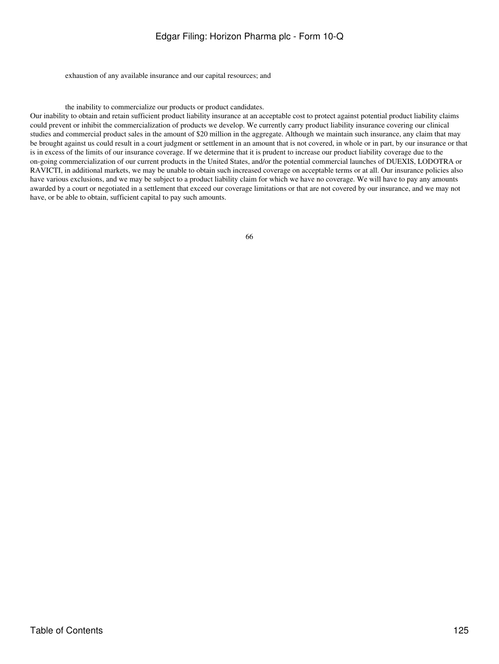exhaustion of any available insurance and our capital resources; and

the inability to commercialize our products or product candidates.

Our inability to obtain and retain sufficient product liability insurance at an acceptable cost to protect against potential product liability claims could prevent or inhibit the commercialization of products we develop. We currently carry product liability insurance covering our clinical studies and commercial product sales in the amount of \$20 million in the aggregate. Although we maintain such insurance, any claim that may be brought against us could result in a court judgment or settlement in an amount that is not covered, in whole or in part, by our insurance or that is in excess of the limits of our insurance coverage. If we determine that it is prudent to increase our product liability coverage due to the on-going commercialization of our current products in the United States, and/or the potential commercial launches of DUEXIS, LODOTRA or RAVICTI, in additional markets, we may be unable to obtain such increased coverage on acceptable terms or at all. Our insurance policies also have various exclusions, and we may be subject to a product liability claim for which we have no coverage. We will have to pay any amounts awarded by a court or negotiated in a settlement that exceed our coverage limitations or that are not covered by our insurance, and we may not have, or be able to obtain, sufficient capital to pay such amounts.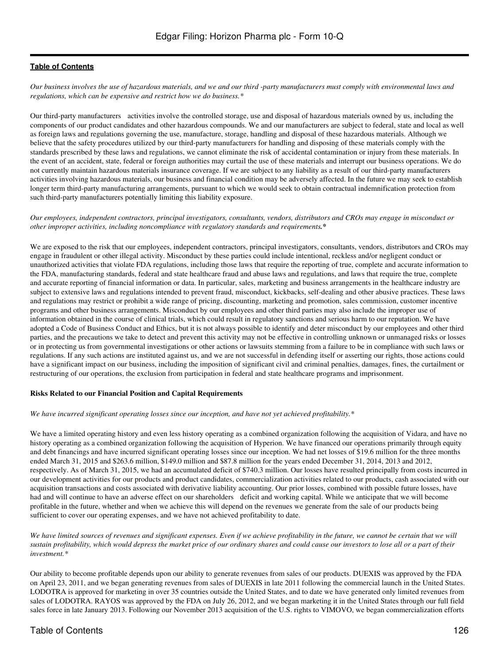*Our business involves the use of hazardous materials, and we and our third -party manufacturers must comply with environmental laws and regulations, which can be expensive and restrict how we do business.\**

Our third-party manufacturers activities involve the controlled storage, use and disposal of hazardous materials owned by us, including the components of our product candidates and other hazardous compounds. We and our manufacturers are subject to federal, state and local as well as foreign laws and regulations governing the use, manufacture, storage, handling and disposal of these hazardous materials. Although we believe that the safety procedures utilized by our third-party manufacturers for handling and disposing of these materials comply with the standards prescribed by these laws and regulations, we cannot eliminate the risk of accidental contamination or injury from these materials. In the event of an accident, state, federal or foreign authorities may curtail the use of these materials and interrupt our business operations. We do not currently maintain hazardous materials insurance coverage. If we are subject to any liability as a result of our third-party manufacturers activities involving hazardous materials, our business and financial condition may be adversely affected. In the future we may seek to establish longer term third-party manufacturing arrangements, pursuant to which we would seek to obtain contractual indemnification protection from such third-party manufacturers potentially limiting this liability exposure.

#### *Our employees, independent contractors, principal investigators, consultants, vendors, distributors and CROs may engage in misconduct or other improper activities, including noncompliance with regulatory standards and requirements.\**

We are exposed to the risk that our employees, independent contractors, principal investigators, consultants, vendors, distributors and CROs may engage in fraudulent or other illegal activity. Misconduct by these parties could include intentional, reckless and/or negligent conduct or unauthorized activities that violate FDA regulations, including those laws that require the reporting of true, complete and accurate information to the FDA, manufacturing standards, federal and state healthcare fraud and abuse laws and regulations, and laws that require the true, complete and accurate reporting of financial information or data. In particular, sales, marketing and business arrangements in the healthcare industry are subject to extensive laws and regulations intended to prevent fraud, misconduct, kickbacks, self-dealing and other abusive practices. These laws and regulations may restrict or prohibit a wide range of pricing, discounting, marketing and promotion, sales commission, customer incentive programs and other business arrangements. Misconduct by our employees and other third parties may also include the improper use of information obtained in the course of clinical trials, which could result in regulatory sanctions and serious harm to our reputation. We have adopted a Code of Business Conduct and Ethics, but it is not always possible to identify and deter misconduct by our employees and other third parties, and the precautions we take to detect and prevent this activity may not be effective in controlling unknown or unmanaged risks or losses or in protecting us from governmental investigations or other actions or lawsuits stemming from a failure to be in compliance with such laws or regulations. If any such actions are instituted against us, and we are not successful in defending itself or asserting our rights, those actions could have a significant impact on our business, including the imposition of significant civil and criminal penalties, damages, fines, the curtailment or restructuring of our operations, the exclusion from participation in federal and state healthcare programs and imprisonment.

#### **Risks Related to our Financial Position and Capital Requirements**

#### *We have incurred significant operating losses since our inception, and have not yet achieved profitability.\**

We have a limited operating history and even less history operating as a combined organization following the acquisition of Vidara, and have no history operating as a combined organization following the acquisition of Hyperion. We have financed our operations primarily through equity and debt financings and have incurred significant operating losses since our inception. We had net losses of \$19.6 million for the three months ended March 31, 2015 and \$263.6 million, \$149.0 million and \$87.8 million for the years ended December 31, 2014, 2013 and 2012, respectively. As of March 31, 2015, we had an accumulated deficit of \$740.3 million. Our losses have resulted principally from costs incurred in our development activities for our products and product candidates, commercialization activities related to our products, cash associated with our acquisition transactions and costs associated with derivative liability accounting. Our prior losses, combined with possible future losses, have had and will continue to have an adverse effect on our shareholders deficit and working capital. While we anticipate that we will become profitable in the future, whether and when we achieve this will depend on the revenues we generate from the sale of our products being sufficient to cover our operating expenses, and we have not achieved profitability to date.

*We have limited sources of revenues and significant expenses. Even if we achieve profitability in the future, we cannot be certain that we will sustain profitability, which would depress the market price of our ordinary shares and could cause our investors to lose all or a part of their investment.\**

Our ability to become profitable depends upon our ability to generate revenues from sales of our products. DUEXIS was approved by the FDA on April 23, 2011, and we began generating revenues from sales of DUEXIS in late 2011 following the commercial launch in the United States. LODOTRA is approved for marketing in over 35 countries outside the United States, and to date we have generated only limited revenues from sales of LODOTRA. RAYOS was approved by the FDA on July 26, 2012, and we began marketing it in the United States through our full field sales force in late January 2013. Following our November 2013 acquisition of the U.S. rights to VIMOVO, we began commercialization efforts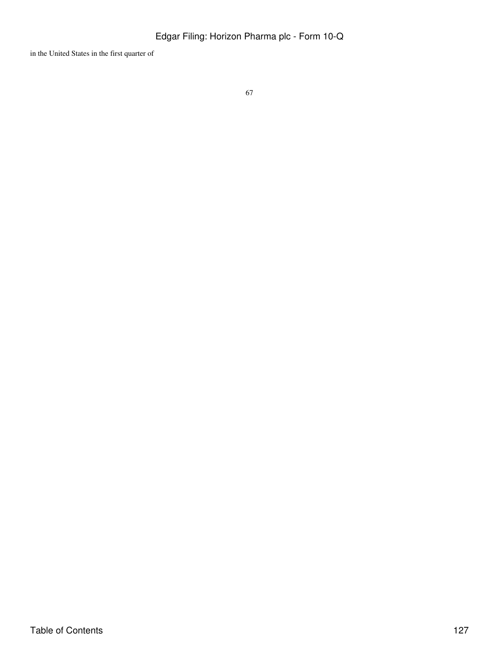in the United States in the first quarter of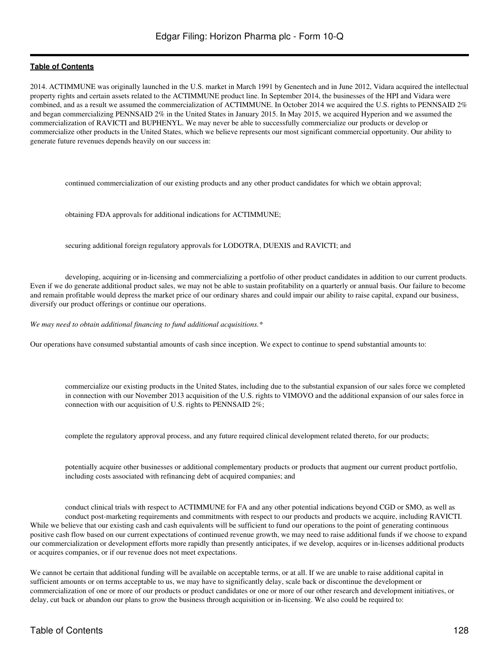2014. ACTIMMUNE was originally launched in the U.S. market in March 1991 by Genentech and in June 2012, Vidara acquired the intellectual property rights and certain assets related to the ACTIMMUNE product line. In September 2014, the businesses of the HPI and Vidara were combined, and as a result we assumed the commercialization of ACTIMMUNE. In October 2014 we acquired the U.S. rights to PENNSAID 2% and began commercializing PENNSAID 2% in the United States in January 2015. In May 2015, we acquired Hyperion and we assumed the commercialization of RAVICTI and BUPHENYL. We may never be able to successfully commercialize our products or develop or commercialize other products in the United States, which we believe represents our most significant commercial opportunity. Our ability to generate future revenues depends heavily on our success in:

continued commercialization of our existing products and any other product candidates for which we obtain approval;

obtaining FDA approvals for additional indications for ACTIMMUNE;

securing additional foreign regulatory approvals for LODOTRA, DUEXIS and RAVICTI; and

developing, acquiring or in-licensing and commercializing a portfolio of other product candidates in addition to our current products. Even if we do generate additional product sales, we may not be able to sustain profitability on a quarterly or annual basis. Our failure to become and remain profitable would depress the market price of our ordinary shares and could impair our ability to raise capital, expand our business, diversify our product offerings or continue our operations.

*We may need to obtain additional financing to fund additional acquisitions.\**

Our operations have consumed substantial amounts of cash since inception. We expect to continue to spend substantial amounts to:

commercialize our existing products in the United States, including due to the substantial expansion of our sales force we completed in connection with our November 2013 acquisition of the U.S. rights to VIMOVO and the additional expansion of our sales force in connection with our acquisition of U.S. rights to PENNSAID 2%;

complete the regulatory approval process, and any future required clinical development related thereto, for our products;

potentially acquire other businesses or additional complementary products or products that augment our current product portfolio, including costs associated with refinancing debt of acquired companies; and

conduct clinical trials with respect to ACTIMMUNE for FA and any other potential indications beyond CGD or SMO, as well as conduct post-marketing requirements and commitments with respect to our products and products we acquire, including RAVICTI. While we believe that our existing cash and cash equivalents will be sufficient to fund our operations to the point of generating continuous positive cash flow based on our current expectations of continued revenue growth, we may need to raise additional funds if we choose to expand our commercialization or development efforts more rapidly than presently anticipates, if we develop, acquires or in-licenses additional products or acquires companies, or if our revenue does not meet expectations.

We cannot be certain that additional funding will be available on acceptable terms, or at all. If we are unable to raise additional capital in sufficient amounts or on terms acceptable to us, we may have to significantly delay, scale back or discontinue the development or commercialization of one or more of our products or product candidates or one or more of our other research and development initiatives, or delay, cut back or abandon our plans to grow the business through acquisition or in-licensing. We also could be required to: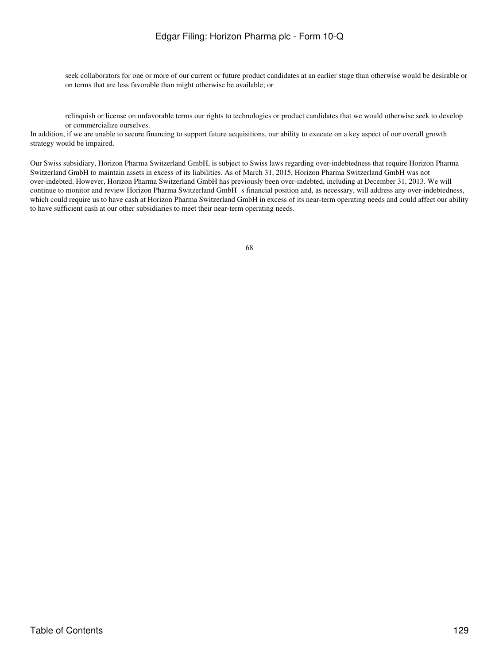seek collaborators for one or more of our current or future product candidates at an earlier stage than otherwise would be desirable or on terms that are less favorable than might otherwise be available; or

relinquish or license on unfavorable terms our rights to technologies or product candidates that we would otherwise seek to develop or commercialize ourselves.

In addition, if we are unable to secure financing to support future acquisitions, our ability to execute on a key aspect of our overall growth strategy would be impaired.

Our Swiss subsidiary, Horizon Pharma Switzerland GmbH, is subject to Swiss laws regarding over-indebtedness that require Horizon Pharma Switzerland GmbH to maintain assets in excess of its liabilities. As of March 31, 2015, Horizon Pharma Switzerland GmbH was not over-indebted. However, Horizon Pharma Switzerland GmbH has previously been over-indebted, including at December 31, 2013. We will continue to monitor and review Horizon Pharma Switzerland GmbH s financial position and, as necessary, will address any over-indebtedness, which could require us to have cash at Horizon Pharma Switzerland GmbH in excess of its near-term operating needs and could affect our ability to have sufficient cash at our other subsidiaries to meet their near-term operating needs.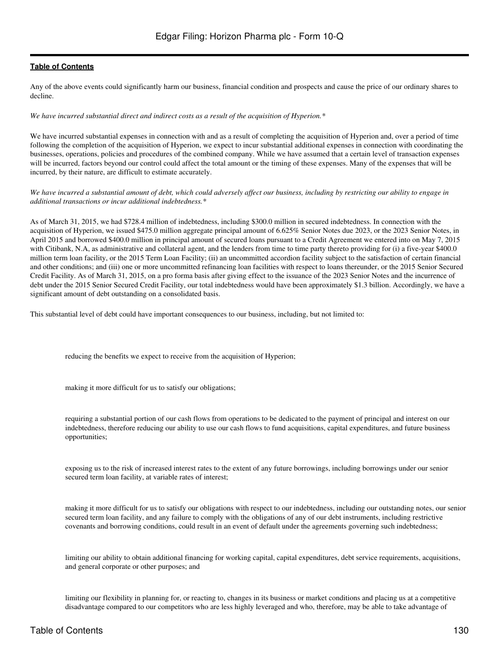Any of the above events could significantly harm our business, financial condition and prospects and cause the price of our ordinary shares to decline.

*We have incurred substantial direct and indirect costs as a result of the acquisition of Hyperion.\**

We have incurred substantial expenses in connection with and as a result of completing the acquisition of Hyperion and, over a period of time following the completion of the acquisition of Hyperion, we expect to incur substantial additional expenses in connection with coordinating the businesses, operations, policies and procedures of the combined company. While we have assumed that a certain level of transaction expenses will be incurred, factors beyond our control could affect the total amount or the timing of these expenses. Many of the expenses that will be incurred, by their nature, are difficult to estimate accurately.

*We have incurred a substantial amount of debt, which could adversely affect our business, including by restricting our ability to engage in additional transactions or incur additional indebtedness.\**

As of March 31, 2015, we had \$728.4 million of indebtedness, including \$300.0 million in secured indebtedness. In connection with the acquisition of Hyperion, we issued \$475.0 million aggregate principal amount of 6.625% Senior Notes due 2023, or the 2023 Senior Notes, in April 2015 and borrowed \$400.0 million in principal amount of secured loans pursuant to a Credit Agreement we entered into on May 7, 2015 with Citibank, N.A, as administrative and collateral agent, and the lenders from time to time party thereto providing for (i) a five-year \$400.0 million term loan facility, or the 2015 Term Loan Facility; (ii) an uncommitted accordion facility subject to the satisfaction of certain financial and other conditions; and (iii) one or more uncommitted refinancing loan facilities with respect to loans thereunder, or the 2015 Senior Secured Credit Facility. As of March 31, 2015, on a pro forma basis after giving effect to the issuance of the 2023 Senior Notes and the incurrence of debt under the 2015 Senior Secured Credit Facility, our total indebtedness would have been approximately \$1.3 billion. Accordingly, we have a significant amount of debt outstanding on a consolidated basis.

This substantial level of debt could have important consequences to our business, including, but not limited to:

reducing the benefits we expect to receive from the acquisition of Hyperion;

making it more difficult for us to satisfy our obligations;

requiring a substantial portion of our cash flows from operations to be dedicated to the payment of principal and interest on our indebtedness, therefore reducing our ability to use our cash flows to fund acquisitions, capital expenditures, and future business opportunities;

exposing us to the risk of increased interest rates to the extent of any future borrowings, including borrowings under our senior secured term loan facility, at variable rates of interest;

making it more difficult for us to satisfy our obligations with respect to our indebtedness, including our outstanding notes, our senior secured term loan facility, and any failure to comply with the obligations of any of our debt instruments, including restrictive covenants and borrowing conditions, could result in an event of default under the agreements governing such indebtedness;

limiting our ability to obtain additional financing for working capital, capital expenditures, debt service requirements, acquisitions, and general corporate or other purposes; and

limiting our flexibility in planning for, or reacting to, changes in its business or market conditions and placing us at a competitive disadvantage compared to our competitors who are less highly leveraged and who, therefore, may be able to take advantage of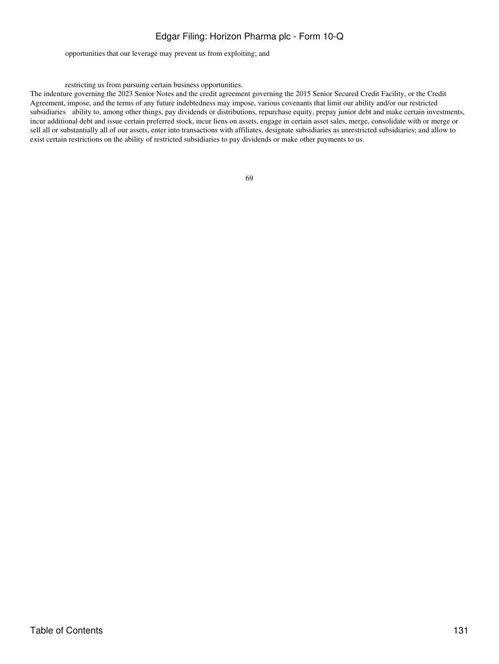opportunities that our leverage may prevent us from exploiting; and

#### restricting us from pursuing certain business opportunities.

The indenture governing the 2023 Senior Notes and the credit agreement governing the 2015 Senior Secured Credit Facility, or the Credit Agreement, impose, and the terms of any future indebtedness may impose, various covenants that limit our ability and/or our restricted subsidiaries ability to, among other things, pay dividends or distributions, repurchase equity, prepay junior debt and make certain investments, incur additional debt and issue certain preferred stock, incur liens on assets, engage in certain asset sales, merge, consolidate with or merge or sell all or substantially all of our assets, enter into transactions with affiliates, designate subsidiaries as unrestricted subsidiaries; and allow to exist certain restrictions on the ability of restricted subsidiaries to pay dividends or make other payments to us.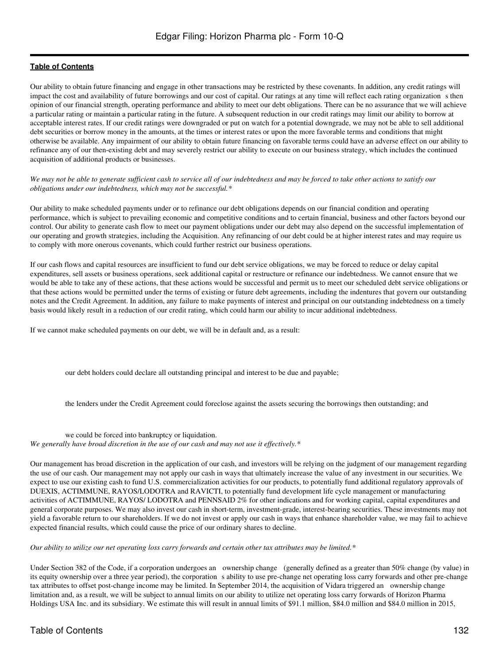Our ability to obtain future financing and engage in other transactions may be restricted by these covenants. In addition, any credit ratings will impact the cost and availability of future borrowings and our cost of capital. Our ratings at any time will reflect each rating organizations then opinion of our financial strength, operating performance and ability to meet our debt obligations. There can be no assurance that we will achieve a particular rating or maintain a particular rating in the future. A subsequent reduction in our credit ratings may limit our ability to borrow at acceptable interest rates. If our credit ratings were downgraded or put on watch for a potential downgrade, we may not be able to sell additional debt securities or borrow money in the amounts, at the times or interest rates or upon the more favorable terms and conditions that might otherwise be available. Any impairment of our ability to obtain future financing on favorable terms could have an adverse effect on our ability to refinance any of our then-existing debt and may severely restrict our ability to execute on our business strategy, which includes the continued acquisition of additional products or businesses.

*We may not be able to generate sufficient cash to service all of our indebtedness and may be forced to take other actions to satisfy our obligations under our indebtedness, which may not be successful.\**

Our ability to make scheduled payments under or to refinance our debt obligations depends on our financial condition and operating performance, which is subject to prevailing economic and competitive conditions and to certain financial, business and other factors beyond our control. Our ability to generate cash flow to meet our payment obligations under our debt may also depend on the successful implementation of our operating and growth strategies, including the Acquisition. Any refinancing of our debt could be at higher interest rates and may require us to comply with more onerous covenants, which could further restrict our business operations.

If our cash flows and capital resources are insufficient to fund our debt service obligations, we may be forced to reduce or delay capital expenditures, sell assets or business operations, seek additional capital or restructure or refinance our indebtedness. We cannot ensure that we would be able to take any of these actions, that these actions would be successful and permit us to meet our scheduled debt service obligations or that these actions would be permitted under the terms of existing or future debt agreements, including the indentures that govern our outstanding notes and the Credit Agreement. In addition, any failure to make payments of interest and principal on our outstanding indebtedness on a timely basis would likely result in a reduction of our credit rating, which could harm our ability to incur additional indebtedness.

If we cannot make scheduled payments on our debt, we will be in default and, as a result:

our debt holders could declare all outstanding principal and interest to be due and payable;

the lenders under the Credit Agreement could foreclose against the assets securing the borrowings then outstanding; and

we could be forced into bankruptcy or liquidation. *We generally have broad discretion in the use of our cash and may not use it effectively.\**

Our management has broad discretion in the application of our cash, and investors will be relying on the judgment of our management regarding the use of our cash. Our management may not apply our cash in ways that ultimately increase the value of any investment in our securities. We expect to use our existing cash to fund U.S. commercialization activities for our products, to potentially fund additional regulatory approvals of DUEXIS, ACTIMMUNE, RAYOS/LODOTRA and RAVICTI, to potentially fund development life cycle management or manufacturing activities of ACTIMMUNE, RAYOS/ LODOTRA and PENNSAID 2% for other indications and for working capital, capital expenditures and general corporate purposes. We may also invest our cash in short-term, investment-grade, interest-bearing securities. These investments may not yield a favorable return to our shareholders. If we do not invest or apply our cash in ways that enhance shareholder value, we may fail to achieve expected financial results, which could cause the price of our ordinary shares to decline.

*Our ability to utilize our net operating loss carry forwards and certain other tax attributes may be limited.\**

Under Section 382 of the Code, if a corporation undergoes an ownership change (generally defined as a greater than 50% change (by value) in its equity ownership over a three year period), the corporation s ability to use pre-change net operating loss carry forwards and other pre-change tax attributes to offset post-change income may be limited. In September 2014, the acquisition of Vidara triggered an ownership change limitation and, as a result, we will be subject to annual limits on our ability to utilize net operating loss carry forwards of Horizon Pharma Holdings USA Inc. and its subsidiary. We estimate this will result in annual limits of \$91.1 million, \$84.0 million and \$84.0 million in 2015,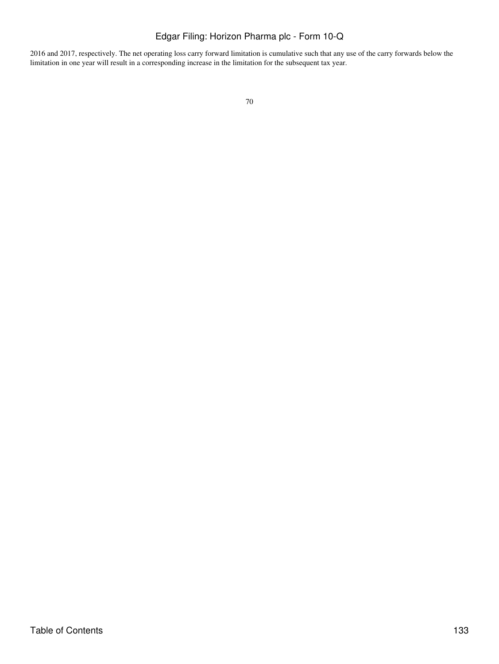2016 and 2017, respectively. The net operating loss carry forward limitation is cumulative such that any use of the carry forwards below the limitation in one year will result in a corresponding increase in the limitation for the subsequent tax year.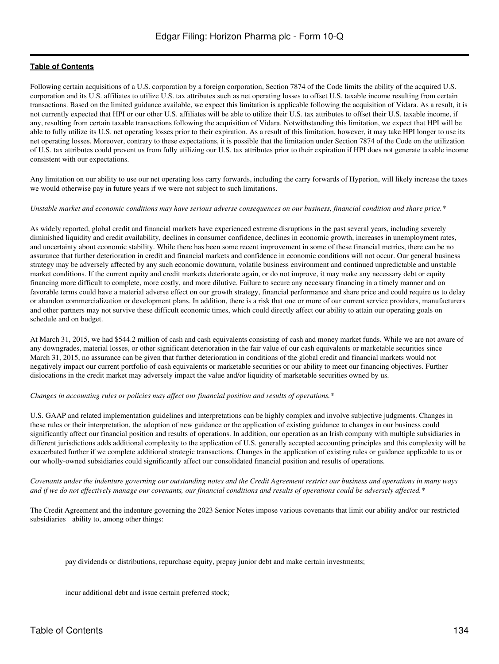Following certain acquisitions of a U.S. corporation by a foreign corporation, Section 7874 of the Code limits the ability of the acquired U.S. corporation and its U.S. affiliates to utilize U.S. tax attributes such as net operating losses to offset U.S. taxable income resulting from certain transactions. Based on the limited guidance available, we expect this limitation is applicable following the acquisition of Vidara. As a result, it is not currently expected that HPI or our other U.S. affiliates will be able to utilize their U.S. tax attributes to offset their U.S. taxable income, if any, resulting from certain taxable transactions following the acquisition of Vidara. Notwithstanding this limitation, we expect that HPI will be able to fully utilize its U.S. net operating losses prior to their expiration. As a result of this limitation, however, it may take HPI longer to use its net operating losses. Moreover, contrary to these expectations, it is possible that the limitation under Section 7874 of the Code on the utilization of U.S. tax attributes could prevent us from fully utilizing our U.S. tax attributes prior to their expiration if HPI does not generate taxable income consistent with our expectations.

Any limitation on our ability to use our net operating loss carry forwards, including the carry forwards of Hyperion, will likely increase the taxes we would otherwise pay in future years if we were not subject to such limitations.

#### *Unstable market and economic conditions may have serious adverse consequences on our business, financial condition and share price.\**

As widely reported, global credit and financial markets have experienced extreme disruptions in the past several years, including severely diminished liquidity and credit availability, declines in consumer confidence, declines in economic growth, increases in unemployment rates, and uncertainty about economic stability. While there has been some recent improvement in some of these financial metrics, there can be no assurance that further deterioration in credit and financial markets and confidence in economic conditions will not occur. Our general business strategy may be adversely affected by any such economic downturn, volatile business environment and continued unpredictable and unstable market conditions. If the current equity and credit markets deteriorate again, or do not improve, it may make any necessary debt or equity financing more difficult to complete, more costly, and more dilutive. Failure to secure any necessary financing in a timely manner and on favorable terms could have a material adverse effect on our growth strategy, financial performance and share price and could require us to delay or abandon commercialization or development plans. In addition, there is a risk that one or more of our current service providers, manufacturers and other partners may not survive these difficult economic times, which could directly affect our ability to attain our operating goals on schedule and on budget.

At March 31, 2015, we had \$544.2 million of cash and cash equivalents consisting of cash and money market funds. While we are not aware of any downgrades, material losses, or other significant deterioration in the fair value of our cash equivalents or marketable securities since March 31, 2015, no assurance can be given that further deterioration in conditions of the global credit and financial markets would not negatively impact our current portfolio of cash equivalents or marketable securities or our ability to meet our financing objectives. Further dislocations in the credit market may adversely impact the value and/or liquidity of marketable securities owned by us.

#### *Changes in accounting rules or policies may affect our financial position and results of operations.\**

U.S. GAAP and related implementation guidelines and interpretations can be highly complex and involve subjective judgments. Changes in these rules or their interpretation, the adoption of new guidance or the application of existing guidance to changes in our business could significantly affect our financial position and results of operations. In addition, our operation as an Irish company with multiple subsidiaries in different jurisdictions adds additional complexity to the application of U.S. generally accepted accounting principles and this complexity will be exacerbated further if we complete additional strategic transactions. Changes in the application of existing rules or guidance applicable to us or our wholly-owned subsidiaries could significantly affect our consolidated financial position and results of operations.

*Covenants under the indenture governing our outstanding notes and the Credit Agreement restrict our business and operations in many ways and if we do not effectively manage our covenants, our financial conditions and results of operations could be adversely affected.\**

The Credit Agreement and the indenture governing the 2023 Senior Notes impose various covenants that limit our ability and/or our restricted subsidiaries ability to, among other things:

pay dividends or distributions, repurchase equity, prepay junior debt and make certain investments;

incur additional debt and issue certain preferred stock;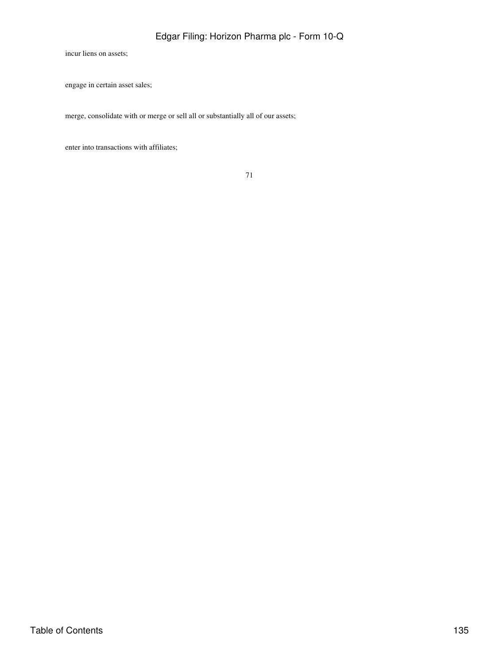incur liens on assets;

engage in certain asset sales;

merge, consolidate with or merge or sell all or substantially all of our assets;

enter into transactions with affiliates;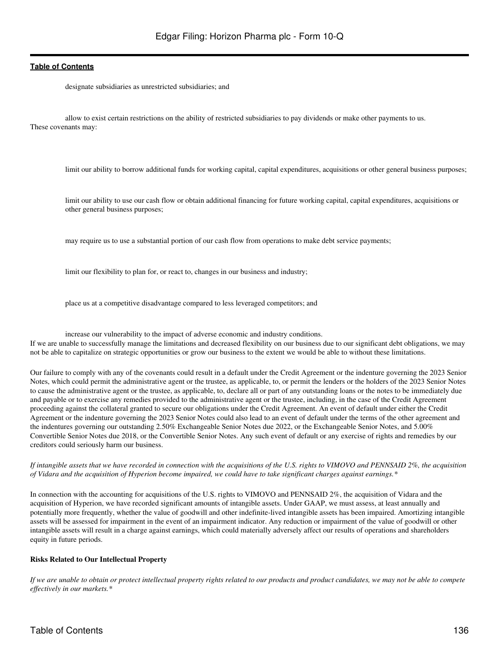designate subsidiaries as unrestricted subsidiaries; and

allow to exist certain restrictions on the ability of restricted subsidiaries to pay dividends or make other payments to us. These covenants may:

limit our ability to borrow additional funds for working capital, capital expenditures, acquisitions or other general business purposes;

limit our ability to use our cash flow or obtain additional financing for future working capital, capital expenditures, acquisitions or other general business purposes;

may require us to use a substantial portion of our cash flow from operations to make debt service payments;

limit our flexibility to plan for, or react to, changes in our business and industry;

place us at a competitive disadvantage compared to less leveraged competitors; and

increase our vulnerability to the impact of adverse economic and industry conditions. If we are unable to successfully manage the limitations and decreased flexibility on our business due to our significant debt obligations, we may not be able to capitalize on strategic opportunities or grow our business to the extent we would be able to without these limitations.

Our failure to comply with any of the covenants could result in a default under the Credit Agreement or the indenture governing the 2023 Senior Notes, which could permit the administrative agent or the trustee, as applicable, to, or permit the lenders or the holders of the 2023 Senior Notes to cause the administrative agent or the trustee, as applicable, to, declare all or part of any outstanding loans or the notes to be immediately due and payable or to exercise any remedies provided to the administrative agent or the trustee, including, in the case of the Credit Agreement proceeding against the collateral granted to secure our obligations under the Credit Agreement. An event of default under either the Credit Agreement or the indenture governing the 2023 Senior Notes could also lead to an event of default under the terms of the other agreement and the indentures governing our outstanding 2.50% Exchangeable Senior Notes due 2022, or the Exchangeable Senior Notes, and 5.00% Convertible Senior Notes due 2018, or the Convertible Senior Notes. Any such event of default or any exercise of rights and remedies by our creditors could seriously harm our business.

*If intangible assets that we have recorded in connection with the acquisitions of the U.S. rights to VIMOVO and PENNSAID 2%, the acquisition of Vidara and the acquisition of Hyperion become impaired, we could have to take significant charges against earnings.\**

In connection with the accounting for acquisitions of the U.S. rights to VIMOVO and PENNSAID 2%, the acquisition of Vidara and the acquisition of Hyperion, we have recorded significant amounts of intangible assets. Under GAAP, we must assess, at least annually and potentially more frequently, whether the value of goodwill and other indefinite-lived intangible assets has been impaired. Amortizing intangible assets will be assessed for impairment in the event of an impairment indicator. Any reduction or impairment of the value of goodwill or other intangible assets will result in a charge against earnings, which could materially adversely affect our results of operations and shareholders equity in future periods.

#### **Risks Related to Our Intellectual Property**

*If we are unable to obtain or protect intellectual property rights related to our products and product candidates, we may not be able to compete effectively in our markets.\**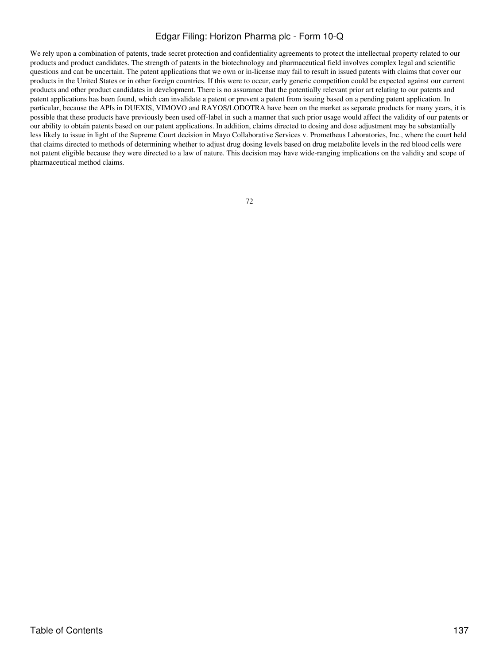We rely upon a combination of patents, trade secret protection and confidentiality agreements to protect the intellectual property related to our products and product candidates. The strength of patents in the biotechnology and pharmaceutical field involves complex legal and scientific questions and can be uncertain. The patent applications that we own or in-license may fail to result in issued patents with claims that cover our products in the United States or in other foreign countries. If this were to occur, early generic competition could be expected against our current products and other product candidates in development. There is no assurance that the potentially relevant prior art relating to our patents and patent applications has been found, which can invalidate a patent or prevent a patent from issuing based on a pending patent application. In particular, because the APIs in DUEXIS, VIMOVO and RAYOS/LODOTRA have been on the market as separate products for many years, it is possible that these products have previously been used off-label in such a manner that such prior usage would affect the validity of our patents or our ability to obtain patents based on our patent applications. In addition, claims directed to dosing and dose adjustment may be substantially less likely to issue in light of the Supreme Court decision in Mayo Collaborative Services v. Prometheus Laboratories, Inc., where the court held that claims directed to methods of determining whether to adjust drug dosing levels based on drug metabolite levels in the red blood cells were not patent eligible because they were directed to a law of nature. This decision may have wide-ranging implications on the validity and scope of pharmaceutical method claims.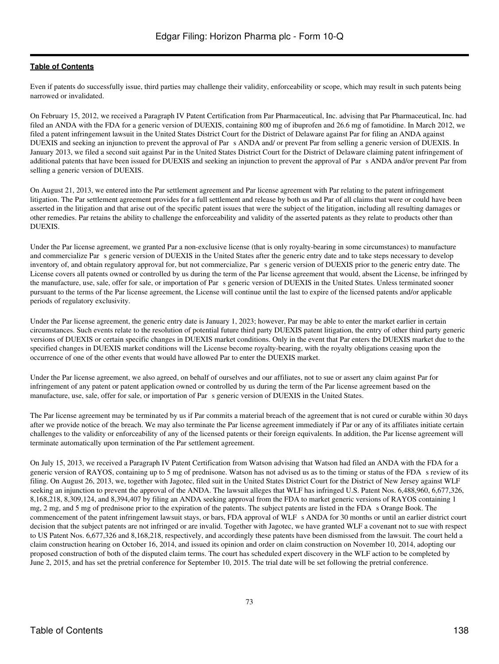Even if patents do successfully issue, third parties may challenge their validity, enforceability or scope, which may result in such patents being narrowed or invalidated.

On February 15, 2012, we received a Paragraph IV Patent Certification from Par Pharmaceutical, Inc. advising that Par Pharmaceutical, Inc. had filed an ANDA with the FDA for a generic version of DUEXIS, containing 800 mg of ibuprofen and 26.6 mg of famotidine. In March 2012, we filed a patent infringement lawsuit in the United States District Court for the District of Delaware against Par for filing an ANDA against DUEXIS and seeking an injunction to prevent the approval of Pars ANDA and/ or prevent Par from selling a generic version of DUEXIS. In January 2013, we filed a second suit against Par in the United States District Court for the District of Delaware claiming patent infringement of additional patents that have been issued for DUEXIS and seeking an injunction to prevent the approval of Par s ANDA and/or prevent Par from selling a generic version of DUEXIS.

On August 21, 2013, we entered into the Par settlement agreement and Par license agreement with Par relating to the patent infringement litigation. The Par settlement agreement provides for a full settlement and release by both us and Par of all claims that were or could have been asserted in the litigation and that arise out of the specific patent issues that were the subject of the litigation, including all resulting damages or other remedies. Par retains the ability to challenge the enforceability and validity of the asserted patents as they relate to products other than DUEXIS.

Under the Par license agreement, we granted Par a non-exclusive license (that is only royalty-bearing in some circumstances) to manufacture and commercialize Par s generic version of DUEXIS in the United States after the generic entry date and to take steps necessary to develop inventory of, and obtain regulatory approval for, but not commercialize, Par s generic version of DUEXIS prior to the generic entry date. The License covers all patents owned or controlled by us during the term of the Par license agreement that would, absent the License, be infringed by the manufacture, use, sale, offer for sale, or importation of Pars generic version of DUEXIS in the United States. Unless terminated sooner pursuant to the terms of the Par license agreement, the License will continue until the last to expire of the licensed patents and/or applicable periods of regulatory exclusivity.

Under the Par license agreement, the generic entry date is January 1, 2023; however, Par may be able to enter the market earlier in certain circumstances. Such events relate to the resolution of potential future third party DUEXIS patent litigation, the entry of other third party generic versions of DUEXIS or certain specific changes in DUEXIS market conditions. Only in the event that Par enters the DUEXIS market due to the specified changes in DUEXIS market conditions will the License become royalty-bearing, with the royalty obligations ceasing upon the occurrence of one of the other events that would have allowed Par to enter the DUEXIS market.

Under the Par license agreement, we also agreed, on behalf of ourselves and our affiliates, not to sue or assert any claim against Par for infringement of any patent or patent application owned or controlled by us during the term of the Par license agreement based on the manufacture, use, sale, offer for sale, or importation of Par s generic version of DUEXIS in the United States.

The Par license agreement may be terminated by us if Par commits a material breach of the agreement that is not cured or curable within 30 days after we provide notice of the breach. We may also terminate the Par license agreement immediately if Par or any of its affiliates initiate certain challenges to the validity or enforceability of any of the licensed patents or their foreign equivalents. In addition, the Par license agreement will terminate automatically upon termination of the Par settlement agreement.

On July 15, 2013, we received a Paragraph IV Patent Certification from Watson advising that Watson had filed an ANDA with the FDA for a generic version of RAYOS, containing up to 5 mg of prednisone. Watson has not advised us as to the timing or status of the FDA s review of its filing. On August 26, 2013, we, together with Jagotec, filed suit in the United States District Court for the District of New Jersey against WLF seeking an injunction to prevent the approval of the ANDA. The lawsuit alleges that WLF has infringed U.S. Patent Nos. 6,488,960, 6,677,326, 8,168,218, 8,309,124, and 8,394,407 by filing an ANDA seeking approval from the FDA to market generic versions of RAYOS containing 1 mg, 2 mg, and 5 mg of prednisone prior to the expiration of the patents. The subject patents are listed in the FDA s Orange Book. The commencement of the patent infringement lawsuit stays, or bars, FDA approval of WLF s ANDA for 30 months or until an earlier district court decision that the subject patents are not infringed or are invalid. Together with Jagotec, we have granted WLF a covenant not to sue with respect to US Patent Nos. 6,677,326 and 8,168,218, respectively, and accordingly these patents have been dismissed from the lawsuit. The court held a claim construction hearing on October 16, 2014, and issued its opinion and order on claim construction on November 10, 2014, adopting our proposed construction of both of the disputed claim terms. The court has scheduled expert discovery in the WLF action to be completed by June 2, 2015, and has set the pretrial conference for September 10, 2015. The trial date will be set following the pretrial conference.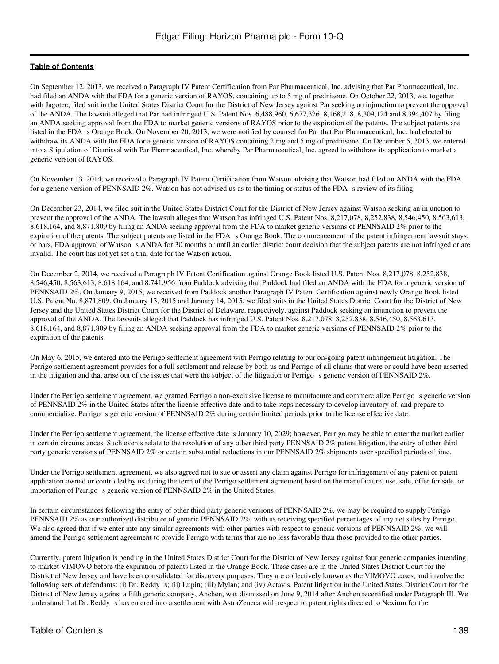On September 12, 2013, we received a Paragraph IV Patent Certification from Par Pharmaceutical, Inc. advising that Par Pharmaceutical, Inc. had filed an ANDA with the FDA for a generic version of RAYOS, containing up to 5 mg of prednisone. On October 22, 2013, we, together with Jagotec, filed suit in the United States District Court for the District of New Jersey against Par seeking an injunction to prevent the approval of the ANDA. The lawsuit alleged that Par had infringed U.S. Patent Nos. 6,488,960, 6,677,326, 8,168,218, 8,309,124 and 8,394,407 by filing an ANDA seeking approval from the FDA to market generic versions of RAYOS prior to the expiration of the patents. The subject patents are listed in the FDA s Orange Book. On November 20, 2013, we were notified by counsel for Par that Par Pharmaceutical, Inc. had elected to withdraw its ANDA with the FDA for a generic version of RAYOS containing 2 mg and 5 mg of prednisone. On December 5, 2013, we entered into a Stipulation of Dismissal with Par Pharmaceutical, Inc. whereby Par Pharmaceutical, Inc. agreed to withdraw its application to market a generic version of RAYOS.

On November 13, 2014, we received a Paragraph IV Patent Certification from Watson advising that Watson had filed an ANDA with the FDA for a generic version of PENNSAID 2%. Watson has not advised us as to the timing or status of the FDA s review of its filing.

On December 23, 2014, we filed suit in the United States District Court for the District of New Jersey against Watson seeking an injunction to prevent the approval of the ANDA. The lawsuit alleges that Watson has infringed U.S. Patent Nos. 8,217,078, 8,252,838, 8,546,450, 8,563,613, 8,618,164, and 8,871,809 by filing an ANDA seeking approval from the FDA to market generic versions of PENNSAID 2% prior to the expiration of the patents. The subject patents are listed in the FDA s Orange Book. The commencement of the patent infringement lawsuit stays, or bars, FDA approval of Watson s ANDA for 30 months or until an earlier district court decision that the subject patents are not infringed or are invalid. The court has not yet set a trial date for the Watson action.

On December 2, 2014, we received a Paragraph IV Patent Certification against Orange Book listed U.S. Patent Nos. 8,217,078, 8,252,838, 8,546,450, 8,563,613, 8,618,164, and 8,741,956 from Paddock advising that Paddock had filed an ANDA with the FDA for a generic version of PENNSAID 2%. On January 9, 2015, we received from Paddock another Paragraph IV Patent Certification against newly Orange Book listed U.S. Patent No. 8,871,809. On January 13, 2015 and January 14, 2015, we filed suits in the United States District Court for the District of New Jersey and the United States District Court for the District of Delaware, respectively, against Paddock seeking an injunction to prevent the approval of the ANDA. The lawsuits alleged that Paddock has infringed U.S. Patent Nos. 8,217,078, 8,252,838, 8,546,450, 8,563,613, 8,618,164, and 8,871,809 by filing an ANDA seeking approval from the FDA to market generic versions of PENNSAID 2% prior to the expiration of the patents.

On May 6, 2015, we entered into the Perrigo settlement agreement with Perrigo relating to our on-going patent infringement litigation. The Perrigo settlement agreement provides for a full settlement and release by both us and Perrigo of all claims that were or could have been asserted in the litigation and that arise out of the issues that were the subject of the litigation or Perrigo s generic version of PENNSAID 2%.

Under the Perrigo settlement agreement, we granted Perrigo a non-exclusive license to manufacture and commercialize Perrigo s generic version of PENNSAID 2% in the United States after the license effective date and to take steps necessary to develop inventory of, and prepare to commercialize, Perrigo s generic version of PENNSAID 2% during certain limited periods prior to the license effective date.

Under the Perrigo settlement agreement, the license effective date is January 10, 2029; however, Perrigo may be able to enter the market earlier in certain circumstances. Such events relate to the resolution of any other third party PENNSAID 2% patent litigation, the entry of other third party generic versions of PENNSAID 2% or certain substantial reductions in our PENNSAID 2% shipments over specified periods of time.

Under the Perrigo settlement agreement, we also agreed not to sue or assert any claim against Perrigo for infringement of any patent or patent application owned or controlled by us during the term of the Perrigo settlement agreement based on the manufacture, use, sale, offer for sale, or importation of Perrigo s generic version of PENNSAID 2% in the United States.

In certain circumstances following the entry of other third party generic versions of PENNSAID 2%, we may be required to supply Perrigo PENNSAID 2% as our authorized distributor of generic PENNSAID 2%, with us receiving specified percentages of any net sales by Perrigo. We also agreed that if we enter into any similar agreements with other parties with respect to generic versions of PENNSAID 2%, we will amend the Perrigo settlement agreement to provide Perrigo with terms that are no less favorable than those provided to the other parties.

Currently, patent litigation is pending in the United States District Court for the District of New Jersey against four generic companies intending to market VIMOVO before the expiration of patents listed in the Orange Book. These cases are in the United States District Court for the District of New Jersey and have been consolidated for discovery purposes. They are collectively known as the VIMOVO cases, and involve the following sets of defendants: (i) Dr. Reddy s; (ii) Lupin; (iii) Mylan; and (iv) Actavis. Patent litigation in the United States District Court for the District of New Jersey against a fifth generic company, Anchen, was dismissed on June 9, 2014 after Anchen recertified under Paragraph III. We understand that Dr. Reddy s has entered into a settlement with AstraZeneca with respect to patent rights directed to Nexium for the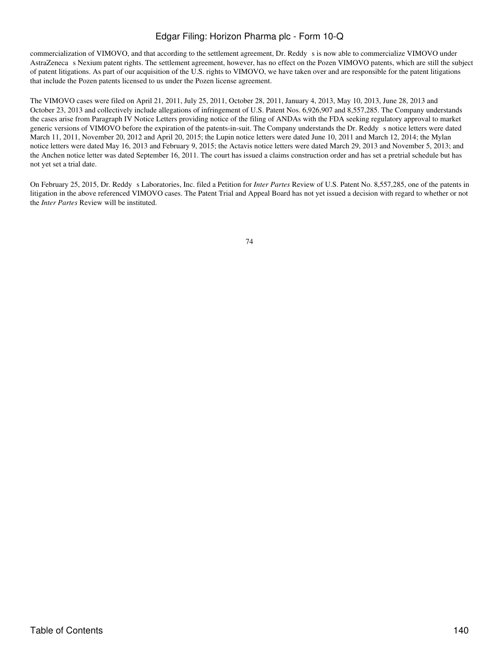commercialization of VIMOVO, and that according to the settlement agreement, Dr. Reddys is now able to commercialize VIMOVO under AstraZeneca s Nexium patent rights. The settlement agreement, however, has no effect on the Pozen VIMOVO patents, which are still the subject of patent litigations. As part of our acquisition of the U.S. rights to VIMOVO, we have taken over and are responsible for the patent litigations that include the Pozen patents licensed to us under the Pozen license agreement.

The VIMOVO cases were filed on April 21, 2011, July 25, 2011, October 28, 2011, January 4, 2013, May 10, 2013, June 28, 2013 and October 23, 2013 and collectively include allegations of infringement of U.S. Patent Nos. 6,926,907 and 8,557,285. The Company understands the cases arise from Paragraph IV Notice Letters providing notice of the filing of ANDAs with the FDA seeking regulatory approval to market generic versions of VIMOVO before the expiration of the patents-in-suit. The Company understands the Dr. Reddy s notice letters were dated March 11, 2011, November 20, 2012 and April 20, 2015; the Lupin notice letters were dated June 10, 2011 and March 12, 2014; the Mylan notice letters were dated May 16, 2013 and February 9, 2015; the Actavis notice letters were dated March 29, 2013 and November 5, 2013; and the Anchen notice letter was dated September 16, 2011. The court has issued a claims construction order and has set a pretrial schedule but has not yet set a trial date.

On February 25, 2015, Dr. Reddy s Laboratories, Inc. filed a Petition for *Inter Partes* Review of U.S. Patent No. 8,557,285, one of the patents in litigation in the above referenced VIMOVO cases. The Patent Trial and Appeal Board has not yet issued a decision with regard to whether or not the *Inter Partes* Review will be instituted.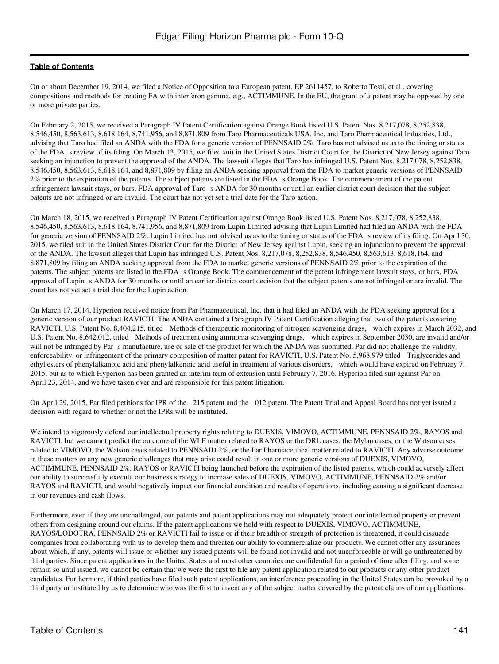On or about December 19, 2014, we filed a Notice of Opposition to a European patent, EP 2611457, to Roberto Testi, et al., covering compositions and methods for treating FA with interferon gamma, e.g., ACTIMMUNE. In the EU, the grant of a patent may be opposed by one or more private parties.

On February 2, 2015, we received a Paragraph IV Patent Certification against Orange Book listed U.S. Patent Nos. 8,217,078, 8,252,838, 8,546,450, 8,563,613, 8,618,164, 8,741,956, and 8,871,809 from Taro Pharmaceuticals USA, Inc. and Taro Pharmaceutical Industries, Ltd., advising that Taro had filed an ANDA with the FDA for a generic version of PENNSAID 2%. Taro has not advised us as to the timing or status of the FDA s review of its filing. On March 13, 2015, we filed suit in the United States District Court for the District of New Jersey against Taro seeking an injunction to prevent the approval of the ANDA. The lawsuit alleges that Taro has infringed U.S. Patent Nos. 8,217,078, 8,252,838, 8,546,450, 8,563,613, 8,618,164, and 8,871,809 by filing an ANDA seeking approval from the FDA to market generic versions of PENNSAID 2% prior to the expiration of the patents. The subject patents are listed in the FDA s Orange Book. The commencement of the patent infringement lawsuit stays, or bars, FDA approval of Taro s ANDA for 30 months or until an earlier district court decision that the subject patents are not infringed or are invalid. The court has not yet set a trial date for the Taro action.

On March 18, 2015, we received a Paragraph IV Patent Certification against Orange Book listed U.S. Patent Nos. 8,217,078, 8,252,838, 8,546,450, 8,563,613, 8,618,164, 8,741,956, and 8,871,809 from Lupin Limited advising that Lupin Limited had filed an ANDA with the FDA for generic version of PENNSAID 2%. Lupin Limited has not advised us as to the timing or status of the FDA s review of its filing. On April 30, 2015, we filed suit in the United States District Court for the District of New Jersey against Lupin, seeking an injunction to prevent the approval of the ANDA. The lawsuit alleges that Lupin has infringed U.S. Patent Nos. 8,217,078, 8,252,838, 8,546,450, 8,563,613, 8,618,164, and 8,871,809 by filing an ANDA seeking approval from the FDA to market generic versions of PENNSAID 2% prior to the expiration of the patents. The subject patents are listed in the FDA s Orange Book. The commencement of the patent infringement lawsuit stays, or bars, FDA approval of Lupin s ANDA for 30 months or until an earlier district court decision that the subject patents are not infringed or are invalid. The court has not yet set a trial date for the Lupin action.

On March 17, 2014, Hyperion received notice from Par Pharmaceutical, Inc. that it had filed an ANDA with the FDA seeking approval for a generic version of our product RAVICTI. The ANDA contained a Paragraph IV Patent Certification alleging that two of the patents covering RAVICTI, U.S. Patent No. 8,404,215, titled Methods of therapeutic monitoring of nitrogen scavenging drugs, which expires in March 2032, and U.S. Patent No. 8,642,012, titled Methods of treatment using ammonia scavenging drugs, which expires in September 2030, are invalid and/or will not be infringed by Par s manufacture, use or sale of the product for which the ANDA was submitted. Par did not challenge the validity, enforceability, or infringement of the primary composition of matter patent for RAVICTI, U.S. Patent No. 5,968,979 titled Triglycerides and ethyl esters of phenylalkanoic acid and phenylalkenoic acid useful in treatment of various disorders, which would have expired on February 7, 2015, but as to which Hyperion has been granted an interim term of extension until February 7, 2016. Hyperion filed suit against Par on April 23, 2014, and we have taken over and are responsible for this patent litigation.

On April 29, 2015, Par filed petitions for IPR of the 215 patent and the 012 patent. The Patent Trial and Appeal Board has not yet issued a decision with regard to whether or not the IPRs will be instituted.

We intend to vigorously defend our intellectual property rights relating to DUEXIS, VIMOVO, ACTIMMUNE, PENNSAID 2%, RAYOS and RAVICTI, but we cannot predict the outcome of the WLF matter related to RAYOS or the DRL cases, the Mylan cases, or the Watson cases related to VIMOVO, the Watson cases related to PENNSAID 2%, or the Par Pharmaceutical matter related to RAVICTI. Any adverse outcome in these matters or any new generic challenges that may arise could result in one or more generic versions of DUEXIS, VIMOVO, ACTIMMUNE, PENNSAID 2%, RAYOS or RAVICTI being launched before the expiration of the listed patents, which could adversely affect our ability to successfully execute our business strategy to increase sales of DUEXIS, VIMOVO, ACTIMMUNE, PENNSAID 2% and/or RAYOS and RAVICTI, and would negatively impact our financial condition and results of operations, including causing a significant decrease in our revenues and cash flows.

Furthermore, even if they are unchallenged, our patents and patent applications may not adequately protect our intellectual property or prevent others from designing around our claims. If the patent applications we hold with respect to DUEXIS, VIMOVO, ACTIMMUNE, RAYOS/LODOTRA, PENNSAID 2% or RAVICTI fail to issue or if their breadth or strength of protection is threatened, it could dissuade companies from collaborating with us to develop them and threaten our ability to commercialize our products. We cannot offer any assurances about which, if any, patents will issue or whether any issued patents will be found not invalid and not unenforceable or will go unthreatened by third parties. Since patent applications in the United States and most other countries are confidential for a period of time after filing, and some remain so until issued, we cannot be certain that we were the first to file any patent application related to our products or any other product candidates. Furthermore, if third parties have filed such patent applications, an interference proceeding in the United States can be provoked by a third party or instituted by us to determine who was the first to invent any of the subject matter covered by the patent claims of our applications.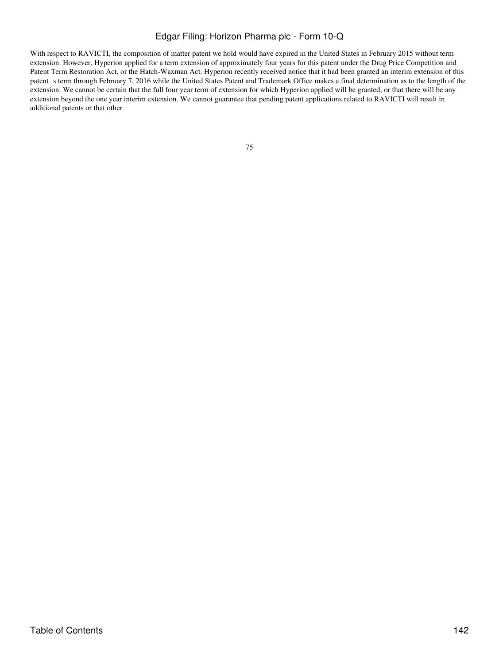With respect to RAVICTI, the composition of matter patent we hold would have expired in the United States in February 2015 without term extension. However, Hyperion applied for a term extension of approximately four years for this patent under the Drug Price Competition and Patent Term Restoration Act, or the Hatch-Waxman Act. Hyperion recently received notice that it had been granted an interim extension of this patent s term through February 7, 2016 while the United States Patent and Trademark Office makes a final determination as to the length of the extension. We cannot be certain that the full four year term of extension for which Hyperion applied will be granted, or that there will be any extension beyond the one year interim extension. We cannot guarantee that pending patent applications related to RAVICTI will result in additional patents or that other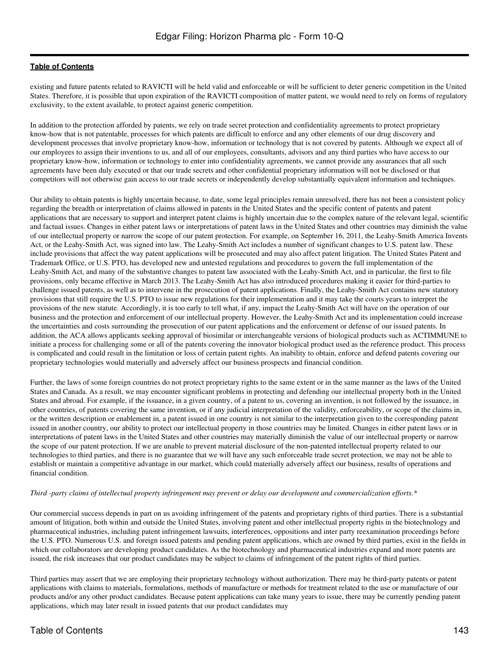existing and future patents related to RAVICTI will be held valid and enforceable or will be sufficient to deter generic competition in the United States. Therefore, it is possible that upon expiration of the RAVICTI composition of matter patent, we would need to rely on forms of regulatory exclusivity, to the extent available, to protect against generic competition.

In addition to the protection afforded by patents, we rely on trade secret protection and confidentiality agreements to protect proprietary know-how that is not patentable, processes for which patents are difficult to enforce and any other elements of our drug discovery and development processes that involve proprietary know-how, information or technology that is not covered by patents. Although we expect all of our employees to assign their inventions to us, and all of our employees, consultants, advisors and any third parties who have access to our proprietary know-how, information or technology to enter into confidentiality agreements, we cannot provide any assurances that all such agreements have been duly executed or that our trade secrets and other confidential proprietary information will not be disclosed or that competitors will not otherwise gain access to our trade secrets or independently develop substantially equivalent information and techniques.

Our ability to obtain patents is highly uncertain because, to date, some legal principles remain unresolved, there has not been a consistent policy regarding the breadth or interpretation of claims allowed in patents in the United States and the specific content of patents and patent applications that are necessary to support and interpret patent claims is highly uncertain due to the complex nature of the relevant legal, scientific and factual issues. Changes in either patent laws or interpretations of patent laws in the United States and other countries may diminish the value of our intellectual property or narrow the scope of our patent protection. For example, on September 16, 2011, the Leahy-Smith America Invents Act, or the Leahy-Smith Act, was signed into law. The Leahy-Smith Act includes a number of significant changes to U.S. patent law. These include provisions that affect the way patent applications will be prosecuted and may also affect patent litigation. The United States Patent and Trademark Office, or U.S. PTO, has developed new and untested regulations and procedures to govern the full implementation of the Leahy-Smith Act, and many of the substantive changes to patent law associated with the Leahy-Smith Act, and in particular, the first to file provisions, only became effective in March 2013. The Leahy-Smith Act has also introduced procedures making it easier for third-parties to challenge issued patents, as well as to intervene in the prosecution of patent applications. Finally, the Leahy-Smith Act contains new statutory provisions that still require the U.S. PTO to issue new regulations for their implementation and it may take the courts years to interpret the provisions of the new statute. Accordingly, it is too early to tell what, if any, impact the Leahy-Smith Act will have on the operation of our business and the protection and enforcement of our intellectual property. However, the Leahy-Smith Act and its implementation could increase the uncertainties and costs surrounding the prosecution of our patent applications and the enforcement or defense of our issued patents. In addition, the ACA allows applicants seeking approval of biosimilar or interchangeable versions of biological products such as ACTIMMUNE to initiate a process for challenging some or all of the patents covering the innovator biological product used as the reference product. This process is complicated and could result in the limitation or loss of certain patent rights. An inability to obtain, enforce and defend patents covering our proprietary technologies would materially and adversely affect our business prospects and financial condition.

Further, the laws of some foreign countries do not protect proprietary rights to the same extent or in the same manner as the laws of the United States and Canada. As a result, we may encounter significant problems in protecting and defending our intellectual property both in the United States and abroad. For example, if the issuance, in a given country, of a patent to us, covering an invention, is not followed by the issuance, in other countries, of patents covering the same invention, or if any judicial interpretation of the validity, enforceability, or scope of the claims in, or the written description or enablement in, a patent issued in one country is not similar to the interpretation given to the corresponding patent issued in another country, our ability to protect our intellectual property in those countries may be limited. Changes in either patent laws or in interpretations of patent laws in the United States and other countries may materially diminish the value of our intellectual property or narrow the scope of our patent protection. If we are unable to prevent material disclosure of the non-patented intellectual property related to our technologies to third parties, and there is no guarantee that we will have any such enforceable trade secret protection, we may not be able to establish or maintain a competitive advantage in our market, which could materially adversely affect our business, results of operations and financial condition.

#### *Third -party claims of intellectual property infringement may prevent or delay our development and commercialization efforts.\**

Our commercial success depends in part on us avoiding infringement of the patents and proprietary rights of third parties. There is a substantial amount of litigation, both within and outside the United States, involving patent and other intellectual property rights in the biotechnology and pharmaceutical industries, including patent infringement lawsuits, interferences, oppositions and inter party reexamination proceedings before the U.S. PTO. Numerous U.S. and foreign issued patents and pending patent applications, which are owned by third parties, exist in the fields in which our collaborators are developing product candidates. As the biotechnology and pharmaceutical industries expand and more patents are issued, the risk increases that our product candidates may be subject to claims of infringement of the patent rights of third parties.

Third parties may assert that we are employing their proprietary technology without authorization. There may be third-party patents or patent applications with claims to materials, formulations, methods of manufacture or methods for treatment related to the use or manufacture of our products and/or any other product candidates. Because patent applications can take many years to issue, there may be currently pending patent applications, which may later result in issued patents that our product candidates may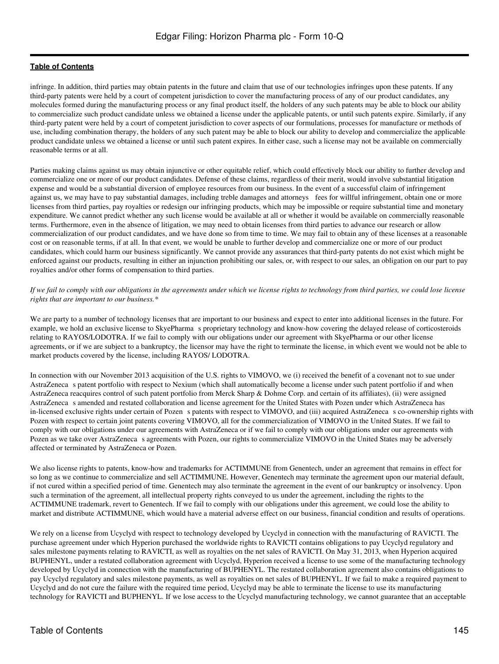infringe. In addition, third parties may obtain patents in the future and claim that use of our technologies infringes upon these patents. If any third-party patents were held by a court of competent jurisdiction to cover the manufacturing process of any of our product candidates, any molecules formed during the manufacturing process or any final product itself, the holders of any such patents may be able to block our ability to commercialize such product candidate unless we obtained a license under the applicable patents, or until such patents expire. Similarly, if any third-party patent were held by a court of competent jurisdiction to cover aspects of our formulations, processes for manufacture or methods of use, including combination therapy, the holders of any such patent may be able to block our ability to develop and commercialize the applicable product candidate unless we obtained a license or until such patent expires. In either case, such a license may not be available on commercially reasonable terms or at all.

Parties making claims against us may obtain injunctive or other equitable relief, which could effectively block our ability to further develop and commercialize one or more of our product candidates. Defense of these claims, regardless of their merit, would involve substantial litigation expense and would be a substantial diversion of employee resources from our business. In the event of a successful claim of infringement against us, we may have to pay substantial damages, including treble damages and attorneys fees for willful infringement, obtain one or more licenses from third parties, pay royalties or redesign our infringing products, which may be impossible or require substantial time and monetary expenditure. We cannot predict whether any such license would be available at all or whether it would be available on commercially reasonable terms. Furthermore, even in the absence of litigation, we may need to obtain licenses from third parties to advance our research or allow commercialization of our product candidates, and we have done so from time to time. We may fail to obtain any of these licenses at a reasonable cost or on reasonable terms, if at all. In that event, we would be unable to further develop and commercialize one or more of our product candidates, which could harm our business significantly. We cannot provide any assurances that third-party patents do not exist which might be enforced against our products, resulting in either an injunction prohibiting our sales, or, with respect to our sales, an obligation on our part to pay royalties and/or other forms of compensation to third parties.

*If we fail to comply with our obligations in the agreements under which we license rights to technology from third parties, we could lose license rights that are important to our business.\**

We are party to a number of technology licenses that are important to our business and expect to enter into additional licenses in the future. For example, we hold an exclusive license to SkyePharma s proprietary technology and know-how covering the delayed release of corticosteroids relating to RAYOS/LODOTRA. If we fail to comply with our obligations under our agreement with SkyePharma or our other license agreements, or if we are subject to a bankruptcy, the licensor may have the right to terminate the license, in which event we would not be able to market products covered by the license, including RAYOS/ LODOTRA.

In connection with our November 2013 acquisition of the U.S. rights to VIMOVO, we (i) received the benefit of a covenant not to sue under AstraZeneca s patent portfolio with respect to Nexium (which shall automatically become a license under such patent portfolio if and when AstraZeneca reacquires control of such patent portfolio from Merck Sharp & Dohme Corp. and certain of its affiliates), (ii) were assigned AstraZeneca s amended and restated collaboration and license agreement for the United States with Pozen under which AstraZeneca has in-licensed exclusive rights under certain of Pozen s patents with respect to VIMOVO, and (iii) acquired AstraZeneca s co-ownership rights with Pozen with respect to certain joint patents covering VIMOVO, all for the commercialization of VIMOVO in the United States. If we fail to comply with our obligations under our agreements with AstraZeneca or if we fail to comply with our obligations under our agreements with Pozen as we take over AstraZeneca s agreements with Pozen, our rights to commercialize VIMOVO in the United States may be adversely affected or terminated by AstraZeneca or Pozen.

We also license rights to patents, know-how and trademarks for ACTIMMUNE from Genentech, under an agreement that remains in effect for so long as we continue to commercialize and sell ACTIMMUNE. However, Genentech may terminate the agreement upon our material default, if not cured within a specified period of time. Genentech may also terminate the agreement in the event of our bankruptcy or insolvency. Upon such a termination of the agreement, all intellectual property rights conveyed to us under the agreement, including the rights to the ACTIMMUNE trademark, revert to Genentech. If we fail to comply with our obligations under this agreement, we could lose the ability to market and distribute ACTIMMUNE, which would have a material adverse effect on our business, financial condition and results of operations.

We rely on a license from Ucyclyd with respect to technology developed by Ucyclyd in connection with the manufacturing of RAVICTI. The purchase agreement under which Hyperion purchased the worldwide rights to RAVICTI contains obligations to pay Ucyclyd regulatory and sales milestone payments relating to RAVICTI, as well as royalties on the net sales of RAVICTI. On May 31, 2013, when Hyperion acquired BUPHENYL, under a restated collaboration agreement with Ucyclyd, Hyperion received a license to use some of the manufacturing technology developed by Ucyclyd in connection with the manufacturing of BUPHENYL. The restated collaboration agreement also contains obligations to pay Ucyclyd regulatory and sales milestone payments, as well as royalties on net sales of BUPHENYL. If we fail to make a required payment to Ucyclyd and do not cure the failure with the required time period, Ucyclyd may be able to terminate the license to use its manufacturing technology for RAVICTI and BUPHENYL. If we lose access to the Ucyclyd manufacturing technology, we cannot guarantee that an acceptable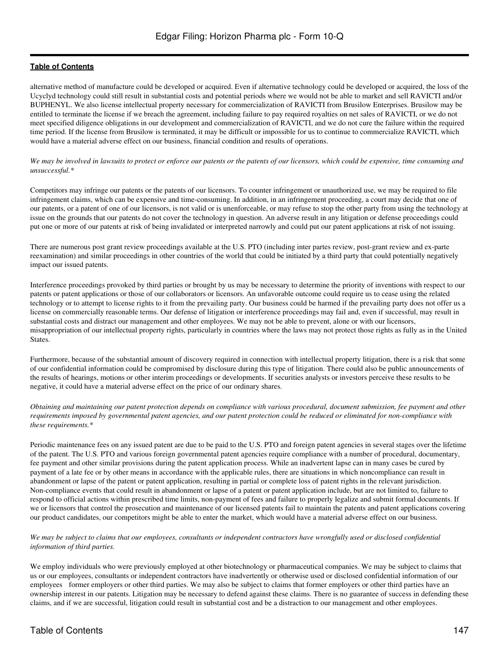alternative method of manufacture could be developed or acquired. Even if alternative technology could be developed or acquired, the loss of the Ucyclyd technology could still result in substantial costs and potential periods where we would not be able to market and sell RAVICTI and/or BUPHENYL. We also license intellectual property necessary for commercialization of RAVICTI from Brusilow Enterprises. Brusilow may be entitled to terminate the license if we breach the agreement, including failure to pay required royalties on net sales of RAVICTI, or we do not meet specified diligence obligations in our development and commercialization of RAVICTI, and we do not cure the failure within the required time period. If the license from Brusilow is terminated, it may be difficult or impossible for us to continue to commercialize RAVICTI, which would have a material adverse effect on our business, financial condition and results of operations.

*We may be involved in lawsuits to protect or enforce our patents or the patents of our licensors, which could be expensive, time consuming and unsuccessful.\**

Competitors may infringe our patents or the patents of our licensors. To counter infringement or unauthorized use, we may be required to file infringement claims, which can be expensive and time-consuming. In addition, in an infringement proceeding, a court may decide that one of our patents, or a patent of one of our licensors, is not valid or is unenforceable, or may refuse to stop the other party from using the technology at issue on the grounds that our patents do not cover the technology in question. An adverse result in any litigation or defense proceedings could put one or more of our patents at risk of being invalidated or interpreted narrowly and could put our patent applications at risk of not issuing.

There are numerous post grant review proceedings available at the U.S. PTO (including inter partes review, post-grant review and ex-parte reexamination) and similar proceedings in other countries of the world that could be initiated by a third party that could potentially negatively impact our issued patents.

Interference proceedings provoked by third parties or brought by us may be necessary to determine the priority of inventions with respect to our patents or patent applications or those of our collaborators or licensors. An unfavorable outcome could require us to cease using the related technology or to attempt to license rights to it from the prevailing party. Our business could be harmed if the prevailing party does not offer us a license on commercially reasonable terms. Our defense of litigation or interference proceedings may fail and, even if successful, may result in substantial costs and distract our management and other employees. We may not be able to prevent, alone or with our licensors, misappropriation of our intellectual property rights, particularly in countries where the laws may not protect those rights as fully as in the United States.

Furthermore, because of the substantial amount of discovery required in connection with intellectual property litigation, there is a risk that some of our confidential information could be compromised by disclosure during this type of litigation. There could also be public announcements of the results of hearings, motions or other interim proceedings or developments. If securities analysts or investors perceive these results to be negative, it could have a material adverse effect on the price of our ordinary shares.

*Obtaining and maintaining our patent protection depends on compliance with various procedural, document submission, fee payment and other requirements imposed by governmental patent agencies, and our patent protection could be reduced or eliminated for non-compliance with these requirements.\**

Periodic maintenance fees on any issued patent are due to be paid to the U.S. PTO and foreign patent agencies in several stages over the lifetime of the patent. The U.S. PTO and various foreign governmental patent agencies require compliance with a number of procedural, documentary, fee payment and other similar provisions during the patent application process. While an inadvertent lapse can in many cases be cured by payment of a late fee or by other means in accordance with the applicable rules, there are situations in which noncompliance can result in abandonment or lapse of the patent or patent application, resulting in partial or complete loss of patent rights in the relevant jurisdiction. Non-compliance events that could result in abandonment or lapse of a patent or patent application include, but are not limited to, failure to respond to official actions within prescribed time limits, non-payment of fees and failure to properly legalize and submit formal documents. If we or licensors that control the prosecution and maintenance of our licensed patents fail to maintain the patents and patent applications covering our product candidates, our competitors might be able to enter the market, which would have a material adverse effect on our business.

### *We may be subject to claims that our employees, consultants or independent contractors have wrongfully used or disclosed confidential information of third parties.*

We employ individuals who were previously employed at other biotechnology or pharmaceutical companies. We may be subject to claims that us or our employees, consultants or independent contractors have inadvertently or otherwise used or disclosed confidential information of our employees former employers or other third parties. We may also be subject to claims that former employers or other third parties have an ownership interest in our patents. Litigation may be necessary to defend against these claims. There is no guarantee of success in defending these claims, and if we are successful, litigation could result in substantial cost and be a distraction to our management and other employees.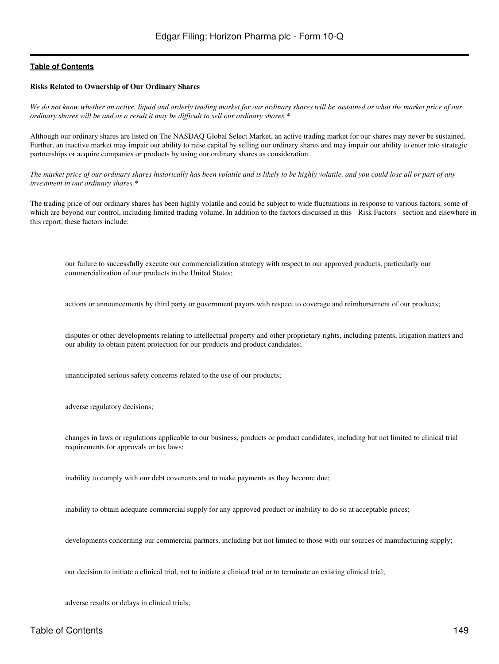### **Risks Related to Ownership of Our Ordinary Shares**

*We do not know whether an active, liquid and orderly trading market for our ordinary shares will be sustained or what the market price of our ordinary shares will be and as a result it may be difficult to sell our ordinary shares.\**

Although our ordinary shares are listed on The NASDAQ Global Select Market, an active trading market for our shares may never be sustained. Further, an inactive market may impair our ability to raise capital by selling our ordinary shares and may impair our ability to enter into strategic partnerships or acquire companies or products by using our ordinary shares as consideration.

*The market price of our ordinary shares historically has been volatile and is likely to be highly volatile, and you could lose all or part of any investment in our ordinary shares.\**

The trading price of our ordinary shares has been highly volatile and could be subject to wide fluctuations in response to various factors, some of which are beyond our control, including limited trading volume. In addition to the factors discussed in this Risk Factors section and elsewhere in this report, these factors include:

our failure to successfully execute our commercialization strategy with respect to our approved products, particularly our commercialization of our products in the United States;

actions or announcements by third party or government payors with respect to coverage and reimbursement of our products;

disputes or other developments relating to intellectual property and other proprietary rights, including patents, litigation matters and our ability to obtain patent protection for our products and product candidates;

unanticipated serious safety concerns related to the use of our products;

adverse regulatory decisions;

changes in laws or regulations applicable to our business, products or product candidates, including but not limited to clinical trial requirements for approvals or tax laws;

inability to comply with our debt covenants and to make payments as they become due;

inability to obtain adequate commercial supply for any approved product or inability to do so at acceptable prices;

developments concerning our commercial partners, including but not limited to those with our sources of manufacturing supply;

our decision to initiate a clinical trial, not to initiate a clinical trial or to terminate an existing clinical trial;

adverse results or delays in clinical trials;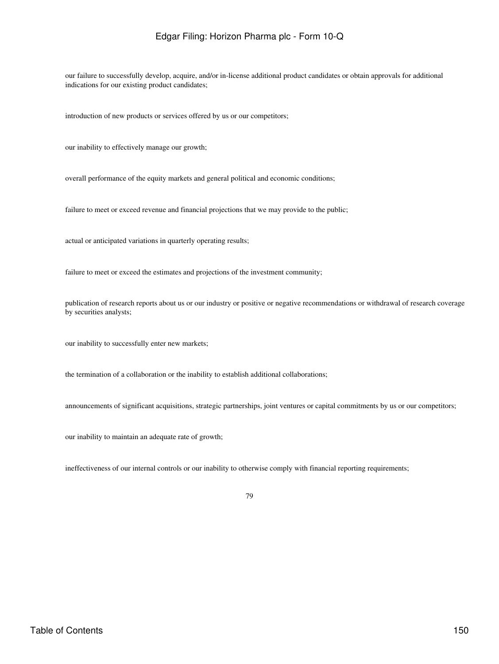our failure to successfully develop, acquire, and/or in-license additional product candidates or obtain approvals for additional indications for our existing product candidates;

introduction of new products or services offered by us or our competitors;

our inability to effectively manage our growth;

overall performance of the equity markets and general political and economic conditions;

failure to meet or exceed revenue and financial projections that we may provide to the public;

actual or anticipated variations in quarterly operating results;

failure to meet or exceed the estimates and projections of the investment community;

publication of research reports about us or our industry or positive or negative recommendations or withdrawal of research coverage by securities analysts;

our inability to successfully enter new markets;

the termination of a collaboration or the inability to establish additional collaborations;

announcements of significant acquisitions, strategic partnerships, joint ventures or capital commitments by us or our competitors;

our inability to maintain an adequate rate of growth;

ineffectiveness of our internal controls or our inability to otherwise comply with financial reporting requirements;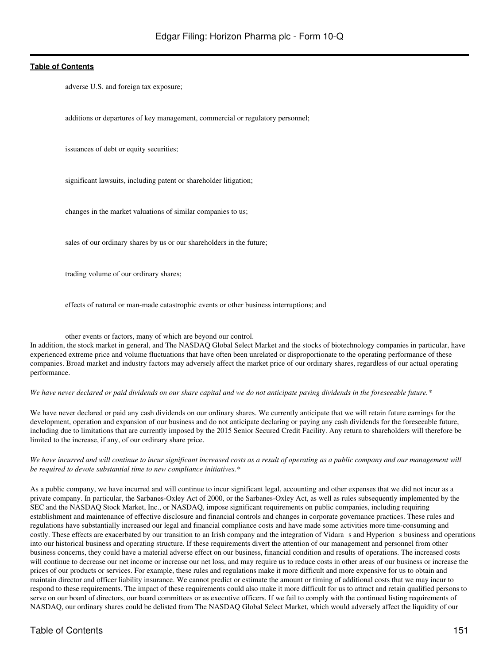adverse U.S. and foreign tax exposure;

additions or departures of key management, commercial or regulatory personnel;

issuances of debt or equity securities;

significant lawsuits, including patent or shareholder litigation;

changes in the market valuations of similar companies to us;

sales of our ordinary shares by us or our shareholders in the future;

trading volume of our ordinary shares;

effects of natural or man-made catastrophic events or other business interruptions; and

other events or factors, many of which are beyond our control.

In addition, the stock market in general, and The NASDAQ Global Select Market and the stocks of biotechnology companies in particular, have experienced extreme price and volume fluctuations that have often been unrelated or disproportionate to the operating performance of these companies. Broad market and industry factors may adversely affect the market price of our ordinary shares, regardless of our actual operating performance.

*We have never declared or paid dividends on our share capital and we do not anticipate paying dividends in the foreseeable future.\**

We have never declared or paid any cash dividends on our ordinary shares. We currently anticipate that we will retain future earnings for the development, operation and expansion of our business and do not anticipate declaring or paying any cash dividends for the foreseeable future, including due to limitations that are currently imposed by the 2015 Senior Secured Credit Facility. Any return to shareholders will therefore be limited to the increase, if any, of our ordinary share price.

*We have incurred and will continue to incur significant increased costs as a result of operating as a public company and our management will be required to devote substantial time to new compliance initiatives.\**

As a public company, we have incurred and will continue to incur significant legal, accounting and other expenses that we did not incur as a private company. In particular, the Sarbanes-Oxley Act of 2000, or the Sarbanes-Oxley Act, as well as rules subsequently implemented by the SEC and the NASDAQ Stock Market, Inc., or NASDAQ, impose significant requirements on public companies, including requiring establishment and maintenance of effective disclosure and financial controls and changes in corporate governance practices. These rules and regulations have substantially increased our legal and financial compliance costs and have made some activities more time-consuming and costly. These effects are exacerbated by our transition to an Irish company and the integration of Vidara s and Hyperion s business and operations into our historical business and operating structure. If these requirements divert the attention of our management and personnel from other business concerns, they could have a material adverse effect on our business, financial condition and results of operations. The increased costs will continue to decrease our net income or increase our net loss, and may require us to reduce costs in other areas of our business or increase the prices of our products or services. For example, these rules and regulations make it more difficult and more expensive for us to obtain and maintain director and officer liability insurance. We cannot predict or estimate the amount or timing of additional costs that we may incur to respond to these requirements. The impact of these requirements could also make it more difficult for us to attract and retain qualified persons to serve on our board of directors, our board committees or as executive officers. If we fail to comply with the continued listing requirements of NASDAQ, our ordinary shares could be delisted from The NASDAQ Global Select Market, which would adversely affect the liquidity of our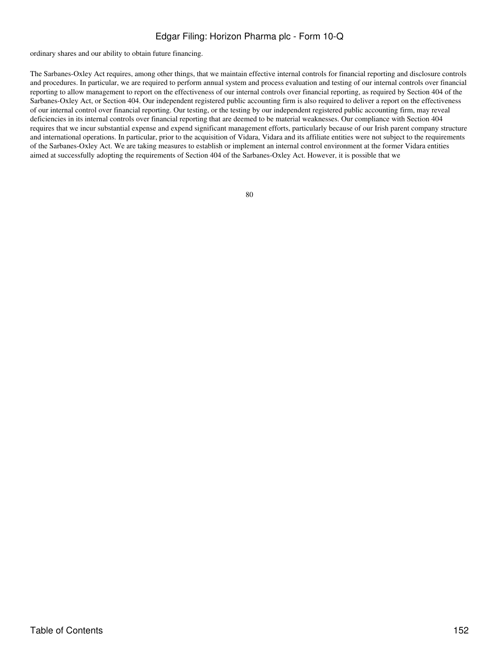ordinary shares and our ability to obtain future financing.

The Sarbanes-Oxley Act requires, among other things, that we maintain effective internal controls for financial reporting and disclosure controls and procedures. In particular, we are required to perform annual system and process evaluation and testing of our internal controls over financial reporting to allow management to report on the effectiveness of our internal controls over financial reporting, as required by Section 404 of the Sarbanes-Oxley Act, or Section 404. Our independent registered public accounting firm is also required to deliver a report on the effectiveness of our internal control over financial reporting. Our testing, or the testing by our independent registered public accounting firm, may reveal deficiencies in its internal controls over financial reporting that are deemed to be material weaknesses. Our compliance with Section 404 requires that we incur substantial expense and expend significant management efforts, particularly because of our Irish parent company structure and international operations. In particular, prior to the acquisition of Vidara, Vidara and its affiliate entities were not subject to the requirements of the Sarbanes-Oxley Act. We are taking measures to establish or implement an internal control environment at the former Vidara entities aimed at successfully adopting the requirements of Section 404 of the Sarbanes-Oxley Act. However, it is possible that we

| o<br>۰.<br>×<br>۰. | × | ٦<br>٦<br>۰, |
|--------------------|---|--------------|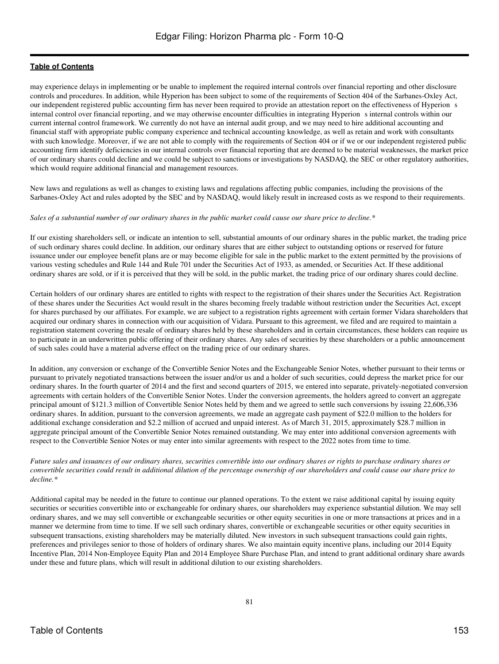may experience delays in implementing or be unable to implement the required internal controls over financial reporting and other disclosure controls and procedures. In addition, while Hyperion has been subject to some of the requirements of Section 404 of the Sarbanes-Oxley Act, our independent registered public accounting firm has never been required to provide an attestation report on the effectiveness of Hyperion s internal control over financial reporting, and we may otherwise encounter difficulties in integrating Hyperion s internal controls within our current internal control framework. We currently do not have an internal audit group, and we may need to hire additional accounting and financial staff with appropriate public company experience and technical accounting knowledge, as well as retain and work with consultants with such knowledge. Moreover, if we are not able to comply with the requirements of Section 404 or if we or our independent registered public accounting firm identify deficiencies in our internal controls over financial reporting that are deemed to be material weaknesses, the market price of our ordinary shares could decline and we could be subject to sanctions or investigations by NASDAQ, the SEC or other regulatory authorities, which would require additional financial and management resources.

New laws and regulations as well as changes to existing laws and regulations affecting public companies, including the provisions of the Sarbanes-Oxley Act and rules adopted by the SEC and by NASDAQ, would likely result in increased costs as we respond to their requirements.

### *Sales of a substantial number of our ordinary shares in the public market could cause our share price to decline.\**

If our existing shareholders sell, or indicate an intention to sell, substantial amounts of our ordinary shares in the public market, the trading price of such ordinary shares could decline. In addition, our ordinary shares that are either subject to outstanding options or reserved for future issuance under our employee benefit plans are or may become eligible for sale in the public market to the extent permitted by the provisions of various vesting schedules and Rule 144 and Rule 701 under the Securities Act of 1933, as amended, or Securities Act. If these additional ordinary shares are sold, or if it is perceived that they will be sold, in the public market, the trading price of our ordinary shares could decline.

Certain holders of our ordinary shares are entitled to rights with respect to the registration of their shares under the Securities Act. Registration of these shares under the Securities Act would result in the shares becoming freely tradable without restriction under the Securities Act, except for shares purchased by our affiliates. For example, we are subject to a registration rights agreement with certain former Vidara shareholders that acquired our ordinary shares in connection with our acquisition of Vidara. Pursuant to this agreement, we filed and are required to maintain a registration statement covering the resale of ordinary shares held by these shareholders and in certain circumstances, these holders can require us to participate in an underwritten public offering of their ordinary shares. Any sales of securities by these shareholders or a public announcement of such sales could have a material adverse effect on the trading price of our ordinary shares.

In addition, any conversion or exchange of the Convertible Senior Notes and the Exchangeable Senior Notes, whether pursuant to their terms or pursuant to privately negotiated transactions between the issuer and/or us and a holder of such securities, could depress the market price for our ordinary shares. In the fourth quarter of 2014 and the first and second quarters of 2015, we entered into separate, privately-negotiated conversion agreements with certain holders of the Convertible Senior Notes. Under the conversion agreements, the holders agreed to convert an aggregate principal amount of \$121.3 million of Convertible Senior Notes held by them and we agreed to settle such conversions by issuing 22,606,336 ordinary shares. In addition, pursuant to the conversion agreements, we made an aggregate cash payment of \$22.0 million to the holders for additional exchange consideration and \$2.2 million of accrued and unpaid interest. As of March 31, 2015, approximately \$28.7 million in aggregate principal amount of the Convertible Senior Notes remained outstanding. We may enter into additional conversion agreements with respect to the Convertible Senior Notes or may enter into similar agreements with respect to the 2022 notes from time to time.

*Future sales and issuances of our ordinary shares, securities convertible into our ordinary shares or rights to purchase ordinary shares or convertible securities could result in additional dilution of the percentage ownership of our shareholders and could cause our share price to decline.\**

Additional capital may be needed in the future to continue our planned operations. To the extent we raise additional capital by issuing equity securities or securities convertible into or exchangeable for ordinary shares, our shareholders may experience substantial dilution. We may sell ordinary shares, and we may sell convertible or exchangeable securities or other equity securities in one or more transactions at prices and in a manner we determine from time to time. If we sell such ordinary shares, convertible or exchangeable securities or other equity securities in subsequent transactions, existing shareholders may be materially diluted. New investors in such subsequent transactions could gain rights, preferences and privileges senior to those of holders of ordinary shares. We also maintain equity incentive plans, including our 2014 Equity Incentive Plan, 2014 Non-Employee Equity Plan and 2014 Employee Share Purchase Plan, and intend to grant additional ordinary share awards under these and future plans, which will result in additional dilution to our existing shareholders.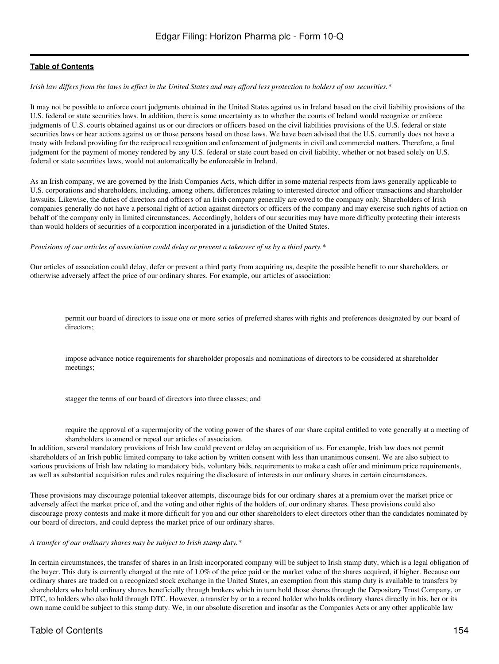*Irish law differs from the laws in effect in the United States and may afford less protection to holders of our securities.\**

It may not be possible to enforce court judgments obtained in the United States against us in Ireland based on the civil liability provisions of the U.S. federal or state securities laws. In addition, there is some uncertainty as to whether the courts of Ireland would recognize or enforce judgments of U.S. courts obtained against us or our directors or officers based on the civil liabilities provisions of the U.S. federal or state securities laws or hear actions against us or those persons based on those laws. We have been advised that the U.S. currently does not have a treaty with Ireland providing for the reciprocal recognition and enforcement of judgments in civil and commercial matters. Therefore, a final judgment for the payment of money rendered by any U.S. federal or state court based on civil liability, whether or not based solely on U.S. federal or state securities laws, would not automatically be enforceable in Ireland.

As an Irish company, we are governed by the Irish Companies Acts, which differ in some material respects from laws generally applicable to U.S. corporations and shareholders, including, among others, differences relating to interested director and officer transactions and shareholder lawsuits. Likewise, the duties of directors and officers of an Irish company generally are owed to the company only. Shareholders of Irish companies generally do not have a personal right of action against directors or officers of the company and may exercise such rights of action on behalf of the company only in limited circumstances. Accordingly, holders of our securities may have more difficulty protecting their interests than would holders of securities of a corporation incorporated in a jurisdiction of the United States.

*Provisions of our articles of association could delay or prevent a takeover of us by a third party.\**

Our articles of association could delay, defer or prevent a third party from acquiring us, despite the possible benefit to our shareholders, or otherwise adversely affect the price of our ordinary shares. For example, our articles of association:

permit our board of directors to issue one or more series of preferred shares with rights and preferences designated by our board of directors;

impose advance notice requirements for shareholder proposals and nominations of directors to be considered at shareholder meetings;

stagger the terms of our board of directors into three classes; and

require the approval of a supermajority of the voting power of the shares of our share capital entitled to vote generally at a meeting of shareholders to amend or repeal our articles of association.

In addition, several mandatory provisions of Irish law could prevent or delay an acquisition of us. For example, Irish law does not permit shareholders of an Irish public limited company to take action by written consent with less than unanimous consent. We are also subject to various provisions of Irish law relating to mandatory bids, voluntary bids, requirements to make a cash offer and minimum price requirements, as well as substantial acquisition rules and rules requiring the disclosure of interests in our ordinary shares in certain circumstances.

These provisions may discourage potential takeover attempts, discourage bids for our ordinary shares at a premium over the market price or adversely affect the market price of, and the voting and other rights of the holders of, our ordinary shares. These provisions could also discourage proxy contests and make it more difficult for you and our other shareholders to elect directors other than the candidates nominated by our board of directors, and could depress the market price of our ordinary shares.

#### *A transfer of our ordinary shares may be subject to Irish stamp duty.\**

In certain circumstances, the transfer of shares in an Irish incorporated company will be subject to Irish stamp duty, which is a legal obligation of the buyer. This duty is currently charged at the rate of 1.0% of the price paid or the market value of the shares acquired, if higher. Because our ordinary shares are traded on a recognized stock exchange in the United States, an exemption from this stamp duty is available to transfers by shareholders who hold ordinary shares beneficially through brokers which in turn hold those shares through the Depositary Trust Company, or DTC, to holders who also hold through DTC. However, a transfer by or to a record holder who holds ordinary shares directly in his, her or its own name could be subject to this stamp duty. We, in our absolute discretion and insofar as the Companies Acts or any other applicable law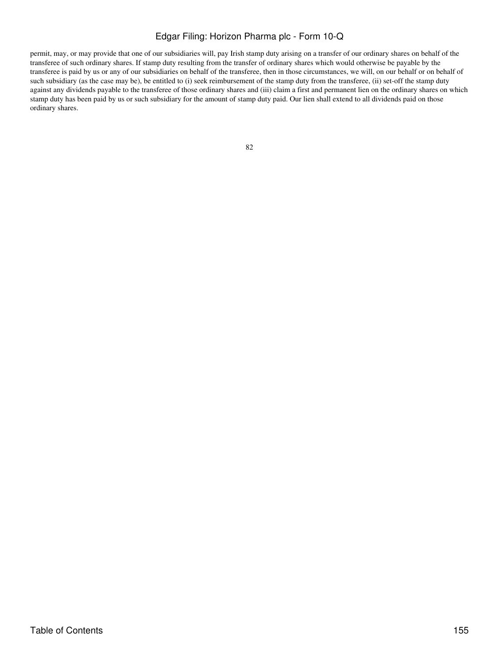permit, may, or may provide that one of our subsidiaries will, pay Irish stamp duty arising on a transfer of our ordinary shares on behalf of the transferee of such ordinary shares. If stamp duty resulting from the transfer of ordinary shares which would otherwise be payable by the transferee is paid by us or any of our subsidiaries on behalf of the transferee, then in those circumstances, we will, on our behalf or on behalf of such subsidiary (as the case may be), be entitled to (i) seek reimbursement of the stamp duty from the transferee, (ii) set-off the stamp duty against any dividends payable to the transferee of those ordinary shares and (iii) claim a first and permanent lien on the ordinary shares on which stamp duty has been paid by us or such subsidiary for the amount of stamp duty paid. Our lien shall extend to all dividends paid on those ordinary shares.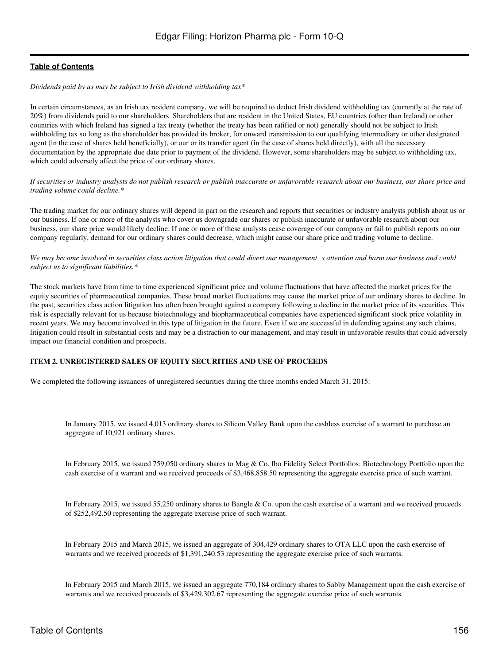### *Dividends paid by us may be subject to Irish dividend withholding tax\**

In certain circumstances, as an Irish tax resident company, we will be required to deduct Irish dividend withholding tax (currently at the rate of 20%) from dividends paid to our shareholders. Shareholders that are resident in the United States, EU countries (other than Ireland) or other countries with which Ireland has signed a tax treaty (whether the treaty has been ratified or not) generally should not be subject to Irish withholding tax so long as the shareholder has provided its broker, for onward transmission to our qualifying intermediary or other designated agent (in the case of shares held beneficially), or our or its transfer agent (in the case of shares held directly), with all the necessary documentation by the appropriate due date prior to payment of the dividend. However, some shareholders may be subject to withholding tax, which could adversely affect the price of our ordinary shares.

*If securities or industry analysts do not publish research or publish inaccurate or unfavorable research about our business, our share price and trading volume could decline.\**

The trading market for our ordinary shares will depend in part on the research and reports that securities or industry analysts publish about us or our business. If one or more of the analysts who cover us downgrade our shares or publish inaccurate or unfavorable research about our business, our share price would likely decline. If one or more of these analysts cease coverage of our company or fail to publish reports on our company regularly, demand for our ordinary shares could decrease, which might cause our share price and trading volume to decline.

We may become involved in securities class action litigation that could divert our management s attention and harm our business and could *subject us to significant liabilities.\**

The stock markets have from time to time experienced significant price and volume fluctuations that have affected the market prices for the equity securities of pharmaceutical companies. These broad market fluctuations may cause the market price of our ordinary shares to decline. In the past, securities class action litigation has often been brought against a company following a decline in the market price of its securities. This risk is especially relevant for us because biotechnology and biopharmaceutical companies have experienced significant stock price volatility in recent years. We may become involved in this type of litigation in the future. Even if we are successful in defending against any such claims, litigation could result in substantial costs and may be a distraction to our management, and may result in unfavorable results that could adversely impact our financial condition and prospects.

### **ITEM 2. UNREGISTERED SALES OF EQUITY SECURITIES AND USE OF PROCEEDS**

We completed the following issuances of unregistered securities during the three months ended March 31, 2015:

In January 2015, we issued 4,013 ordinary shares to Silicon Valley Bank upon the cashless exercise of a warrant to purchase an aggregate of 10,921 ordinary shares.

In February 2015, we issued 759,050 ordinary shares to Mag & Co. fbo Fidelity Select Portfolios: Biotechnology Portfolio upon the cash exercise of a warrant and we received proceeds of \$3,468,858.50 representing the aggregate exercise price of such warrant.

In February 2015, we issued 55,250 ordinary shares to Bangle & Co. upon the cash exercise of a warrant and we received proceeds of \$252,492.50 representing the aggregate exercise price of such warrant.

In February 2015 and March 2015, we issued an aggregate of 304,429 ordinary shares to OTA LLC upon the cash exercise of warrants and we received proceeds of \$1,391,240.53 representing the aggregate exercise price of such warrants.

In February 2015 and March 2015, we issued an aggregate 770,184 ordinary shares to Sabby Management upon the cash exercise of warrants and we received proceeds of \$3,429,302.67 representing the aggregate exercise price of such warrants.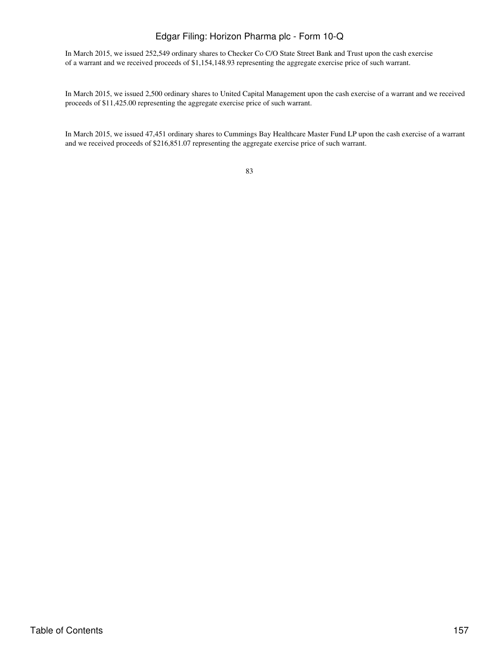In March 2015, we issued 252,549 ordinary shares to Checker Co C/O State Street Bank and Trust upon the cash exercise of a warrant and we received proceeds of \$1,154,148.93 representing the aggregate exercise price of such warrant.

In March 2015, we issued 2,500 ordinary shares to United Capital Management upon the cash exercise of a warrant and we received proceeds of \$11,425.00 representing the aggregate exercise price of such warrant.

In March 2015, we issued 47,451 ordinary shares to Cummings Bay Healthcare Master Fund LP upon the cash exercise of a warrant and we received proceeds of \$216,851.07 representing the aggregate exercise price of such warrant.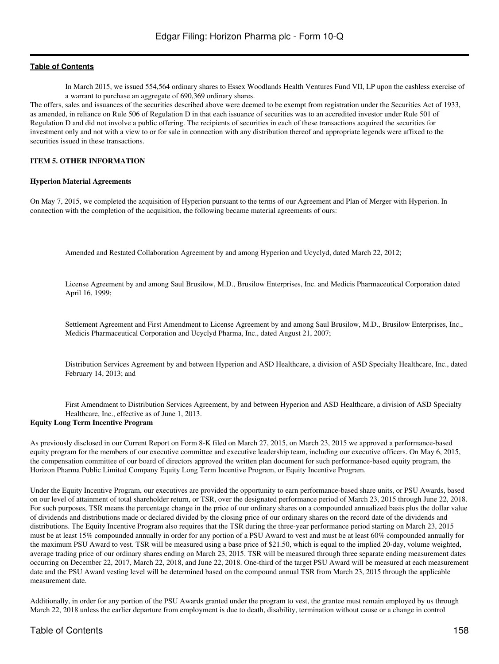In March 2015, we issued 554,564 ordinary shares to Essex Woodlands Health Ventures Fund VII, LP upon the cashless exercise of a warrant to purchase an aggregate of 690,369 ordinary shares.

The offers, sales and issuances of the securities described above were deemed to be exempt from registration under the Securities Act of 1933, as amended, in reliance on Rule 506 of Regulation D in that each issuance of securities was to an accredited investor under Rule 501 of Regulation D and did not involve a public offering. The recipients of securities in each of these transactions acquired the securities for investment only and not with a view to or for sale in connection with any distribution thereof and appropriate legends were affixed to the securities issued in these transactions.

### **ITEM 5. OTHER INFORMATION**

### **Hyperion Material Agreements**

On May 7, 2015, we completed the acquisition of Hyperion pursuant to the terms of our Agreement and Plan of Merger with Hyperion. In connection with the completion of the acquisition, the following became material agreements of ours:

Amended and Restated Collaboration Agreement by and among Hyperion and Ucyclyd, dated March 22, 2012;

License Agreement by and among Saul Brusilow, M.D., Brusilow Enterprises, Inc. and Medicis Pharmaceutical Corporation dated April 16, 1999;

Settlement Agreement and First Amendment to License Agreement by and among Saul Brusilow, M.D., Brusilow Enterprises, Inc., Medicis Pharmaceutical Corporation and Ucyclyd Pharma, Inc., dated August 21, 2007;

Distribution Services Agreement by and between Hyperion and ASD Healthcare, a division of ASD Specialty Healthcare, Inc., dated February 14, 2013; and

First Amendment to Distribution Services Agreement, by and between Hyperion and ASD Healthcare, a division of ASD Specialty Healthcare, Inc., effective as of June 1, 2013.

### **Equity Long Term Incentive Program**

As previously disclosed in our Current Report on Form 8-K filed on March 27, 2015, on March 23, 2015 we approved a performance-based equity program for the members of our executive committee and executive leadership team, including our executive officers. On May 6, 2015, the compensation committee of our board of directors approved the written plan document for such performance-based equity program, the Horizon Pharma Public Limited Company Equity Long Term Incentive Program, or Equity Incentive Program.

Under the Equity Incentive Program, our executives are provided the opportunity to earn performance-based share units, or PSU Awards, based on our level of attainment of total shareholder return, or TSR, over the designated performance period of March 23, 2015 through June 22, 2018. For such purposes, TSR means the percentage change in the price of our ordinary shares on a compounded annualized basis plus the dollar value of dividends and distributions made or declared divided by the closing price of our ordinary shares on the record date of the dividends and distributions. The Equity Incentive Program also requires that the TSR during the three-year performance period starting on March 23, 2015 must be at least 15% compounded annually in order for any portion of a PSU Award to vest and must be at least 60% compounded annually for the maximum PSU Award to vest. TSR will be measured using a base price of \$21.50, which is equal to the implied 20-day, volume weighted, average trading price of our ordinary shares ending on March 23, 2015. TSR will be measured through three separate ending measurement dates occurring on December 22, 2017, March 22, 2018, and June 22, 2018. One-third of the target PSU Award will be measured at each measurement date and the PSU Award vesting level will be determined based on the compound annual TSR from March 23, 2015 through the applicable measurement date.

Additionally, in order for any portion of the PSU Awards granted under the program to vest, the grantee must remain employed by us through March 22, 2018 unless the earlier departure from employment is due to death, disability, termination without cause or a change in control

## Table of Contents 158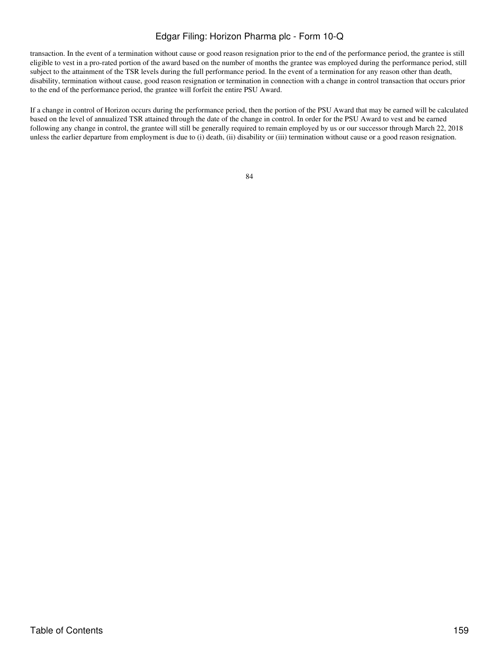transaction. In the event of a termination without cause or good reason resignation prior to the end of the performance period, the grantee is still eligible to vest in a pro-rated portion of the award based on the number of months the grantee was employed during the performance period, still subject to the attainment of the TSR levels during the full performance period. In the event of a termination for any reason other than death, disability, termination without cause, good reason resignation or termination in connection with a change in control transaction that occurs prior to the end of the performance period, the grantee will forfeit the entire PSU Award.

If a change in control of Horizon occurs during the performance period, then the portion of the PSU Award that may be earned will be calculated based on the level of annualized TSR attained through the date of the change in control. In order for the PSU Award to vest and be earned following any change in control, the grantee will still be generally required to remain employed by us or our successor through March 22, 2018 unless the earlier departure from employment is due to (i) death, (ii) disability or (iii) termination without cause or a good reason resignation.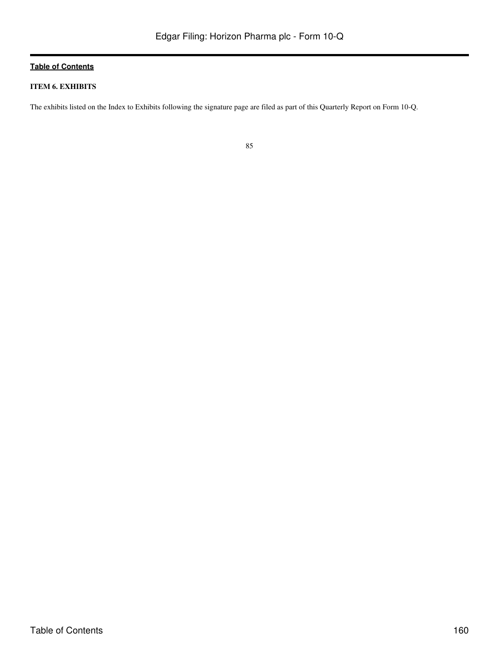## **ITEM 6. EXHIBITS**

The exhibits listed on the Index to Exhibits following the signature page are filed as part of this Quarterly Report on Form 10-Q.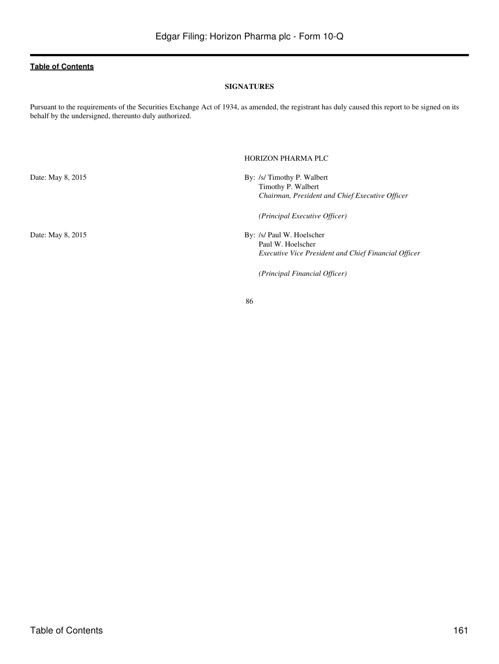### **SIGNATURES**

Pursuant to the requirements of the Securities Exchange Act of 1934, as amended, the registrant has duly caused this report to be signed on its behalf by the undersigned, thereunto duly authorized.

HORIZON PHARMA PLC

Date: May 8, 2015 By: /s/ Timothy P. Walbert Timothy P. Walbert *Chairman, President and Chief Executive Officer (Principal Executive Officer)* Date: May 8, 2015 By: /s/ Paul W. Hoelscher Paul W. Hoelscher *Executive Vice President and Chief Financial Officer*

*(Principal Financial Officer)*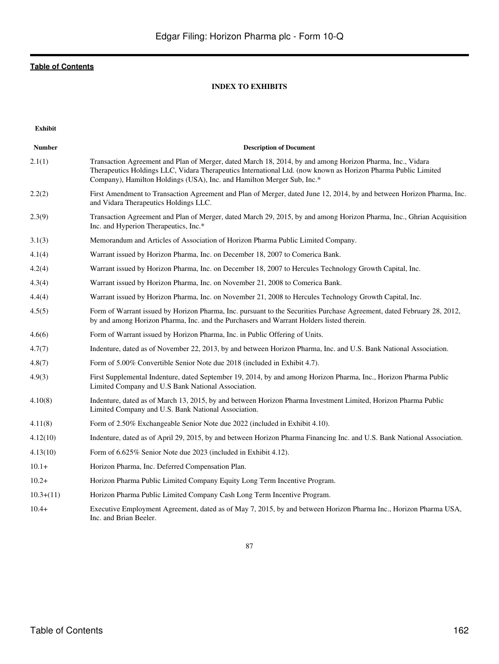## **INDEX TO EXHIBITS**

**Exhibit**

| <b>Number</b> | <b>Description of Document</b>                                                                                                                                                                                                                                                                       |
|---------------|------------------------------------------------------------------------------------------------------------------------------------------------------------------------------------------------------------------------------------------------------------------------------------------------------|
| 2.1(1)        | Transaction Agreement and Plan of Merger, dated March 18, 2014, by and among Horizon Pharma, Inc., Vidara<br>Therapeutics Holdings LLC, Vidara Therapeutics International Ltd. (now known as Horizon Pharma Public Limited<br>Company), Hamilton Holdings (USA), Inc. and Hamilton Merger Sub, Inc.* |
| 2.2(2)        | First Amendment to Transaction Agreement and Plan of Merger, dated June 12, 2014, by and between Horizon Pharma, Inc.<br>and Vidara Therapeutics Holdings LLC.                                                                                                                                       |
| 2.3(9)        | Transaction Agreement and Plan of Merger, dated March 29, 2015, by and among Horizon Pharma, Inc., Ghrian Acquisition<br>Inc. and Hyperion Therapeutics, Inc.*                                                                                                                                       |
| 3.1(3)        | Memorandum and Articles of Association of Horizon Pharma Public Limited Company.                                                                                                                                                                                                                     |
| 4.1(4)        | Warrant issued by Horizon Pharma, Inc. on December 18, 2007 to Comerica Bank.                                                                                                                                                                                                                        |
| 4.2(4)        | Warrant issued by Horizon Pharma, Inc. on December 18, 2007 to Hercules Technology Growth Capital, Inc.                                                                                                                                                                                              |
| 4.3(4)        | Warrant issued by Horizon Pharma, Inc. on November 21, 2008 to Comerica Bank.                                                                                                                                                                                                                        |
| 4.4(4)        | Warrant issued by Horizon Pharma, Inc. on November 21, 2008 to Hercules Technology Growth Capital, Inc.                                                                                                                                                                                              |
| 4.5(5)        | Form of Warrant issued by Horizon Pharma, Inc. pursuant to the Securities Purchase Agreement, dated February 28, 2012,<br>by and among Horizon Pharma, Inc. and the Purchasers and Warrant Holders listed therein.                                                                                   |
| 4.6(6)        | Form of Warrant issued by Horizon Pharma, Inc. in Public Offering of Units.                                                                                                                                                                                                                          |
| 4.7(7)        | Indenture, dated as of November 22, 2013, by and between Horizon Pharma, Inc. and U.S. Bank National Association.                                                                                                                                                                                    |
| 4.8(7)        | Form of 5.00% Convertible Senior Note due 2018 (included in Exhibit 4.7).                                                                                                                                                                                                                            |
| 4.9(3)        | First Supplemental Indenture, dated September 19, 2014, by and among Horizon Pharma, Inc., Horizon Pharma Public<br>Limited Company and U.S Bank National Association.                                                                                                                               |
| 4.10(8)       | Indenture, dated as of March 13, 2015, by and between Horizon Pharma Investment Limited, Horizon Pharma Public<br>Limited Company and U.S. Bank National Association.                                                                                                                                |
| 4.11(8)       | Form of 2.50% Exchangeable Senior Note due 2022 (included in Exhibit 4.10).                                                                                                                                                                                                                          |
| 4.12(10)      | Indenture, dated as of April 29, 2015, by and between Horizon Pharma Financing Inc. and U.S. Bank National Association.                                                                                                                                                                              |
| 4.13(10)      | Form of 6.625% Senior Note due 2023 (included in Exhibit 4.12).                                                                                                                                                                                                                                      |
| $10.1+$       | Horizon Pharma, Inc. Deferred Compensation Plan.                                                                                                                                                                                                                                                     |
| $10.2+$       | Horizon Pharma Public Limited Company Equity Long Term Incentive Program.                                                                                                                                                                                                                            |
| $10.3+(11)$   | Horizon Pharma Public Limited Company Cash Long Term Incentive Program.                                                                                                                                                                                                                              |
| $10.4+$       | Executive Employment Agreement, dated as of May 7, 2015, by and between Horizon Pharma Inc., Horizon Pharma USA,<br>Inc. and Brian Beeler.                                                                                                                                                           |